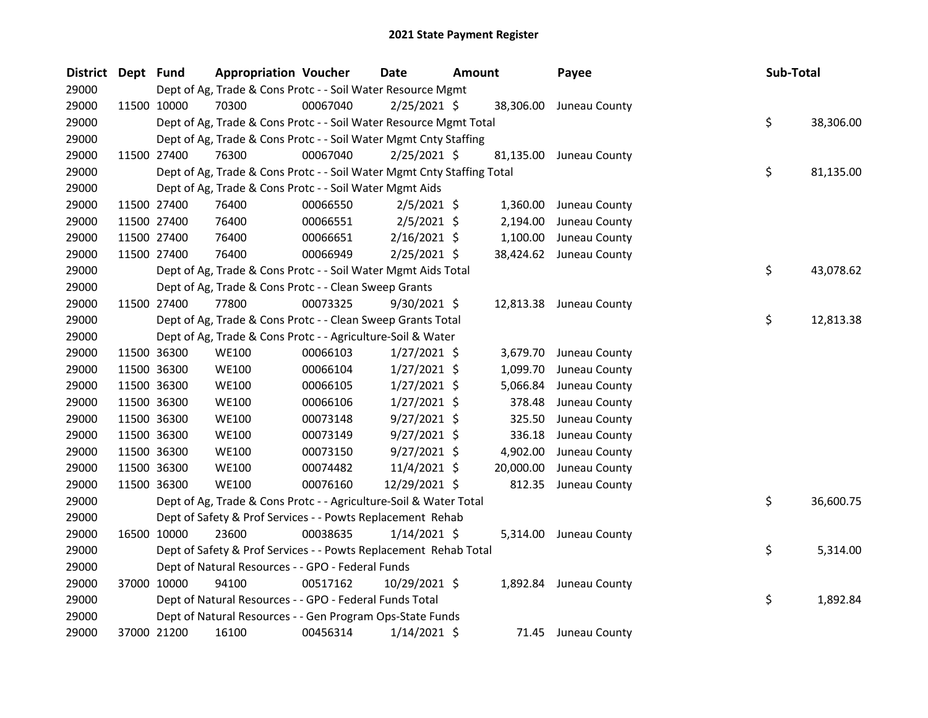| District Dept Fund |             | <b>Appropriation Voucher</b>                                           |          | Date           | Amount |           | Payee                   |  | Sub-Total       |  |
|--------------------|-------------|------------------------------------------------------------------------|----------|----------------|--------|-----------|-------------------------|--|-----------------|--|
| 29000              |             | Dept of Ag, Trade & Cons Protc - - Soil Water Resource Mgmt            |          |                |        |           |                         |  |                 |  |
| 29000              | 11500 10000 | 70300                                                                  | 00067040 | $2/25/2021$ \$ |        | 38,306.00 | Juneau County           |  |                 |  |
| 29000              |             | Dept of Ag, Trade & Cons Protc - - Soil Water Resource Mgmt Total      |          |                |        |           |                         |  | \$<br>38,306.00 |  |
| 29000              |             | Dept of Ag, Trade & Cons Protc - - Soil Water Mgmt Cnty Staffing       |          |                |        |           |                         |  |                 |  |
| 29000              | 11500 27400 | 76300                                                                  | 00067040 | $2/25/2021$ \$ |        | 81,135.00 | Juneau County           |  |                 |  |
| 29000              |             | Dept of Ag, Trade & Cons Protc - - Soil Water Mgmt Cnty Staffing Total |          |                |        |           |                         |  | \$<br>81,135.00 |  |
| 29000              |             | Dept of Ag, Trade & Cons Protc - - Soil Water Mgmt Aids                |          |                |        |           |                         |  |                 |  |
| 29000              | 11500 27400 | 76400                                                                  | 00066550 | $2/5/2021$ \$  |        | 1,360.00  | Juneau County           |  |                 |  |
| 29000              | 11500 27400 | 76400                                                                  | 00066551 | $2/5/2021$ \$  |        | 2,194.00  | Juneau County           |  |                 |  |
| 29000              | 11500 27400 | 76400                                                                  | 00066651 | $2/16/2021$ \$ |        | 1,100.00  | Juneau County           |  |                 |  |
| 29000              | 11500 27400 | 76400                                                                  | 00066949 | $2/25/2021$ \$ |        |           | 38,424.62 Juneau County |  |                 |  |
| 29000              |             | Dept of Ag, Trade & Cons Protc - - Soil Water Mgmt Aids Total          |          |                |        |           |                         |  | \$<br>43,078.62 |  |
| 29000              |             | Dept of Ag, Trade & Cons Protc - - Clean Sweep Grants                  |          |                |        |           |                         |  |                 |  |
| 29000              | 11500 27400 | 77800                                                                  | 00073325 | $9/30/2021$ \$ |        |           | 12,813.38 Juneau County |  |                 |  |
| 29000              |             | Dept of Ag, Trade & Cons Protc - - Clean Sweep Grants Total            |          |                |        |           |                         |  | \$<br>12,813.38 |  |
| 29000              |             | Dept of Ag, Trade & Cons Protc - - Agriculture-Soil & Water            |          |                |        |           |                         |  |                 |  |
| 29000              | 11500 36300 | <b>WE100</b>                                                           | 00066103 | $1/27/2021$ \$ |        | 3,679.70  | Juneau County           |  |                 |  |
| 29000              | 11500 36300 | <b>WE100</b>                                                           | 00066104 | $1/27/2021$ \$ |        | 1,099.70  | Juneau County           |  |                 |  |
| 29000              | 11500 36300 | <b>WE100</b>                                                           | 00066105 | $1/27/2021$ \$ |        | 5,066.84  | Juneau County           |  |                 |  |
| 29000              | 11500 36300 | <b>WE100</b>                                                           | 00066106 | $1/27/2021$ \$ |        | 378.48    | Juneau County           |  |                 |  |
| 29000              | 11500 36300 | <b>WE100</b>                                                           | 00073148 | $9/27/2021$ \$ |        | 325.50    | Juneau County           |  |                 |  |
| 29000              | 11500 36300 | <b>WE100</b>                                                           | 00073149 | $9/27/2021$ \$ |        | 336.18    | Juneau County           |  |                 |  |
| 29000              | 11500 36300 | <b>WE100</b>                                                           | 00073150 | $9/27/2021$ \$ |        | 4,902.00  | Juneau County           |  |                 |  |
| 29000              | 11500 36300 | <b>WE100</b>                                                           | 00074482 | $11/4/2021$ \$ |        | 20,000.00 | Juneau County           |  |                 |  |
| 29000              | 11500 36300 | <b>WE100</b>                                                           | 00076160 | 12/29/2021 \$  |        | 812.35    | Juneau County           |  |                 |  |
| 29000              |             | Dept of Ag, Trade & Cons Protc - - Agriculture-Soil & Water Total      |          |                |        |           |                         |  | \$<br>36,600.75 |  |
| 29000              |             | Dept of Safety & Prof Services - - Powts Replacement Rehab             |          |                |        |           |                         |  |                 |  |
| 29000              | 16500 10000 | 23600                                                                  | 00038635 | $1/14/2021$ \$ |        | 5,314.00  | Juneau County           |  |                 |  |
| 29000              |             | Dept of Safety & Prof Services - - Powts Replacement Rehab Total       |          |                |        |           |                         |  | \$<br>5,314.00  |  |
| 29000              |             | Dept of Natural Resources - - GPO - Federal Funds                      |          |                |        |           |                         |  |                 |  |
| 29000              | 37000 10000 | 94100                                                                  | 00517162 | 10/29/2021 \$  |        |           | 1,892.84 Juneau County  |  |                 |  |
| 29000              |             | Dept of Natural Resources - - GPO - Federal Funds Total                |          |                |        |           |                         |  | \$<br>1,892.84  |  |
| 29000              |             | Dept of Natural Resources - - Gen Program Ops-State Funds              |          |                |        |           |                         |  |                 |  |
| 29000              | 37000 21200 | 16100                                                                  | 00456314 | $1/14/2021$ \$ |        | 71.45     | Juneau County           |  |                 |  |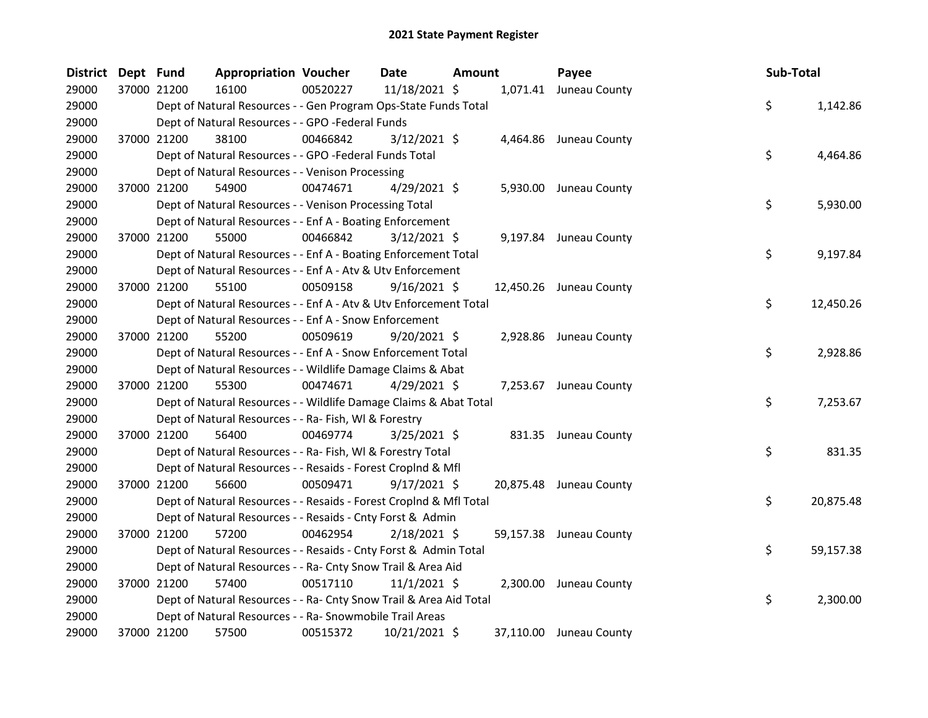| <b>District</b> | Dept Fund |             | <b>Appropriation Voucher</b>                                       |          | Date           | Amount |        | Payee                   | Sub-Total |           |
|-----------------|-----------|-------------|--------------------------------------------------------------------|----------|----------------|--------|--------|-------------------------|-----------|-----------|
| 29000           |           | 37000 21200 | 16100                                                              | 00520227 | 11/18/2021 \$  |        |        | 1,071.41 Juneau County  |           |           |
| 29000           |           |             | Dept of Natural Resources - - Gen Program Ops-State Funds Total    |          |                |        |        |                         | \$        | 1,142.86  |
| 29000           |           |             | Dept of Natural Resources - - GPO -Federal Funds                   |          |                |        |        |                         |           |           |
| 29000           |           | 37000 21200 | 38100                                                              | 00466842 | $3/12/2021$ \$ |        |        | 4,464.86 Juneau County  |           |           |
| 29000           |           |             | Dept of Natural Resources - - GPO -Federal Funds Total             |          |                |        |        |                         | \$        | 4,464.86  |
| 29000           |           |             | Dept of Natural Resources - - Venison Processing                   |          |                |        |        |                         |           |           |
| 29000           |           | 37000 21200 | 54900                                                              | 00474671 | $4/29/2021$ \$ |        |        | 5,930.00 Juneau County  |           |           |
| 29000           |           |             | Dept of Natural Resources - - Venison Processing Total             |          |                |        |        |                         | \$        | 5,930.00  |
| 29000           |           |             | Dept of Natural Resources - - Enf A - Boating Enforcement          |          |                |        |        |                         |           |           |
| 29000           |           | 37000 21200 | 55000                                                              | 00466842 | $3/12/2021$ \$ |        |        | 9,197.84 Juneau County  |           |           |
| 29000           |           |             | Dept of Natural Resources - - Enf A - Boating Enforcement Total    |          |                |        |        |                         | \$        | 9,197.84  |
| 29000           |           |             | Dept of Natural Resources - - Enf A - Atv & Utv Enforcement        |          |                |        |        |                         |           |           |
| 29000           |           | 37000 21200 | 55100                                                              | 00509158 | $9/16/2021$ \$ |        |        | 12,450.26 Juneau County |           |           |
| 29000           |           |             | Dept of Natural Resources - - Enf A - Atv & Utv Enforcement Total  |          |                |        |        |                         | \$        | 12,450.26 |
| 29000           |           |             | Dept of Natural Resources - - Enf A - Snow Enforcement             |          |                |        |        |                         |           |           |
| 29000           |           | 37000 21200 | 55200                                                              | 00509619 | $9/20/2021$ \$ |        |        | 2,928.86 Juneau County  |           |           |
| 29000           |           |             | Dept of Natural Resources - - Enf A - Snow Enforcement Total       |          |                |        |        |                         | \$        | 2,928.86  |
| 29000           |           |             | Dept of Natural Resources - - Wildlife Damage Claims & Abat        |          |                |        |        |                         |           |           |
| 29000           |           | 37000 21200 | 55300                                                              | 00474671 | $4/29/2021$ \$ |        |        | 7,253.67 Juneau County  |           |           |
| 29000           |           |             | Dept of Natural Resources - - Wildlife Damage Claims & Abat Total  |          |                |        |        |                         | \$        | 7,253.67  |
| 29000           |           |             | Dept of Natural Resources - - Ra- Fish, WI & Forestry              |          |                |        |        |                         |           |           |
| 29000           |           | 37000 21200 | 56400                                                              | 00469774 | 3/25/2021 \$   |        | 831.35 | Juneau County           |           |           |
| 29000           |           |             | Dept of Natural Resources - - Ra- Fish, WI & Forestry Total        |          |                |        |        |                         | \$        | 831.35    |
| 29000           |           |             | Dept of Natural Resources - - Resaids - Forest Croplnd & Mfl       |          |                |        |        |                         |           |           |
| 29000           |           | 37000 21200 | 56600                                                              | 00509471 | $9/17/2021$ \$ |        |        | 20,875.48 Juneau County |           |           |
| 29000           |           |             | Dept of Natural Resources - - Resaids - Forest CropInd & Mfl Total |          |                |        |        |                         | \$        | 20,875.48 |
| 29000           |           |             | Dept of Natural Resources - - Resaids - Cnty Forst & Admin         |          |                |        |        |                         |           |           |
| 29000           |           | 37000 21200 | 57200                                                              | 00462954 | 2/18/2021 \$   |        |        | 59,157.38 Juneau County |           |           |
| 29000           |           |             | Dept of Natural Resources - - Resaids - Cnty Forst & Admin Total   |          |                |        |        |                         | \$        | 59,157.38 |
| 29000           |           |             | Dept of Natural Resources - - Ra- Cnty Snow Trail & Area Aid       |          |                |        |        |                         |           |           |
| 29000           |           | 37000 21200 | 57400                                                              | 00517110 | $11/1/2021$ \$ |        |        | 2,300.00 Juneau County  |           |           |
| 29000           |           |             | Dept of Natural Resources - - Ra- Cnty Snow Trail & Area Aid Total |          |                |        |        |                         | \$        | 2,300.00  |
| 29000           |           |             | Dept of Natural Resources - - Ra- Snowmobile Trail Areas           |          |                |        |        |                         |           |           |
| 29000           |           | 37000 21200 | 57500                                                              | 00515372 | 10/21/2021 \$  |        |        | 37,110.00 Juneau County |           |           |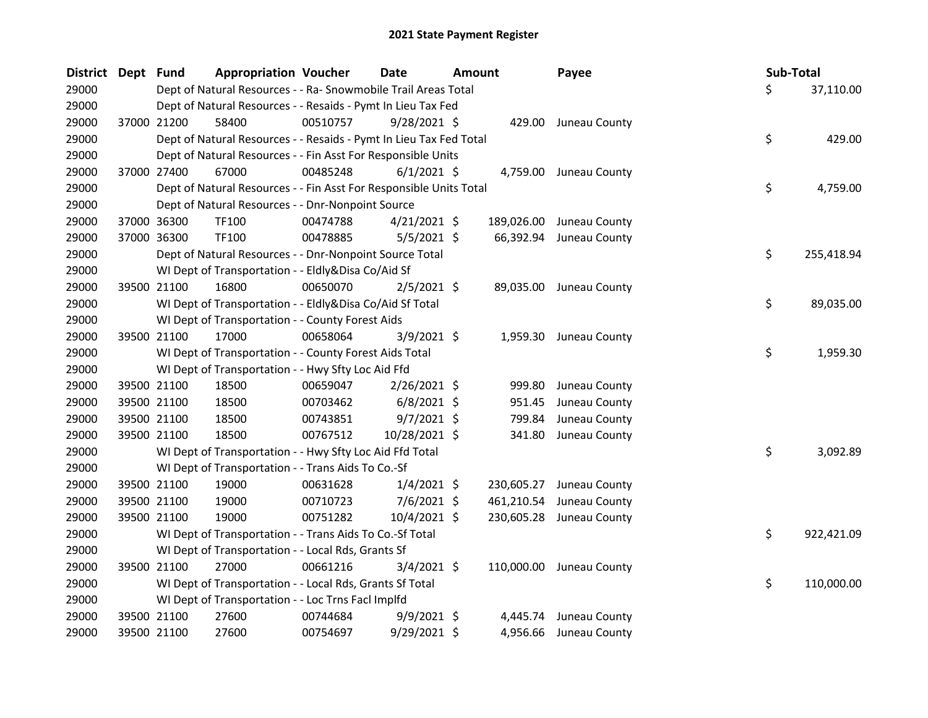| District Dept | <b>Fund</b>                                        | <b>Appropriation Voucher</b>                                       |          | Date           | <b>Amount</b> |            | Payee                    | Sub-Total |            |
|---------------|----------------------------------------------------|--------------------------------------------------------------------|----------|----------------|---------------|------------|--------------------------|-----------|------------|
| 29000         |                                                    | Dept of Natural Resources - - Ra- Snowmobile Trail Areas Total     |          |                |               |            |                          | \$        | 37,110.00  |
| 29000         |                                                    | Dept of Natural Resources - - Resaids - Pymt In Lieu Tax Fed       |          |                |               |            |                          |           |            |
| 29000         | 37000 21200                                        | 58400                                                              | 00510757 | $9/28/2021$ \$ |               |            | 429.00 Juneau County     |           |            |
| 29000         |                                                    | Dept of Natural Resources - - Resaids - Pymt In Lieu Tax Fed Total |          |                |               |            |                          | \$        | 429.00     |
| 29000         |                                                    | Dept of Natural Resources - - Fin Asst For Responsible Units       |          |                |               |            |                          |           |            |
| 29000         | 37000 27400                                        | 67000                                                              | 00485248 | $6/1/2021$ \$  |               |            | 4,759.00 Juneau County   |           |            |
| 29000         |                                                    | Dept of Natural Resources - - Fin Asst For Responsible Units Total |          |                |               |            |                          | \$        | 4,759.00   |
| 29000         |                                                    | Dept of Natural Resources - - Dnr-Nonpoint Source                  |          |                |               |            |                          |           |            |
| 29000         | 37000 36300                                        | <b>TF100</b>                                                       | 00474788 | $4/21/2021$ \$ |               | 189,026.00 | Juneau County            |           |            |
| 29000         | 37000 36300                                        | <b>TF100</b>                                                       | 00478885 | $5/5/2021$ \$  |               | 66,392.94  | Juneau County            |           |            |
| 29000         |                                                    | Dept of Natural Resources - - Dnr-Nonpoint Source Total            |          |                |               |            |                          | \$        | 255,418.94 |
| 29000         |                                                    | WI Dept of Transportation - - Eldly&Disa Co/Aid Sf                 |          |                |               |            |                          |           |            |
| 29000         | 39500 21100                                        | 16800                                                              | 00650070 | $2/5/2021$ \$  |               |            | 89,035.00 Juneau County  |           |            |
| 29000         |                                                    | WI Dept of Transportation - - Eldly&Disa Co/Aid Sf Total           |          |                |               |            |                          | \$        | 89,035.00  |
| 29000         |                                                    | WI Dept of Transportation - - County Forest Aids                   |          |                |               |            |                          |           |            |
| 29000         | 39500 21100                                        | 17000                                                              | 00658064 | $3/9/2021$ \$  |               |            | 1,959.30 Juneau County   |           |            |
| 29000         |                                                    | WI Dept of Transportation - - County Forest Aids Total             |          |                |               |            |                          | \$        | 1,959.30   |
| 29000         |                                                    | WI Dept of Transportation - - Hwy Sfty Loc Aid Ffd                 |          |                |               |            |                          |           |            |
| 29000         | 39500 21100                                        | 18500                                                              | 00659047 | $2/26/2021$ \$ |               | 999.80     | Juneau County            |           |            |
| 29000         | 39500 21100                                        | 18500                                                              | 00703462 | $6/8/2021$ \$  |               | 951.45     | Juneau County            |           |            |
| 29000         | 39500 21100                                        | 18500                                                              | 00743851 | $9/7/2021$ \$  |               | 799.84     | Juneau County            |           |            |
| 29000         | 39500 21100                                        | 18500                                                              | 00767512 | 10/28/2021 \$  |               | 341.80     | Juneau County            |           |            |
| 29000         |                                                    | WI Dept of Transportation - - Hwy Sfty Loc Aid Ffd Total           |          |                |               |            |                          | \$        | 3,092.89   |
| 29000         |                                                    | WI Dept of Transportation - - Trans Aids To Co.-Sf                 |          |                |               |            |                          |           |            |
| 29000         | 39500 21100                                        | 19000                                                              | 00631628 | $1/4/2021$ \$  |               |            | 230,605.27 Juneau County |           |            |
| 29000         | 39500 21100                                        | 19000                                                              | 00710723 | $7/6/2021$ \$  |               |            | 461,210.54 Juneau County |           |            |
| 29000         | 39500 21100                                        | 19000                                                              | 00751282 | $10/4/2021$ \$ |               |            | 230,605.28 Juneau County |           |            |
| 29000         |                                                    | WI Dept of Transportation - - Trans Aids To Co.-Sf Total           |          |                |               |            |                          | \$        | 922,421.09 |
| 29000         |                                                    | WI Dept of Transportation - - Local Rds, Grants Sf                 |          |                |               |            |                          |           |            |
| 29000         | 39500 21100                                        | 27000                                                              | 00661216 | $3/4/2021$ \$  |               |            | 110,000.00 Juneau County |           |            |
| 29000         |                                                    | WI Dept of Transportation - - Local Rds, Grants Sf Total           |          |                |               |            |                          | \$        | 110,000.00 |
| 29000         | WI Dept of Transportation - - Loc Trns Facl Implfd |                                                                    |          |                |               |            |                          |           |            |
| 29000         | 39500 21100                                        | 27600                                                              | 00744684 | $9/9/2021$ \$  |               | 4,445.74   | Juneau County            |           |            |
| 29000         | 39500 21100                                        | 27600                                                              | 00754697 | 9/29/2021 \$   |               | 4,956.66   | Juneau County            |           |            |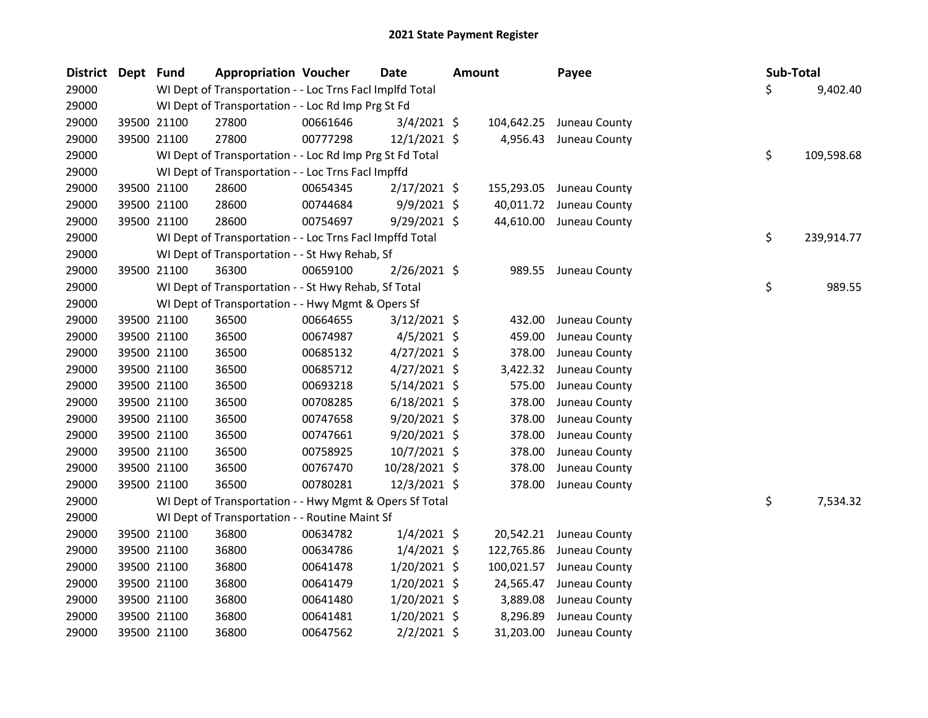| <b>District Dept</b> | <b>Fund</b> | <b>Appropriation Voucher</b>                             | <b>Date</b> |                | <b>Amount</b> |            | Payee         | Sub-Total |            |
|----------------------|-------------|----------------------------------------------------------|-------------|----------------|---------------|------------|---------------|-----------|------------|
| 29000                |             | WI Dept of Transportation - - Loc Trns Facl Implfd Total |             |                |               |            |               | \$        | 9,402.40   |
| 29000                |             | WI Dept of Transportation - - Loc Rd Imp Prg St Fd       |             |                |               |            |               |           |            |
| 29000                | 39500 21100 | 27800                                                    | 00661646    | $3/4/2021$ \$  |               | 104,642.25 | Juneau County |           |            |
| 29000                | 39500 21100 | 27800                                                    | 00777298    | $12/1/2021$ \$ |               | 4,956.43   | Juneau County |           |            |
| 29000                |             | WI Dept of Transportation - - Loc Rd Imp Prg St Fd Total |             |                |               |            |               | \$        | 109,598.68 |
| 29000                |             | WI Dept of Transportation - - Loc Trns FacI Impffd       |             |                |               |            |               |           |            |
| 29000                | 39500 21100 | 28600                                                    | 00654345    | $2/17/2021$ \$ |               | 155,293.05 | Juneau County |           |            |
| 29000                | 39500 21100 | 28600                                                    | 00744684    | $9/9/2021$ \$  |               | 40,011.72  | Juneau County |           |            |
| 29000                | 39500 21100 | 28600                                                    | 00754697    | $9/29/2021$ \$ |               | 44,610.00  | Juneau County |           |            |
| 29000                |             | WI Dept of Transportation - - Loc Trns Facl Impffd Total |             |                |               |            |               | \$        | 239,914.77 |
| 29000                |             | WI Dept of Transportation - - St Hwy Rehab, Sf           |             |                |               |            |               |           |            |
| 29000                | 39500 21100 | 36300                                                    | 00659100    | 2/26/2021 \$   |               | 989.55     | Juneau County |           |            |
| 29000                |             | WI Dept of Transportation - - St Hwy Rehab, Sf Total     |             |                |               |            |               | \$        | 989.55     |
| 29000                |             | WI Dept of Transportation - - Hwy Mgmt & Opers Sf        |             |                |               |            |               |           |            |
| 29000                | 39500 21100 | 36500                                                    | 00664655    | $3/12/2021$ \$ |               | 432.00     | Juneau County |           |            |
| 29000                | 39500 21100 | 36500                                                    | 00674987    | $4/5/2021$ \$  |               | 459.00     | Juneau County |           |            |
| 29000                | 39500 21100 | 36500                                                    | 00685132    | $4/27/2021$ \$ |               | 378.00     | Juneau County |           |            |
| 29000                | 39500 21100 | 36500                                                    | 00685712    | $4/27/2021$ \$ |               | 3,422.32   | Juneau County |           |            |
| 29000                | 39500 21100 | 36500                                                    | 00693218    | $5/14/2021$ \$ |               | 575.00     | Juneau County |           |            |
| 29000                | 39500 21100 | 36500                                                    | 00708285    | $6/18/2021$ \$ |               | 378.00     | Juneau County |           |            |
| 29000                | 39500 21100 | 36500                                                    | 00747658    | $9/20/2021$ \$ |               | 378.00     | Juneau County |           |            |
| 29000                | 39500 21100 | 36500                                                    | 00747661    | 9/20/2021 \$   |               | 378.00     | Juneau County |           |            |
| 29000                | 39500 21100 | 36500                                                    | 00758925    | 10/7/2021 \$   |               | 378.00     | Juneau County |           |            |
| 29000                | 39500 21100 | 36500                                                    | 00767470    | 10/28/2021 \$  |               | 378.00     | Juneau County |           |            |
| 29000                | 39500 21100 | 36500                                                    | 00780281    | 12/3/2021 \$   |               | 378.00     | Juneau County |           |            |
| 29000                |             | WI Dept of Transportation - - Hwy Mgmt & Opers Sf Total  |             |                |               |            |               | \$        | 7,534.32   |
| 29000                |             | WI Dept of Transportation - - Routine Maint Sf           |             |                |               |            |               |           |            |
| 29000                | 39500 21100 | 36800                                                    | 00634782    | $1/4/2021$ \$  |               | 20,542.21  | Juneau County |           |            |
| 29000                | 39500 21100 | 36800                                                    | 00634786    | $1/4/2021$ \$  |               | 122,765.86 | Juneau County |           |            |
| 29000                | 39500 21100 | 36800                                                    | 00641478    | $1/20/2021$ \$ |               | 100,021.57 | Juneau County |           |            |
| 29000                | 39500 21100 | 36800                                                    | 00641479    | $1/20/2021$ \$ |               | 24,565.47  | Juneau County |           |            |
| 29000                | 39500 21100 | 36800                                                    | 00641480    | $1/20/2021$ \$ |               | 3,889.08   | Juneau County |           |            |
| 29000                | 39500 21100 | 36800                                                    | 00641481    | $1/20/2021$ \$ |               | 8,296.89   | Juneau County |           |            |
| 29000                | 39500 21100 | 36800                                                    | 00647562    | 2/2/2021 \$    |               | 31,203.00  | Juneau County |           |            |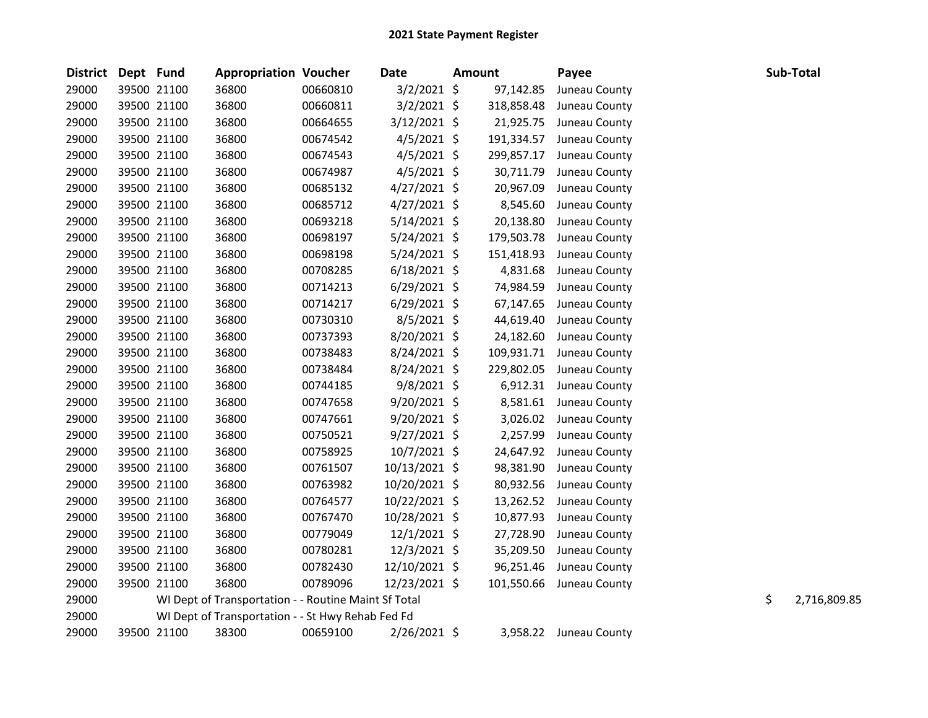| <b>District</b> | Dept Fund |             | <b>Appropriation Voucher</b>                         |          | Date           | <b>Amount</b> | Payee                    | Sub-Total          |
|-----------------|-----------|-------------|------------------------------------------------------|----------|----------------|---------------|--------------------------|--------------------|
| 29000           |           | 39500 21100 | 36800                                                | 00660810 | $3/2/2021$ \$  | 97,142.85     | Juneau County            |                    |
| 29000           |           | 39500 21100 | 36800                                                | 00660811 | $3/2/2021$ \$  | 318,858.48    | Juneau County            |                    |
| 29000           |           | 39500 21100 | 36800                                                | 00664655 | 3/12/2021 \$   | 21,925.75     | Juneau County            |                    |
| 29000           |           | 39500 21100 | 36800                                                | 00674542 | $4/5/2021$ \$  | 191,334.57    | Juneau County            |                    |
| 29000           |           | 39500 21100 | 36800                                                | 00674543 | $4/5/2021$ \$  | 299,857.17    | Juneau County            |                    |
| 29000           |           | 39500 21100 | 36800                                                | 00674987 | 4/5/2021 \$    | 30,711.79     | Juneau County            |                    |
| 29000           |           | 39500 21100 | 36800                                                | 00685132 | $4/27/2021$ \$ | 20,967.09     | Juneau County            |                    |
| 29000           |           | 39500 21100 | 36800                                                | 00685712 | $4/27/2021$ \$ | 8,545.60      | Juneau County            |                    |
| 29000           |           | 39500 21100 | 36800                                                | 00693218 | $5/14/2021$ \$ | 20,138.80     | Juneau County            |                    |
| 29000           |           | 39500 21100 | 36800                                                | 00698197 | 5/24/2021 \$   | 179,503.78    | Juneau County            |                    |
| 29000           |           | 39500 21100 | 36800                                                | 00698198 | 5/24/2021 \$   | 151,418.93    | Juneau County            |                    |
| 29000           |           | 39500 21100 | 36800                                                | 00708285 | $6/18/2021$ \$ | 4,831.68      | Juneau County            |                    |
| 29000           |           | 39500 21100 | 36800                                                | 00714213 | $6/29/2021$ \$ | 74,984.59     | Juneau County            |                    |
| 29000           |           | 39500 21100 | 36800                                                | 00714217 | $6/29/2021$ \$ | 67,147.65     | Juneau County            |                    |
| 29000           |           | 39500 21100 | 36800                                                | 00730310 | 8/5/2021 \$    | 44,619.40     | Juneau County            |                    |
| 29000           |           | 39500 21100 | 36800                                                | 00737393 | 8/20/2021 \$   | 24,182.60     | Juneau County            |                    |
| 29000           |           | 39500 21100 | 36800                                                | 00738483 | 8/24/2021 \$   | 109,931.71    | Juneau County            |                    |
| 29000           |           | 39500 21100 | 36800                                                | 00738484 | 8/24/2021 \$   | 229,802.05    | Juneau County            |                    |
| 29000           |           | 39500 21100 | 36800                                                | 00744185 | 9/8/2021 \$    |               | 6,912.31 Juneau County   |                    |
| 29000           |           | 39500 21100 | 36800                                                | 00747658 | $9/20/2021$ \$ |               | 8,581.61 Juneau County   |                    |
| 29000           |           | 39500 21100 | 36800                                                | 00747661 | $9/20/2021$ \$ | 3,026.02      | Juneau County            |                    |
| 29000           |           | 39500 21100 | 36800                                                | 00750521 | 9/27/2021 \$   | 2,257.99      | Juneau County            |                    |
| 29000           |           | 39500 21100 | 36800                                                | 00758925 | 10/7/2021 \$   | 24,647.92     | Juneau County            |                    |
| 29000           |           | 39500 21100 | 36800                                                | 00761507 | 10/13/2021 \$  | 98,381.90     | Juneau County            |                    |
| 29000           |           | 39500 21100 | 36800                                                | 00763982 | 10/20/2021 \$  | 80,932.56     | Juneau County            |                    |
| 29000           |           | 39500 21100 | 36800                                                | 00764577 | 10/22/2021 \$  | 13,262.52     | Juneau County            |                    |
| 29000           |           | 39500 21100 | 36800                                                | 00767470 | 10/28/2021 \$  | 10,877.93     | Juneau County            |                    |
| 29000           |           | 39500 21100 | 36800                                                | 00779049 | $12/1/2021$ \$ | 27,728.90     | Juneau County            |                    |
| 29000           |           | 39500 21100 | 36800                                                | 00780281 | 12/3/2021 \$   | 35,209.50     | Juneau County            |                    |
| 29000           |           | 39500 21100 | 36800                                                | 00782430 | 12/10/2021 \$  | 96,251.46     | Juneau County            |                    |
| 29000           |           | 39500 21100 | 36800                                                | 00789096 | 12/23/2021 \$  |               | 101,550.66 Juneau County |                    |
| 29000           |           |             | WI Dept of Transportation - - Routine Maint Sf Total |          |                |               |                          | \$<br>2,716,809.85 |
| 29000           |           |             | WI Dept of Transportation - - St Hwy Rehab Fed Fd    |          |                |               |                          |                    |
| 29000           |           | 39500 21100 | 38300                                                | 00659100 | 2/26/2021 \$   |               | 3,958.22 Juneau County   |                    |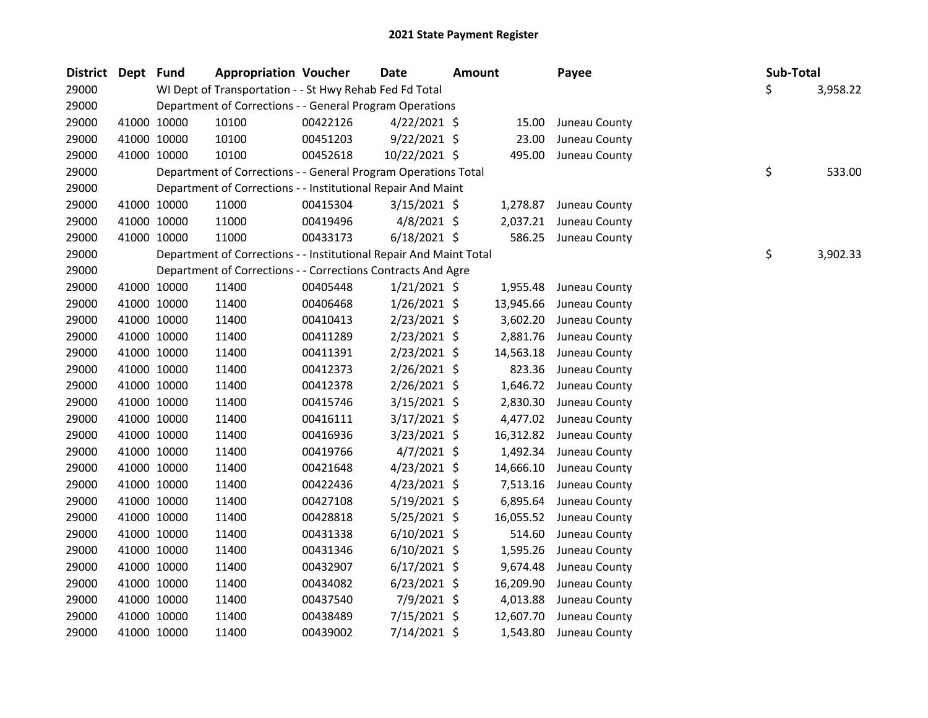| District Dept Fund |             | <b>Appropriation Voucher</b>                                       |          | <b>Date</b>    | <b>Amount</b> |           | Payee                   | Sub-Total |          |
|--------------------|-------------|--------------------------------------------------------------------|----------|----------------|---------------|-----------|-------------------------|-----------|----------|
| 29000              |             | WI Dept of Transportation - - St Hwy Rehab Fed Fd Total            |          |                |               |           |                         | \$        | 3,958.22 |
| 29000              |             | Department of Corrections - - General Program Operations           |          |                |               |           |                         |           |          |
| 29000              | 41000 10000 | 10100                                                              | 00422126 | $4/22/2021$ \$ |               | 15.00     | Juneau County           |           |          |
| 29000              | 41000 10000 | 10100                                                              | 00451203 | $9/22/2021$ \$ |               | 23.00     | Juneau County           |           |          |
| 29000              | 41000 10000 | 10100                                                              | 00452618 | 10/22/2021 \$  |               | 495.00    | Juneau County           |           |          |
| 29000              |             | Department of Corrections - - General Program Operations Total     |          |                |               |           |                         | \$        | 533.00   |
| 29000              |             | Department of Corrections - - Institutional Repair And Maint       |          |                |               |           |                         |           |          |
| 29000              | 41000 10000 | 11000                                                              | 00415304 | $3/15/2021$ \$ |               | 1,278.87  | Juneau County           |           |          |
| 29000              | 41000 10000 | 11000                                                              | 00419496 | $4/8/2021$ \$  |               | 2,037.21  | Juneau County           |           |          |
| 29000              | 41000 10000 | 11000                                                              | 00433173 | $6/18/2021$ \$ |               | 586.25    | Juneau County           |           |          |
| 29000              |             | Department of Corrections - - Institutional Repair And Maint Total |          |                |               |           |                         | \$        | 3,902.33 |
| 29000              |             | Department of Corrections - - Corrections Contracts And Agre       |          |                |               |           |                         |           |          |
| 29000              | 41000 10000 | 11400                                                              | 00405448 | $1/21/2021$ \$ |               | 1,955.48  | Juneau County           |           |          |
| 29000              | 41000 10000 | 11400                                                              | 00406468 | $1/26/2021$ \$ |               | 13,945.66 | Juneau County           |           |          |
| 29000              | 41000 10000 | 11400                                                              | 00410413 | $2/23/2021$ \$ |               | 3,602.20  | Juneau County           |           |          |
| 29000              | 41000 10000 | 11400                                                              | 00411289 | $2/23/2021$ \$ |               | 2,881.76  | Juneau County           |           |          |
| 29000              | 41000 10000 | 11400                                                              | 00411391 | $2/23/2021$ \$ |               | 14,563.18 | Juneau County           |           |          |
| 29000              | 41000 10000 | 11400                                                              | 00412373 | 2/26/2021 \$   |               | 823.36    | Juneau County           |           |          |
| 29000              | 41000 10000 | 11400                                                              | 00412378 | 2/26/2021 \$   |               |           | 1,646.72 Juneau County  |           |          |
| 29000              | 41000 10000 | 11400                                                              | 00415746 | $3/15/2021$ \$ |               | 2,830.30  | Juneau County           |           |          |
| 29000              | 41000 10000 | 11400                                                              | 00416111 | $3/17/2021$ \$ |               | 4,477.02  | Juneau County           |           |          |
| 29000              | 41000 10000 | 11400                                                              | 00416936 | $3/23/2021$ \$ |               | 16,312.82 | Juneau County           |           |          |
| 29000              | 41000 10000 | 11400                                                              | 00419766 | 4/7/2021 \$    |               | 1,492.34  | Juneau County           |           |          |
| 29000              | 41000 10000 | 11400                                                              | 00421648 | $4/23/2021$ \$ |               | 14,666.10 | Juneau County           |           |          |
| 29000              | 41000 10000 | 11400                                                              | 00422436 | $4/23/2021$ \$ |               | 7,513.16  | Juneau County           |           |          |
| 29000              | 41000 10000 | 11400                                                              | 00427108 | $5/19/2021$ \$ |               | 6,895.64  | Juneau County           |           |          |
| 29000              | 41000 10000 | 11400                                                              | 00428818 | $5/25/2021$ \$ |               |           | 16,055.52 Juneau County |           |          |
| 29000              | 41000 10000 | 11400                                                              | 00431338 | $6/10/2021$ \$ |               | 514.60    | Juneau County           |           |          |
| 29000              | 41000 10000 | 11400                                                              | 00431346 | $6/10/2021$ \$ |               | 1,595.26  | Juneau County           |           |          |
| 29000              | 41000 10000 | 11400                                                              | 00432907 | $6/17/2021$ \$ |               | 9,674.48  | Juneau County           |           |          |
| 29000              | 41000 10000 | 11400                                                              | 00434082 | $6/23/2021$ \$ |               | 16,209.90 | Juneau County           |           |          |
| 29000              | 41000 10000 | 11400                                                              | 00437540 | 7/9/2021 \$    |               | 4,013.88  | Juneau County           |           |          |
| 29000              | 41000 10000 | 11400                                                              | 00438489 | 7/15/2021 \$   |               | 12,607.70 | Juneau County           |           |          |
| 29000              | 41000 10000 | 11400                                                              | 00439002 | 7/14/2021 \$   |               | 1,543.80  | Juneau County           |           |          |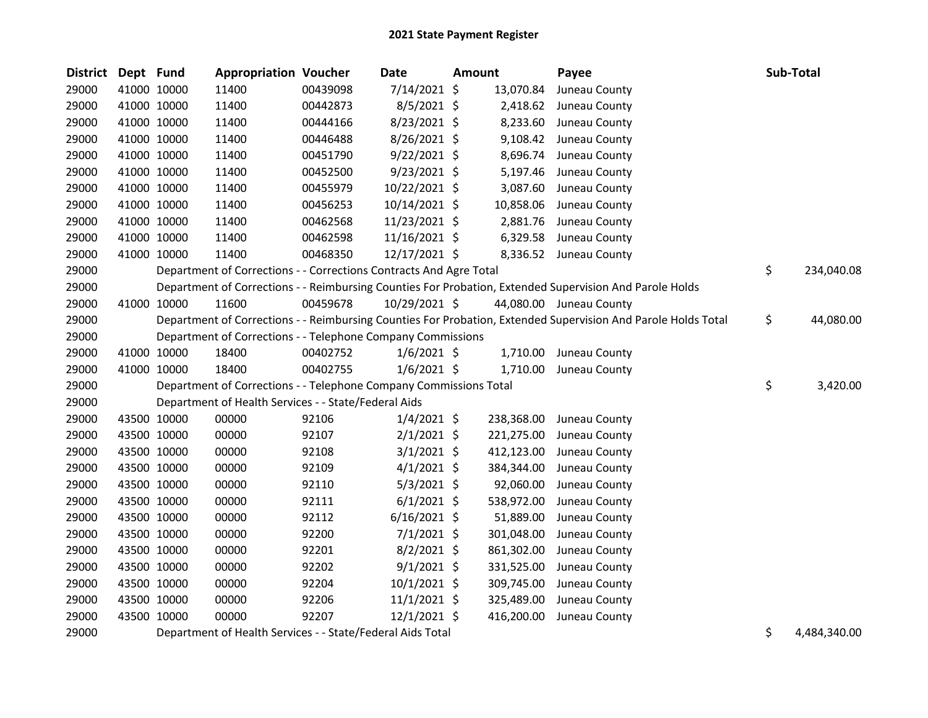| <b>District</b> | Dept Fund |             | <b>Appropriation Voucher</b>                                       |          | <b>Date</b>    | <b>Amount</b> |            | Payee                                                                                                         | Sub-Total          |
|-----------------|-----------|-------------|--------------------------------------------------------------------|----------|----------------|---------------|------------|---------------------------------------------------------------------------------------------------------------|--------------------|
| 29000           |           | 41000 10000 | 11400                                                              | 00439098 | 7/14/2021 \$   |               | 13,070.84  | Juneau County                                                                                                 |                    |
| 29000           |           | 41000 10000 | 11400                                                              | 00442873 | 8/5/2021 \$    |               | 2,418.62   | Juneau County                                                                                                 |                    |
| 29000           |           | 41000 10000 | 11400                                                              | 00444166 | 8/23/2021 \$   |               | 8,233.60   | Juneau County                                                                                                 |                    |
| 29000           |           | 41000 10000 | 11400                                                              | 00446488 | 8/26/2021 \$   |               |            | 9,108.42 Juneau County                                                                                        |                    |
| 29000           |           | 41000 10000 | 11400                                                              | 00451790 | $9/22/2021$ \$ |               | 8,696.74   | Juneau County                                                                                                 |                    |
| 29000           |           | 41000 10000 | 11400                                                              | 00452500 | $9/23/2021$ \$ |               | 5,197.46   | Juneau County                                                                                                 |                    |
| 29000           |           | 41000 10000 | 11400                                                              | 00455979 | 10/22/2021 \$  |               | 3,087.60   | Juneau County                                                                                                 |                    |
| 29000           |           | 41000 10000 | 11400                                                              | 00456253 | 10/14/2021 \$  |               | 10,858.06  | Juneau County                                                                                                 |                    |
| 29000           |           | 41000 10000 | 11400                                                              | 00462568 | 11/23/2021 \$  |               | 2,881.76   | Juneau County                                                                                                 |                    |
| 29000           |           | 41000 10000 | 11400                                                              | 00462598 | 11/16/2021 \$  |               | 6,329.58   | Juneau County                                                                                                 |                    |
| 29000           |           | 41000 10000 | 11400                                                              | 00468350 | 12/17/2021 \$  |               |            | 8,336.52 Juneau County                                                                                        |                    |
| 29000           |           |             | Department of Corrections - - Corrections Contracts And Agre Total |          |                |               |            |                                                                                                               | \$<br>234,040.08   |
| 29000           |           |             |                                                                    |          |                |               |            | Department of Corrections - - Reimbursing Counties For Probation, Extended Supervision And Parole Holds       |                    |
| 29000           |           | 41000 10000 | 11600                                                              | 00459678 | 10/29/2021 \$  |               |            | 44,080.00 Juneau County                                                                                       |                    |
| 29000           |           |             |                                                                    |          |                |               |            | Department of Corrections - - Reimbursing Counties For Probation, Extended Supervision And Parole Holds Total | \$<br>44,080.00    |
| 29000           |           |             | Department of Corrections - - Telephone Company Commissions        |          |                |               |            |                                                                                                               |                    |
| 29000           |           | 41000 10000 | 18400                                                              | 00402752 | $1/6/2021$ \$  |               |            | 1,710.00 Juneau County                                                                                        |                    |
| 29000           |           | 41000 10000 | 18400                                                              | 00402755 | $1/6/2021$ \$  |               | 1,710.00   | Juneau County                                                                                                 |                    |
| 29000           |           |             | Department of Corrections - - Telephone Company Commissions Total  |          |                |               |            |                                                                                                               | \$<br>3,420.00     |
| 29000           |           |             | Department of Health Services - - State/Federal Aids               |          |                |               |            |                                                                                                               |                    |
| 29000           |           | 43500 10000 | 00000                                                              | 92106    | $1/4/2021$ \$  |               | 238,368.00 | Juneau County                                                                                                 |                    |
| 29000           |           | 43500 10000 | 00000                                                              | 92107    | $2/1/2021$ \$  |               | 221,275.00 | Juneau County                                                                                                 |                    |
| 29000           |           | 43500 10000 | 00000                                                              | 92108    | $3/1/2021$ \$  |               | 412,123.00 | Juneau County                                                                                                 |                    |
| 29000           |           | 43500 10000 | 00000                                                              | 92109    | $4/1/2021$ \$  |               | 384,344.00 | Juneau County                                                                                                 |                    |
| 29000           |           | 43500 10000 | 00000                                                              | 92110    | $5/3/2021$ \$  |               | 92,060.00  | Juneau County                                                                                                 |                    |
| 29000           |           | 43500 10000 | 00000                                                              | 92111    | $6/1/2021$ \$  |               | 538,972.00 | Juneau County                                                                                                 |                    |
| 29000           |           | 43500 10000 | 00000                                                              | 92112    | $6/16/2021$ \$ |               | 51,889.00  | Juneau County                                                                                                 |                    |
| 29000           |           | 43500 10000 | 00000                                                              | 92200    | $7/1/2021$ \$  |               | 301,048.00 | Juneau County                                                                                                 |                    |
| 29000           |           | 43500 10000 | 00000                                                              | 92201    | $8/2/2021$ \$  |               | 861,302.00 | Juneau County                                                                                                 |                    |
| 29000           |           | 43500 10000 | 00000                                                              | 92202    | $9/1/2021$ \$  |               | 331,525.00 | Juneau County                                                                                                 |                    |
| 29000           |           | 43500 10000 | 00000                                                              | 92204    | $10/1/2021$ \$ |               | 309,745.00 | Juneau County                                                                                                 |                    |
| 29000           |           | 43500 10000 | 00000                                                              | 92206    | $11/1/2021$ \$ |               | 325,489.00 | Juneau County                                                                                                 |                    |
| 29000           |           | 43500 10000 | 00000                                                              | 92207    | $12/1/2021$ \$ |               | 416,200.00 | Juneau County                                                                                                 |                    |
| 29000           |           |             | Department of Health Services - - State/Federal Aids Total         |          |                |               |            |                                                                                                               | \$<br>4,484,340.00 |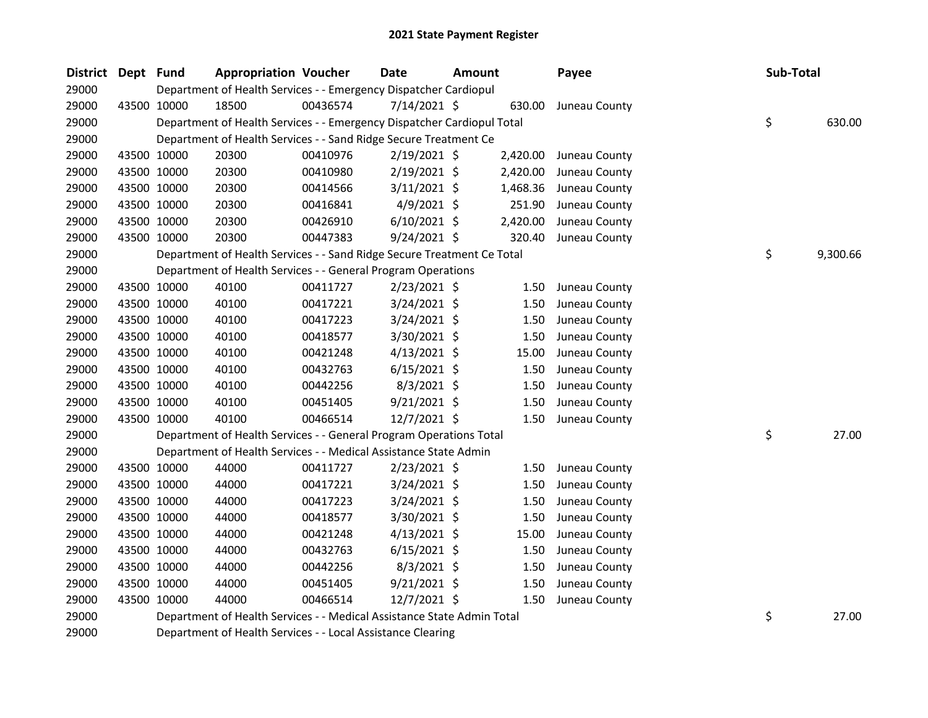| District Dept Fund |                                                                  | <b>Appropriation Voucher</b>                                           |          | <b>Date</b>    | <b>Amount</b> |          | Payee         | Sub-Total |          |
|--------------------|------------------------------------------------------------------|------------------------------------------------------------------------|----------|----------------|---------------|----------|---------------|-----------|----------|
| 29000              | Department of Health Services - - Emergency Dispatcher Cardiopul |                                                                        |          |                |               |          |               |           |          |
| 29000              | 43500 10000                                                      | 18500                                                                  | 00436574 | 7/14/2021 \$   |               | 630.00   | Juneau County |           |          |
| 29000              |                                                                  | Department of Health Services - - Emergency Dispatcher Cardiopul Total |          |                |               |          |               | \$        | 630.00   |
| 29000              |                                                                  | Department of Health Services - - Sand Ridge Secure Treatment Ce       |          |                |               |          |               |           |          |
| 29000              | 43500 10000                                                      | 20300                                                                  | 00410976 | $2/19/2021$ \$ |               | 2,420.00 | Juneau County |           |          |
| 29000              | 43500 10000                                                      | 20300                                                                  | 00410980 | $2/19/2021$ \$ |               | 2,420.00 | Juneau County |           |          |
| 29000              | 43500 10000                                                      | 20300                                                                  | 00414566 | $3/11/2021$ \$ |               | 1,468.36 | Juneau County |           |          |
| 29000              | 43500 10000                                                      | 20300                                                                  | 00416841 | $4/9/2021$ \$  |               | 251.90   | Juneau County |           |          |
| 29000              | 43500 10000                                                      | 20300                                                                  | 00426910 | $6/10/2021$ \$ |               | 2,420.00 | Juneau County |           |          |
| 29000              | 43500 10000                                                      | 20300                                                                  | 00447383 | $9/24/2021$ \$ |               | 320.40   | Juneau County |           |          |
| 29000              |                                                                  | Department of Health Services - - Sand Ridge Secure Treatment Ce Total |          |                |               |          |               | \$        | 9,300.66 |
| 29000              |                                                                  | Department of Health Services - - General Program Operations           |          |                |               |          |               |           |          |
| 29000              | 43500 10000                                                      | 40100                                                                  | 00411727 | $2/23/2021$ \$ |               | 1.50     | Juneau County |           |          |
| 29000              | 43500 10000                                                      | 40100                                                                  | 00417221 | 3/24/2021 \$   |               | 1.50     | Juneau County |           |          |
| 29000              | 43500 10000                                                      | 40100                                                                  | 00417223 | $3/24/2021$ \$ |               | 1.50     | Juneau County |           |          |
| 29000              | 43500 10000                                                      | 40100                                                                  | 00418577 | 3/30/2021 \$   |               | 1.50     | Juneau County |           |          |
| 29000              | 43500 10000                                                      | 40100                                                                  | 00421248 | $4/13/2021$ \$ |               | 15.00    | Juneau County |           |          |
| 29000              | 43500 10000                                                      | 40100                                                                  | 00432763 | $6/15/2021$ \$ |               | 1.50     | Juneau County |           |          |
| 29000              | 43500 10000                                                      | 40100                                                                  | 00442256 | $8/3/2021$ \$  |               | 1.50     | Juneau County |           |          |
| 29000              | 43500 10000                                                      | 40100                                                                  | 00451405 | $9/21/2021$ \$ |               | 1.50     | Juneau County |           |          |
| 29000              | 43500 10000                                                      | 40100                                                                  | 00466514 | $12/7/2021$ \$ |               | 1.50     | Juneau County |           |          |
| 29000              |                                                                  | Department of Health Services - - General Program Operations Total     |          |                |               |          |               | \$        | 27.00    |
| 29000              |                                                                  | Department of Health Services - - Medical Assistance State Admin       |          |                |               |          |               |           |          |
| 29000              | 43500 10000                                                      | 44000                                                                  | 00411727 | $2/23/2021$ \$ |               | 1.50     | Juneau County |           |          |
| 29000              | 43500 10000                                                      | 44000                                                                  | 00417221 | $3/24/2021$ \$ |               | 1.50     | Juneau County |           |          |
| 29000              | 43500 10000                                                      | 44000                                                                  | 00417223 | $3/24/2021$ \$ |               | 1.50     | Juneau County |           |          |
| 29000              | 43500 10000                                                      | 44000                                                                  | 00418577 | 3/30/2021 \$   |               | 1.50     | Juneau County |           |          |
| 29000              | 43500 10000                                                      | 44000                                                                  | 00421248 | $4/13/2021$ \$ |               | 15.00    | Juneau County |           |          |
| 29000              | 43500 10000                                                      | 44000                                                                  | 00432763 | $6/15/2021$ \$ |               | 1.50     | Juneau County |           |          |
| 29000              | 43500 10000                                                      | 44000                                                                  | 00442256 | $8/3/2021$ \$  |               | 1.50     | Juneau County |           |          |
| 29000              | 43500 10000                                                      | 44000                                                                  | 00451405 | $9/21/2021$ \$ |               | 1.50     | Juneau County |           |          |
| 29000              | 43500 10000                                                      | 44000                                                                  | 00466514 | 12/7/2021 \$   |               | 1.50     | Juneau County |           |          |
| 29000              |                                                                  | Department of Health Services - - Medical Assistance State Admin Total |          |                |               |          |               | \$        | 27.00    |
| 29000              |                                                                  | Department of Health Services - - Local Assistance Clearing            |          |                |               |          |               |           |          |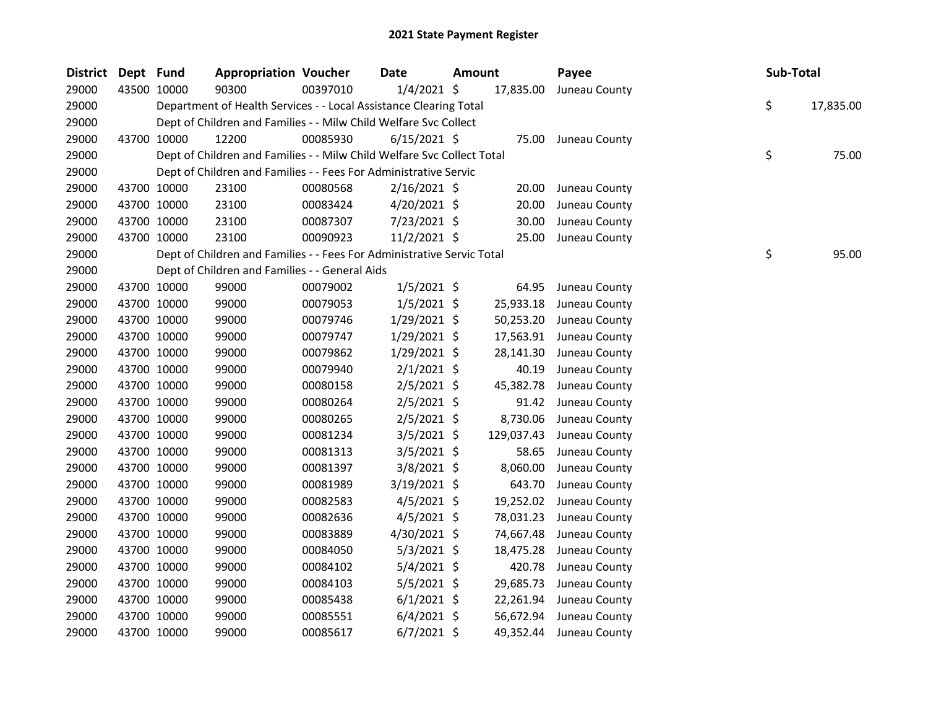| <b>District</b> | Dept Fund |             | <b>Appropriation Voucher</b>                                           |          | <b>Date</b>    | <b>Amount</b> |            | Payee                   | Sub-Total |           |
|-----------------|-----------|-------------|------------------------------------------------------------------------|----------|----------------|---------------|------------|-------------------------|-----------|-----------|
| 29000           |           | 43500 10000 | 90300                                                                  | 00397010 | $1/4/2021$ \$  |               | 17,835.00  | Juneau County           |           |           |
| 29000           |           |             | Department of Health Services - - Local Assistance Clearing Total      |          |                |               |            |                         | \$        | 17,835.00 |
| 29000           |           |             | Dept of Children and Families - - Milw Child Welfare Svc Collect       |          |                |               |            |                         |           |           |
| 29000           |           | 43700 10000 | 12200                                                                  | 00085930 | $6/15/2021$ \$ |               |            | 75.00 Juneau County     |           |           |
| 29000           |           |             | Dept of Children and Families - - Milw Child Welfare Svc Collect Total |          |                |               |            |                         | \$        | 75.00     |
| 29000           |           |             | Dept of Children and Families - - Fees For Administrative Servic       |          |                |               |            |                         |           |           |
| 29000           |           | 43700 10000 | 23100                                                                  | 00080568 | $2/16/2021$ \$ |               | 20.00      | Juneau County           |           |           |
| 29000           |           | 43700 10000 | 23100                                                                  | 00083424 | 4/20/2021 \$   |               | 20.00      | Juneau County           |           |           |
| 29000           |           | 43700 10000 | 23100                                                                  | 00087307 | 7/23/2021 \$   |               | 30.00      | Juneau County           |           |           |
| 29000           |           | 43700 10000 | 23100                                                                  | 00090923 | $11/2/2021$ \$ |               | 25.00      | Juneau County           |           |           |
| 29000           |           |             | Dept of Children and Families - - Fees For Administrative Servic Total |          |                |               |            |                         | \$        | 95.00     |
| 29000           |           |             | Dept of Children and Families - - General Aids                         |          |                |               |            |                         |           |           |
| 29000           |           | 43700 10000 | 99000                                                                  | 00079002 | $1/5/2021$ \$  |               | 64.95      | Juneau County           |           |           |
| 29000           |           | 43700 10000 | 99000                                                                  | 00079053 | $1/5/2021$ \$  |               | 25,933.18  | Juneau County           |           |           |
| 29000           |           | 43700 10000 | 99000                                                                  | 00079746 | 1/29/2021 \$   |               | 50,253.20  | Juneau County           |           |           |
| 29000           |           | 43700 10000 | 99000                                                                  | 00079747 | $1/29/2021$ \$ |               | 17,563.91  | Juneau County           |           |           |
| 29000           |           | 43700 10000 | 99000                                                                  | 00079862 | $1/29/2021$ \$ |               | 28,141.30  | Juneau County           |           |           |
| 29000           |           | 43700 10000 | 99000                                                                  | 00079940 | $2/1/2021$ \$  |               | 40.19      | Juneau County           |           |           |
| 29000           |           | 43700 10000 | 99000                                                                  | 00080158 | $2/5/2021$ \$  |               | 45,382.78  | Juneau County           |           |           |
| 29000           |           | 43700 10000 | 99000                                                                  | 00080264 | $2/5/2021$ \$  |               | 91.42      | Juneau County           |           |           |
| 29000           |           | 43700 10000 | 99000                                                                  | 00080265 | $2/5/2021$ \$  |               | 8,730.06   | Juneau County           |           |           |
| 29000           |           | 43700 10000 | 99000                                                                  | 00081234 | $3/5/2021$ \$  |               | 129,037.43 | Juneau County           |           |           |
| 29000           |           | 43700 10000 | 99000                                                                  | 00081313 | $3/5/2021$ \$  |               | 58.65      | Juneau County           |           |           |
| 29000           |           | 43700 10000 | 99000                                                                  | 00081397 | 3/8/2021 \$    |               | 8,060.00   | Juneau County           |           |           |
| 29000           |           | 43700 10000 | 99000                                                                  | 00081989 | $3/19/2021$ \$ |               | 643.70     | Juneau County           |           |           |
| 29000           |           | 43700 10000 | 99000                                                                  | 00082583 | $4/5/2021$ \$  |               | 19,252.02  | Juneau County           |           |           |
| 29000           |           | 43700 10000 | 99000                                                                  | 00082636 | $4/5/2021$ \$  |               | 78,031.23  | Juneau County           |           |           |
| 29000           |           | 43700 10000 | 99000                                                                  | 00083889 | $4/30/2021$ \$ |               | 74,667.48  | Juneau County           |           |           |
| 29000           |           | 43700 10000 | 99000                                                                  | 00084050 | $5/3/2021$ \$  |               | 18,475.28  | Juneau County           |           |           |
| 29000           |           | 43700 10000 | 99000                                                                  | 00084102 | 5/4/2021 \$    |               | 420.78     | Juneau County           |           |           |
| 29000           |           | 43700 10000 | 99000                                                                  | 00084103 | $5/5/2021$ \$  |               | 29,685.73  | Juneau County           |           |           |
| 29000           |           | 43700 10000 | 99000                                                                  | 00085438 | $6/1/2021$ \$  |               | 22,261.94  | Juneau County           |           |           |
| 29000           |           | 43700 10000 | 99000                                                                  | 00085551 | $6/4/2021$ \$  |               | 56,672.94  | Juneau County           |           |           |
| 29000           |           | 43700 10000 | 99000                                                                  | 00085617 | $6/7/2021$ \$  |               |            | 49,352.44 Juneau County |           |           |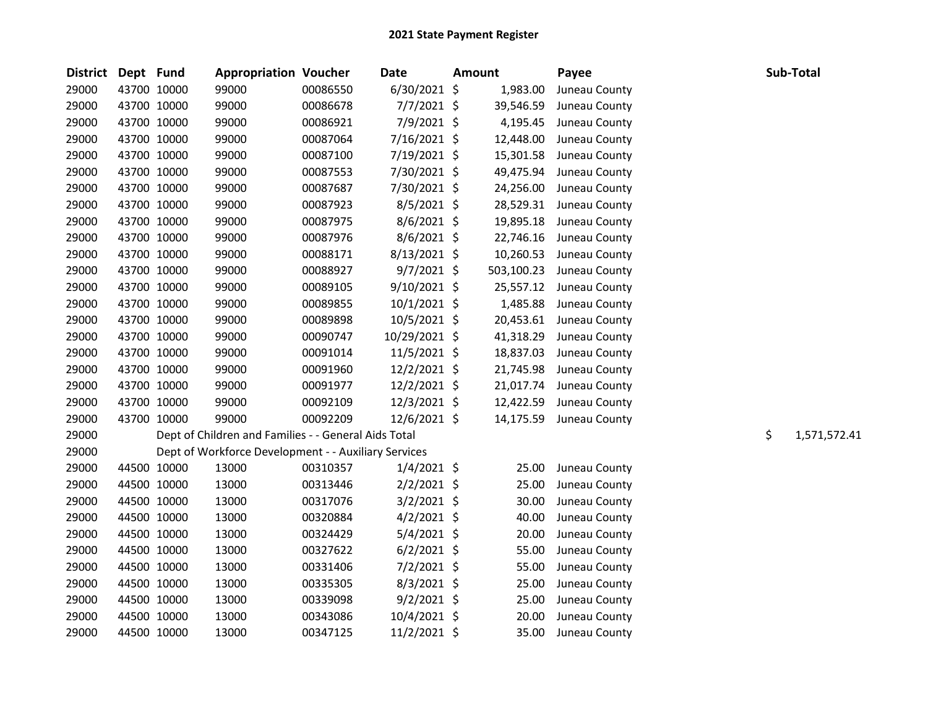| District Dept Fund |             | <b>Appropriation Voucher</b>                         |          | <b>Date</b>    | <b>Amount</b> | Payee         |    | Sub-Total    |
|--------------------|-------------|------------------------------------------------------|----------|----------------|---------------|---------------|----|--------------|
| 29000              | 43700 10000 | 99000                                                | 00086550 | $6/30/2021$ \$ | 1,983.00      | Juneau County |    |              |
| 29000              | 43700 10000 | 99000                                                | 00086678 | $7/7/2021$ \$  | 39,546.59     | Juneau County |    |              |
| 29000              | 43700 10000 | 99000                                                | 00086921 | 7/9/2021 \$    | 4,195.45      | Juneau County |    |              |
| 29000              | 43700 10000 | 99000                                                | 00087064 | 7/16/2021 \$   | 12,448.00     | Juneau County |    |              |
| 29000              | 43700 10000 | 99000                                                | 00087100 | 7/19/2021 \$   | 15,301.58     | Juneau County |    |              |
| 29000              | 43700 10000 | 99000                                                | 00087553 | 7/30/2021 \$   | 49,475.94     | Juneau County |    |              |
| 29000              | 43700 10000 | 99000                                                | 00087687 | 7/30/2021 \$   | 24,256.00     | Juneau County |    |              |
| 29000              | 43700 10000 | 99000                                                | 00087923 | 8/5/2021 \$    | 28,529.31     | Juneau County |    |              |
| 29000              | 43700 10000 | 99000                                                | 00087975 | 8/6/2021 \$    | 19,895.18     | Juneau County |    |              |
| 29000              | 43700 10000 | 99000                                                | 00087976 | 8/6/2021 \$    | 22,746.16     | Juneau County |    |              |
| 29000              | 43700 10000 | 99000                                                | 00088171 | 8/13/2021 \$   | 10,260.53     | Juneau County |    |              |
| 29000              | 43700 10000 | 99000                                                | 00088927 | $9/7/2021$ \$  | 503,100.23    | Juneau County |    |              |
| 29000              | 43700 10000 | 99000                                                | 00089105 | 9/10/2021 \$   | 25,557.12     | Juneau County |    |              |
| 29000              | 43700 10000 | 99000                                                | 00089855 | $10/1/2021$ \$ | 1,485.88      | Juneau County |    |              |
| 29000              | 43700 10000 | 99000                                                | 00089898 | 10/5/2021 \$   | 20,453.61     | Juneau County |    |              |
| 29000              | 43700 10000 | 99000                                                | 00090747 | 10/29/2021 \$  | 41,318.29     | Juneau County |    |              |
| 29000              | 43700 10000 | 99000                                                | 00091014 | 11/5/2021 \$   | 18,837.03     | Juneau County |    |              |
| 29000              | 43700 10000 | 99000                                                | 00091960 | 12/2/2021 \$   | 21,745.98     | Juneau County |    |              |
| 29000              | 43700 10000 | 99000                                                | 00091977 | 12/2/2021 \$   | 21,017.74     | Juneau County |    |              |
| 29000              | 43700 10000 | 99000                                                | 00092109 | 12/3/2021 \$   | 12,422.59     | Juneau County |    |              |
| 29000              | 43700 10000 | 99000                                                | 00092209 | 12/6/2021 \$   | 14,175.59     | Juneau County |    |              |
| 29000              |             | Dept of Children and Families - - General Aids Total |          |                |               |               | \$ | 1,571,572.41 |
| 29000              |             | Dept of Workforce Development - - Auxiliary Services |          |                |               |               |    |              |
| 29000              | 44500 10000 | 13000                                                | 00310357 | $1/4/2021$ \$  | 25.00         | Juneau County |    |              |
| 29000              | 44500 10000 | 13000                                                | 00313446 | $2/2/2021$ \$  | 25.00         | Juneau County |    |              |
| 29000              | 44500 10000 | 13000                                                | 00317076 | $3/2/2021$ \$  | 30.00         | Juneau County |    |              |
| 29000              | 44500 10000 | 13000                                                | 00320884 | $4/2/2021$ \$  | 40.00         | Juneau County |    |              |
| 29000              | 44500 10000 | 13000                                                | 00324429 | 5/4/2021 \$    | 20.00         | Juneau County |    |              |
| 29000              | 44500 10000 | 13000                                                | 00327622 | $6/2/2021$ \$  | 55.00         | Juneau County |    |              |
| 29000              | 44500 10000 | 13000                                                | 00331406 | $7/2/2021$ \$  | 55.00         | Juneau County |    |              |
| 29000              | 44500 10000 | 13000                                                | 00335305 | 8/3/2021 \$    | 25.00         | Juneau County |    |              |
| 29000              | 44500 10000 | 13000                                                | 00339098 | $9/2/2021$ \$  | 25.00         | Juneau County |    |              |
| 29000              | 44500 10000 | 13000                                                | 00343086 | 10/4/2021 \$   | 20.00         | Juneau County |    |              |
| 29000              | 44500 10000 | 13000                                                | 00347125 | $11/2/2021$ \$ | 35.00         | Juneau County |    |              |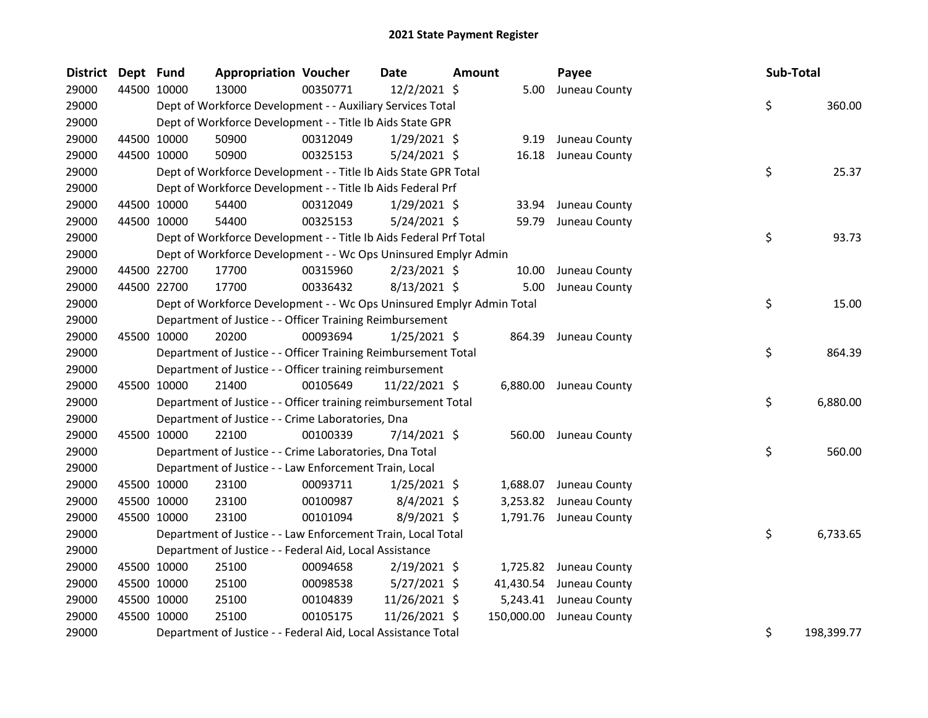| <b>District</b> | Dept Fund   |             | <b>Appropriation Voucher</b>                                          |          | <b>Date</b>    | <b>Amount</b> |            | Payee                  | Sub-Total |            |
|-----------------|-------------|-------------|-----------------------------------------------------------------------|----------|----------------|---------------|------------|------------------------|-----------|------------|
| 29000           | 44500 10000 |             | 13000                                                                 | 00350771 | 12/2/2021 \$   |               | 5.00       | Juneau County          |           |            |
| 29000           |             |             | Dept of Workforce Development - - Auxiliary Services Total            |          |                |               |            |                        | \$        | 360.00     |
| 29000           |             |             | Dept of Workforce Development - - Title Ib Aids State GPR             |          |                |               |            |                        |           |            |
| 29000           |             | 44500 10000 | 50900                                                                 | 00312049 | $1/29/2021$ \$ |               | 9.19       | Juneau County          |           |            |
| 29000           |             | 44500 10000 | 50900                                                                 | 00325153 | 5/24/2021 \$   |               | 16.18      | Juneau County          |           |            |
| 29000           |             |             | Dept of Workforce Development - - Title Ib Aids State GPR Total       |          |                |               |            |                        | \$        | 25.37      |
| 29000           |             |             | Dept of Workforce Development - - Title Ib Aids Federal Prf           |          |                |               |            |                        |           |            |
| 29000           |             | 44500 10000 | 54400                                                                 | 00312049 | $1/29/2021$ \$ |               | 33.94      | Juneau County          |           |            |
| 29000           |             | 44500 10000 | 54400                                                                 | 00325153 | 5/24/2021 \$   |               | 59.79      | Juneau County          |           |            |
| 29000           |             |             | Dept of Workforce Development - - Title Ib Aids Federal Prf Total     |          |                |               |            |                        | \$        | 93.73      |
| 29000           |             |             | Dept of Workforce Development - - Wc Ops Uninsured Emplyr Admin       |          |                |               |            |                        |           |            |
| 29000           |             | 44500 22700 | 17700                                                                 | 00315960 | $2/23/2021$ \$ |               | 10.00      | Juneau County          |           |            |
| 29000           |             | 44500 22700 | 17700                                                                 | 00336432 | 8/13/2021 \$   |               | 5.00       | Juneau County          |           |            |
| 29000           |             |             | Dept of Workforce Development - - Wc Ops Uninsured Emplyr Admin Total |          |                |               |            |                        | \$        | 15.00      |
| 29000           |             |             | Department of Justice - - Officer Training Reimbursement              |          |                |               |            |                        |           |            |
| 29000           | 45500 10000 |             | 20200                                                                 | 00093694 | $1/25/2021$ \$ |               | 864.39     | Juneau County          |           |            |
| 29000           |             |             | Department of Justice - - Officer Training Reimbursement Total        |          |                |               |            |                        | \$        | 864.39     |
| 29000           |             |             | Department of Justice - - Officer training reimbursement              |          |                |               |            |                        |           |            |
| 29000           | 45500       | 10000       | 21400                                                                 | 00105649 | 11/22/2021 \$  |               |            | 6,880.00 Juneau County |           |            |
| 29000           |             |             | Department of Justice - - Officer training reimbursement Total        |          |                |               |            |                        | \$        | 6,880.00   |
| 29000           |             |             | Department of Justice - - Crime Laboratories, Dna                     |          |                |               |            |                        |           |            |
| 29000           |             | 45500 10000 | 22100                                                                 | 00100339 | $7/14/2021$ \$ |               | 560.00     | Juneau County          |           |            |
| 29000           |             |             | Department of Justice - - Crime Laboratories, Dna Total               |          |                |               |            |                        | \$        | 560.00     |
| 29000           |             |             | Department of Justice - - Law Enforcement Train, Local                |          |                |               |            |                        |           |            |
| 29000           |             | 45500 10000 | 23100                                                                 | 00093711 | $1/25/2021$ \$ |               | 1,688.07   | Juneau County          |           |            |
| 29000           |             | 45500 10000 | 23100                                                                 | 00100987 | $8/4/2021$ \$  |               | 3,253.82   | Juneau County          |           |            |
| 29000           |             | 45500 10000 | 23100                                                                 | 00101094 | 8/9/2021 \$    |               |            | 1,791.76 Juneau County |           |            |
| 29000           |             |             | Department of Justice - - Law Enforcement Train, Local Total          |          |                |               |            |                        | \$        | 6,733.65   |
| 29000           |             |             | Department of Justice - - Federal Aid, Local Assistance               |          |                |               |            |                        |           |            |
| 29000           |             | 45500 10000 | 25100                                                                 | 00094658 | $2/19/2021$ \$ |               | 1,725.82   | Juneau County          |           |            |
| 29000           |             | 45500 10000 | 25100                                                                 | 00098538 | $5/27/2021$ \$ |               | 41,430.54  | Juneau County          |           |            |
| 29000           |             | 45500 10000 | 25100                                                                 | 00104839 | 11/26/2021 \$  |               | 5,243.41   | Juneau County          |           |            |
| 29000           |             | 45500 10000 | 25100                                                                 | 00105175 | 11/26/2021 \$  |               | 150,000.00 | Juneau County          |           |            |
| 29000           |             |             | Department of Justice - - Federal Aid, Local Assistance Total         |          |                |               |            |                        | \$        | 198,399.77 |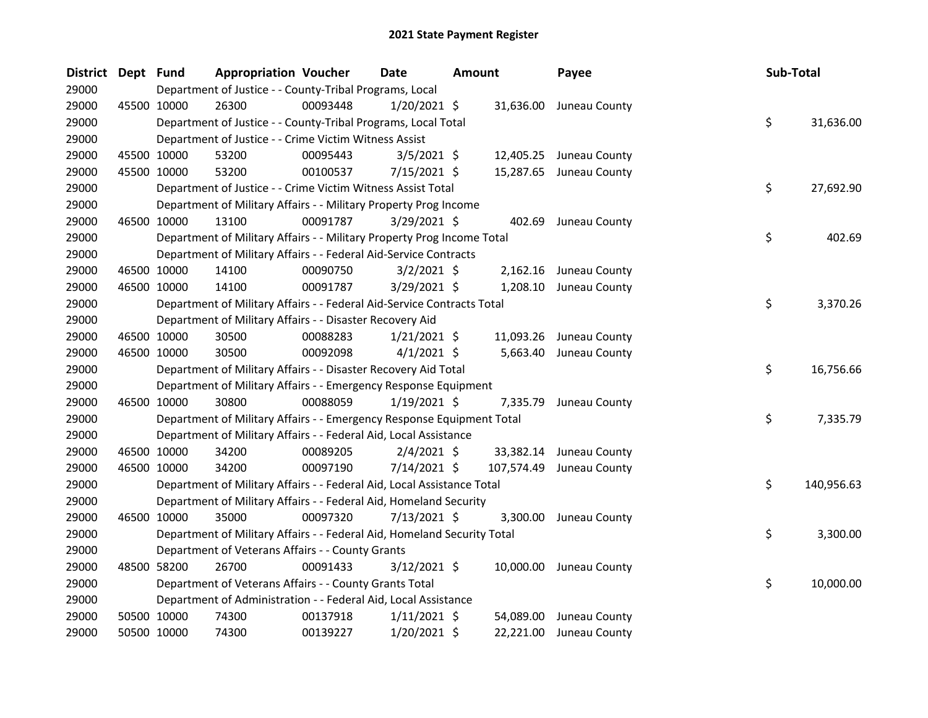| District Dept Fund |             | <b>Appropriation Voucher</b>                                            |          | <b>Date</b>    | <b>Amount</b> |            | Payee                   | Sub-Total |            |
|--------------------|-------------|-------------------------------------------------------------------------|----------|----------------|---------------|------------|-------------------------|-----------|------------|
| 29000              |             | Department of Justice - - County-Tribal Programs, Local                 |          |                |               |            |                         |           |            |
| 29000              | 45500 10000 | 26300                                                                   | 00093448 | $1/20/2021$ \$ |               |            | 31,636.00 Juneau County |           |            |
| 29000              |             | Department of Justice - - County-Tribal Programs, Local Total           |          |                |               |            |                         | \$        | 31,636.00  |
| 29000              |             | Department of Justice - - Crime Victim Witness Assist                   |          |                |               |            |                         |           |            |
| 29000              | 45500 10000 | 53200                                                                   | 00095443 | $3/5/2021$ \$  |               |            | 12,405.25 Juneau County |           |            |
| 29000              | 45500 10000 | 53200                                                                   | 00100537 | 7/15/2021 \$   |               |            | 15,287.65 Juneau County |           |            |
| 29000              |             | Department of Justice - - Crime Victim Witness Assist Total             |          |                |               |            |                         | \$        | 27,692.90  |
| 29000              |             | Department of Military Affairs - - Military Property Prog Income        |          |                |               |            |                         |           |            |
| 29000              | 46500 10000 | 13100                                                                   | 00091787 | 3/29/2021 \$   |               | 402.69     | Juneau County           |           |            |
| 29000              |             | Department of Military Affairs - - Military Property Prog Income Total  |          |                |               |            |                         | \$        | 402.69     |
| 29000              |             | Department of Military Affairs - - Federal Aid-Service Contracts        |          |                |               |            |                         |           |            |
| 29000              | 46500 10000 | 14100                                                                   | 00090750 | $3/2/2021$ \$  |               | 2,162.16   | Juneau County           |           |            |
| 29000              | 46500 10000 | 14100                                                                   | 00091787 | 3/29/2021 \$   |               |            | 1,208.10 Juneau County  |           |            |
| 29000              |             | Department of Military Affairs - - Federal Aid-Service Contracts Total  |          |                |               |            |                         | \$        | 3,370.26   |
| 29000              |             | Department of Military Affairs - - Disaster Recovery Aid                |          |                |               |            |                         |           |            |
| 29000              | 46500 10000 | 30500                                                                   | 00088283 | $1/21/2021$ \$ |               | 11,093.26  | Juneau County           |           |            |
| 29000              | 46500 10000 | 30500                                                                   | 00092098 | $4/1/2021$ \$  |               | 5,663.40   | Juneau County           |           |            |
| 29000              |             | Department of Military Affairs - - Disaster Recovery Aid Total          |          |                |               |            |                         | \$        | 16,756.66  |
| 29000              |             | Department of Military Affairs - - Emergency Response Equipment         |          |                |               |            |                         |           |            |
| 29000              | 46500 10000 | 30800                                                                   | 00088059 | $1/19/2021$ \$ |               | 7,335.79   | Juneau County           |           |            |
| 29000              |             | Department of Military Affairs - - Emergency Response Equipment Total   |          |                |               |            |                         | \$        | 7,335.79   |
| 29000              |             | Department of Military Affairs - - Federal Aid, Local Assistance        |          |                |               |            |                         |           |            |
| 29000              | 46500 10000 | 34200                                                                   | 00089205 | $2/4/2021$ \$  |               |            | 33,382.14 Juneau County |           |            |
| 29000              | 46500 10000 | 34200                                                                   | 00097190 | 7/14/2021 \$   |               | 107,574.49 | Juneau County           |           |            |
| 29000              |             | Department of Military Affairs - - Federal Aid, Local Assistance Total  |          |                |               |            |                         | \$        | 140,956.63 |
| 29000              |             | Department of Military Affairs - - Federal Aid, Homeland Security       |          |                |               |            |                         |           |            |
| 29000              | 46500 10000 | 35000                                                                   | 00097320 | 7/13/2021 \$   |               | 3,300.00   | Juneau County           |           |            |
| 29000              |             | Department of Military Affairs - - Federal Aid, Homeland Security Total |          |                |               |            |                         | \$        | 3,300.00   |
| 29000              |             | Department of Veterans Affairs - - County Grants                        |          |                |               |            |                         |           |            |
| 29000              | 48500 58200 | 26700                                                                   | 00091433 | $3/12/2021$ \$ |               |            | 10,000.00 Juneau County |           |            |
| 29000              |             | Department of Veterans Affairs - - County Grants Total                  |          |                |               |            |                         | \$        | 10,000.00  |
| 29000              |             | Department of Administration - - Federal Aid, Local Assistance          |          |                |               |            |                         |           |            |
| 29000              | 50500 10000 | 74300                                                                   | 00137918 | $1/11/2021$ \$ |               | 54,089.00  | Juneau County           |           |            |
| 29000              | 50500 10000 | 74300                                                                   | 00139227 | 1/20/2021 \$   |               | 22,221.00  | Juneau County           |           |            |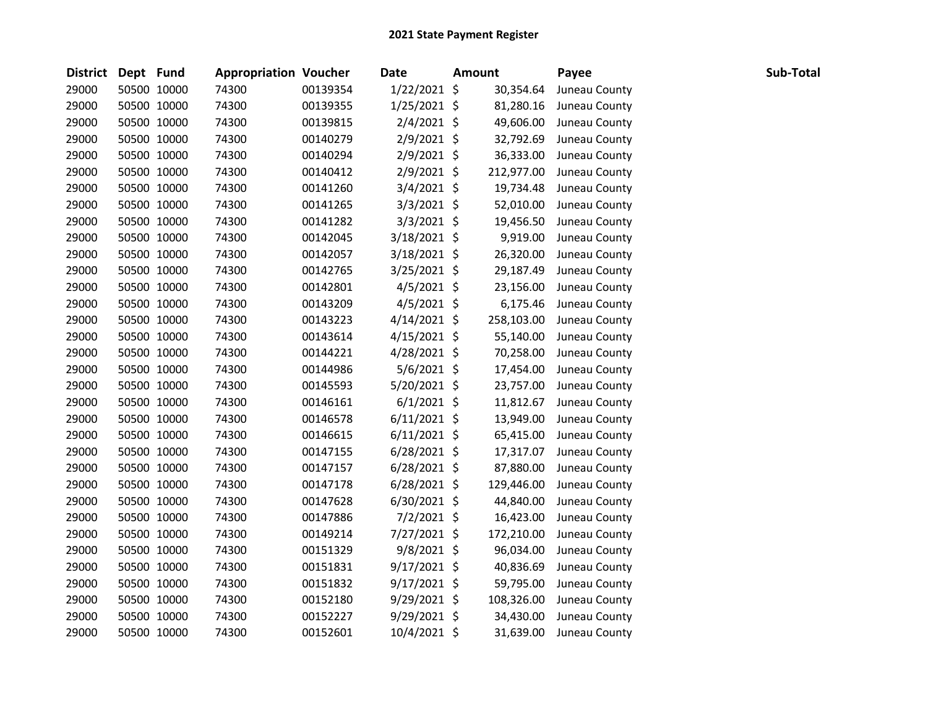| District Dept Fund |             | <b>Appropriation Voucher</b> |          | <b>Date</b>    | <b>Amount</b> | Payee         | Sub-Total |
|--------------------|-------------|------------------------------|----------|----------------|---------------|---------------|-----------|
| 29000              | 50500 10000 | 74300                        | 00139354 | $1/22/2021$ \$ | 30,354.64     | Juneau County |           |
| 29000              | 50500 10000 | 74300                        | 00139355 | $1/25/2021$ \$ | 81,280.16     | Juneau County |           |
| 29000              | 50500 10000 | 74300                        | 00139815 | $2/4/2021$ \$  | 49,606.00     | Juneau County |           |
| 29000              | 50500 10000 | 74300                        | 00140279 | $2/9/2021$ \$  | 32,792.69     | Juneau County |           |
| 29000              | 50500 10000 | 74300                        | 00140294 | $2/9/2021$ \$  | 36,333.00     | Juneau County |           |
| 29000              | 50500 10000 | 74300                        | 00140412 | $2/9/2021$ \$  | 212,977.00    | Juneau County |           |
| 29000              | 50500 10000 | 74300                        | 00141260 | 3/4/2021 \$    | 19,734.48     | Juneau County |           |
| 29000              | 50500 10000 | 74300                        | 00141265 | 3/3/2021 \$    | 52,010.00     | Juneau County |           |
| 29000              | 50500 10000 | 74300                        | 00141282 | $3/3/2021$ \$  | 19,456.50     | Juneau County |           |
| 29000              | 50500 10000 | 74300                        | 00142045 | 3/18/2021 \$   | 9,919.00      | Juneau County |           |
| 29000              | 50500 10000 | 74300                        | 00142057 | $3/18/2021$ \$ | 26,320.00     | Juneau County |           |
| 29000              | 50500 10000 | 74300                        | 00142765 | $3/25/2021$ \$ | 29,187.49     | Juneau County |           |
| 29000              | 50500 10000 | 74300                        | 00142801 | $4/5/2021$ \$  | 23,156.00     | Juneau County |           |
| 29000              | 50500 10000 | 74300                        | 00143209 | $4/5/2021$ \$  | 6,175.46      | Juneau County |           |
| 29000              | 50500 10000 | 74300                        | 00143223 | $4/14/2021$ \$ | 258,103.00    | Juneau County |           |
| 29000              | 50500 10000 | 74300                        | 00143614 | $4/15/2021$ \$ | 55,140.00     | Juneau County |           |
| 29000              | 50500 10000 | 74300                        | 00144221 | 4/28/2021 \$   | 70,258.00     | Juneau County |           |
| 29000              | 50500 10000 | 74300                        | 00144986 | $5/6/2021$ \$  | 17,454.00     | Juneau County |           |
| 29000              | 50500 10000 | 74300                        | 00145593 | 5/20/2021 \$   | 23,757.00     | Juneau County |           |
| 29000              | 50500 10000 | 74300                        | 00146161 | $6/1/2021$ \$  | 11,812.67     | Juneau County |           |
| 29000              | 50500 10000 | 74300                        | 00146578 | $6/11/2021$ \$ | 13,949.00     | Juneau County |           |
| 29000              | 50500 10000 | 74300                        | 00146615 | $6/11/2021$ \$ | 65,415.00     | Juneau County |           |
| 29000              | 50500 10000 | 74300                        | 00147155 | $6/28/2021$ \$ | 17,317.07     | Juneau County |           |
| 29000              | 50500 10000 | 74300                        | 00147157 | $6/28/2021$ \$ | 87,880.00     | Juneau County |           |
| 29000              | 50500 10000 | 74300                        | 00147178 | $6/28/2021$ \$ | 129,446.00    | Juneau County |           |
| 29000              | 50500 10000 | 74300                        | 00147628 | $6/30/2021$ \$ | 44,840.00     | Juneau County |           |
| 29000              | 50500 10000 | 74300                        | 00147886 | $7/2/2021$ \$  | 16,423.00     | Juneau County |           |
| 29000              | 50500 10000 | 74300                        | 00149214 | 7/27/2021 \$   | 172,210.00    | Juneau County |           |
| 29000              | 50500 10000 | 74300                        | 00151329 | $9/8/2021$ \$  | 96,034.00     | Juneau County |           |
| 29000              | 50500 10000 | 74300                        | 00151831 | $9/17/2021$ \$ | 40,836.69     | Juneau County |           |
| 29000              | 50500 10000 | 74300                        | 00151832 | $9/17/2021$ \$ | 59,795.00     | Juneau County |           |
| 29000              | 50500 10000 | 74300                        | 00152180 | 9/29/2021 \$   | 108,326.00    | Juneau County |           |
| 29000              | 50500 10000 | 74300                        | 00152227 | 9/29/2021 \$   | 34,430.00     | Juneau County |           |
| 29000              | 50500 10000 | 74300                        | 00152601 | 10/4/2021 \$   | 31,639.00     | Juneau County |           |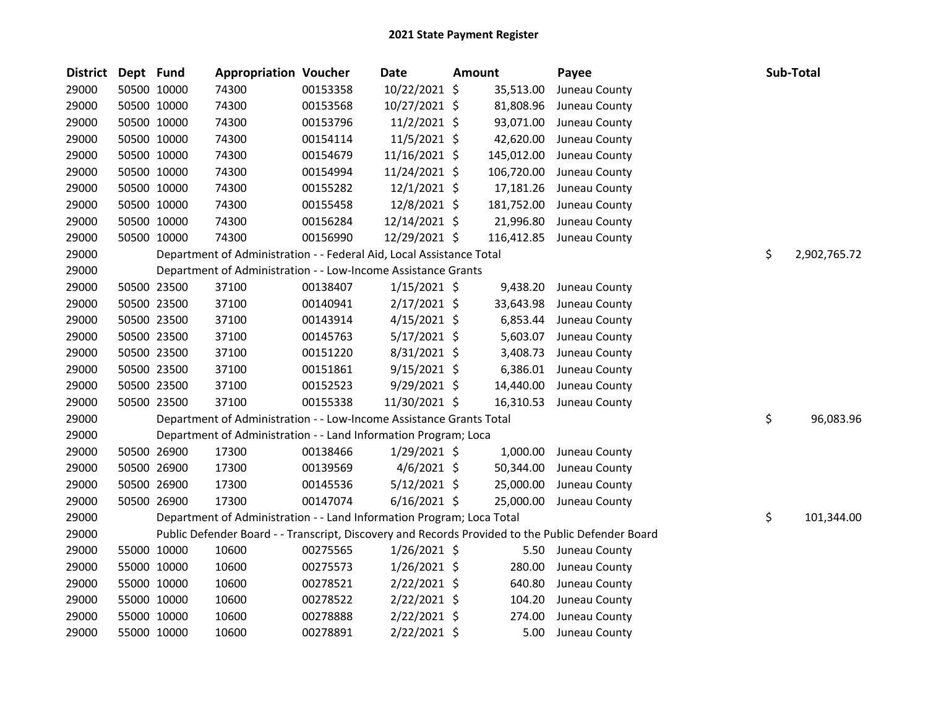| <b>District</b> | Dept Fund |             | <b>Appropriation Voucher</b>                                          |          | <b>Date</b>    | <b>Amount</b> |            | Payee                                                                                             | Sub-Total          |
|-----------------|-----------|-------------|-----------------------------------------------------------------------|----------|----------------|---------------|------------|---------------------------------------------------------------------------------------------------|--------------------|
| 29000           |           | 50500 10000 | 74300                                                                 | 00153358 | 10/22/2021 \$  |               | 35,513.00  | Juneau County                                                                                     |                    |
| 29000           |           | 50500 10000 | 74300                                                                 | 00153568 | 10/27/2021 \$  |               | 81,808.96  | Juneau County                                                                                     |                    |
| 29000           |           | 50500 10000 | 74300                                                                 | 00153796 | $11/2/2021$ \$ |               | 93,071.00  | Juneau County                                                                                     |                    |
| 29000           |           | 50500 10000 | 74300                                                                 | 00154114 | 11/5/2021 \$   |               | 42,620.00  | Juneau County                                                                                     |                    |
| 29000           |           | 50500 10000 | 74300                                                                 | 00154679 | 11/16/2021 \$  |               | 145,012.00 | Juneau County                                                                                     |                    |
| 29000           |           | 50500 10000 | 74300                                                                 | 00154994 | 11/24/2021 \$  |               | 106,720.00 | Juneau County                                                                                     |                    |
| 29000           |           | 50500 10000 | 74300                                                                 | 00155282 | $12/1/2021$ \$ |               | 17,181.26  | Juneau County                                                                                     |                    |
| 29000           |           | 50500 10000 | 74300                                                                 | 00155458 | 12/8/2021 \$   |               | 181,752.00 | Juneau County                                                                                     |                    |
| 29000           |           | 50500 10000 | 74300                                                                 | 00156284 | 12/14/2021 \$  |               | 21,996.80  | Juneau County                                                                                     |                    |
| 29000           |           | 50500 10000 | 74300                                                                 | 00156990 | 12/29/2021 \$  |               | 116,412.85 | Juneau County                                                                                     |                    |
| 29000           |           |             | Department of Administration - - Federal Aid, Local Assistance Total  |          |                |               |            |                                                                                                   | \$<br>2,902,765.72 |
| 29000           |           |             | Department of Administration - - Low-Income Assistance Grants         |          |                |               |            |                                                                                                   |                    |
| 29000           |           | 50500 23500 | 37100                                                                 | 00138407 | $1/15/2021$ \$ |               | 9,438.20   | Juneau County                                                                                     |                    |
| 29000           |           | 50500 23500 | 37100                                                                 | 00140941 | $2/17/2021$ \$ |               | 33,643.98  | Juneau County                                                                                     |                    |
| 29000           |           | 50500 23500 | 37100                                                                 | 00143914 | $4/15/2021$ \$ |               | 6,853.44   | Juneau County                                                                                     |                    |
| 29000           |           | 50500 23500 | 37100                                                                 | 00145763 | $5/17/2021$ \$ |               | 5,603.07   | Juneau County                                                                                     |                    |
| 29000           |           | 50500 23500 | 37100                                                                 | 00151220 | 8/31/2021 \$   |               | 3,408.73   | Juneau County                                                                                     |                    |
| 29000           |           | 50500 23500 | 37100                                                                 | 00151861 | $9/15/2021$ \$ |               | 6,386.01   | Juneau County                                                                                     |                    |
| 29000           |           | 50500 23500 | 37100                                                                 | 00152523 | 9/29/2021 \$   |               | 14,440.00  | Juneau County                                                                                     |                    |
| 29000           |           | 50500 23500 | 37100                                                                 | 00155338 | 11/30/2021 \$  |               | 16,310.53  | Juneau County                                                                                     |                    |
| 29000           |           |             | Department of Administration - - Low-Income Assistance Grants Total   |          |                |               |            |                                                                                                   | \$<br>96,083.96    |
| 29000           |           |             | Department of Administration - - Land Information Program; Loca       |          |                |               |            |                                                                                                   |                    |
| 29000           |           | 50500 26900 | 17300                                                                 | 00138466 | $1/29/2021$ \$ |               | 1,000.00   | Juneau County                                                                                     |                    |
| 29000           |           | 50500 26900 | 17300                                                                 | 00139569 | $4/6/2021$ \$  |               | 50,344.00  | Juneau County                                                                                     |                    |
| 29000           |           | 50500 26900 | 17300                                                                 | 00145536 | $5/12/2021$ \$ |               | 25,000.00  | Juneau County                                                                                     |                    |
| 29000           |           | 50500 26900 | 17300                                                                 | 00147074 | $6/16/2021$ \$ |               | 25,000.00  | Juneau County                                                                                     |                    |
| 29000           |           |             | Department of Administration - - Land Information Program; Loca Total |          |                |               |            |                                                                                                   | \$<br>101,344.00   |
| 29000           |           |             |                                                                       |          |                |               |            | Public Defender Board - - Transcript, Discovery and Records Provided to the Public Defender Board |                    |
| 29000           |           | 55000 10000 | 10600                                                                 | 00275565 | $1/26/2021$ \$ |               | 5.50       | Juneau County                                                                                     |                    |
| 29000           |           | 55000 10000 | 10600                                                                 | 00275573 | $1/26/2021$ \$ |               | 280.00     | Juneau County                                                                                     |                    |
| 29000           |           | 55000 10000 | 10600                                                                 | 00278521 | 2/22/2021 \$   |               | 640.80     | Juneau County                                                                                     |                    |
| 29000           |           | 55000 10000 | 10600                                                                 | 00278522 | $2/22/2021$ \$ |               | 104.20     | Juneau County                                                                                     |                    |
| 29000           |           | 55000 10000 | 10600                                                                 | 00278888 | 2/22/2021 \$   |               | 274.00     | Juneau County                                                                                     |                    |
| 29000           |           | 55000 10000 | 10600                                                                 | 00278891 | 2/22/2021 \$   |               | 5.00       | Juneau County                                                                                     |                    |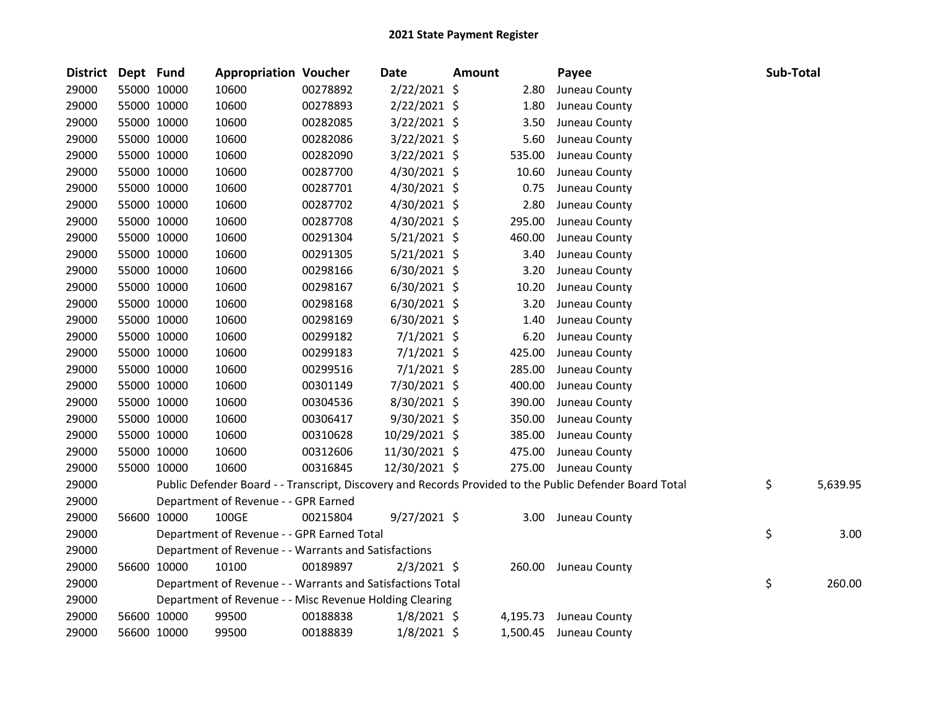| <b>District</b> | Dept Fund |             | <b>Appropriation Voucher</b>                               |          | Date           | Amount |          | Payee                                                                                                   | Sub-Total |          |
|-----------------|-----------|-------------|------------------------------------------------------------|----------|----------------|--------|----------|---------------------------------------------------------------------------------------------------------|-----------|----------|
| 29000           |           | 55000 10000 | 10600                                                      | 00278892 | 2/22/2021 \$   |        | 2.80     | Juneau County                                                                                           |           |          |
| 29000           |           | 55000 10000 | 10600                                                      | 00278893 | $2/22/2021$ \$ |        | 1.80     | Juneau County                                                                                           |           |          |
| 29000           |           | 55000 10000 | 10600                                                      | 00282085 | $3/22/2021$ \$ |        | 3.50     | Juneau County                                                                                           |           |          |
| 29000           |           | 55000 10000 | 10600                                                      | 00282086 | 3/22/2021 \$   |        | 5.60     | Juneau County                                                                                           |           |          |
| 29000           |           | 55000 10000 | 10600                                                      | 00282090 | $3/22/2021$ \$ |        | 535.00   | Juneau County                                                                                           |           |          |
| 29000           |           | 55000 10000 | 10600                                                      | 00287700 | 4/30/2021 \$   |        | 10.60    | Juneau County                                                                                           |           |          |
| 29000           |           | 55000 10000 | 10600                                                      | 00287701 | 4/30/2021 \$   |        | 0.75     | Juneau County                                                                                           |           |          |
| 29000           |           | 55000 10000 | 10600                                                      | 00287702 | 4/30/2021 \$   |        | 2.80     | Juneau County                                                                                           |           |          |
| 29000           |           | 55000 10000 | 10600                                                      | 00287708 | 4/30/2021 \$   |        | 295.00   | Juneau County                                                                                           |           |          |
| 29000           |           | 55000 10000 | 10600                                                      | 00291304 | $5/21/2021$ \$ |        | 460.00   | Juneau County                                                                                           |           |          |
| 29000           |           | 55000 10000 | 10600                                                      | 00291305 | $5/21/2021$ \$ |        | 3.40     | Juneau County                                                                                           |           |          |
| 29000           |           | 55000 10000 | 10600                                                      | 00298166 | $6/30/2021$ \$ |        | 3.20     | Juneau County                                                                                           |           |          |
| 29000           |           | 55000 10000 | 10600                                                      | 00298167 | $6/30/2021$ \$ |        | 10.20    | Juneau County                                                                                           |           |          |
| 29000           |           | 55000 10000 | 10600                                                      | 00298168 | 6/30/2021 \$   |        | 3.20     | Juneau County                                                                                           |           |          |
| 29000           |           | 55000 10000 | 10600                                                      | 00298169 | 6/30/2021 \$   |        | 1.40     | Juneau County                                                                                           |           |          |
| 29000           |           | 55000 10000 | 10600                                                      | 00299182 | 7/1/2021 \$    |        | 6.20     | Juneau County                                                                                           |           |          |
| 29000           |           | 55000 10000 | 10600                                                      | 00299183 | $7/1/2021$ \$  |        | 425.00   | Juneau County                                                                                           |           |          |
| 29000           |           | 55000 10000 | 10600                                                      | 00299516 | $7/1/2021$ \$  |        | 285.00   | Juneau County                                                                                           |           |          |
| 29000           |           | 55000 10000 | 10600                                                      | 00301149 | 7/30/2021 \$   |        | 400.00   | Juneau County                                                                                           |           |          |
| 29000           |           | 55000 10000 | 10600                                                      | 00304536 | 8/30/2021 \$   |        | 390.00   | Juneau County                                                                                           |           |          |
| 29000           |           | 55000 10000 | 10600                                                      | 00306417 | $9/30/2021$ \$ |        | 350.00   | Juneau County                                                                                           |           |          |
| 29000           |           | 55000 10000 | 10600                                                      | 00310628 | 10/29/2021 \$  |        | 385.00   | Juneau County                                                                                           |           |          |
| 29000           |           | 55000 10000 | 10600                                                      | 00312606 | 11/30/2021 \$  |        | 475.00   | Juneau County                                                                                           |           |          |
| 29000           |           | 55000 10000 | 10600                                                      | 00316845 | 12/30/2021 \$  |        |          | 275.00 Juneau County                                                                                    |           |          |
| 29000           |           |             |                                                            |          |                |        |          | Public Defender Board - - Transcript, Discovery and Records Provided to the Public Defender Board Total | \$        | 5,639.95 |
| 29000           |           |             | Department of Revenue - - GPR Earned                       |          |                |        |          |                                                                                                         |           |          |
| 29000           |           | 56600 10000 | 100GE                                                      | 00215804 | $9/27/2021$ \$ |        |          | 3.00 Juneau County                                                                                      |           |          |
| 29000           |           |             | Department of Revenue - - GPR Earned Total                 |          |                |        |          |                                                                                                         | \$        | 3.00     |
| 29000           |           |             | Department of Revenue - - Warrants and Satisfactions       |          |                |        |          |                                                                                                         |           |          |
| 29000           |           | 56600 10000 | 10100                                                      | 00189897 | $2/3/2021$ \$  |        |          | 260.00 Juneau County                                                                                    |           |          |
| 29000           |           |             | Department of Revenue - - Warrants and Satisfactions Total |          |                |        |          |                                                                                                         | \$        | 260.00   |
| 29000           |           |             | Department of Revenue - - Misc Revenue Holding Clearing    |          |                |        |          |                                                                                                         |           |          |
| 29000           |           | 56600 10000 | 99500                                                      | 00188838 | $1/8/2021$ \$  |        | 4,195.73 | Juneau County                                                                                           |           |          |
| 29000           |           | 56600 10000 | 99500                                                      | 00188839 | $1/8/2021$ \$  |        | 1,500.45 | Juneau County                                                                                           |           |          |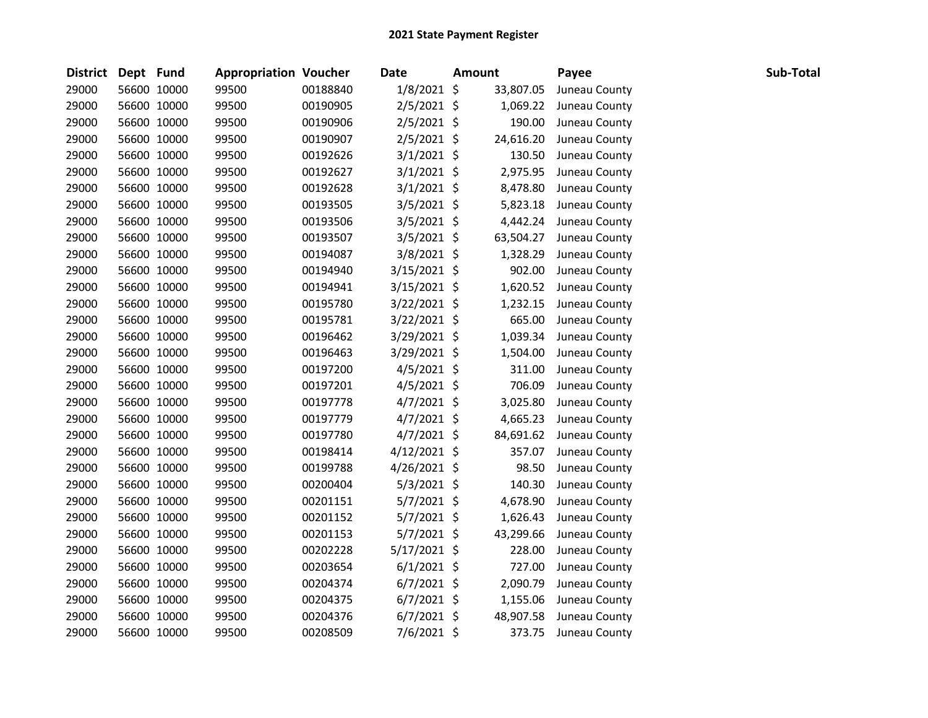| District Dept Fund |             | <b>Appropriation Voucher</b> |          | <b>Date</b>    | <b>Amount</b> | Payee         | Sub-Total |
|--------------------|-------------|------------------------------|----------|----------------|---------------|---------------|-----------|
| 29000              | 56600 10000 | 99500                        | 00188840 | 1/8/2021 \$    | 33,807.05     | Juneau County |           |
| 29000              | 56600 10000 | 99500                        | 00190905 | 2/5/2021 \$    | 1,069.22      | Juneau County |           |
| 29000              | 56600 10000 | 99500                        | 00190906 | 2/5/2021 \$    | 190.00        | Juneau County |           |
| 29000              | 56600 10000 | 99500                        | 00190907 | $2/5/2021$ \$  | 24,616.20     | Juneau County |           |
| 29000              | 56600 10000 | 99500                        | 00192626 | $3/1/2021$ \$  | 130.50        | Juneau County |           |
| 29000              | 56600 10000 | 99500                        | 00192627 | $3/1/2021$ \$  | 2,975.95      | Juneau County |           |
| 29000              | 56600 10000 | 99500                        | 00192628 | $3/1/2021$ \$  | 8,478.80      | Juneau County |           |
| 29000              | 56600 10000 | 99500                        | 00193505 | $3/5/2021$ \$  | 5,823.18      | Juneau County |           |
| 29000              | 56600 10000 | 99500                        | 00193506 | 3/5/2021 \$    | 4,442.24      | Juneau County |           |
| 29000              | 56600 10000 | 99500                        | 00193507 | 3/5/2021 \$    | 63,504.27     | Juneau County |           |
| 29000              | 56600 10000 | 99500                        | 00194087 | 3/8/2021 \$    | 1,328.29      | Juneau County |           |
| 29000              | 56600 10000 | 99500                        | 00194940 | 3/15/2021 \$   | 902.00        | Juneau County |           |
| 29000              | 56600 10000 | 99500                        | 00194941 | $3/15/2021$ \$ | 1,620.52      | Juneau County |           |
| 29000              | 56600 10000 | 99500                        | 00195780 | 3/22/2021 \$   | 1,232.15      | Juneau County |           |
| 29000              | 56600 10000 | 99500                        | 00195781 | 3/22/2021 \$   | 665.00        | Juneau County |           |
| 29000              | 56600 10000 | 99500                        | 00196462 | 3/29/2021 \$   | 1,039.34      | Juneau County |           |
| 29000              | 56600 10000 | 99500                        | 00196463 | 3/29/2021 \$   | 1,504.00      | Juneau County |           |
| 29000              | 56600 10000 | 99500                        | 00197200 | $4/5/2021$ \$  | 311.00        | Juneau County |           |
| 29000              | 56600 10000 | 99500                        | 00197201 | $4/5/2021$ \$  | 706.09        | Juneau County |           |
| 29000              | 56600 10000 | 99500                        | 00197778 | $4/7/2021$ \$  | 3,025.80      | Juneau County |           |
| 29000              | 56600 10000 | 99500                        | 00197779 | $4/7/2021$ \$  | 4,665.23      | Juneau County |           |
| 29000              | 56600 10000 | 99500                        | 00197780 | $4/7/2021$ \$  | 84,691.62     | Juneau County |           |
| 29000              | 56600 10000 | 99500                        | 00198414 | $4/12/2021$ \$ | 357.07        | Juneau County |           |
| 29000              | 56600 10000 | 99500                        | 00199788 | 4/26/2021 \$   | 98.50         | Juneau County |           |
| 29000              | 56600 10000 | 99500                        | 00200404 | $5/3/2021$ \$  | 140.30        | Juneau County |           |
| 29000              | 56600 10000 | 99500                        | 00201151 | $5/7/2021$ \$  | 4,678.90      | Juneau County |           |
| 29000              | 56600 10000 | 99500                        | 00201152 | 5/7/2021 \$    | 1,626.43      | Juneau County |           |
| 29000              | 56600 10000 | 99500                        | 00201153 | $5/7/2021$ \$  | 43,299.66     | Juneau County |           |
| 29000              | 56600 10000 | 99500                        | 00202228 | 5/17/2021 \$   | 228.00        | Juneau County |           |
| 29000              | 56600 10000 | 99500                        | 00203654 | $6/1/2021$ \$  | 727.00        | Juneau County |           |
| 29000              | 56600 10000 | 99500                        | 00204374 | $6/7/2021$ \$  | 2,090.79      | Juneau County |           |
| 29000              | 56600 10000 | 99500                        | 00204375 | $6/7/2021$ \$  | 1,155.06      | Juneau County |           |
| 29000              | 56600 10000 | 99500                        | 00204376 | $6/7/2021$ \$  | 48,907.58     | Juneau County |           |
| 29000              | 56600 10000 | 99500                        | 00208509 | 7/6/2021 \$    | 373.75        | Juneau County |           |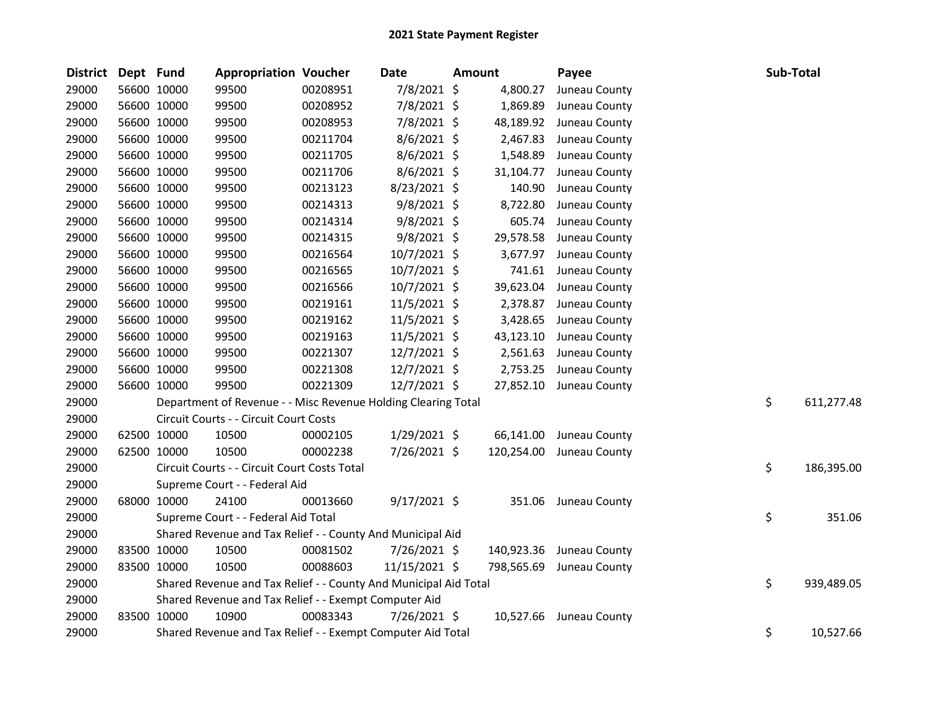| District | Dept Fund   |             | <b>Appropriation Voucher</b>                                     |          | Date           | Amount |            | Payee                    | Sub-Total |            |
|----------|-------------|-------------|------------------------------------------------------------------|----------|----------------|--------|------------|--------------------------|-----------|------------|
| 29000    |             | 56600 10000 | 99500                                                            | 00208951 | 7/8/2021 \$    |        | 4,800.27   | Juneau County            |           |            |
| 29000    |             | 56600 10000 | 99500                                                            | 00208952 | 7/8/2021 \$    |        | 1,869.89   | Juneau County            |           |            |
| 29000    |             | 56600 10000 | 99500                                                            | 00208953 | 7/8/2021 \$    |        | 48,189.92  | Juneau County            |           |            |
| 29000    |             | 56600 10000 | 99500                                                            | 00211704 | $8/6/2021$ \$  |        | 2,467.83   | Juneau County            |           |            |
| 29000    |             | 56600 10000 | 99500                                                            | 00211705 | 8/6/2021 \$    |        | 1,548.89   | Juneau County            |           |            |
| 29000    |             | 56600 10000 | 99500                                                            | 00211706 | 8/6/2021 \$    |        | 31,104.77  | Juneau County            |           |            |
| 29000    |             | 56600 10000 | 99500                                                            | 00213123 | 8/23/2021 \$   |        | 140.90     | Juneau County            |           |            |
| 29000    |             | 56600 10000 | 99500                                                            | 00214313 | $9/8/2021$ \$  |        | 8,722.80   | Juneau County            |           |            |
| 29000    |             | 56600 10000 | 99500                                                            | 00214314 | $9/8/2021$ \$  |        | 605.74     | Juneau County            |           |            |
| 29000    |             | 56600 10000 | 99500                                                            | 00214315 | $9/8/2021$ \$  |        | 29,578.58  | Juneau County            |           |            |
| 29000    |             | 56600 10000 | 99500                                                            | 00216564 | 10/7/2021 \$   |        | 3,677.97   | Juneau County            |           |            |
| 29000    |             | 56600 10000 | 99500                                                            | 00216565 | 10/7/2021 \$   |        | 741.61     | Juneau County            |           |            |
| 29000    |             | 56600 10000 | 99500                                                            | 00216566 | 10/7/2021 \$   |        | 39,623.04  | Juneau County            |           |            |
| 29000    |             | 56600 10000 | 99500                                                            | 00219161 | 11/5/2021 \$   |        | 2,378.87   | Juneau County            |           |            |
| 29000    |             | 56600 10000 | 99500                                                            | 00219162 | 11/5/2021 \$   |        | 3,428.65   | Juneau County            |           |            |
| 29000    |             | 56600 10000 | 99500                                                            | 00219163 | 11/5/2021 \$   |        | 43,123.10  | Juneau County            |           |            |
| 29000    |             | 56600 10000 | 99500                                                            | 00221307 | 12/7/2021 \$   |        | 2,561.63   | Juneau County            |           |            |
| 29000    |             | 56600 10000 | 99500                                                            | 00221308 | 12/7/2021 \$   |        | 2,753.25   | Juneau County            |           |            |
| 29000    |             | 56600 10000 | 99500                                                            | 00221309 | 12/7/2021 \$   |        |            | 27,852.10 Juneau County  |           |            |
| 29000    |             |             | Department of Revenue - - Misc Revenue Holding Clearing Total    |          |                |        |            |                          | \$        | 611,277.48 |
| 29000    |             |             | Circuit Courts - - Circuit Court Costs                           |          |                |        |            |                          |           |            |
| 29000    | 62500 10000 |             | 10500                                                            | 00002105 | 1/29/2021 \$   |        | 66,141.00  | Juneau County            |           |            |
| 29000    |             | 62500 10000 | 10500                                                            | 00002238 | 7/26/2021 \$   |        |            | 120,254.00 Juneau County |           |            |
| 29000    |             |             | Circuit Courts - - Circuit Court Costs Total                     |          |                |        |            |                          | \$        | 186,395.00 |
| 29000    |             |             | Supreme Court - - Federal Aid                                    |          |                |        |            |                          |           |            |
| 29000    |             | 68000 10000 | 24100                                                            | 00013660 | $9/17/2021$ \$ |        |            | 351.06 Juneau County     |           |            |
| 29000    |             |             | Supreme Court - - Federal Aid Total                              |          |                |        |            |                          | \$        | 351.06     |
| 29000    |             |             | Shared Revenue and Tax Relief - - County And Municipal Aid       |          |                |        |            |                          |           |            |
| 29000    |             | 83500 10000 | 10500                                                            | 00081502 | 7/26/2021 \$   |        | 140,923.36 | Juneau County            |           |            |
| 29000    | 83500 10000 |             | 10500                                                            | 00088603 | 11/15/2021 \$  |        |            | 798,565.69 Juneau County |           |            |
| 29000    |             |             | Shared Revenue and Tax Relief - - County And Municipal Aid Total |          |                |        |            |                          | \$        | 939,489.05 |
| 29000    |             |             | Shared Revenue and Tax Relief - - Exempt Computer Aid            |          |                |        |            |                          |           |            |
| 29000    | 83500 10000 |             | 10900                                                            | 00083343 | 7/26/2021 \$   |        |            | 10,527.66 Juneau County  |           |            |
| 29000    |             |             | Shared Revenue and Tax Relief - - Exempt Computer Aid Total      |          |                |        |            |                          | \$        | 10,527.66  |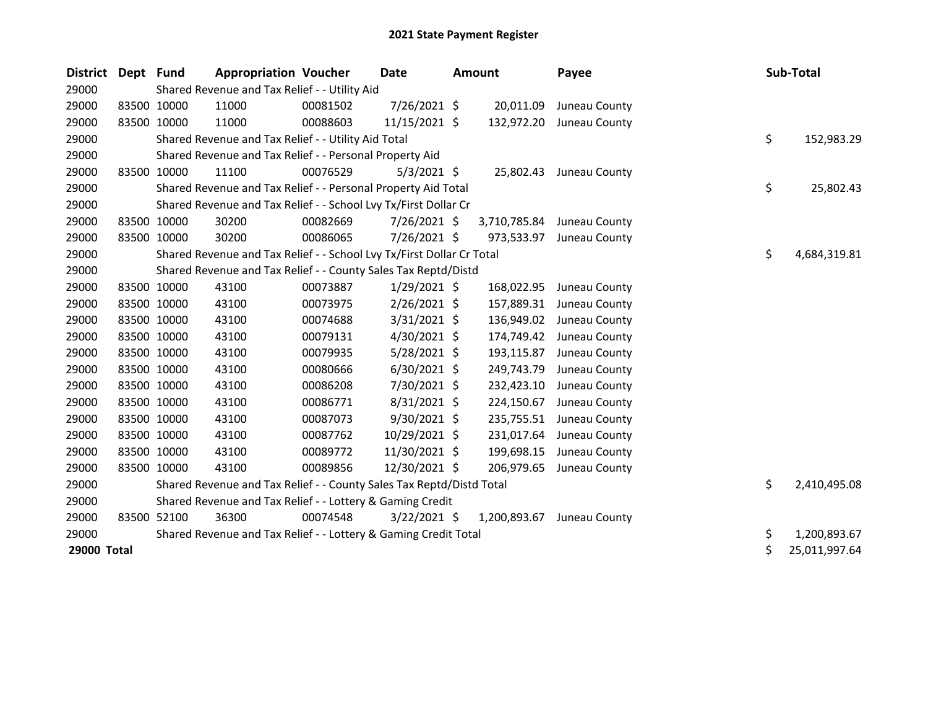| <b>District</b> | Dept Fund |             | <b>Appropriation Voucher</b>                                          |          | <b>Date</b>    | <b>Amount</b> | Payee         |    | Sub-Total     |
|-----------------|-----------|-------------|-----------------------------------------------------------------------|----------|----------------|---------------|---------------|----|---------------|
| 29000           |           |             | Shared Revenue and Tax Relief - - Utility Aid                         |          |                |               |               |    |               |
| 29000           |           | 83500 10000 | 11000                                                                 | 00081502 | 7/26/2021 \$   | 20,011.09     | Juneau County |    |               |
| 29000           |           | 83500 10000 | 11000                                                                 | 00088603 | 11/15/2021 \$  | 132,972.20    | Juneau County |    |               |
| 29000           |           |             | Shared Revenue and Tax Relief - - Utility Aid Total                   |          |                |               |               | \$ | 152,983.29    |
| 29000           |           |             | Shared Revenue and Tax Relief - - Personal Property Aid               |          |                |               |               |    |               |
| 29000           | 83500     | 10000       | 11100                                                                 | 00076529 | $5/3/2021$ \$  | 25,802.43     | Juneau County |    |               |
| 29000           |           |             | Shared Revenue and Tax Relief - - Personal Property Aid Total         |          |                |               |               | \$ | 25,802.43     |
| 29000           |           |             | Shared Revenue and Tax Relief - - School Lvy Tx/First Dollar Cr       |          |                |               |               |    |               |
| 29000           |           | 83500 10000 | 30200                                                                 | 00082669 | 7/26/2021 \$   | 3,710,785.84  | Juneau County |    |               |
| 29000           |           | 83500 10000 | 30200                                                                 | 00086065 | 7/26/2021 \$   | 973,533.97    | Juneau County |    |               |
| 29000           |           |             | Shared Revenue and Tax Relief - - School Lvy Tx/First Dollar Cr Total |          |                |               |               | \$ | 4,684,319.81  |
| 29000           |           |             | Shared Revenue and Tax Relief - - County Sales Tax Reptd/Distd        |          |                |               |               |    |               |
| 29000           |           | 83500 10000 | 43100                                                                 | 00073887 | $1/29/2021$ \$ | 168,022.95    | Juneau County |    |               |
| 29000           |           | 83500 10000 | 43100                                                                 | 00073975 | 2/26/2021 \$   | 157,889.31    | Juneau County |    |               |
| 29000           |           | 83500 10000 | 43100                                                                 | 00074688 | 3/31/2021 \$   | 136,949.02    | Juneau County |    |               |
| 29000           |           | 83500 10000 | 43100                                                                 | 00079131 | $4/30/2021$ \$ | 174,749.42    | Juneau County |    |               |
| 29000           |           | 83500 10000 | 43100                                                                 | 00079935 | 5/28/2021 \$   | 193,115.87    | Juneau County |    |               |
| 29000           |           | 83500 10000 | 43100                                                                 | 00080666 | $6/30/2021$ \$ | 249,743.79    | Juneau County |    |               |
| 29000           |           | 83500 10000 | 43100                                                                 | 00086208 | 7/30/2021 \$   | 232,423.10    | Juneau County |    |               |
| 29000           |           | 83500 10000 | 43100                                                                 | 00086771 | $8/31/2021$ \$ | 224,150.67    | Juneau County |    |               |
| 29000           |           | 83500 10000 | 43100                                                                 | 00087073 | 9/30/2021 \$   | 235,755.51    | Juneau County |    |               |
| 29000           |           | 83500 10000 | 43100                                                                 | 00087762 | 10/29/2021 \$  | 231,017.64    | Juneau County |    |               |
| 29000           |           | 83500 10000 | 43100                                                                 | 00089772 | 11/30/2021 \$  | 199,698.15    | Juneau County |    |               |
| 29000           |           | 83500 10000 | 43100                                                                 | 00089856 | 12/30/2021 \$  | 206,979.65    | Juneau County |    |               |
| 29000           |           |             | Shared Revenue and Tax Relief - - County Sales Tax Reptd/Distd Total  |          |                |               |               | \$ | 2,410,495.08  |
| 29000           |           |             | Shared Revenue and Tax Relief - - Lottery & Gaming Credit             |          |                |               |               |    |               |
| 29000           |           | 83500 52100 | 36300                                                                 | 00074548 | $3/22/2021$ \$ | 1,200,893.67  | Juneau County |    |               |
| 29000           |           |             | Shared Revenue and Tax Relief - - Lottery & Gaming Credit Total       |          |                |               |               | \$ | 1,200,893.67  |
| 29000 Total     |           |             |                                                                       |          |                |               |               | \$ | 25,011,997.64 |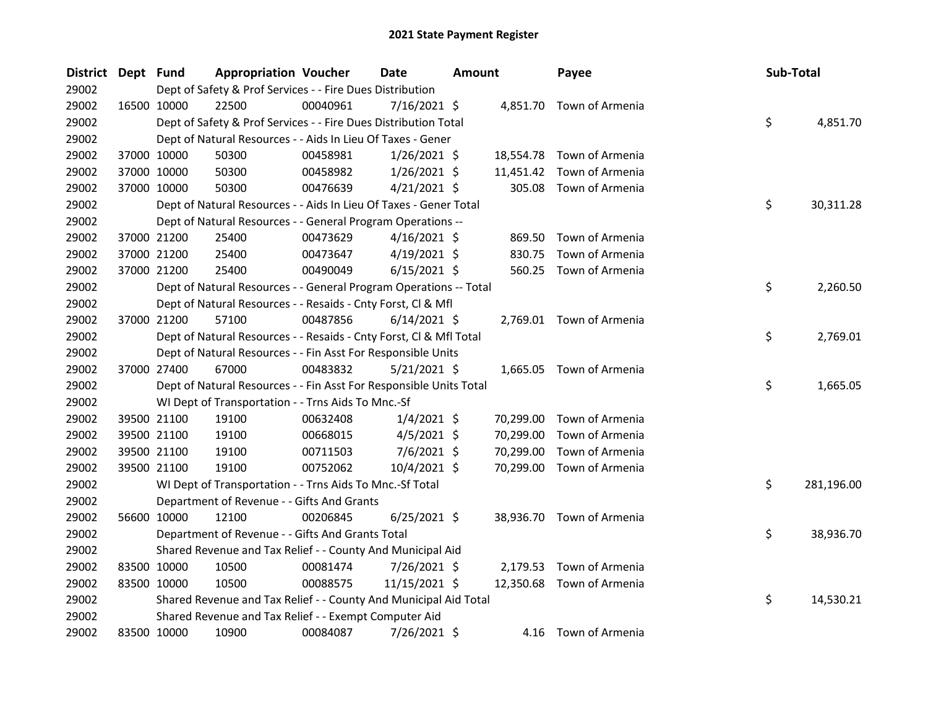| District Dept Fund |             | <b>Appropriation Voucher</b>                                       |          | <b>Date</b>    | <b>Amount</b> |           | Payee                     | Sub-Total |            |
|--------------------|-------------|--------------------------------------------------------------------|----------|----------------|---------------|-----------|---------------------------|-----------|------------|
| 29002              |             | Dept of Safety & Prof Services - - Fire Dues Distribution          |          |                |               |           |                           |           |            |
| 29002              | 16500 10000 | 22500                                                              | 00040961 | $7/16/2021$ \$ |               |           | 4,851.70 Town of Armenia  |           |            |
| 29002              |             | Dept of Safety & Prof Services - - Fire Dues Distribution Total    |          |                |               |           |                           | \$        | 4,851.70   |
| 29002              |             | Dept of Natural Resources - - Aids In Lieu Of Taxes - Gener        |          |                |               |           |                           |           |            |
| 29002              | 37000 10000 | 50300                                                              | 00458981 | $1/26/2021$ \$ |               |           | 18,554.78 Town of Armenia |           |            |
| 29002              | 37000 10000 | 50300                                                              | 00458982 | $1/26/2021$ \$ |               | 11,451.42 | Town of Armenia           |           |            |
| 29002              | 37000 10000 | 50300                                                              | 00476639 | $4/21/2021$ \$ |               | 305.08    | Town of Armenia           |           |            |
| 29002              |             | Dept of Natural Resources - - Aids In Lieu Of Taxes - Gener Total  |          |                |               |           |                           | \$        | 30,311.28  |
| 29002              |             | Dept of Natural Resources - - General Program Operations --        |          |                |               |           |                           |           |            |
| 29002              | 37000 21200 | 25400                                                              | 00473629 | $4/16/2021$ \$ |               | 869.50    | Town of Armenia           |           |            |
| 29002              | 37000 21200 | 25400                                                              | 00473647 | $4/19/2021$ \$ |               | 830.75    | Town of Armenia           |           |            |
| 29002              | 37000 21200 | 25400                                                              | 00490049 | $6/15/2021$ \$ |               |           | 560.25 Town of Armenia    |           |            |
| 29002              |             | Dept of Natural Resources - - General Program Operations -- Total  |          |                |               |           |                           | \$        | 2,260.50   |
| 29002              |             | Dept of Natural Resources - - Resaids - Cnty Forst, Cl & Mfl       |          |                |               |           |                           |           |            |
| 29002              | 37000 21200 | 57100                                                              | 00487856 | $6/14/2021$ \$ |               |           | 2,769.01 Town of Armenia  |           |            |
| 29002              |             | Dept of Natural Resources - - Resaids - Cnty Forst, Cl & Mfl Total |          |                |               |           |                           | \$        | 2,769.01   |
| 29002              |             | Dept of Natural Resources - - Fin Asst For Responsible Units       |          |                |               |           |                           |           |            |
| 29002              | 37000 27400 | 67000                                                              | 00483832 | $5/21/2021$ \$ |               |           | 1,665.05 Town of Armenia  |           |            |
| 29002              |             | Dept of Natural Resources - - Fin Asst For Responsible Units Total |          |                |               |           |                           | \$        | 1,665.05   |
| 29002              |             | WI Dept of Transportation - - Trns Aids To Mnc.-Sf                 |          |                |               |           |                           |           |            |
| 29002              | 39500 21100 | 19100                                                              | 00632408 | $1/4/2021$ \$  |               | 70,299.00 | Town of Armenia           |           |            |
| 29002              | 39500 21100 | 19100                                                              | 00668015 | $4/5/2021$ \$  |               | 70,299.00 | Town of Armenia           |           |            |
| 29002              | 39500 21100 | 19100                                                              | 00711503 | 7/6/2021 \$    |               | 70,299.00 | Town of Armenia           |           |            |
| 29002              | 39500 21100 | 19100                                                              | 00752062 | 10/4/2021 \$   |               | 70,299.00 | Town of Armenia           |           |            |
| 29002              |             | WI Dept of Transportation - - Trns Aids To Mnc.-Sf Total           |          |                |               |           |                           | \$        | 281,196.00 |
| 29002              |             | Department of Revenue - - Gifts And Grants                         |          |                |               |           |                           |           |            |
| 29002              | 56600 10000 | 12100                                                              | 00206845 | $6/25/2021$ \$ |               |           | 38,936.70 Town of Armenia |           |            |
| 29002              |             | Department of Revenue - - Gifts And Grants Total                   |          |                |               |           |                           | \$        | 38,936.70  |
| 29002              |             | Shared Revenue and Tax Relief - - County And Municipal Aid         |          |                |               |           |                           |           |            |
| 29002              | 83500 10000 | 10500                                                              | 00081474 | 7/26/2021 \$   |               | 2,179.53  | Town of Armenia           |           |            |
| 29002              | 83500 10000 | 10500                                                              | 00088575 | 11/15/2021 \$  |               |           | 12,350.68 Town of Armenia |           |            |
| 29002              |             | Shared Revenue and Tax Relief - - County And Municipal Aid Total   |          |                |               |           |                           | \$        | 14,530.21  |
| 29002              |             | Shared Revenue and Tax Relief - - Exempt Computer Aid              |          |                |               |           |                           |           |            |
| 29002              | 83500 10000 | 10900                                                              | 00084087 | 7/26/2021 \$   |               |           | 4.16 Town of Armenia      |           |            |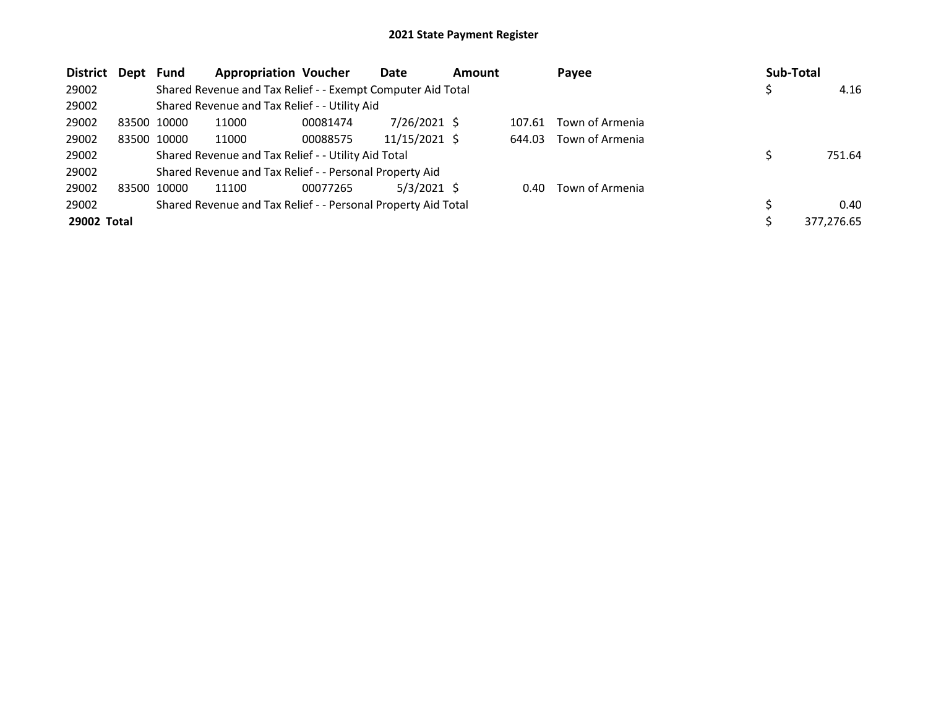| <b>District</b> | Dept        | <b>Fund</b> | <b>Appropriation Voucher</b>                                  |          | Date          | <b>Amount</b> |        | Payee           | <b>Sub-Total</b> |
|-----------------|-------------|-------------|---------------------------------------------------------------|----------|---------------|---------------|--------|-----------------|------------------|
| 29002           |             |             | Shared Revenue and Tax Relief - - Exempt Computer Aid Total   |          |               |               |        |                 | 4.16             |
| 29002           |             |             | Shared Revenue and Tax Relief - - Utility Aid                 |          |               |               |        |                 |                  |
| 29002           | 83500 10000 |             | 11000                                                         | 00081474 | 7/26/2021 \$  |               | 107.61 | Town of Armenia |                  |
| 29002           | 83500 10000 |             | 11000                                                         | 00088575 | 11/15/2021 \$ |               | 644.03 | Town of Armenia |                  |
| 29002           |             |             | Shared Revenue and Tax Relief - - Utility Aid Total           |          |               |               |        |                 | 751.64           |
| 29002           |             |             | Shared Revenue and Tax Relief - - Personal Property Aid       |          |               |               |        |                 |                  |
| 29002           | 83500       | 10000       | 11100                                                         | 00077265 | $5/3/2021$ \$ |               | 0.40   | Town of Armenia |                  |
| 29002           |             |             | Shared Revenue and Tax Relief - - Personal Property Aid Total |          |               |               |        |                 | 0.40             |
| 29002 Total     |             |             |                                                               |          |               |               |        |                 | 377.276.65       |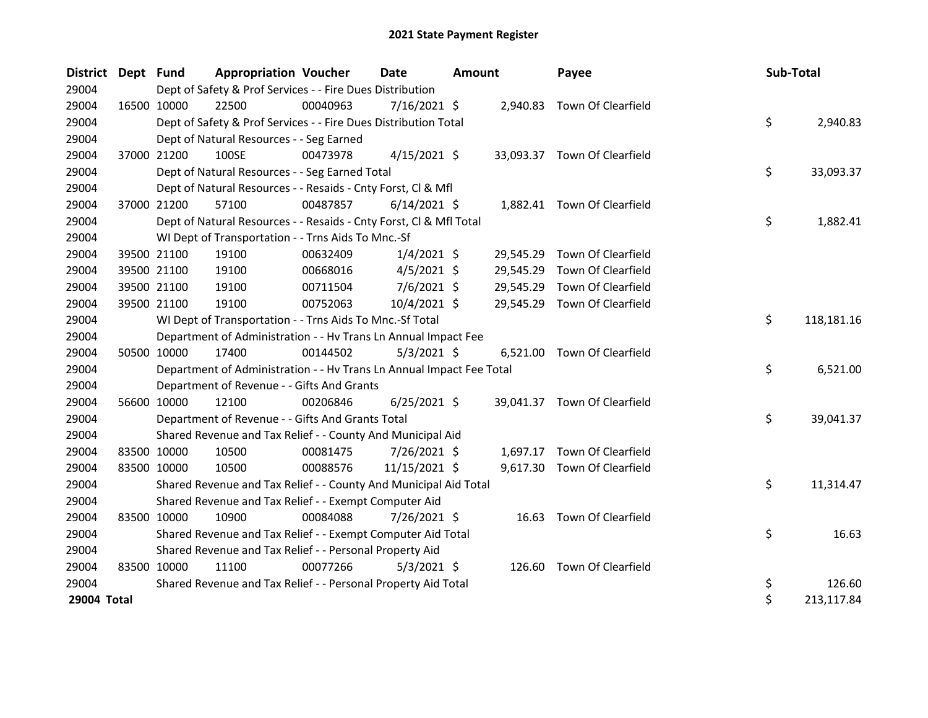| <b>District</b> | Dept Fund   |             | <b>Appropriation Voucher</b>                                         |          | <b>Date</b>    | <b>Amount</b> |           | Payee                        | Sub-Total |            |
|-----------------|-------------|-------------|----------------------------------------------------------------------|----------|----------------|---------------|-----------|------------------------------|-----------|------------|
| 29004           |             |             | Dept of Safety & Prof Services - - Fire Dues Distribution            |          |                |               |           |                              |           |            |
| 29004           |             | 16500 10000 | 22500                                                                | 00040963 | $7/16/2021$ \$ |               |           | 2,940.83 Town Of Clearfield  |           |            |
| 29004           |             |             | Dept of Safety & Prof Services - - Fire Dues Distribution Total      |          |                |               |           |                              | \$        | 2,940.83   |
| 29004           |             |             | Dept of Natural Resources - - Seg Earned                             |          |                |               |           |                              |           |            |
| 29004           |             | 37000 21200 | 100SE                                                                | 00473978 | $4/15/2021$ \$ |               |           | 33,093.37 Town Of Clearfield |           |            |
| 29004           |             |             | Dept of Natural Resources - - Seg Earned Total                       |          |                |               |           |                              | \$        | 33,093.37  |
| 29004           |             |             | Dept of Natural Resources - - Resaids - Cnty Forst, Cl & Mfl         |          |                |               |           |                              |           |            |
| 29004           |             | 37000 21200 | 57100                                                                | 00487857 | $6/14/2021$ \$ |               |           | 1,882.41 Town Of Clearfield  |           |            |
| 29004           |             |             | Dept of Natural Resources - - Resaids - Cnty Forst, CI & Mfl Total   |          |                |               |           |                              | \$        | 1,882.41   |
| 29004           |             |             | WI Dept of Transportation - - Trns Aids To Mnc.-Sf                   |          |                |               |           |                              |           |            |
| 29004           |             | 39500 21100 | 19100                                                                | 00632409 | $1/4/2021$ \$  |               | 29,545.29 | Town Of Clearfield           |           |            |
| 29004           |             | 39500 21100 | 19100                                                                | 00668016 | $4/5/2021$ \$  |               | 29,545.29 | Town Of Clearfield           |           |            |
| 29004           |             | 39500 21100 | 19100                                                                | 00711504 | 7/6/2021 \$    |               | 29,545.29 | Town Of Clearfield           |           |            |
| 29004           |             | 39500 21100 | 19100                                                                | 00752063 | 10/4/2021 \$   |               | 29,545.29 | Town Of Clearfield           |           |            |
| 29004           |             |             | WI Dept of Transportation - - Trns Aids To Mnc.-Sf Total             |          |                |               |           |                              | \$        | 118,181.16 |
| 29004           |             |             | Department of Administration - - Hv Trans Ln Annual Impact Fee       |          |                |               |           |                              |           |            |
| 29004           |             | 50500 10000 | 17400                                                                | 00144502 | $5/3/2021$ \$  |               |           | 6,521.00 Town Of Clearfield  |           |            |
| 29004           |             |             | Department of Administration - - Hv Trans Ln Annual Impact Fee Total |          |                |               |           |                              | \$        | 6,521.00   |
| 29004           |             |             | Department of Revenue - - Gifts And Grants                           |          |                |               |           |                              |           |            |
| 29004           |             | 56600 10000 | 12100                                                                | 00206846 | $6/25/2021$ \$ |               |           | 39,041.37 Town Of Clearfield |           |            |
| 29004           |             |             | Department of Revenue - - Gifts And Grants Total                     |          |                |               |           |                              | \$        | 39,041.37  |
| 29004           |             |             | Shared Revenue and Tax Relief - - County And Municipal Aid           |          |                |               |           |                              |           |            |
| 29004           | 83500 10000 |             | 10500                                                                | 00081475 | 7/26/2021 \$   |               |           | 1,697.17 Town Of Clearfield  |           |            |
| 29004           |             | 83500 10000 | 10500                                                                | 00088576 | 11/15/2021 \$  |               | 9,617.30  | Town Of Clearfield           |           |            |
| 29004           |             |             | Shared Revenue and Tax Relief - - County And Municipal Aid Total     |          |                |               |           |                              | \$        | 11,314.47  |
| 29004           |             |             | Shared Revenue and Tax Relief - - Exempt Computer Aid                |          |                |               |           |                              |           |            |
| 29004           | 83500 10000 |             | 10900                                                                | 00084088 | 7/26/2021 \$   |               |           | 16.63 Town Of Clearfield     |           |            |
| 29004           |             |             | Shared Revenue and Tax Relief - - Exempt Computer Aid Total          |          |                |               |           |                              | \$        | 16.63      |
| 29004           |             |             | Shared Revenue and Tax Relief - - Personal Property Aid              |          |                |               |           |                              |           |            |
| 29004           | 83500 10000 |             | 11100                                                                | 00077266 | $5/3/2021$ \$  |               |           | 126.60 Town Of Clearfield    |           |            |
| 29004           |             |             | Shared Revenue and Tax Relief - - Personal Property Aid Total        |          |                |               |           |                              | \$        | 126.60     |
| 29004 Total     |             |             |                                                                      |          |                |               |           |                              | \$        | 213,117.84 |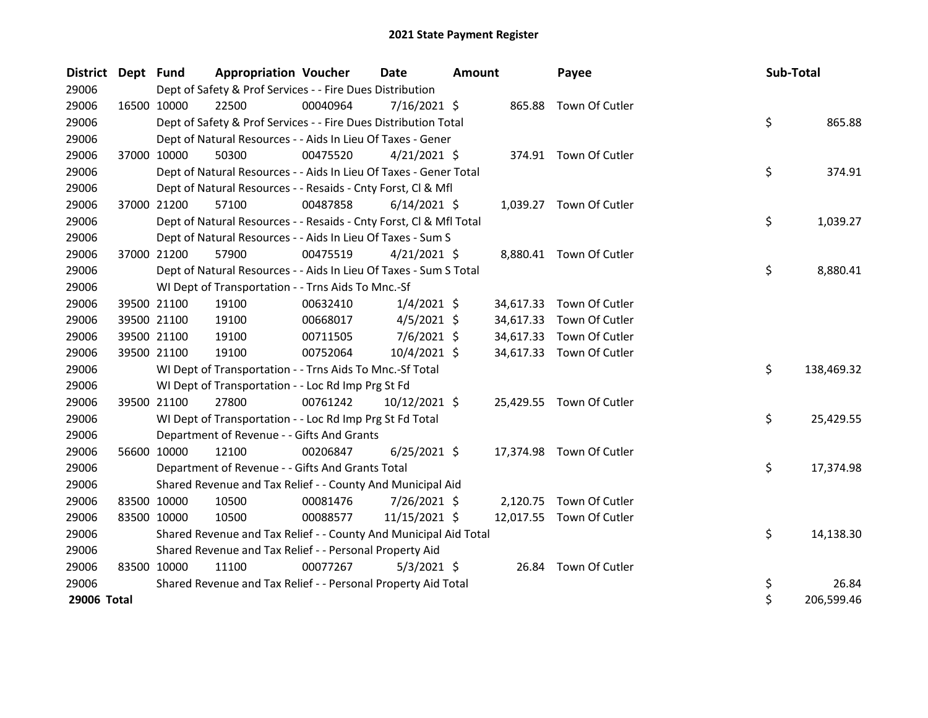| District Dept Fund |             |             | <b>Appropriation Voucher</b>                                       |          | <b>Date</b>    | <b>Amount</b> |           | Payee                    | Sub-Total |            |
|--------------------|-------------|-------------|--------------------------------------------------------------------|----------|----------------|---------------|-----------|--------------------------|-----------|------------|
| 29006              |             |             | Dept of Safety & Prof Services - - Fire Dues Distribution          |          |                |               |           |                          |           |            |
| 29006              |             | 16500 10000 | 22500                                                              | 00040964 | $7/16/2021$ \$ |               |           | 865.88 Town Of Cutler    |           |            |
| 29006              |             |             | Dept of Safety & Prof Services - - Fire Dues Distribution Total    |          |                |               |           |                          | \$        | 865.88     |
| 29006              |             |             | Dept of Natural Resources - - Aids In Lieu Of Taxes - Gener        |          |                |               |           |                          |           |            |
| 29006              |             | 37000 10000 | 50300                                                              | 00475520 | $4/21/2021$ \$ |               |           | 374.91 Town Of Cutler    |           |            |
| 29006              |             |             | Dept of Natural Resources - - Aids In Lieu Of Taxes - Gener Total  |          |                |               |           |                          | \$        | 374.91     |
| 29006              |             |             | Dept of Natural Resources - - Resaids - Cnty Forst, Cl & Mfl       |          |                |               |           |                          |           |            |
| 29006              |             | 37000 21200 | 57100                                                              | 00487858 | $6/14/2021$ \$ |               |           | 1,039.27 Town Of Cutler  |           |            |
| 29006              |             |             | Dept of Natural Resources - - Resaids - Cnty Forst, Cl & Mfl Total |          |                |               |           |                          | \$        | 1,039.27   |
| 29006              |             |             | Dept of Natural Resources - - Aids In Lieu Of Taxes - Sum S        |          |                |               |           |                          |           |            |
| 29006              |             | 37000 21200 | 57900                                                              | 00475519 | $4/21/2021$ \$ |               |           | 8,880.41 Town Of Cutler  |           |            |
| 29006              |             |             | Dept of Natural Resources - - Aids In Lieu Of Taxes - Sum S Total  |          |                |               |           |                          | \$        | 8,880.41   |
| 29006              |             |             | WI Dept of Transportation - - Trns Aids To Mnc.-Sf                 |          |                |               |           |                          |           |            |
| 29006              |             | 39500 21100 | 19100                                                              | 00632410 | $1/4/2021$ \$  |               |           | 34,617.33 Town Of Cutler |           |            |
| 29006              |             | 39500 21100 | 19100                                                              | 00668017 | $4/5/2021$ \$  |               | 34,617.33 | Town Of Cutler           |           |            |
| 29006              |             | 39500 21100 | 19100                                                              | 00711505 | 7/6/2021 \$    |               | 34,617.33 | Town Of Cutler           |           |            |
| 29006              |             | 39500 21100 | 19100                                                              | 00752064 | 10/4/2021 \$   |               |           | 34,617.33 Town Of Cutler |           |            |
| 29006              |             |             | WI Dept of Transportation - - Trns Aids To Mnc.-Sf Total           |          |                |               |           |                          | \$        | 138,469.32 |
| 29006              |             |             | WI Dept of Transportation - - Loc Rd Imp Prg St Fd                 |          |                |               |           |                          |           |            |
| 29006              | 39500 21100 |             | 27800                                                              | 00761242 | 10/12/2021 \$  |               |           | 25,429.55 Town Of Cutler |           |            |
| 29006              |             |             | WI Dept of Transportation - - Loc Rd Imp Prg St Fd Total           |          |                |               |           |                          | \$        | 25,429.55  |
| 29006              |             |             | Department of Revenue - - Gifts And Grants                         |          |                |               |           |                          |           |            |
| 29006              |             | 56600 10000 | 12100                                                              | 00206847 | $6/25/2021$ \$ |               |           | 17,374.98 Town Of Cutler |           |            |
| 29006              |             |             | Department of Revenue - - Gifts And Grants Total                   |          |                |               |           |                          | \$        | 17,374.98  |
| 29006              |             |             | Shared Revenue and Tax Relief - - County And Municipal Aid         |          |                |               |           |                          |           |            |
| 29006              |             | 83500 10000 | 10500                                                              | 00081476 | 7/26/2021 \$   |               |           | 2,120.75 Town Of Cutler  |           |            |
| 29006              |             | 83500 10000 | 10500                                                              | 00088577 | 11/15/2021 \$  |               |           | 12,017.55 Town Of Cutler |           |            |
| 29006              |             |             | Shared Revenue and Tax Relief - - County And Municipal Aid Total   |          |                |               |           |                          | \$        | 14,138.30  |
| 29006              |             |             | Shared Revenue and Tax Relief - - Personal Property Aid            |          |                |               |           |                          |           |            |
| 29006              |             | 83500 10000 | 11100                                                              | 00077267 | $5/3/2021$ \$  |               |           | 26.84 Town Of Cutler     |           |            |
| 29006              |             |             | Shared Revenue and Tax Relief - - Personal Property Aid Total      |          |                |               |           |                          | \$        | 26.84      |
| 29006 Total        |             |             |                                                                    |          |                |               |           |                          | \$        | 206,599.46 |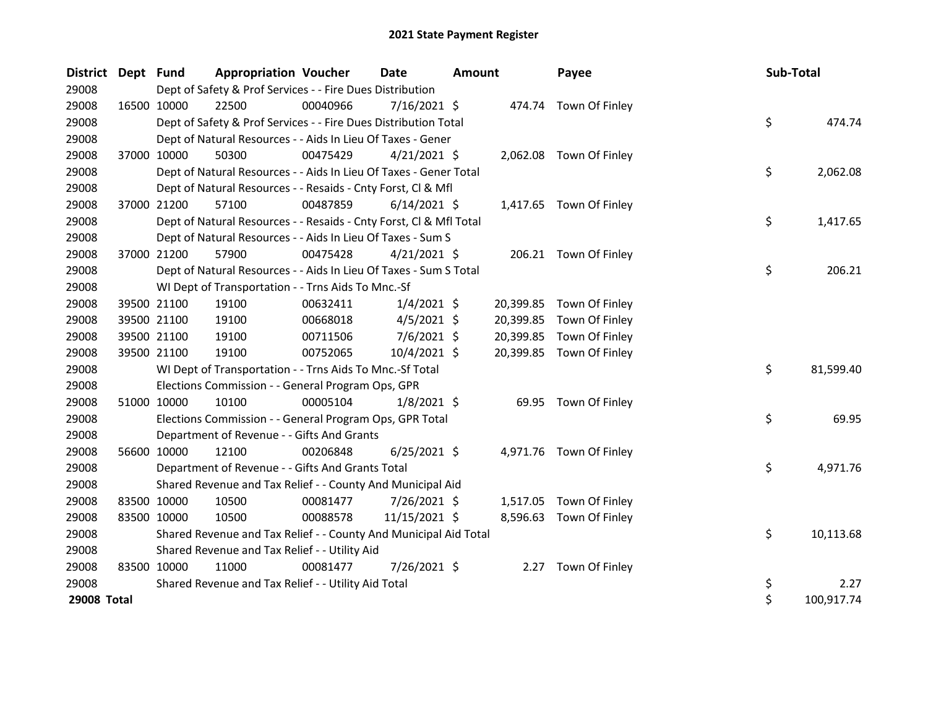| District Dept Fund |             | <b>Appropriation Voucher</b>                                       |          | <b>Date</b>    | <b>Amount</b> |           | Payee                   | Sub-Total |            |
|--------------------|-------------|--------------------------------------------------------------------|----------|----------------|---------------|-----------|-------------------------|-----------|------------|
| 29008              |             | Dept of Safety & Prof Services - - Fire Dues Distribution          |          |                |               |           |                         |           |            |
| 29008              | 16500 10000 | 22500                                                              | 00040966 | $7/16/2021$ \$ |               |           | 474.74 Town Of Finley   |           |            |
| 29008              |             | Dept of Safety & Prof Services - - Fire Dues Distribution Total    |          |                |               |           |                         | \$        | 474.74     |
| 29008              |             | Dept of Natural Resources - - Aids In Lieu Of Taxes - Gener        |          |                |               |           |                         |           |            |
| 29008              | 37000 10000 | 50300                                                              | 00475429 | $4/21/2021$ \$ |               |           | 2,062.08 Town Of Finley |           |            |
| 29008              |             | Dept of Natural Resources - - Aids In Lieu Of Taxes - Gener Total  |          |                |               |           |                         | \$        | 2,062.08   |
| 29008              |             | Dept of Natural Resources - - Resaids - Cnty Forst, Cl & Mfl       |          |                |               |           |                         |           |            |
| 29008              | 37000 21200 | 57100                                                              | 00487859 | $6/14/2021$ \$ |               |           | 1,417.65 Town Of Finley |           |            |
| 29008              |             | Dept of Natural Resources - - Resaids - Cnty Forst, Cl & Mfl Total |          |                |               |           |                         | \$        | 1,417.65   |
| 29008              |             | Dept of Natural Resources - - Aids In Lieu Of Taxes - Sum S        |          |                |               |           |                         |           |            |
| 29008              | 37000 21200 | 57900                                                              | 00475428 | $4/21/2021$ \$ |               |           | 206.21 Town Of Finley   |           |            |
| 29008              |             | Dept of Natural Resources - - Aids In Lieu Of Taxes - Sum S Total  |          |                |               |           |                         | \$        | 206.21     |
| 29008              |             | WI Dept of Transportation - - Trns Aids To Mnc.-Sf                 |          |                |               |           |                         |           |            |
| 29008              | 39500 21100 | 19100                                                              | 00632411 | $1/4/2021$ \$  |               | 20,399.85 | Town Of Finley          |           |            |
| 29008              | 39500 21100 | 19100                                                              | 00668018 | $4/5/2021$ \$  |               | 20,399.85 | Town Of Finley          |           |            |
| 29008              | 39500 21100 | 19100                                                              | 00711506 | $7/6/2021$ \$  |               | 20,399.85 | Town Of Finley          |           |            |
| 29008              | 39500 21100 | 19100                                                              | 00752065 | 10/4/2021 \$   |               | 20,399.85 | Town Of Finley          |           |            |
| 29008              |             | WI Dept of Transportation - - Trns Aids To Mnc.-Sf Total           |          |                |               |           |                         | \$        | 81,599.40  |
| 29008              |             | Elections Commission - - General Program Ops, GPR                  |          |                |               |           |                         |           |            |
| 29008              | 51000 10000 | 10100                                                              | 00005104 | $1/8/2021$ \$  |               |           | 69.95 Town Of Finley    |           |            |
| 29008              |             | Elections Commission - - General Program Ops, GPR Total            |          |                |               |           |                         | \$        | 69.95      |
| 29008              |             | Department of Revenue - - Gifts And Grants                         |          |                |               |           |                         |           |            |
| 29008              | 56600 10000 | 12100                                                              | 00206848 | $6/25/2021$ \$ |               |           | 4,971.76 Town Of Finley |           |            |
| 29008              |             | Department of Revenue - - Gifts And Grants Total                   |          |                |               |           |                         | \$        | 4,971.76   |
| 29008              |             | Shared Revenue and Tax Relief - - County And Municipal Aid         |          |                |               |           |                         |           |            |
| 29008              | 83500 10000 | 10500                                                              | 00081477 | 7/26/2021 \$   |               |           | 1,517.05 Town Of Finley |           |            |
| 29008              | 83500 10000 | 10500                                                              | 00088578 | 11/15/2021 \$  |               | 8,596.63  | Town Of Finley          |           |            |
| 29008              |             | Shared Revenue and Tax Relief - - County And Municipal Aid Total   |          |                |               |           |                         | \$        | 10,113.68  |
| 29008              |             | Shared Revenue and Tax Relief - - Utility Aid                      |          |                |               |           |                         |           |            |
| 29008              | 83500 10000 | 11000                                                              | 00081477 | 7/26/2021 \$   |               |           | 2.27 Town Of Finley     |           |            |
| 29008              |             | Shared Revenue and Tax Relief - - Utility Aid Total                |          |                |               |           |                         | \$        | 2.27       |
| <b>29008 Total</b> |             |                                                                    |          |                |               |           |                         | \$        | 100,917.74 |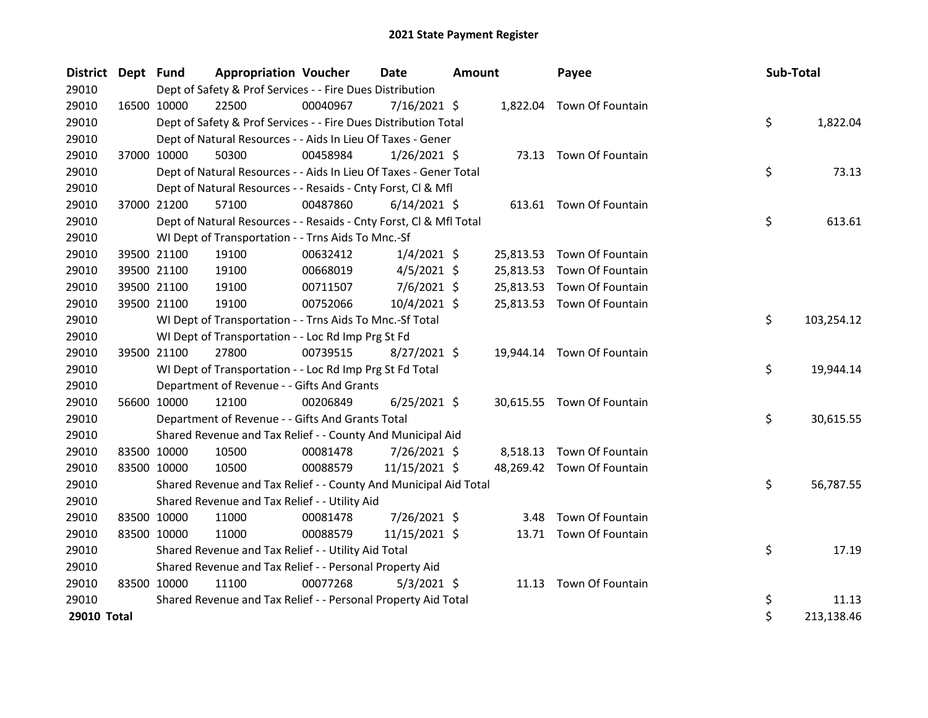| <b>District</b> | Dept Fund |             | <b>Appropriation Voucher</b>                                       |          | <b>Date</b>    | <b>Amount</b> |           | Payee                      | Sub-Total |            |
|-----------------|-----------|-------------|--------------------------------------------------------------------|----------|----------------|---------------|-----------|----------------------------|-----------|------------|
| 29010           |           |             | Dept of Safety & Prof Services - - Fire Dues Distribution          |          |                |               |           |                            |           |            |
| 29010           |           | 16500 10000 | 22500                                                              | 00040967 | $7/16/2021$ \$ |               |           | 1,822.04 Town Of Fountain  |           |            |
| 29010           |           |             | Dept of Safety & Prof Services - - Fire Dues Distribution Total    |          |                |               |           |                            | \$        | 1,822.04   |
| 29010           |           |             | Dept of Natural Resources - - Aids In Lieu Of Taxes - Gener        |          |                |               |           |                            |           |            |
| 29010           |           | 37000 10000 | 50300                                                              | 00458984 | $1/26/2021$ \$ |               |           | 73.13 Town Of Fountain     |           |            |
| 29010           |           |             | Dept of Natural Resources - - Aids In Lieu Of Taxes - Gener Total  |          |                |               |           |                            | \$        | 73.13      |
| 29010           |           |             | Dept of Natural Resources - - Resaids - Cnty Forst, Cl & Mfl       |          |                |               |           |                            |           |            |
| 29010           |           | 37000 21200 | 57100                                                              | 00487860 | $6/14/2021$ \$ |               |           | 613.61 Town Of Fountain    |           |            |
| 29010           |           |             | Dept of Natural Resources - - Resaids - Cnty Forst, Cl & Mfl Total |          |                |               |           |                            | \$        | 613.61     |
| 29010           |           |             | WI Dept of Transportation - - Trns Aids To Mnc.-Sf                 |          |                |               |           |                            |           |            |
| 29010           |           | 39500 21100 | 19100                                                              | 00632412 | $1/4/2021$ \$  |               |           | 25,813.53 Town Of Fountain |           |            |
| 29010           |           | 39500 21100 | 19100                                                              | 00668019 | $4/5/2021$ \$  |               | 25,813.53 | Town Of Fountain           |           |            |
| 29010           |           | 39500 21100 | 19100                                                              | 00711507 | $7/6/2021$ \$  |               | 25,813.53 | Town Of Fountain           |           |            |
| 29010           |           | 39500 21100 | 19100                                                              | 00752066 | 10/4/2021 \$   |               |           | 25,813.53 Town Of Fountain |           |            |
| 29010           |           |             | WI Dept of Transportation - - Trns Aids To Mnc.-Sf Total           |          |                |               |           |                            | \$        | 103,254.12 |
| 29010           |           |             | WI Dept of Transportation - - Loc Rd Imp Prg St Fd                 |          |                |               |           |                            |           |            |
| 29010           |           | 39500 21100 | 27800                                                              | 00739515 | $8/27/2021$ \$ |               | 19,944.14 | Town Of Fountain           |           |            |
| 29010           |           |             | WI Dept of Transportation - - Loc Rd Imp Prg St Fd Total           |          |                |               |           |                            | \$        | 19,944.14  |
| 29010           |           |             | Department of Revenue - - Gifts And Grants                         |          |                |               |           |                            |           |            |
| 29010           |           | 56600 10000 | 12100                                                              | 00206849 | $6/25/2021$ \$ |               |           | 30,615.55 Town Of Fountain |           |            |
| 29010           |           |             | Department of Revenue - - Gifts And Grants Total                   |          |                |               |           |                            | \$        | 30,615.55  |
| 29010           |           |             | Shared Revenue and Tax Relief - - County And Municipal Aid         |          |                |               |           |                            |           |            |
| 29010           |           | 83500 10000 | 10500                                                              | 00081478 | 7/26/2021 \$   |               |           | 8,518.13 Town Of Fountain  |           |            |
| 29010           |           | 83500 10000 | 10500                                                              | 00088579 | 11/15/2021 \$  |               |           | 48,269.42 Town Of Fountain |           |            |
| 29010           |           |             | Shared Revenue and Tax Relief - - County And Municipal Aid Total   |          |                |               |           |                            | \$        | 56,787.55  |
| 29010           |           |             | Shared Revenue and Tax Relief - - Utility Aid                      |          |                |               |           |                            |           |            |
| 29010           |           | 83500 10000 | 11000                                                              | 00081478 | 7/26/2021 \$   |               | 3.48      | Town Of Fountain           |           |            |
| 29010           |           | 83500 10000 | 11000                                                              | 00088579 | 11/15/2021 \$  |               |           | 13.71 Town Of Fountain     |           |            |
| 29010           |           |             | Shared Revenue and Tax Relief - - Utility Aid Total                |          |                |               |           |                            | \$        | 17.19      |
| 29010           |           |             | Shared Revenue and Tax Relief - - Personal Property Aid            |          |                |               |           |                            |           |            |
| 29010           |           | 83500 10000 | 11100                                                              | 00077268 | $5/3/2021$ \$  |               |           | 11.13 Town Of Fountain     |           |            |
| 29010           |           |             | Shared Revenue and Tax Relief - - Personal Property Aid Total      |          |                |               |           |                            | \$        | 11.13      |
| 29010 Total     |           |             |                                                                    |          |                |               |           |                            | \$        | 213,138.46 |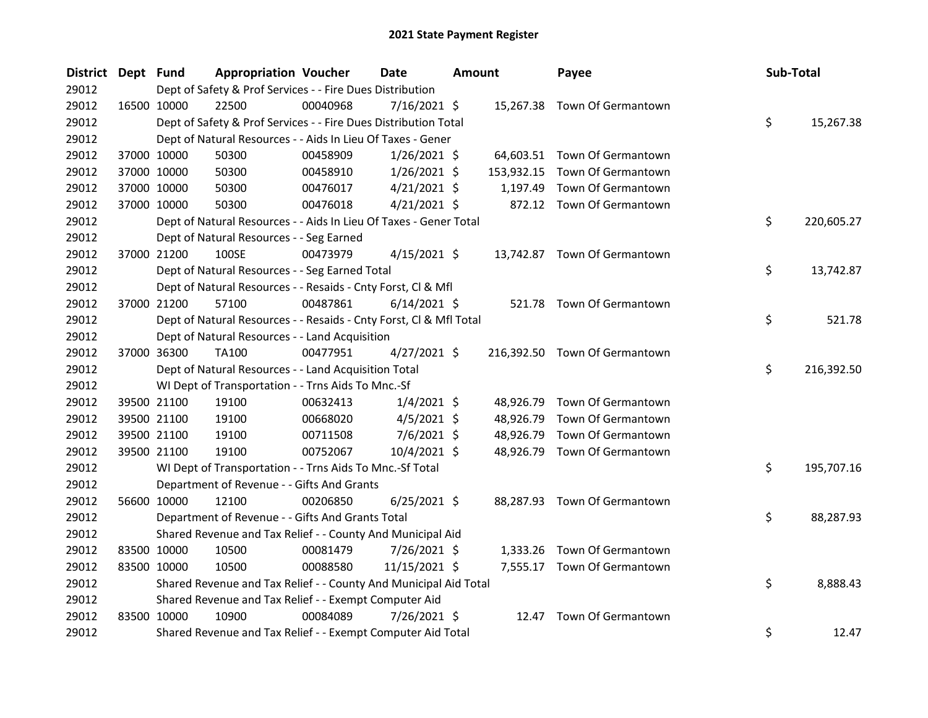| District Dept Fund |             |             | <b>Appropriation Voucher</b>                                       |          | Date           | <b>Amount</b> |            | Payee                         | Sub-Total |            |
|--------------------|-------------|-------------|--------------------------------------------------------------------|----------|----------------|---------------|------------|-------------------------------|-----------|------------|
| 29012              |             |             | Dept of Safety & Prof Services - - Fire Dues Distribution          |          |                |               |            |                               |           |            |
| 29012              |             | 16500 10000 | 22500                                                              | 00040968 | $7/16/2021$ \$ |               |            | 15,267.38 Town Of Germantown  |           |            |
| 29012              |             |             | Dept of Safety & Prof Services - - Fire Dues Distribution Total    |          |                |               |            |                               | \$        | 15,267.38  |
| 29012              |             |             | Dept of Natural Resources - - Aids In Lieu Of Taxes - Gener        |          |                |               |            |                               |           |            |
| 29012              |             | 37000 10000 | 50300                                                              | 00458909 | $1/26/2021$ \$ |               |            | 64,603.51 Town Of Germantown  |           |            |
| 29012              |             | 37000 10000 | 50300                                                              | 00458910 | $1/26/2021$ \$ |               | 153,932.15 | Town Of Germantown            |           |            |
| 29012              |             | 37000 10000 | 50300                                                              | 00476017 | $4/21/2021$ \$ |               | 1,197.49   | Town Of Germantown            |           |            |
| 29012              |             | 37000 10000 | 50300                                                              | 00476018 | $4/21/2021$ \$ |               |            | 872.12 Town Of Germantown     |           |            |
| 29012              |             |             | Dept of Natural Resources - - Aids In Lieu Of Taxes - Gener Total  |          |                |               |            |                               | \$        | 220,605.27 |
| 29012              |             |             | Dept of Natural Resources - - Seg Earned                           |          |                |               |            |                               |           |            |
| 29012              |             | 37000 21200 | 100SE                                                              | 00473979 | $4/15/2021$ \$ |               |            | 13,742.87 Town Of Germantown  |           |            |
| 29012              |             |             | Dept of Natural Resources - - Seg Earned Total                     |          |                |               |            |                               | \$        | 13,742.87  |
| 29012              |             |             | Dept of Natural Resources - - Resaids - Cnty Forst, Cl & Mfl       |          |                |               |            |                               |           |            |
| 29012              | 37000 21200 |             | 57100                                                              | 00487861 | $6/14/2021$ \$ |               |            | 521.78 Town Of Germantown     |           |            |
| 29012              |             |             | Dept of Natural Resources - - Resaids - Cnty Forst, CI & Mfl Total |          |                |               |            |                               | \$        | 521.78     |
| 29012              |             |             | Dept of Natural Resources - - Land Acquisition                     |          |                |               |            |                               |           |            |
| 29012              |             | 37000 36300 | TA100                                                              | 00477951 | $4/27/2021$ \$ |               |            | 216,392.50 Town Of Germantown |           |            |
| 29012              |             |             | Dept of Natural Resources - - Land Acquisition Total               |          |                |               |            |                               | \$        | 216,392.50 |
| 29012              |             |             | WI Dept of Transportation - - Trns Aids To Mnc.-Sf                 |          |                |               |            |                               |           |            |
| 29012              |             | 39500 21100 | 19100                                                              | 00632413 | $1/4/2021$ \$  |               | 48,926.79  | Town Of Germantown            |           |            |
| 29012              |             | 39500 21100 | 19100                                                              | 00668020 | $4/5/2021$ \$  |               | 48,926.79  | Town Of Germantown            |           |            |
| 29012              |             | 39500 21100 | 19100                                                              | 00711508 | $7/6/2021$ \$  |               | 48,926.79  | Town Of Germantown            |           |            |
| 29012              |             | 39500 21100 | 19100                                                              | 00752067 | 10/4/2021 \$   |               | 48,926.79  | Town Of Germantown            |           |            |
| 29012              |             |             | WI Dept of Transportation - - Trns Aids To Mnc.-Sf Total           |          |                |               |            |                               | \$        | 195,707.16 |
| 29012              |             |             | Department of Revenue - - Gifts And Grants                         |          |                |               |            |                               |           |            |
| 29012              |             | 56600 10000 | 12100                                                              | 00206850 | $6/25/2021$ \$ |               |            | 88,287.93 Town Of Germantown  |           |            |
| 29012              |             |             | Department of Revenue - - Gifts And Grants Total                   |          |                |               |            |                               | \$        | 88,287.93  |
| 29012              |             |             | Shared Revenue and Tax Relief - - County And Municipal Aid         |          |                |               |            |                               |           |            |
| 29012              |             | 83500 10000 | 10500                                                              | 00081479 | 7/26/2021 \$   |               |            | 1,333.26 Town Of Germantown   |           |            |
| 29012              |             | 83500 10000 | 10500                                                              | 00088580 | 11/15/2021 \$  |               |            | 7,555.17 Town Of Germantown   |           |            |
| 29012              |             |             | Shared Revenue and Tax Relief - - County And Municipal Aid Total   |          |                |               |            |                               | \$        | 8,888.43   |
| 29012              |             |             | Shared Revenue and Tax Relief - - Exempt Computer Aid              |          |                |               |            |                               |           |            |
| 29012              |             | 83500 10000 | 10900                                                              | 00084089 | 7/26/2021 \$   |               | 12.47      | Town Of Germantown            |           |            |
| 29012              |             |             | Shared Revenue and Tax Relief - - Exempt Computer Aid Total        |          |                |               |            |                               | \$        | 12.47      |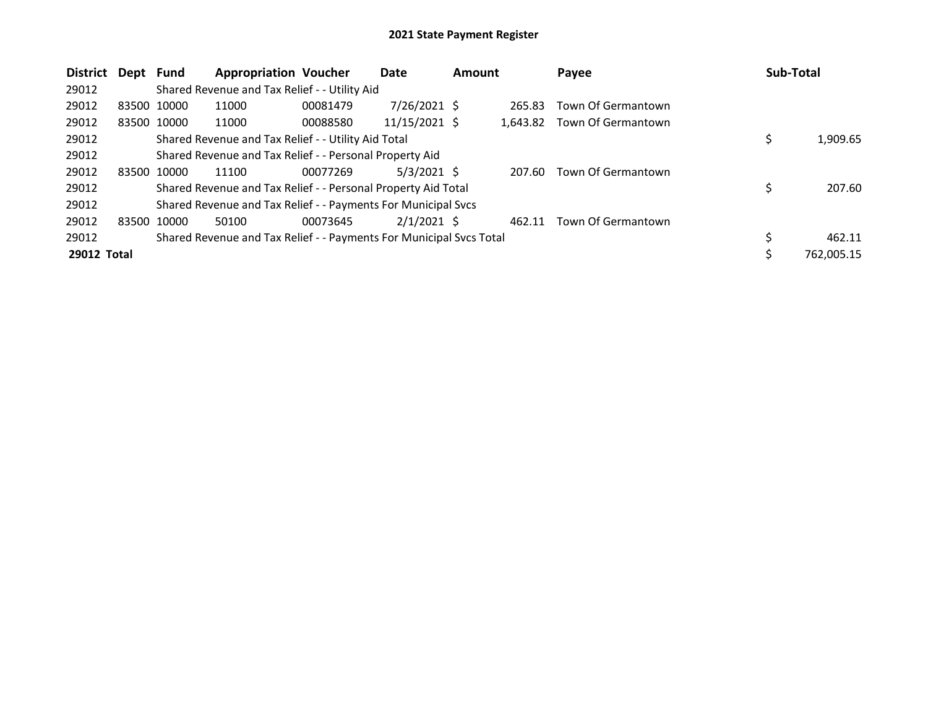| <b>District</b> | Dept        | Fund        | <b>Appropriation Voucher</b>                                        |          | Date          | <b>Amount</b> |          | Payee              | Sub-Total  |
|-----------------|-------------|-------------|---------------------------------------------------------------------|----------|---------------|---------------|----------|--------------------|------------|
| 29012           |             |             | Shared Revenue and Tax Relief - - Utility Aid                       |          |               |               |          |                    |            |
| 29012           | 83500 10000 |             | 11000                                                               | 00081479 | 7/26/2021 \$  |               | 265.83   | Town Of Germantown |            |
| 29012           | 83500 10000 |             | 11000                                                               | 00088580 | 11/15/2021 \$ |               | 1.643.82 | Town Of Germantown |            |
| 29012           |             |             | Shared Revenue and Tax Relief - - Utility Aid Total                 |          |               |               |          |                    | 1,909.65   |
| 29012           |             |             | Shared Revenue and Tax Relief - - Personal Property Aid             |          |               |               |          |                    |            |
| 29012           | 83500 10000 |             | 11100                                                               | 00077269 | $5/3/2021$ \$ |               | 207.60   | Town Of Germantown |            |
| 29012           |             |             | Shared Revenue and Tax Relief - - Personal Property Aid Total       |          |               |               |          |                    | 207.60     |
| 29012           |             |             | Shared Revenue and Tax Relief - - Payments For Municipal Svcs       |          |               |               |          |                    |            |
| 29012           |             | 83500 10000 | 50100                                                               | 00073645 | $2/1/2021$ \$ |               | 462.11   | Town Of Germantown |            |
| 29012           |             |             | Shared Revenue and Tax Relief - - Payments For Municipal Svcs Total |          |               |               |          |                    | 462.11     |
| 29012 Total     |             |             |                                                                     |          |               |               |          |                    | 762.005.15 |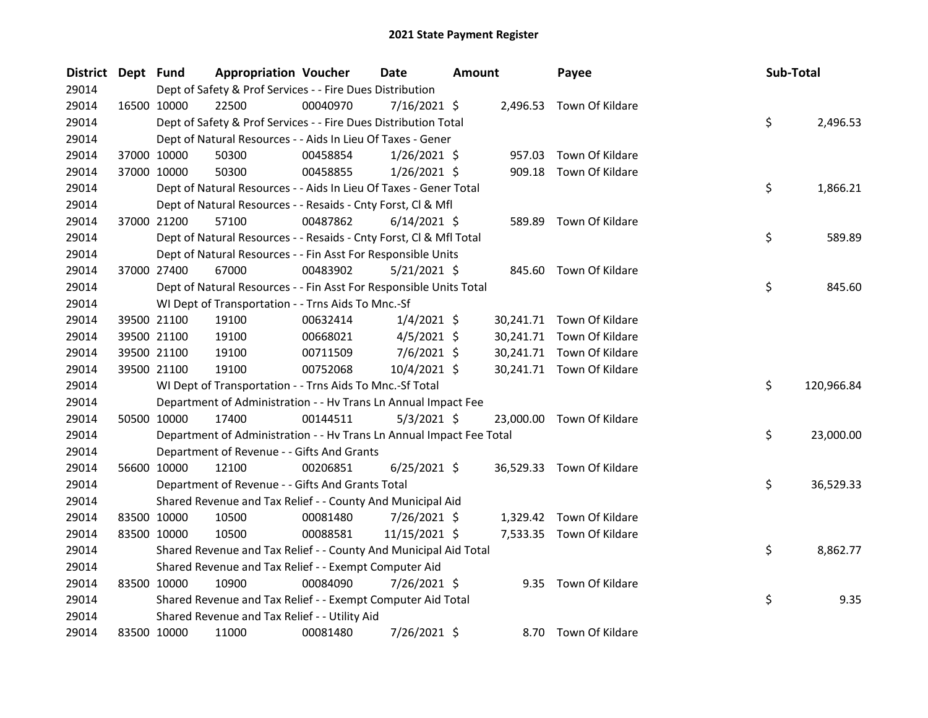| <b>District</b> | Dept Fund |             | <b>Appropriation Voucher</b>                                         |          | <b>Date</b>    | <b>Amount</b> |        | Payee                     | Sub-Total |            |
|-----------------|-----------|-------------|----------------------------------------------------------------------|----------|----------------|---------------|--------|---------------------------|-----------|------------|
| 29014           |           |             | Dept of Safety & Prof Services - - Fire Dues Distribution            |          |                |               |        |                           |           |            |
| 29014           |           | 16500 10000 | 22500                                                                | 00040970 | $7/16/2021$ \$ |               |        | 2,496.53 Town Of Kildare  |           |            |
| 29014           |           |             | Dept of Safety & Prof Services - - Fire Dues Distribution Total      |          |                |               |        |                           | \$        | 2,496.53   |
| 29014           |           |             | Dept of Natural Resources - - Aids In Lieu Of Taxes - Gener          |          |                |               |        |                           |           |            |
| 29014           |           | 37000 10000 | 50300                                                                | 00458854 | $1/26/2021$ \$ |               | 957.03 | Town Of Kildare           |           |            |
| 29014           |           | 37000 10000 | 50300                                                                | 00458855 | $1/26/2021$ \$ |               | 909.18 | Town Of Kildare           |           |            |
| 29014           |           |             | Dept of Natural Resources - - Aids In Lieu Of Taxes - Gener Total    |          |                |               |        |                           | \$        | 1,866.21   |
| 29014           |           |             | Dept of Natural Resources - - Resaids - Cnty Forst, Cl & Mfl         |          |                |               |        |                           |           |            |
| 29014           |           | 37000 21200 | 57100                                                                | 00487862 | $6/14/2021$ \$ |               | 589.89 | Town Of Kildare           |           |            |
| 29014           |           |             | Dept of Natural Resources - - Resaids - Cnty Forst, Cl & Mfl Total   |          |                |               |        |                           | \$        | 589.89     |
| 29014           |           |             | Dept of Natural Resources - - Fin Asst For Responsible Units         |          |                |               |        |                           |           |            |
| 29014           |           | 37000 27400 | 67000                                                                | 00483902 | $5/21/2021$ \$ |               |        | 845.60 Town Of Kildare    |           |            |
| 29014           |           |             | Dept of Natural Resources - - Fin Asst For Responsible Units Total   |          |                |               |        |                           | \$        | 845.60     |
| 29014           |           |             | WI Dept of Transportation - - Trns Aids To Mnc.-Sf                   |          |                |               |        |                           |           |            |
| 29014           |           | 39500 21100 | 19100                                                                | 00632414 | $1/4/2021$ \$  |               |        | 30,241.71 Town Of Kildare |           |            |
| 29014           |           | 39500 21100 | 19100                                                                | 00668021 | $4/5/2021$ \$  |               |        | 30,241.71 Town Of Kildare |           |            |
| 29014           |           | 39500 21100 | 19100                                                                | 00711509 | $7/6/2021$ \$  |               |        | 30,241.71 Town Of Kildare |           |            |
| 29014           |           | 39500 21100 | 19100                                                                | 00752068 | 10/4/2021 \$   |               |        | 30,241.71 Town Of Kildare |           |            |
| 29014           |           |             | WI Dept of Transportation - - Trns Aids To Mnc.-Sf Total             |          |                |               |        |                           | \$        | 120,966.84 |
| 29014           |           |             | Department of Administration - - Hv Trans Ln Annual Impact Fee       |          |                |               |        |                           |           |            |
| 29014           |           | 50500 10000 | 17400                                                                | 00144511 | $5/3/2021$ \$  |               |        | 23,000.00 Town Of Kildare |           |            |
| 29014           |           |             | Department of Administration - - Hv Trans Ln Annual Impact Fee Total |          |                |               |        |                           | \$        | 23,000.00  |
| 29014           |           |             | Department of Revenue - - Gifts And Grants                           |          |                |               |        |                           |           |            |
| 29014           |           | 56600 10000 | 12100                                                                | 00206851 | $6/25/2021$ \$ |               |        | 36,529.33 Town Of Kildare |           |            |
| 29014           |           |             | Department of Revenue - - Gifts And Grants Total                     |          |                |               |        |                           | \$        | 36,529.33  |
| 29014           |           |             | Shared Revenue and Tax Relief - - County And Municipal Aid           |          |                |               |        |                           |           |            |
| 29014           |           | 83500 10000 | 10500                                                                | 00081480 | 7/26/2021 \$   |               |        | 1,329.42 Town Of Kildare  |           |            |
| 29014           |           | 83500 10000 | 10500                                                                | 00088581 | 11/15/2021 \$  |               |        | 7,533.35 Town Of Kildare  |           |            |
| 29014           |           |             | Shared Revenue and Tax Relief - - County And Municipal Aid Total     |          |                |               |        |                           | \$        | 8,862.77   |
| 29014           |           |             | Shared Revenue and Tax Relief - - Exempt Computer Aid                |          |                |               |        |                           |           |            |
| 29014           |           | 83500 10000 | 10900                                                                | 00084090 | 7/26/2021 \$   |               |        | 9.35 Town Of Kildare      |           |            |
| 29014           |           |             | Shared Revenue and Tax Relief - - Exempt Computer Aid Total          |          |                |               |        |                           | \$        | 9.35       |
| 29014           |           |             | Shared Revenue and Tax Relief - - Utility Aid                        |          |                |               |        |                           |           |            |
| 29014           |           | 83500 10000 | 11000                                                                | 00081480 | 7/26/2021 \$   |               |        | 8.70 Town Of Kildare      |           |            |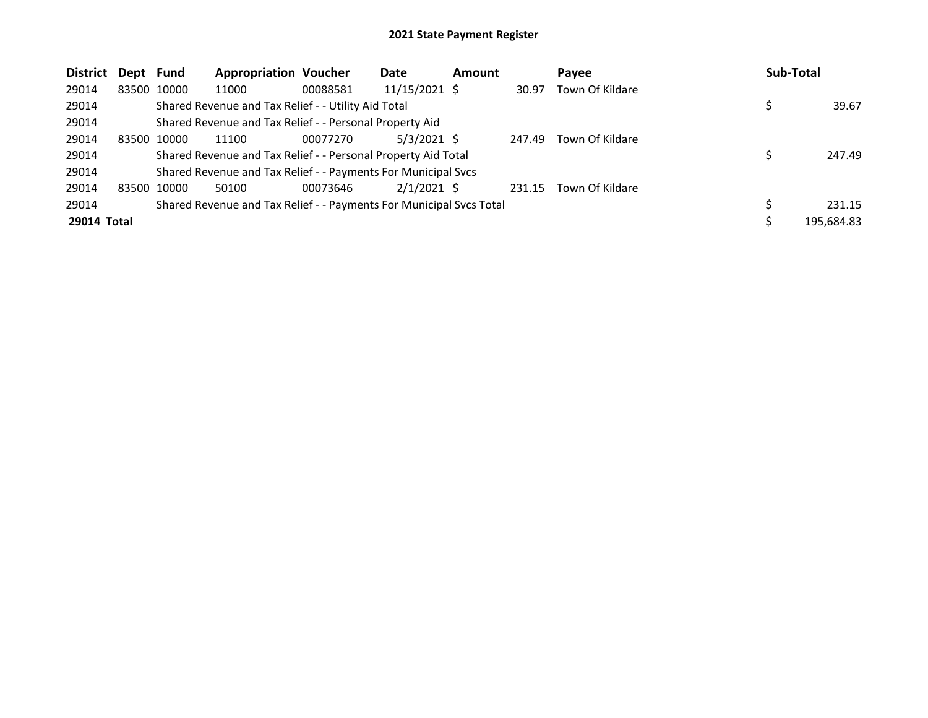| <b>District</b> | Dept Fund   |             | <b>Appropriation Voucher</b>                                        |          | Date            | <b>Amount</b> |        | Pavee           | Sub-Total  |
|-----------------|-------------|-------------|---------------------------------------------------------------------|----------|-----------------|---------------|--------|-----------------|------------|
| 29014           |             | 83500 10000 | 11000                                                               | 00088581 | $11/15/2021$ \$ |               | 30.97  | Town Of Kildare |            |
| 29014           |             |             | Shared Revenue and Tax Relief - - Utility Aid Total                 |          |                 |               |        |                 | 39.67      |
| 29014           |             |             | Shared Revenue and Tax Relief - - Personal Property Aid             |          |                 |               |        |                 |            |
| 29014           |             | 83500 10000 | 11100                                                               | 00077270 | $5/3/2021$ \$   |               | 247.49 | Town Of Kildare |            |
| 29014           |             |             | Shared Revenue and Tax Relief - - Personal Property Aid Total       |          |                 |               |        |                 | 247.49     |
| 29014           |             |             | Shared Revenue and Tax Relief - - Payments For Municipal Svcs       |          |                 |               |        |                 |            |
| 29014           | 83500 10000 |             | 50100                                                               | 00073646 | $2/1/2021$ \$   |               | 231.15 | Town Of Kildare |            |
| 29014           |             |             | Shared Revenue and Tax Relief - - Payments For Municipal Svcs Total |          |                 |               |        |                 | 231.15     |
| 29014 Total     |             |             |                                                                     |          |                 |               |        |                 | 195,684.83 |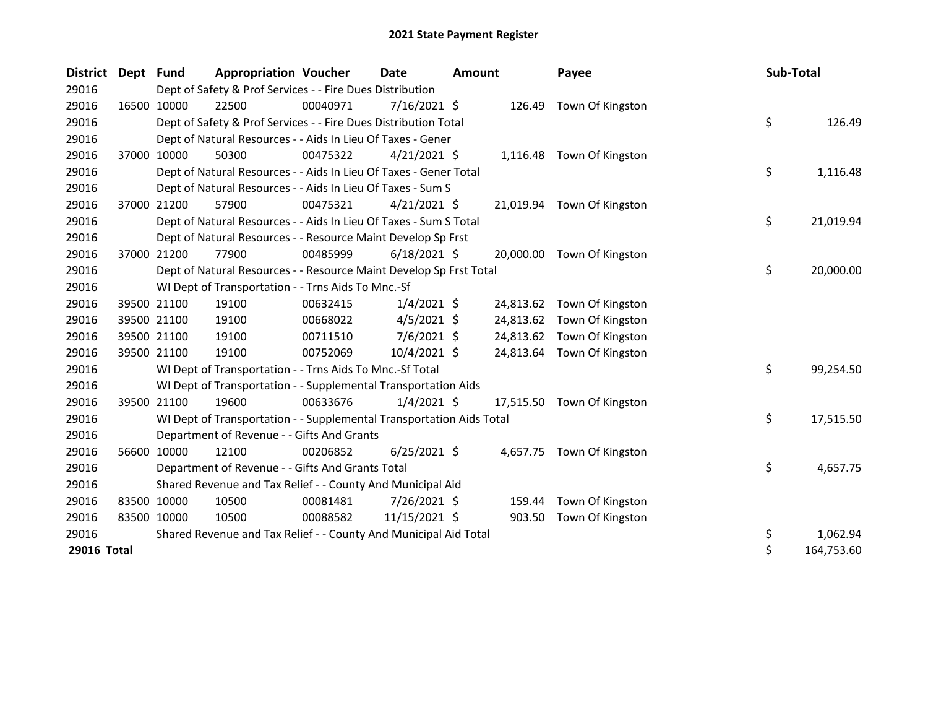| District Dept Fund |             |             | <b>Appropriation Voucher</b>                                         |          | Date           | <b>Amount</b> |           | Payee                      | <b>Sub-Total</b> |            |
|--------------------|-------------|-------------|----------------------------------------------------------------------|----------|----------------|---------------|-----------|----------------------------|------------------|------------|
| 29016              |             |             | Dept of Safety & Prof Services - - Fire Dues Distribution            |          |                |               |           |                            |                  |            |
| 29016              |             | 16500 10000 | 22500                                                                | 00040971 | 7/16/2021 \$   |               | 126.49    | Town Of Kingston           |                  |            |
| 29016              |             |             | Dept of Safety & Prof Services - - Fire Dues Distribution Total      |          |                |               |           |                            | \$               | 126.49     |
| 29016              |             |             | Dept of Natural Resources - - Aids In Lieu Of Taxes - Gener          |          |                |               |           |                            |                  |            |
| 29016              |             | 37000 10000 | 50300                                                                | 00475322 | $4/21/2021$ \$ |               |           | 1,116.48 Town Of Kingston  |                  |            |
| 29016              |             |             | Dept of Natural Resources - - Aids In Lieu Of Taxes - Gener Total    |          |                |               |           |                            | \$               | 1,116.48   |
| 29016              |             |             | Dept of Natural Resources - - Aids In Lieu Of Taxes - Sum S          |          |                |               |           |                            |                  |            |
| 29016              |             | 37000 21200 | 57900                                                                | 00475321 | $4/21/2021$ \$ |               |           | 21,019.94 Town Of Kingston |                  |            |
| 29016              |             |             | Dept of Natural Resources - - Aids In Lieu Of Taxes - Sum S Total    |          |                |               |           |                            | \$               | 21,019.94  |
| 29016              |             |             | Dept of Natural Resources - - Resource Maint Develop Sp Frst         |          |                |               |           |                            |                  |            |
| 29016              |             | 37000 21200 | 77900                                                                | 00485999 | $6/18/2021$ \$ |               |           | 20,000.00 Town Of Kingston |                  |            |
| 29016              |             |             | Dept of Natural Resources - - Resource Maint Develop Sp Frst Total   |          |                |               |           |                            | \$               | 20,000.00  |
| 29016              |             |             | WI Dept of Transportation - - Trns Aids To Mnc.-Sf                   |          |                |               |           |                            |                  |            |
| 29016              |             | 39500 21100 | 19100                                                                | 00632415 | $1/4/2021$ \$  |               | 24,813.62 | Town Of Kingston           |                  |            |
| 29016              |             | 39500 21100 | 19100                                                                | 00668022 | $4/5/2021$ \$  |               | 24,813.62 | Town Of Kingston           |                  |            |
| 29016              |             | 39500 21100 | 19100                                                                | 00711510 | $7/6/2021$ \$  |               | 24,813.62 | Town Of Kingston           |                  |            |
| 29016              |             | 39500 21100 | 19100                                                                | 00752069 | 10/4/2021 \$   |               | 24,813.64 | Town Of Kingston           |                  |            |
| 29016              |             |             | WI Dept of Transportation - - Trns Aids To Mnc.-Sf Total             |          |                |               |           |                            | \$               | 99,254.50  |
| 29016              |             |             | WI Dept of Transportation - - Supplemental Transportation Aids       |          |                |               |           |                            |                  |            |
| 29016              |             | 39500 21100 | 19600                                                                | 00633676 | $1/4/2021$ \$  |               | 17,515.50 | Town Of Kingston           |                  |            |
| 29016              |             |             | WI Dept of Transportation - - Supplemental Transportation Aids Total |          |                |               |           |                            | \$               | 17,515.50  |
| 29016              |             |             | Department of Revenue - - Gifts And Grants                           |          |                |               |           |                            |                  |            |
| 29016              |             | 56600 10000 | 12100                                                                | 00206852 | $6/25/2021$ \$ |               |           | 4,657.75 Town Of Kingston  |                  |            |
| 29016              |             |             | Department of Revenue - - Gifts And Grants Total                     |          |                |               |           |                            | \$               | 4,657.75   |
| 29016              |             |             | Shared Revenue and Tax Relief - - County And Municipal Aid           |          |                |               |           |                            |                  |            |
| 29016              |             | 83500 10000 | 10500                                                                | 00081481 | 7/26/2021 \$   |               | 159.44    | Town Of Kingston           |                  |            |
| 29016              | 83500 10000 |             | 10500                                                                | 00088582 | 11/15/2021 \$  |               | 903.50    | Town Of Kingston           |                  |            |
| 29016              |             |             | Shared Revenue and Tax Relief - - County And Municipal Aid Total     |          |                |               |           |                            | \$               | 1,062.94   |
| 29016 Total        |             |             |                                                                      |          |                |               |           |                            | $\zeta$          | 164,753.60 |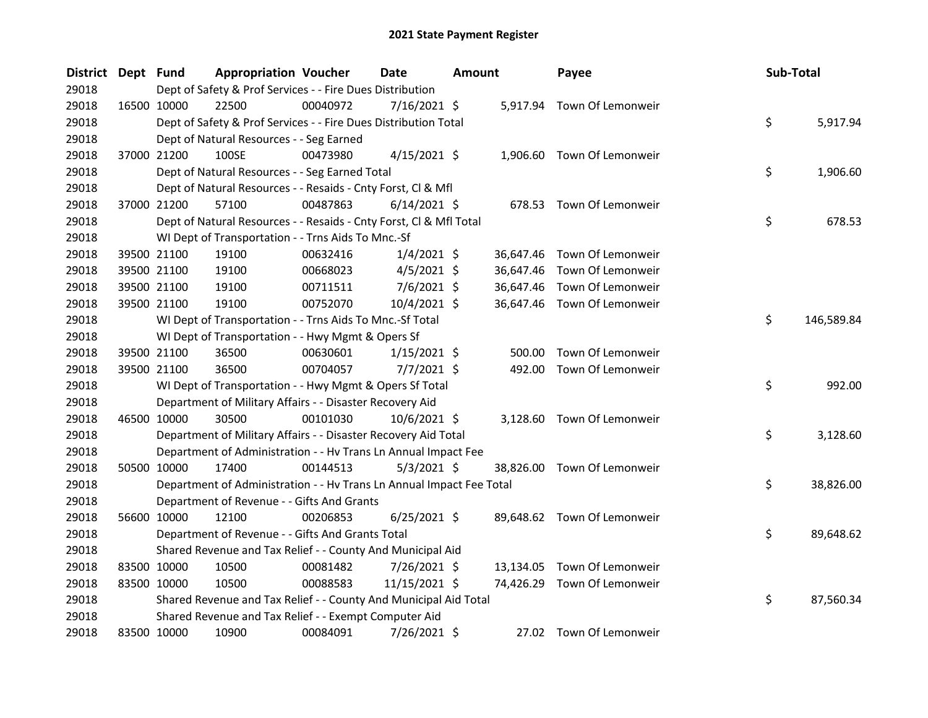| District Dept Fund |             | <b>Appropriation Voucher</b>                                         |          | <b>Date</b>    | <b>Amount</b> |           | Payee                       | Sub-Total |            |
|--------------------|-------------|----------------------------------------------------------------------|----------|----------------|---------------|-----------|-----------------------------|-----------|------------|
| 29018              |             | Dept of Safety & Prof Services - - Fire Dues Distribution            |          |                |               |           |                             |           |            |
| 29018              | 16500 10000 | 22500                                                                | 00040972 | $7/16/2021$ \$ |               |           | 5,917.94 Town Of Lemonweir  |           |            |
| 29018              |             | Dept of Safety & Prof Services - - Fire Dues Distribution Total      |          |                |               |           |                             | \$        | 5,917.94   |
| 29018              |             | Dept of Natural Resources - - Seg Earned                             |          |                |               |           |                             |           |            |
| 29018              | 37000 21200 | 100SE                                                                | 00473980 | $4/15/2021$ \$ |               |           | 1,906.60 Town Of Lemonweir  |           |            |
| 29018              |             | Dept of Natural Resources - - Seg Earned Total                       |          |                |               |           |                             | \$        | 1,906.60   |
| 29018              |             | Dept of Natural Resources - - Resaids - Cnty Forst, Cl & Mfl         |          |                |               |           |                             |           |            |
| 29018              | 37000 21200 | 57100                                                                | 00487863 | $6/14/2021$ \$ |               | 678.53    | Town Of Lemonweir           |           |            |
| 29018              |             | Dept of Natural Resources - - Resaids - Cnty Forst, Cl & Mfl Total   |          |                |               |           |                             | \$        | 678.53     |
| 29018              |             | WI Dept of Transportation - - Trns Aids To Mnc.-Sf                   |          |                |               |           |                             |           |            |
| 29018              | 39500 21100 | 19100                                                                | 00632416 | $1/4/2021$ \$  |               | 36,647.46 | Town Of Lemonweir           |           |            |
| 29018              | 39500 21100 | 19100                                                                | 00668023 | $4/5/2021$ \$  |               | 36,647.46 | Town Of Lemonweir           |           |            |
| 29018              | 39500 21100 | 19100                                                                | 00711511 | 7/6/2021 \$    |               | 36,647.46 | Town Of Lemonweir           |           |            |
| 29018              | 39500 21100 | 19100                                                                | 00752070 | 10/4/2021 \$   |               |           | 36,647.46 Town Of Lemonweir |           |            |
| 29018              |             | WI Dept of Transportation - - Trns Aids To Mnc.-Sf Total             |          |                |               |           |                             | \$        | 146,589.84 |
| 29018              |             | WI Dept of Transportation - - Hwy Mgmt & Opers Sf                    |          |                |               |           |                             |           |            |
| 29018              | 39500 21100 | 36500                                                                | 00630601 | $1/15/2021$ \$ |               | 500.00    | Town Of Lemonweir           |           |            |
| 29018              | 39500 21100 | 36500                                                                | 00704057 | $7/7/2021$ \$  |               | 492.00    | Town Of Lemonweir           |           |            |
| 29018              |             | WI Dept of Transportation - - Hwy Mgmt & Opers Sf Total              |          |                |               |           |                             | \$        | 992.00     |
| 29018              |             | Department of Military Affairs - - Disaster Recovery Aid             |          |                |               |           |                             |           |            |
| 29018              | 46500 10000 | 30500                                                                | 00101030 | 10/6/2021 \$   |               | 3,128.60  | Town Of Lemonweir           |           |            |
| 29018              |             | Department of Military Affairs - - Disaster Recovery Aid Total       |          |                |               |           |                             | \$        | 3,128.60   |
| 29018              |             | Department of Administration - - Hv Trans Ln Annual Impact Fee       |          |                |               |           |                             |           |            |
| 29018              | 50500 10000 | 17400                                                                | 00144513 | $5/3/2021$ \$  |               | 38,826.00 | Town Of Lemonweir           |           |            |
| 29018              |             | Department of Administration - - Hv Trans Ln Annual Impact Fee Total |          |                |               |           |                             | \$        | 38,826.00  |
| 29018              |             | Department of Revenue - - Gifts And Grants                           |          |                |               |           |                             |           |            |
| 29018              | 56600 10000 | 12100                                                                | 00206853 | $6/25/2021$ \$ |               |           | 89,648.62 Town Of Lemonweir |           |            |
| 29018              |             | Department of Revenue - - Gifts And Grants Total                     |          |                |               |           |                             | \$        | 89,648.62  |
| 29018              |             | Shared Revenue and Tax Relief - - County And Municipal Aid           |          |                |               |           |                             |           |            |
| 29018              | 83500 10000 | 10500                                                                | 00081482 | 7/26/2021 \$   |               | 13,134.05 | Town Of Lemonweir           |           |            |
| 29018              | 83500 10000 | 10500                                                                | 00088583 | 11/15/2021 \$  |               | 74,426.29 | Town Of Lemonweir           |           |            |
| 29018              |             | Shared Revenue and Tax Relief - - County And Municipal Aid Total     |          |                |               |           |                             | \$        | 87,560.34  |
| 29018              |             | Shared Revenue and Tax Relief - - Exempt Computer Aid                |          |                |               |           |                             |           |            |
| 29018              | 83500 10000 | 10900                                                                | 00084091 | 7/26/2021 \$   |               |           | 27.02 Town Of Lemonweir     |           |            |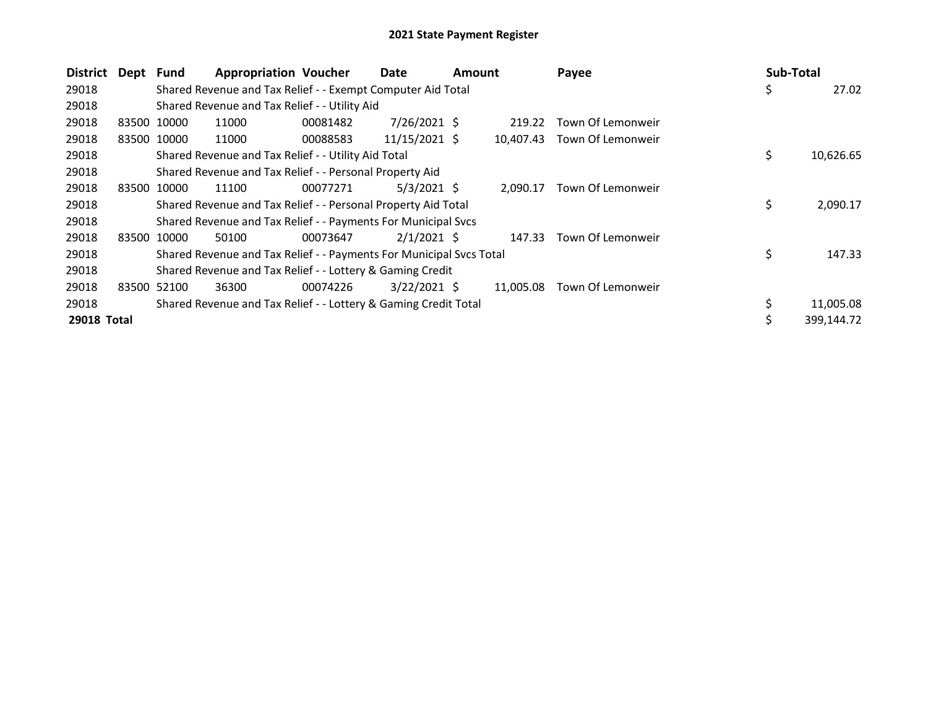| <b>District</b> | Dept Fund |             | <b>Appropriation Voucher</b>                                        |          | Date            | <b>Amount</b> |           | Payee             | Sub-Total |            |
|-----------------|-----------|-------------|---------------------------------------------------------------------|----------|-----------------|---------------|-----------|-------------------|-----------|------------|
| 29018           |           |             | Shared Revenue and Tax Relief - - Exempt Computer Aid Total         |          |                 |               |           |                   | \$        | 27.02      |
| 29018           |           |             | Shared Revenue and Tax Relief - - Utility Aid                       |          |                 |               |           |                   |           |            |
| 29018           | 83500     | 10000       | 11000                                                               | 00081482 | $7/26/2021$ \$  |               | 219.22    | Town Of Lemonweir |           |            |
| 29018           |           | 83500 10000 | 11000                                                               | 00088583 | $11/15/2021$ \$ |               | 10,407.43 | Town Of Lemonweir |           |            |
| 29018           |           |             | Shared Revenue and Tax Relief - - Utility Aid Total                 |          |                 |               |           |                   | \$        | 10,626.65  |
| 29018           |           |             | Shared Revenue and Tax Relief - - Personal Property Aid             |          |                 |               |           |                   |           |            |
| 29018           | 83500     | 10000       | 11100                                                               | 00077271 | $5/3/2021$ \$   |               | 2.090.17  | Town Of Lemonweir |           |            |
| 29018           |           |             | Shared Revenue and Tax Relief - - Personal Property Aid Total       |          |                 |               |           |                   | \$        | 2,090.17   |
| 29018           |           |             | Shared Revenue and Tax Relief - - Payments For Municipal Svcs       |          |                 |               |           |                   |           |            |
| 29018           | 83500     | 10000       | 50100                                                               | 00073647 | $2/1/2021$ \$   |               | 147.33    | Town Of Lemonweir |           |            |
| 29018           |           |             | Shared Revenue and Tax Relief - - Payments For Municipal Svcs Total |          |                 |               |           |                   | \$        | 147.33     |
| 29018           |           |             | Shared Revenue and Tax Relief - - Lottery & Gaming Credit           |          |                 |               |           |                   |           |            |
| 29018           |           | 83500 52100 | 36300                                                               | 00074226 | $3/22/2021$ \$  |               | 11,005.08 | Town Of Lemonweir |           |            |
| 29018           |           |             | Shared Revenue and Tax Relief - - Lottery & Gaming Credit Total     |          |                 |               |           |                   |           | 11,005.08  |
| 29018 Total     |           |             |                                                                     |          |                 |               |           |                   |           | 399.144.72 |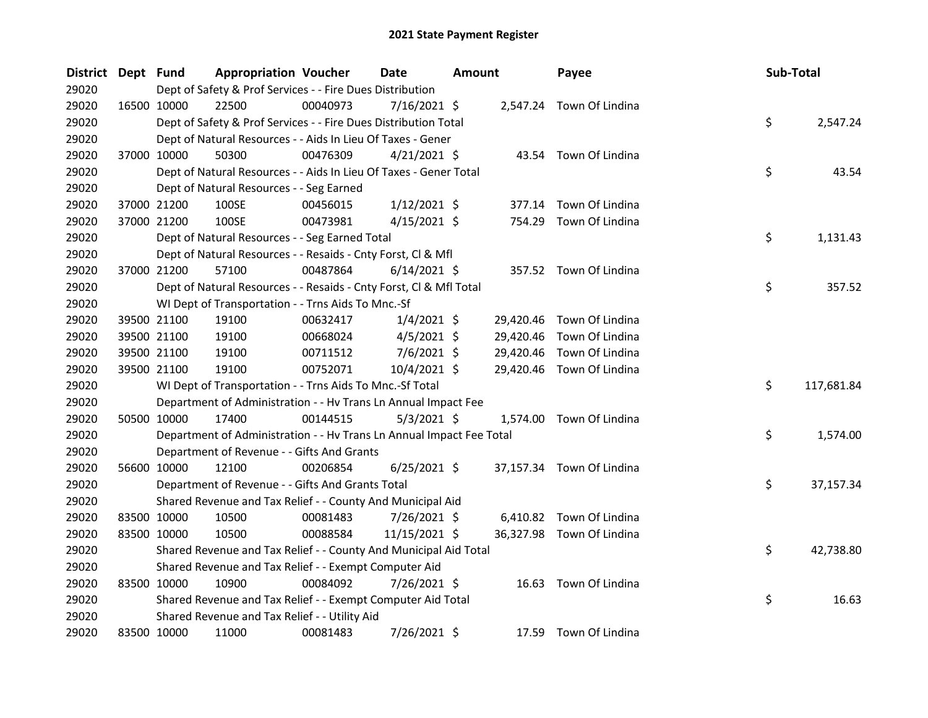| <b>District</b> | Dept Fund |                                                                      | <b>Appropriation Voucher</b> | Date           | <b>Amount</b> |           | Payee                     | Sub-Total |            |
|-----------------|-----------|----------------------------------------------------------------------|------------------------------|----------------|---------------|-----------|---------------------------|-----------|------------|
| 29020           |           | Dept of Safety & Prof Services - - Fire Dues Distribution            |                              |                |               |           |                           |           |            |
| 29020           |           | 22500<br>16500 10000                                                 | 00040973                     | 7/16/2021 \$   |               |           | 2,547.24 Town Of Lindina  |           |            |
| 29020           |           | Dept of Safety & Prof Services - - Fire Dues Distribution Total      |                              |                |               |           |                           | \$        | 2,547.24   |
| 29020           |           | Dept of Natural Resources - - Aids In Lieu Of Taxes - Gener          |                              |                |               |           |                           |           |            |
| 29020           |           | 50300<br>37000 10000                                                 | 00476309                     | $4/21/2021$ \$ |               |           | 43.54 Town Of Lindina     |           |            |
| 29020           |           | Dept of Natural Resources - - Aids In Lieu Of Taxes - Gener Total    |                              |                |               |           |                           | \$        | 43.54      |
| 29020           |           | Dept of Natural Resources - - Seg Earned                             |                              |                |               |           |                           |           |            |
| 29020           |           | 37000 21200<br>100SE                                                 | 00456015                     | $1/12/2021$ \$ |               |           | 377.14 Town Of Lindina    |           |            |
| 29020           |           | 37000 21200<br>100SE                                                 | 00473981                     | $4/15/2021$ \$ |               |           | 754.29 Town Of Lindina    |           |            |
| 29020           |           | Dept of Natural Resources - - Seg Earned Total                       |                              |                |               |           |                           | \$        | 1,131.43   |
| 29020           |           | Dept of Natural Resources - - Resaids - Cnty Forst, Cl & Mfl         |                              |                |               |           |                           |           |            |
| 29020           |           | 37000 21200<br>57100                                                 | 00487864                     | $6/14/2021$ \$ |               |           | 357.52 Town Of Lindina    |           |            |
| 29020           |           | Dept of Natural Resources - - Resaids - Cnty Forst, Cl & Mfl Total   |                              |                |               |           |                           | \$        | 357.52     |
| 29020           |           | WI Dept of Transportation - - Trns Aids To Mnc.-Sf                   |                              |                |               |           |                           |           |            |
| 29020           |           | 39500 21100<br>19100                                                 | 00632417                     | $1/4/2021$ \$  |               | 29,420.46 | Town Of Lindina           |           |            |
| 29020           |           | 39500 21100<br>19100                                                 | 00668024                     | $4/5/2021$ \$  |               | 29,420.46 | Town Of Lindina           |           |            |
| 29020           |           | 39500 21100<br>19100                                                 | 00711512                     | $7/6/2021$ \$  |               | 29,420.46 | Town Of Lindina           |           |            |
| 29020           |           | 39500 21100<br>19100                                                 | 00752071                     | 10/4/2021 \$   |               |           | 29,420.46 Town Of Lindina |           |            |
| 29020           |           | WI Dept of Transportation - - Trns Aids To Mnc.-Sf Total             |                              |                |               |           |                           | \$        | 117,681.84 |
| 29020           |           | Department of Administration - - Hv Trans Ln Annual Impact Fee       |                              |                |               |           |                           |           |            |
| 29020           |           | 50500 10000<br>17400                                                 | 00144515                     | $5/3/2021$ \$  |               |           | 1,574.00 Town Of Lindina  |           |            |
| 29020           |           | Department of Administration - - Hv Trans Ln Annual Impact Fee Total |                              |                |               |           |                           | \$        | 1,574.00   |
| 29020           |           | Department of Revenue - - Gifts And Grants                           |                              |                |               |           |                           |           |            |
| 29020           |           | 56600 10000<br>12100                                                 | 00206854                     | $6/25/2021$ \$ |               |           | 37,157.34 Town Of Lindina |           |            |
| 29020           |           | Department of Revenue - - Gifts And Grants Total                     |                              |                |               |           |                           | \$        | 37,157.34  |
| 29020           |           | Shared Revenue and Tax Relief - - County And Municipal Aid           |                              |                |               |           |                           |           |            |
| 29020           |           | 83500 10000<br>10500                                                 | 00081483                     | 7/26/2021 \$   |               |           | 6,410.82 Town Of Lindina  |           |            |
| 29020           |           | 83500 10000<br>10500                                                 | 00088584                     | 11/15/2021 \$  |               |           | 36,327.98 Town Of Lindina |           |            |
| 29020           |           | Shared Revenue and Tax Relief - - County And Municipal Aid Total     |                              |                |               |           |                           | \$        | 42,738.80  |
| 29020           |           | Shared Revenue and Tax Relief - - Exempt Computer Aid                |                              |                |               |           |                           |           |            |
| 29020           |           | 83500 10000<br>10900                                                 | 00084092                     | 7/26/2021 \$   |               |           | 16.63 Town Of Lindina     |           |            |
| 29020           |           | Shared Revenue and Tax Relief - - Exempt Computer Aid Total          |                              |                |               |           |                           | \$        | 16.63      |
| 29020           |           | Shared Revenue and Tax Relief - - Utility Aid                        |                              |                |               |           |                           |           |            |
| 29020           |           | 11000<br>83500 10000                                                 | 00081483                     | 7/26/2021 \$   |               |           | 17.59 Town Of Lindina     |           |            |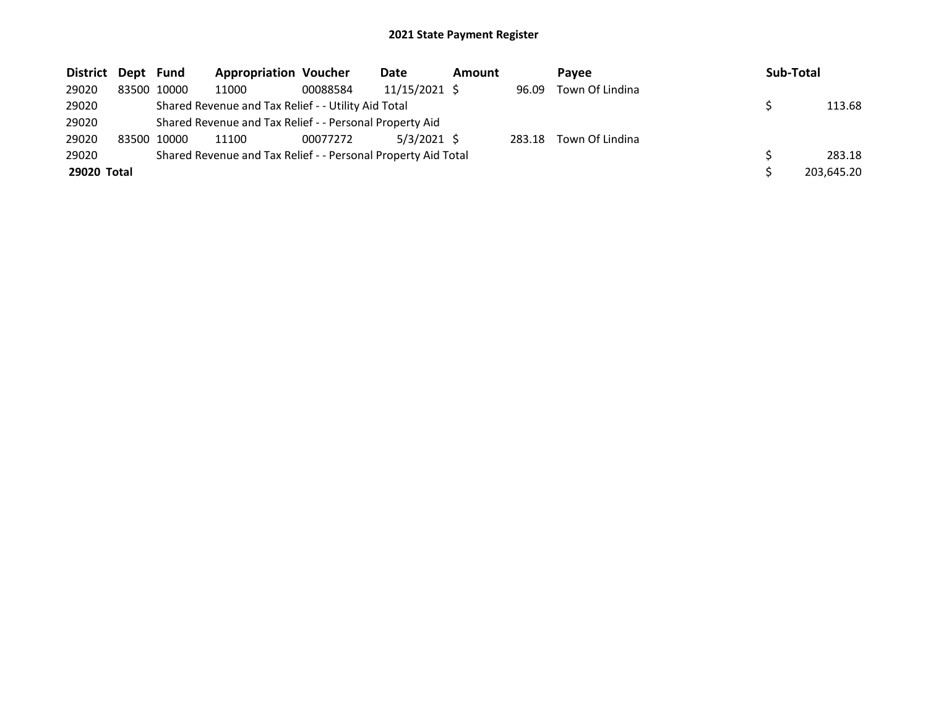| District Dept Fund |             |             | <b>Appropriation Voucher</b>                                  |          | Date          | <b>Amount</b> |        | <b>Pavee</b>    | Sub-Total  |
|--------------------|-------------|-------------|---------------------------------------------------------------|----------|---------------|---------------|--------|-----------------|------------|
| 29020              |             | 83500 10000 | 11000                                                         | 00088584 | 11/15/2021 \$ |               | 96.09  | Town Of Lindina |            |
| 29020              |             |             | Shared Revenue and Tax Relief - - Utility Aid Total           |          |               |               |        |                 | 113.68     |
| 29020              |             |             | Shared Revenue and Tax Relief - - Personal Property Aid       |          |               |               |        |                 |            |
| 29020              | 83500 10000 |             | 11100                                                         | 00077272 | $5/3/2021$ \$ |               | 283.18 | Town Of Lindina |            |
| 29020              |             |             | Shared Revenue and Tax Relief - - Personal Property Aid Total |          |               |               |        |                 | 283.18     |
| 29020 Total        |             |             |                                                               |          |               |               |        |                 | 203,645.20 |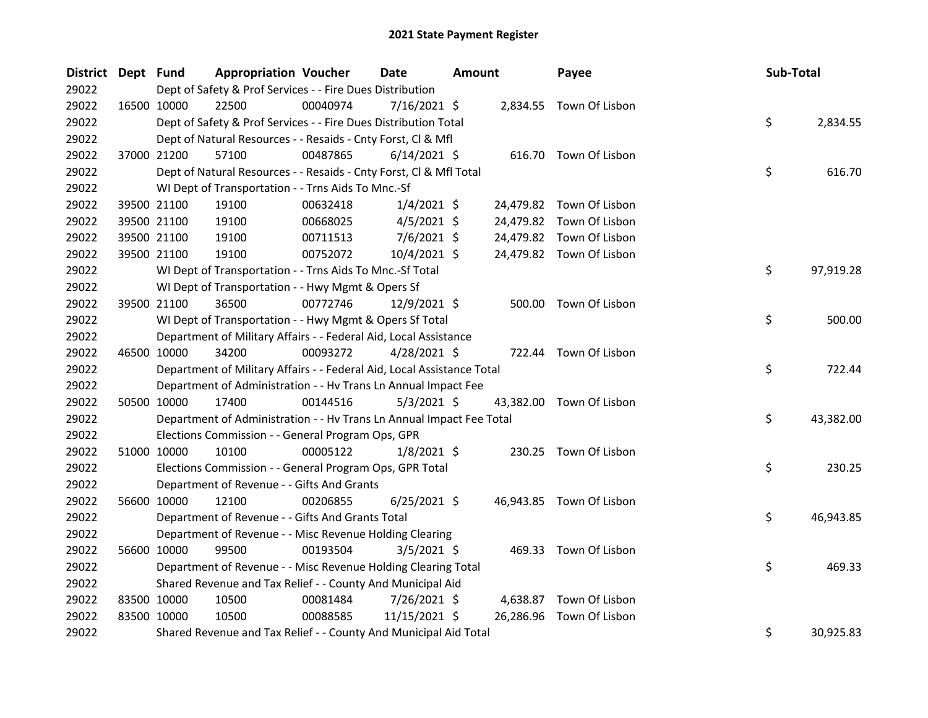| District Dept Fund |             |                                                                        | <b>Appropriation Voucher</b> | Date           | <b>Amount</b> |           | Payee                    | Sub-Total |           |
|--------------------|-------------|------------------------------------------------------------------------|------------------------------|----------------|---------------|-----------|--------------------------|-----------|-----------|
| 29022              |             | Dept of Safety & Prof Services - - Fire Dues Distribution              |                              |                |               |           |                          |           |           |
| 29022              |             | 22500<br>16500 10000                                                   | 00040974                     | 7/16/2021 \$   |               |           | 2,834.55 Town Of Lisbon  |           |           |
| 29022              |             | Dept of Safety & Prof Services - - Fire Dues Distribution Total        |                              |                |               |           |                          | \$        | 2,834.55  |
| 29022              |             | Dept of Natural Resources - - Resaids - Cnty Forst, Cl & Mfl           |                              |                |               |           |                          |           |           |
| 29022              |             | 37000 21200<br>57100                                                   | 00487865                     | $6/14/2021$ \$ |               |           | 616.70 Town Of Lisbon    |           |           |
| 29022              |             | Dept of Natural Resources - - Resaids - Cnty Forst, Cl & Mfl Total     |                              |                |               |           |                          | \$        | 616.70    |
| 29022              |             | WI Dept of Transportation - - Trns Aids To Mnc.-Sf                     |                              |                |               |           |                          |           |           |
| 29022              |             | 39500 21100<br>19100                                                   | 00632418                     | $1/4/2021$ \$  |               |           | 24,479.82 Town Of Lisbon |           |           |
| 29022              |             | 39500 21100<br>19100                                                   | 00668025                     | $4/5/2021$ \$  |               |           | 24,479.82 Town Of Lisbon |           |           |
| 29022              |             | 39500 21100<br>19100                                                   | 00711513                     | $7/6/2021$ \$  |               |           | 24,479.82 Town Of Lisbon |           |           |
| 29022              |             | 39500 21100<br>19100                                                   | 00752072                     | 10/4/2021 \$   |               |           | 24,479.82 Town Of Lisbon |           |           |
| 29022              |             | WI Dept of Transportation - - Trns Aids To Mnc.-Sf Total               |                              |                |               |           |                          | \$        | 97,919.28 |
| 29022              |             | WI Dept of Transportation - - Hwy Mgmt & Opers Sf                      |                              |                |               |           |                          |           |           |
| 29022              | 39500 21100 | 36500                                                                  | 00772746                     | 12/9/2021 \$   |               |           | 500.00 Town Of Lisbon    |           |           |
| 29022              |             | WI Dept of Transportation - - Hwy Mgmt & Opers Sf Total                |                              |                |               |           |                          | \$        | 500.00    |
| 29022              |             | Department of Military Affairs - - Federal Aid, Local Assistance       |                              |                |               |           |                          |           |           |
| 29022              | 46500 10000 | 34200                                                                  | 00093272                     | $4/28/2021$ \$ |               |           | 722.44 Town Of Lisbon    |           |           |
| 29022              |             | Department of Military Affairs - - Federal Aid, Local Assistance Total |                              |                |               |           |                          | \$        | 722.44    |
| 29022              |             | Department of Administration - - Hv Trans Ln Annual Impact Fee         |                              |                |               |           |                          |           |           |
| 29022              |             | 50500 10000<br>17400                                                   | 00144516                     | $5/3/2021$ \$  |               |           | 43,382.00 Town Of Lisbon |           |           |
| 29022              |             | Department of Administration - - Hv Trans Ln Annual Impact Fee Total   |                              |                |               |           |                          | \$        | 43,382.00 |
| 29022              |             | Elections Commission - - General Program Ops, GPR                      |                              |                |               |           |                          |           |           |
| 29022              | 51000 10000 | 10100                                                                  | 00005122                     | $1/8/2021$ \$  |               |           | 230.25 Town Of Lisbon    |           |           |
| 29022              |             | Elections Commission - - General Program Ops, GPR Total                |                              |                |               |           |                          | \$        | 230.25    |
| 29022              |             | Department of Revenue - - Gifts And Grants                             |                              |                |               |           |                          |           |           |
| 29022              |             | 56600 10000<br>12100                                                   | 00206855                     | $6/25/2021$ \$ |               |           | 46,943.85 Town Of Lisbon |           |           |
| 29022              |             | Department of Revenue - - Gifts And Grants Total                       |                              |                |               |           |                          | \$        | 46,943.85 |
| 29022              |             | Department of Revenue - - Misc Revenue Holding Clearing                |                              |                |               |           |                          |           |           |
| 29022              | 56600 10000 | 99500                                                                  | 00193504                     | $3/5/2021$ \$  |               |           | 469.33 Town Of Lisbon    |           |           |
| 29022              |             | Department of Revenue - - Misc Revenue Holding Clearing Total          |                              |                |               |           |                          | \$        | 469.33    |
| 29022              |             | Shared Revenue and Tax Relief - - County And Municipal Aid             |                              |                |               |           |                          |           |           |
| 29022              | 83500 10000 | 10500                                                                  | 00081484                     | 7/26/2021 \$   |               | 4,638.87  | Town Of Lisbon           |           |           |
| 29022              | 83500 10000 | 10500                                                                  | 00088585                     | 11/15/2021 \$  |               | 26,286.96 | Town Of Lisbon           |           |           |
| 29022              |             | Shared Revenue and Tax Relief - - County And Municipal Aid Total       |                              |                |               |           |                          | \$        | 30,925.83 |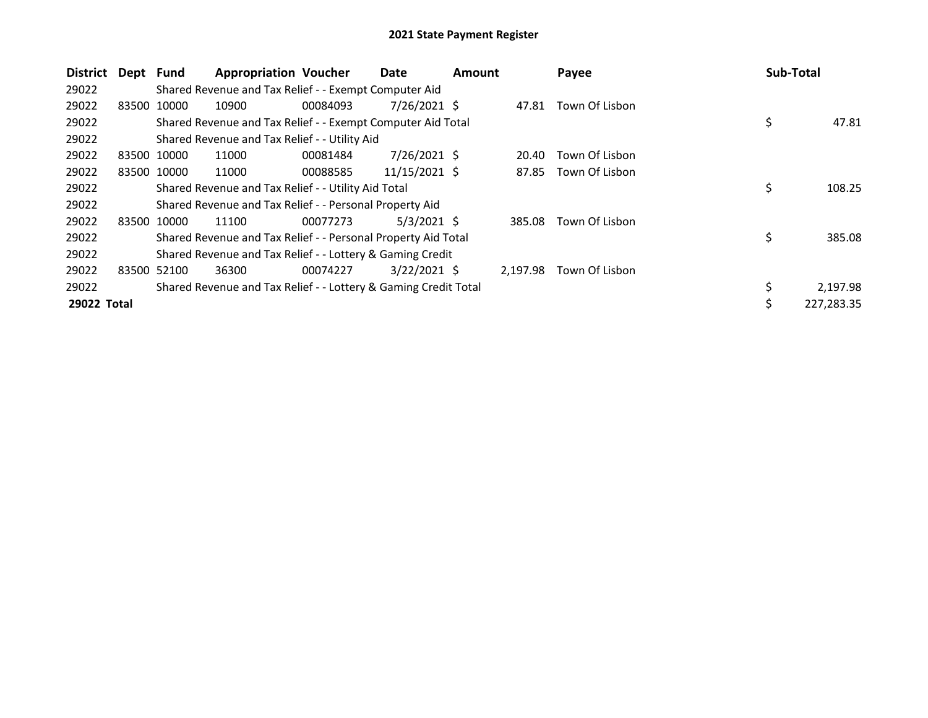| <b>District</b> | Dept Fund |             | <b>Appropriation Voucher</b>                                    |          | Date            | <b>Amount</b> |          | Payee          | Sub-Total |            |
|-----------------|-----------|-------------|-----------------------------------------------------------------|----------|-----------------|---------------|----------|----------------|-----------|------------|
| 29022           |           |             | Shared Revenue and Tax Relief - - Exempt Computer Aid           |          |                 |               |          |                |           |            |
| 29022           |           | 83500 10000 | 10900                                                           | 00084093 | $7/26/2021$ \$  |               | 47.81    | Town Of Lisbon |           |            |
| 29022           |           |             | Shared Revenue and Tax Relief - - Exempt Computer Aid Total     |          |                 |               |          |                | \$        | 47.81      |
| 29022           |           |             | Shared Revenue and Tax Relief - - Utility Aid                   |          |                 |               |          |                |           |            |
| 29022           |           | 83500 10000 | 11000                                                           | 00081484 | 7/26/2021 \$    |               | 20.40    | Town Of Lisbon |           |            |
| 29022           |           | 83500 10000 | 11000                                                           | 00088585 | $11/15/2021$ \$ |               | 87.85    | Town Of Lisbon |           |            |
| 29022           |           |             | Shared Revenue and Tax Relief - - Utility Aid Total             |          |                 |               |          |                | \$        | 108.25     |
| 29022           |           |             | Shared Revenue and Tax Relief - - Personal Property Aid         |          |                 |               |          |                |           |            |
| 29022           |           | 83500 10000 | 11100                                                           | 00077273 | $5/3/2021$ \$   |               | 385.08   | Town Of Lisbon |           |            |
| 29022           |           |             | Shared Revenue and Tax Relief - - Personal Property Aid Total   |          |                 |               |          |                | \$        | 385.08     |
| 29022           |           |             | Shared Revenue and Tax Relief - - Lottery & Gaming Credit       |          |                 |               |          |                |           |            |
| 29022           | 83500     | 52100       | 36300                                                           | 00074227 | $3/22/2021$ \$  |               | 2.197.98 | Town Of Lisbon |           |            |
| 29022           |           |             | Shared Revenue and Tax Relief - - Lottery & Gaming Credit Total |          |                 |               |          |                | \$        | 2,197.98   |
| 29022 Total     |           |             |                                                                 |          |                 |               |          |                | \$        | 227,283.35 |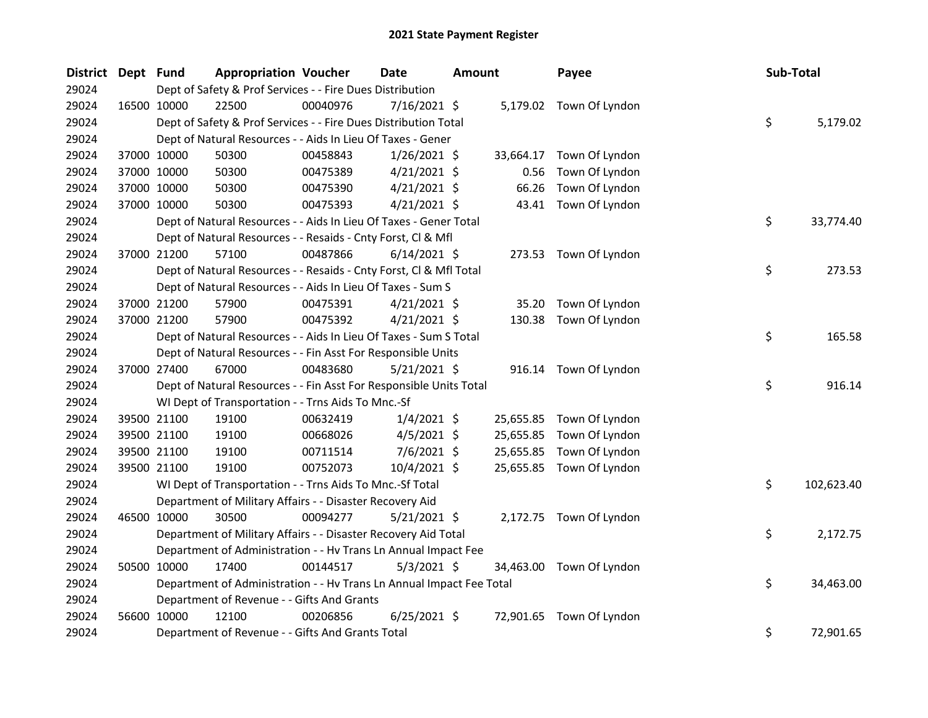| District Dept Fund |             | <b>Appropriation Voucher</b>                                         |          | <b>Date</b>    | <b>Amount</b> |           | Payee                    | Sub-Total |            |
|--------------------|-------------|----------------------------------------------------------------------|----------|----------------|---------------|-----------|--------------------------|-----------|------------|
| 29024              |             | Dept of Safety & Prof Services - - Fire Dues Distribution            |          |                |               |           |                          |           |            |
| 29024              | 16500 10000 | 22500                                                                | 00040976 | $7/16/2021$ \$ |               |           | 5,179.02 Town Of Lyndon  |           |            |
| 29024              |             | Dept of Safety & Prof Services - - Fire Dues Distribution Total      |          |                |               |           |                          | \$        | 5,179.02   |
| 29024              |             | Dept of Natural Resources - - Aids In Lieu Of Taxes - Gener          |          |                |               |           |                          |           |            |
| 29024              | 37000 10000 | 50300                                                                | 00458843 | $1/26/2021$ \$ |               | 33,664.17 | Town Of Lyndon           |           |            |
| 29024              | 37000 10000 | 50300                                                                | 00475389 | $4/21/2021$ \$ |               | 0.56      | Town Of Lyndon           |           |            |
| 29024              | 37000 10000 | 50300                                                                | 00475390 | $4/21/2021$ \$ |               | 66.26     | Town Of Lyndon           |           |            |
| 29024              | 37000 10000 | 50300                                                                | 00475393 | $4/21/2021$ \$ |               |           | 43.41 Town Of Lyndon     |           |            |
| 29024              |             | Dept of Natural Resources - - Aids In Lieu Of Taxes - Gener Total    |          |                |               |           |                          | \$        | 33,774.40  |
| 29024              |             | Dept of Natural Resources - - Resaids - Cnty Forst, Cl & Mfl         |          |                |               |           |                          |           |            |
| 29024              | 37000 21200 | 57100                                                                | 00487866 | $6/14/2021$ \$ |               |           | 273.53 Town Of Lyndon    |           |            |
| 29024              |             | Dept of Natural Resources - - Resaids - Cnty Forst, CI & Mfl Total   |          |                |               |           |                          | \$        | 273.53     |
| 29024              |             | Dept of Natural Resources - - Aids In Lieu Of Taxes - Sum S          |          |                |               |           |                          |           |            |
| 29024              | 37000 21200 | 57900                                                                | 00475391 | $4/21/2021$ \$ |               | 35.20     | Town Of Lyndon           |           |            |
| 29024              | 37000 21200 | 57900                                                                | 00475392 | $4/21/2021$ \$ |               | 130.38    | Town Of Lyndon           |           |            |
| 29024              |             | Dept of Natural Resources - - Aids In Lieu Of Taxes - Sum S Total    |          |                |               |           |                          | \$        | 165.58     |
| 29024              |             | Dept of Natural Resources - - Fin Asst For Responsible Units         |          |                |               |           |                          |           |            |
| 29024              | 37000 27400 | 67000                                                                | 00483680 | $5/21/2021$ \$ |               |           | 916.14 Town Of Lyndon    |           |            |
| 29024              |             | Dept of Natural Resources - - Fin Asst For Responsible Units Total   |          |                |               |           |                          | \$        | 916.14     |
| 29024              |             | WI Dept of Transportation - - Trns Aids To Mnc.-Sf                   |          |                |               |           |                          |           |            |
| 29024              | 39500 21100 | 19100                                                                | 00632419 | $1/4/2021$ \$  |               | 25,655.85 | Town Of Lyndon           |           |            |
| 29024              | 39500 21100 | 19100                                                                | 00668026 | $4/5/2021$ \$  |               | 25,655.85 | Town Of Lyndon           |           |            |
| 29024              | 39500 21100 | 19100                                                                | 00711514 | $7/6/2021$ \$  |               | 25,655.85 | Town Of Lyndon           |           |            |
| 29024              | 39500 21100 | 19100                                                                | 00752073 | 10/4/2021 \$   |               |           | 25,655.85 Town Of Lyndon |           |            |
| 29024              |             | WI Dept of Transportation - - Trns Aids To Mnc.-Sf Total             |          |                |               |           |                          | \$        | 102,623.40 |
| 29024              |             | Department of Military Affairs - - Disaster Recovery Aid             |          |                |               |           |                          |           |            |
| 29024              | 46500 10000 | 30500                                                                | 00094277 | $5/21/2021$ \$ |               |           | 2,172.75 Town Of Lyndon  |           |            |
| 29024              |             | Department of Military Affairs - - Disaster Recovery Aid Total       |          |                |               |           |                          | \$        | 2,172.75   |
| 29024              |             | Department of Administration - - Hv Trans Ln Annual Impact Fee       |          |                |               |           |                          |           |            |
| 29024              | 50500 10000 | 17400                                                                | 00144517 | $5/3/2021$ \$  |               |           | 34,463.00 Town Of Lyndon |           |            |
| 29024              |             | Department of Administration - - Hv Trans Ln Annual Impact Fee Total |          |                |               |           |                          | \$        | 34,463.00  |
| 29024              |             | Department of Revenue - - Gifts And Grants                           |          |                |               |           |                          |           |            |
| 29024              | 56600 10000 | 12100                                                                | 00206856 | $6/25/2021$ \$ |               | 72,901.65 | Town Of Lyndon           |           |            |
| 29024              |             | Department of Revenue - - Gifts And Grants Total                     |          |                |               |           |                          | \$        | 72,901.65  |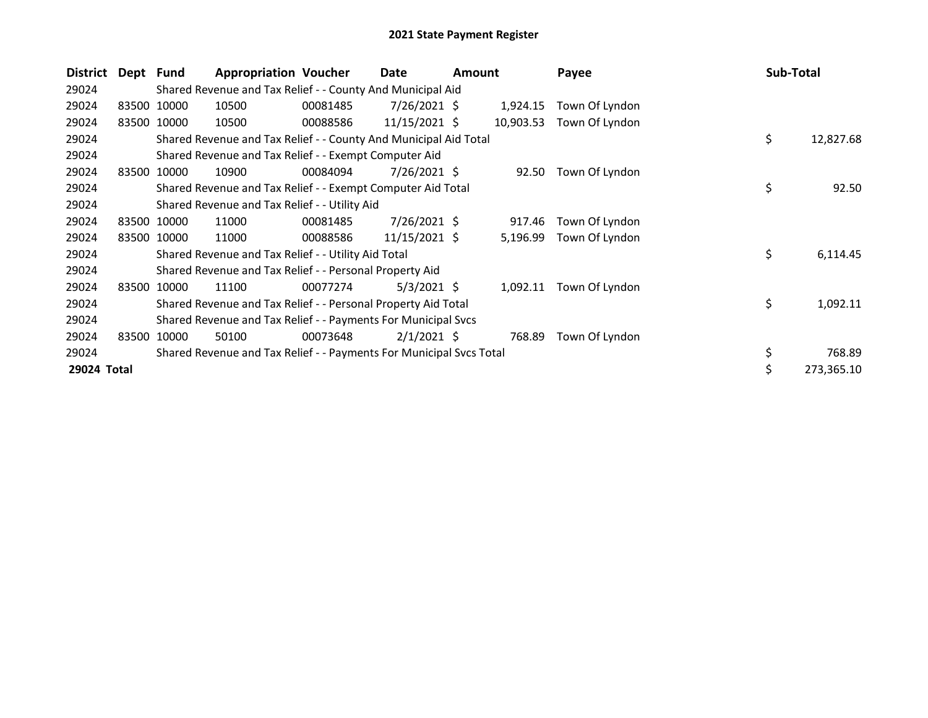| District    | Dept Fund |             | <b>Appropriation Voucher</b>                                        |          | Date            | <b>Amount</b> |           | Payee          | Sub-Total |            |
|-------------|-----------|-------------|---------------------------------------------------------------------|----------|-----------------|---------------|-----------|----------------|-----------|------------|
| 29024       |           |             | Shared Revenue and Tax Relief - - County And Municipal Aid          |          |                 |               |           |                |           |            |
| 29024       |           | 83500 10000 | 10500                                                               | 00081485 | $7/26/2021$ \$  |               | 1,924.15  | Town Of Lyndon |           |            |
| 29024       | 83500     | 10000       | 10500                                                               | 00088586 | $11/15/2021$ \$ |               | 10,903.53 | Town Of Lyndon |           |            |
| 29024       |           |             | Shared Revenue and Tax Relief - - County And Municipal Aid Total    |          |                 |               |           |                | \$        | 12,827.68  |
| 29024       |           |             | Shared Revenue and Tax Relief - - Exempt Computer Aid               |          |                 |               |           |                |           |            |
| 29024       | 83500     | 10000       | 10900                                                               | 00084094 | 7/26/2021 \$    |               | 92.50     | Town Of Lyndon |           |            |
| 29024       |           |             | Shared Revenue and Tax Relief - - Exempt Computer Aid Total         |          |                 |               |           |                | \$        | 92.50      |
| 29024       |           |             | Shared Revenue and Tax Relief - - Utility Aid                       |          |                 |               |           |                |           |            |
| 29024       | 83500     | 10000       | 11000                                                               | 00081485 | $7/26/2021$ \$  |               | 917.46    | Town Of Lyndon |           |            |
| 29024       | 83500     | 10000       | 11000                                                               | 00088586 | $11/15/2021$ \$ |               | 5,196.99  | Town Of Lyndon |           |            |
| 29024       |           |             | Shared Revenue and Tax Relief - - Utility Aid Total                 |          |                 |               |           |                | \$        | 6,114.45   |
| 29024       |           |             | Shared Revenue and Tax Relief - - Personal Property Aid             |          |                 |               |           |                |           |            |
| 29024       | 83500     | 10000       | 11100                                                               | 00077274 | $5/3/2021$ \$   |               | 1,092.11  | Town Of Lyndon |           |            |
| 29024       |           |             | Shared Revenue and Tax Relief - - Personal Property Aid Total       |          |                 |               |           |                | \$        | 1,092.11   |
| 29024       |           |             | Shared Revenue and Tax Relief - - Payments For Municipal Svcs       |          |                 |               |           |                |           |            |
| 29024       | 83500     | 10000       | 50100                                                               | 00073648 | $2/1/2021$ \$   |               | 768.89    | Town Of Lyndon |           |            |
| 29024       |           |             | Shared Revenue and Tax Relief - - Payments For Municipal Svcs Total |          |                 |               |           |                | \$        | 768.89     |
| 29024 Total |           |             |                                                                     |          |                 |               |           |                | \$        | 273,365.10 |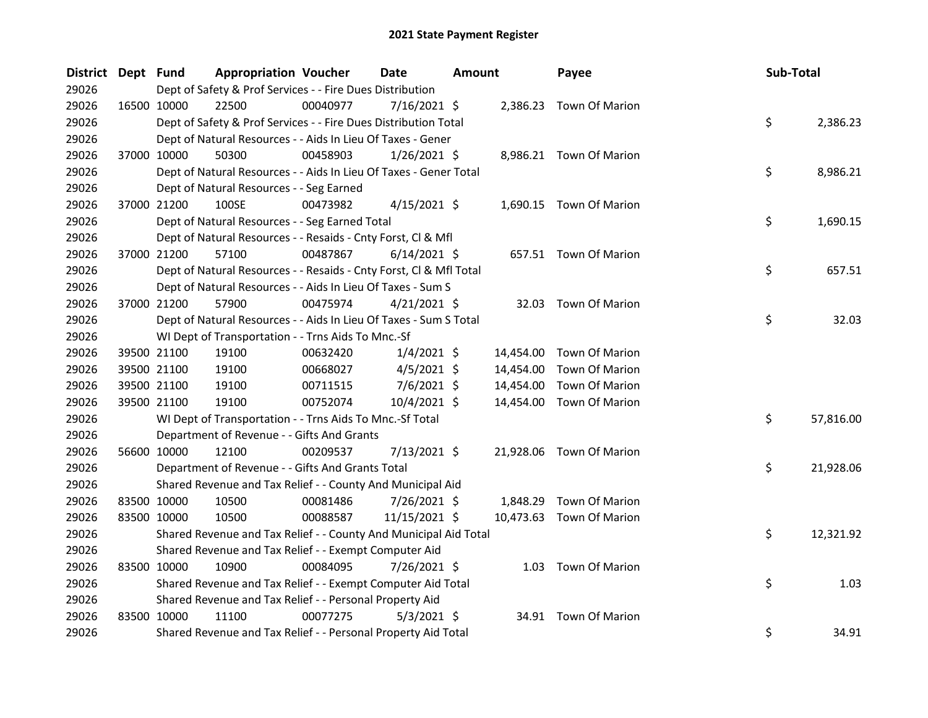| District Dept Fund |             | <b>Appropriation Voucher</b>                                       |          | <b>Date</b>    | <b>Amount</b> |           | Payee                    |  | Sub-Total |           |
|--------------------|-------------|--------------------------------------------------------------------|----------|----------------|---------------|-----------|--------------------------|--|-----------|-----------|
| 29026              |             | Dept of Safety & Prof Services - - Fire Dues Distribution          |          |                |               |           |                          |  |           |           |
| 29026              | 16500 10000 | 22500                                                              | 00040977 | $7/16/2021$ \$ |               |           | 2,386.23 Town Of Marion  |  |           |           |
| 29026              |             | Dept of Safety & Prof Services - - Fire Dues Distribution Total    |          |                |               |           |                          |  | \$        | 2,386.23  |
| 29026              |             | Dept of Natural Resources - - Aids In Lieu Of Taxes - Gener        |          |                |               |           |                          |  |           |           |
| 29026              | 37000 10000 | 50300                                                              | 00458903 | $1/26/2021$ \$ |               |           | 8,986.21 Town Of Marion  |  |           |           |
| 29026              |             | Dept of Natural Resources - - Aids In Lieu Of Taxes - Gener Total  |          |                |               |           |                          |  | \$        | 8,986.21  |
| 29026              |             | Dept of Natural Resources - - Seg Earned                           |          |                |               |           |                          |  |           |           |
| 29026              | 37000 21200 | 100SE                                                              | 00473982 | $4/15/2021$ \$ |               |           | 1,690.15 Town Of Marion  |  |           |           |
| 29026              |             | Dept of Natural Resources - - Seg Earned Total                     |          |                |               |           |                          |  | \$        | 1,690.15  |
| 29026              |             | Dept of Natural Resources - - Resaids - Cnty Forst, Cl & Mfl       |          |                |               |           |                          |  |           |           |
| 29026              | 37000 21200 | 57100                                                              | 00487867 | $6/14/2021$ \$ |               |           | 657.51 Town Of Marion    |  |           |           |
| 29026              |             | Dept of Natural Resources - - Resaids - Cnty Forst, Cl & Mfl Total |          |                |               |           |                          |  | \$        | 657.51    |
| 29026              |             | Dept of Natural Resources - - Aids In Lieu Of Taxes - Sum S        |          |                |               |           |                          |  |           |           |
| 29026              | 37000 21200 | 57900                                                              | 00475974 | $4/21/2021$ \$ |               |           | 32.03 Town Of Marion     |  |           |           |
| 29026              |             | Dept of Natural Resources - - Aids In Lieu Of Taxes - Sum S Total  |          |                |               |           |                          |  | \$        | 32.03     |
| 29026              |             | WI Dept of Transportation - - Trns Aids To Mnc.-Sf                 |          |                |               |           |                          |  |           |           |
| 29026              | 39500 21100 | 19100                                                              | 00632420 | $1/4/2021$ \$  |               |           | 14,454.00 Town Of Marion |  |           |           |
| 29026              | 39500 21100 | 19100                                                              | 00668027 | $4/5/2021$ \$  |               | 14,454.00 | Town Of Marion           |  |           |           |
| 29026              | 39500 21100 | 19100                                                              | 00711515 | $7/6/2021$ \$  |               | 14,454.00 | <b>Town Of Marion</b>    |  |           |           |
| 29026              | 39500 21100 | 19100                                                              | 00752074 | 10/4/2021 \$   |               |           | 14,454.00 Town Of Marion |  |           |           |
| 29026              |             | WI Dept of Transportation - - Trns Aids To Mnc.-Sf Total           |          |                |               |           |                          |  | \$        | 57,816.00 |
| 29026              |             | Department of Revenue - - Gifts And Grants                         |          |                |               |           |                          |  |           |           |
| 29026              | 56600 10000 | 12100                                                              | 00209537 | 7/13/2021 \$   |               |           | 21,928.06 Town Of Marion |  |           |           |
| 29026              |             | Department of Revenue - - Gifts And Grants Total                   |          |                |               |           |                          |  | \$        | 21,928.06 |
| 29026              |             | Shared Revenue and Tax Relief - - County And Municipal Aid         |          |                |               |           |                          |  |           |           |
| 29026              | 83500 10000 | 10500                                                              | 00081486 | 7/26/2021 \$   |               |           | 1,848.29 Town Of Marion  |  |           |           |
| 29026              | 83500 10000 | 10500                                                              | 00088587 | 11/15/2021 \$  |               |           | 10,473.63 Town Of Marion |  |           |           |
| 29026              |             | Shared Revenue and Tax Relief - - County And Municipal Aid Total   |          |                |               |           |                          |  | \$        | 12,321.92 |
| 29026              |             | Shared Revenue and Tax Relief - - Exempt Computer Aid              |          |                |               |           |                          |  |           |           |
| 29026              | 83500 10000 | 10900                                                              | 00084095 | 7/26/2021 \$   |               |           | 1.03 Town Of Marion      |  |           |           |
| 29026              |             | Shared Revenue and Tax Relief - - Exempt Computer Aid Total        |          |                |               |           |                          |  | \$        | 1.03      |
| 29026              |             | Shared Revenue and Tax Relief - - Personal Property Aid            |          |                |               |           |                          |  |           |           |
| 29026              | 83500 10000 | 11100                                                              | 00077275 | $5/3/2021$ \$  |               |           | 34.91 Town Of Marion     |  |           |           |
| 29026              |             | Shared Revenue and Tax Relief - - Personal Property Aid Total      |          |                |               |           |                          |  | \$        | 34.91     |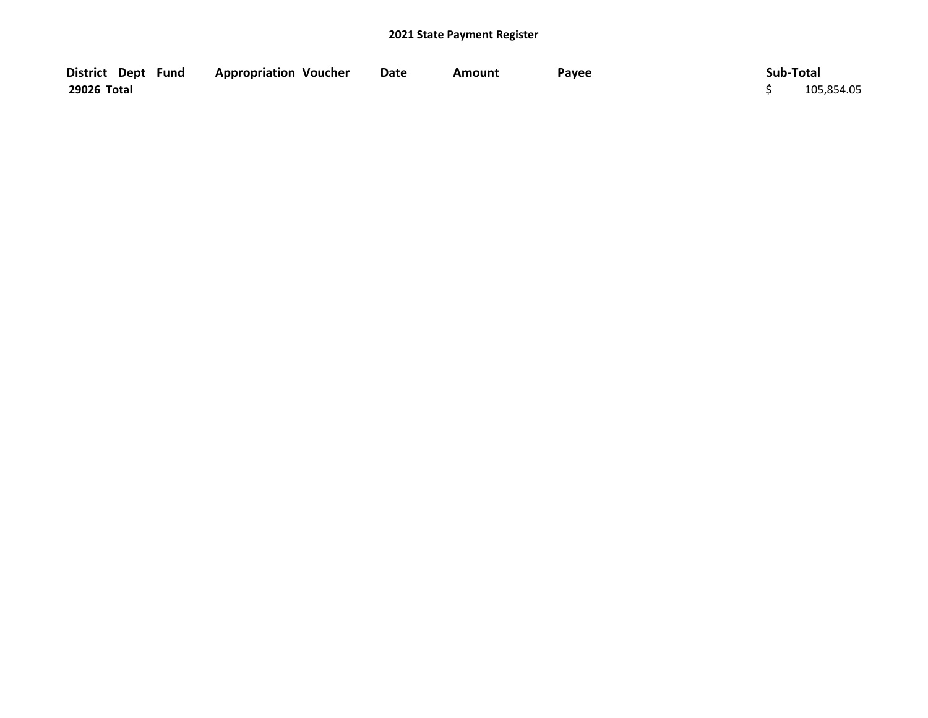| District Dept Fund | <b>Appropriation Voucher</b> | <b>Date</b> | Amount | Payee | Sub-Total  |
|--------------------|------------------------------|-------------|--------|-------|------------|
| 29026 Total        |                              |             |        |       | 105,854.05 |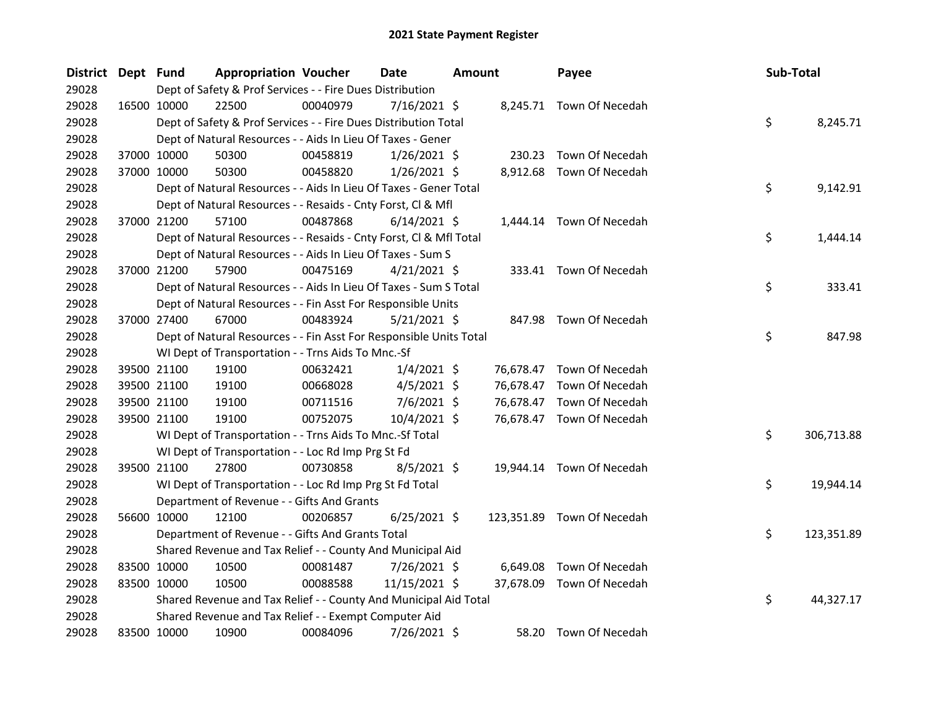| District Dept Fund |             | <b>Appropriation Voucher</b>                                       |          | <b>Date</b>    | <b>Amount</b> |           | Payee                      | Sub-Total |            |
|--------------------|-------------|--------------------------------------------------------------------|----------|----------------|---------------|-----------|----------------------------|-----------|------------|
| 29028              |             | Dept of Safety & Prof Services - - Fire Dues Distribution          |          |                |               |           |                            |           |            |
| 29028              | 16500 10000 | 22500                                                              | 00040979 | 7/16/2021 \$   |               |           | 8,245.71 Town Of Necedah   |           |            |
| 29028              |             | Dept of Safety & Prof Services - - Fire Dues Distribution Total    |          |                |               |           |                            | \$        | 8,245.71   |
| 29028              |             | Dept of Natural Resources - - Aids In Lieu Of Taxes - Gener        |          |                |               |           |                            |           |            |
| 29028              | 37000 10000 | 50300                                                              | 00458819 | $1/26/2021$ \$ |               | 230.23    | Town Of Necedah            |           |            |
| 29028              | 37000 10000 | 50300                                                              | 00458820 | $1/26/2021$ \$ |               |           | 8,912.68 Town Of Necedah   |           |            |
| 29028              |             | Dept of Natural Resources - - Aids In Lieu Of Taxes - Gener Total  |          |                |               |           |                            | \$        | 9,142.91   |
| 29028              |             | Dept of Natural Resources - - Resaids - Cnty Forst, Cl & Mfl       |          |                |               |           |                            |           |            |
| 29028              | 37000 21200 | 57100                                                              | 00487868 | $6/14/2021$ \$ |               |           | 1,444.14 Town Of Necedah   |           |            |
| 29028              |             | Dept of Natural Resources - - Resaids - Cnty Forst, Cl & Mfl Total |          |                |               |           |                            | \$        | 1,444.14   |
| 29028              |             | Dept of Natural Resources - - Aids In Lieu Of Taxes - Sum S        |          |                |               |           |                            |           |            |
| 29028              | 37000 21200 | 57900                                                              | 00475169 | $4/21/2021$ \$ |               |           | 333.41 Town Of Necedah     |           |            |
| 29028              |             | Dept of Natural Resources - - Aids In Lieu Of Taxes - Sum S Total  |          |                |               |           |                            | \$        | 333.41     |
| 29028              |             | Dept of Natural Resources - - Fin Asst For Responsible Units       |          |                |               |           |                            |           |            |
| 29028              | 37000 27400 | 67000                                                              | 00483924 | $5/21/2021$ \$ |               |           | 847.98 Town Of Necedah     |           |            |
| 29028              |             | Dept of Natural Resources - - Fin Asst For Responsible Units Total |          |                |               |           |                            | \$        | 847.98     |
| 29028              |             | WI Dept of Transportation - - Trns Aids To Mnc.-Sf                 |          |                |               |           |                            |           |            |
| 29028              | 39500 21100 | 19100                                                              | 00632421 | $1/4/2021$ \$  |               |           | 76,678.47 Town Of Necedah  |           |            |
| 29028              | 39500 21100 | 19100                                                              | 00668028 | $4/5/2021$ \$  |               | 76,678.47 | Town Of Necedah            |           |            |
| 29028              | 39500 21100 | 19100                                                              | 00711516 | $7/6/2021$ \$  |               |           | 76,678.47 Town Of Necedah  |           |            |
| 29028              | 39500 21100 | 19100                                                              | 00752075 | 10/4/2021 \$   |               |           | 76,678.47 Town Of Necedah  |           |            |
| 29028              |             | WI Dept of Transportation - - Trns Aids To Mnc.-Sf Total           |          |                |               |           |                            | \$        | 306,713.88 |
| 29028              |             | WI Dept of Transportation - - Loc Rd Imp Prg St Fd                 |          |                |               |           |                            |           |            |
| 29028              | 39500 21100 | 27800                                                              | 00730858 | 8/5/2021 \$    |               |           | 19,944.14 Town Of Necedah  |           |            |
| 29028              |             | WI Dept of Transportation - - Loc Rd Imp Prg St Fd Total           |          |                |               |           |                            | \$        | 19,944.14  |
| 29028              |             | Department of Revenue - - Gifts And Grants                         |          |                |               |           |                            |           |            |
| 29028              | 56600 10000 | 12100                                                              | 00206857 | $6/25/2021$ \$ |               |           | 123,351.89 Town Of Necedah |           |            |
| 29028              |             | Department of Revenue - - Gifts And Grants Total                   |          |                |               |           |                            | \$        | 123,351.89 |
| 29028              |             | Shared Revenue and Tax Relief - - County And Municipal Aid         |          |                |               |           |                            |           |            |
| 29028              | 83500 10000 | 10500                                                              | 00081487 | 7/26/2021 \$   |               | 6,649.08  | Town Of Necedah            |           |            |
| 29028              | 83500 10000 | 10500                                                              | 00088588 | 11/15/2021 \$  |               | 37,678.09 | Town Of Necedah            |           |            |
| 29028              |             | Shared Revenue and Tax Relief - - County And Municipal Aid Total   |          |                |               |           |                            | \$        | 44,327.17  |
| 29028              |             | Shared Revenue and Tax Relief - - Exempt Computer Aid              |          |                |               |           |                            |           |            |
| 29028              | 83500 10000 | 10900                                                              | 00084096 | 7/26/2021 \$   |               |           | 58.20 Town Of Necedah      |           |            |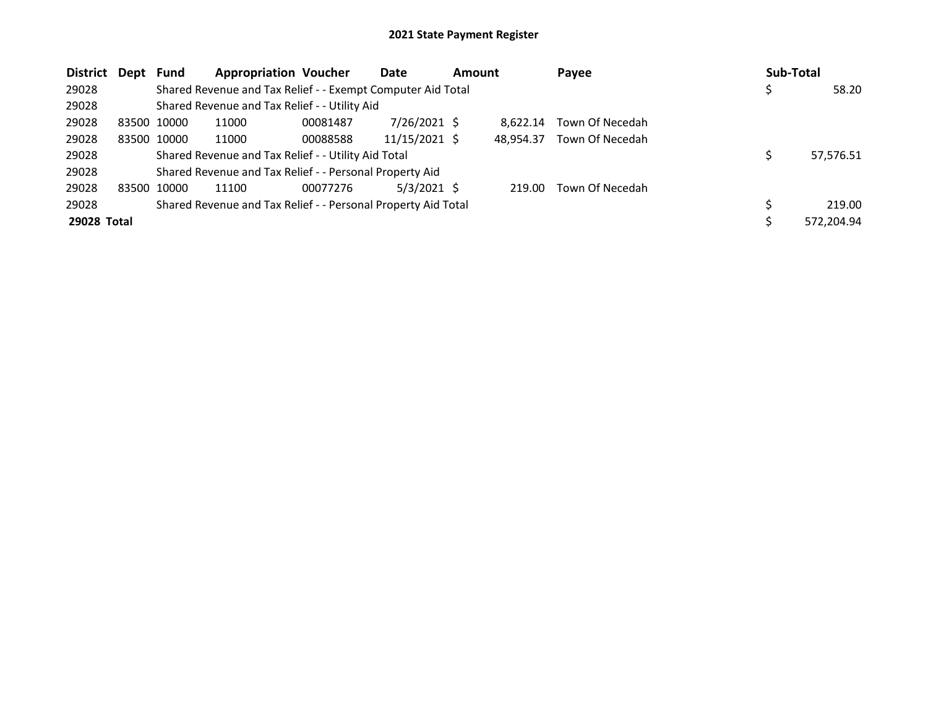| <b>District</b> | Dept        | Fund        | <b>Appropriation Voucher</b>                                  |          | Date            | <b>Amount</b> |           | Payee           | <b>Sub-Total</b> |            |
|-----------------|-------------|-------------|---------------------------------------------------------------|----------|-----------------|---------------|-----------|-----------------|------------------|------------|
| 29028           |             |             | Shared Revenue and Tax Relief - - Exempt Computer Aid Total   |          |                 |               |           |                 |                  | 58.20      |
| 29028           |             |             | Shared Revenue and Tax Relief - - Utility Aid                 |          |                 |               |           |                 |                  |            |
| 29028           | 83500 10000 |             | 11000                                                         | 00081487 | 7/26/2021 \$    |               | 8.622.14  | Town Of Necedah |                  |            |
| 29028           |             | 83500 10000 | 11000                                                         | 00088588 | $11/15/2021$ \$ |               | 48.954.37 | Town Of Necedah |                  |            |
| 29028           |             |             | Shared Revenue and Tax Relief - - Utility Aid Total           |          |                 |               |           |                 |                  | 57,576.51  |
| 29028           |             |             | Shared Revenue and Tax Relief - - Personal Property Aid       |          |                 |               |           |                 |                  |            |
| 29028           | 83500 10000 |             | 11100                                                         | 00077276 | $5/3/2021$ \$   |               | 219.00    | Town Of Necedah |                  |            |
| 29028           |             |             | Shared Revenue and Tax Relief - - Personal Property Aid Total |          |                 |               |           |                 |                  | 219.00     |
| 29028 Total     |             |             |                                                               |          |                 |               |           |                 |                  | 572.204.94 |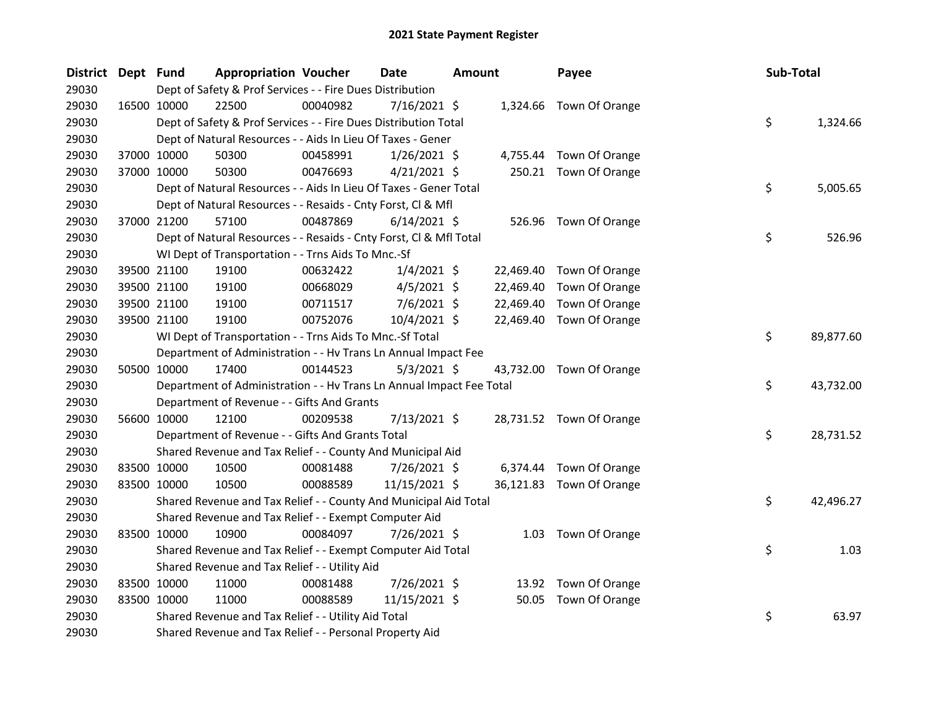| District Dept Fund |             | <b>Appropriation Voucher</b>                                         |          | <b>Date</b><br><b>Amount</b> |  |           | Payee                    | Sub-Total |           |
|--------------------|-------------|----------------------------------------------------------------------|----------|------------------------------|--|-----------|--------------------------|-----------|-----------|
| 29030              |             | Dept of Safety & Prof Services - - Fire Dues Distribution            |          |                              |  |           |                          |           |           |
| 29030              | 16500 10000 | 22500                                                                | 00040982 | 7/16/2021 \$                 |  |           | 1,324.66 Town Of Orange  |           |           |
| 29030              |             | Dept of Safety & Prof Services - - Fire Dues Distribution Total      |          |                              |  |           |                          | \$        | 1,324.66  |
| 29030              |             | Dept of Natural Resources - - Aids In Lieu Of Taxes - Gener          |          |                              |  |           |                          |           |           |
| 29030              | 37000 10000 | 50300                                                                | 00458991 | $1/26/2021$ \$               |  |           | 4,755.44 Town Of Orange  |           |           |
| 29030              | 37000 10000 | 50300                                                                | 00476693 | $4/21/2021$ \$               |  |           | 250.21 Town Of Orange    |           |           |
| 29030              |             | Dept of Natural Resources - - Aids In Lieu Of Taxes - Gener Total    |          |                              |  |           |                          | \$        | 5,005.65  |
| 29030              |             | Dept of Natural Resources - - Resaids - Cnty Forst, Cl & Mfl         |          |                              |  |           |                          |           |           |
| 29030              | 37000 21200 | 57100                                                                | 00487869 | $6/14/2021$ \$               |  |           | 526.96 Town Of Orange    |           |           |
| 29030              |             | Dept of Natural Resources - - Resaids - Cnty Forst, CI & Mfl Total   |          |                              |  |           |                          | \$        | 526.96    |
| 29030              |             | WI Dept of Transportation - - Trns Aids To Mnc.-Sf                   |          |                              |  |           |                          |           |           |
| 29030              | 39500 21100 | 19100                                                                | 00632422 | $1/4/2021$ \$                |  | 22,469.40 | Town Of Orange           |           |           |
| 29030              | 39500 21100 | 19100                                                                | 00668029 | $4/5/2021$ \$                |  | 22,469.40 | Town Of Orange           |           |           |
| 29030              | 39500 21100 | 19100                                                                | 00711517 | $7/6/2021$ \$                |  | 22,469.40 | Town Of Orange           |           |           |
| 29030              | 39500 21100 | 19100                                                                | 00752076 | 10/4/2021 \$                 |  |           | 22,469.40 Town Of Orange |           |           |
| 29030              |             | WI Dept of Transportation - - Trns Aids To Mnc.-Sf Total             |          |                              |  |           |                          | \$        | 89,877.60 |
| 29030              |             | Department of Administration - - Hv Trans Ln Annual Impact Fee       |          |                              |  |           |                          |           |           |
| 29030              | 50500 10000 | 17400                                                                | 00144523 | $5/3/2021$ \$                |  |           | 43,732.00 Town Of Orange |           |           |
| 29030              |             | Department of Administration - - Hv Trans Ln Annual Impact Fee Total |          |                              |  |           |                          | \$        | 43,732.00 |
| 29030              |             | Department of Revenue - - Gifts And Grants                           |          |                              |  |           |                          |           |           |
| 29030              | 56600 10000 | 12100                                                                | 00209538 | $7/13/2021$ \$               |  |           | 28,731.52 Town Of Orange |           |           |
| 29030              |             | Department of Revenue - - Gifts And Grants Total                     |          |                              |  |           |                          | \$        | 28,731.52 |
| 29030              |             | Shared Revenue and Tax Relief - - County And Municipal Aid           |          |                              |  |           |                          |           |           |
| 29030              | 83500 10000 | 10500                                                                | 00081488 | 7/26/2021 \$                 |  |           | 6,374.44 Town Of Orange  |           |           |
| 29030              | 83500 10000 | 10500                                                                | 00088589 | 11/15/2021 \$                |  |           | 36,121.83 Town Of Orange |           |           |
| 29030              |             | Shared Revenue and Tax Relief - - County And Municipal Aid Total     |          |                              |  |           |                          | \$        | 42,496.27 |
| 29030              |             | Shared Revenue and Tax Relief - - Exempt Computer Aid                |          |                              |  |           |                          |           |           |
| 29030              | 83500 10000 | 10900                                                                | 00084097 | 7/26/2021 \$                 |  |           | 1.03 Town Of Orange      |           |           |
| 29030              |             | Shared Revenue and Tax Relief - - Exempt Computer Aid Total          |          |                              |  |           |                          | \$        | 1.03      |
| 29030              |             | Shared Revenue and Tax Relief - - Utility Aid                        |          |                              |  |           |                          |           |           |
| 29030              | 83500 10000 | 11000                                                                | 00081488 | 7/26/2021 \$                 |  |           | 13.92 Town Of Orange     |           |           |
| 29030              | 83500 10000 | 11000                                                                | 00088589 | 11/15/2021 \$                |  |           | 50.05 Town Of Orange     |           |           |
| 29030              |             | Shared Revenue and Tax Relief - - Utility Aid Total                  |          |                              |  |           |                          | \$        | 63.97     |
| 29030              |             | Shared Revenue and Tax Relief - - Personal Property Aid              |          |                              |  |           |                          |           |           |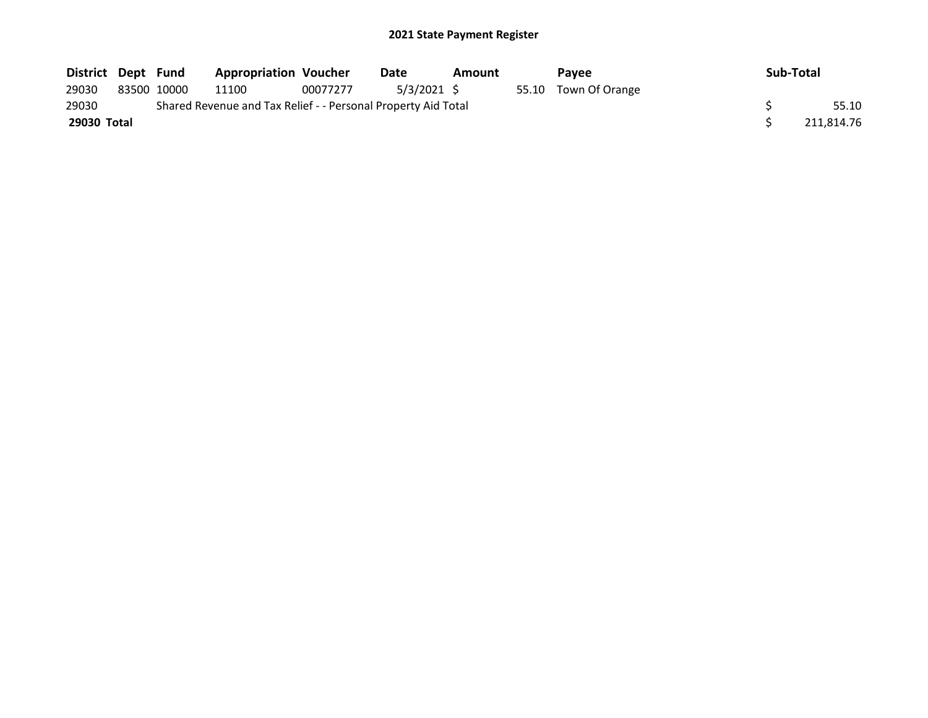| District Dept Fund                                                     |  |             | <b>Appropriation Voucher</b> |          | Date       | <b>Amount</b> |  | <b>Pavee</b>         | Sub-Total  |
|------------------------------------------------------------------------|--|-------------|------------------------------|----------|------------|---------------|--|----------------------|------------|
| 29030                                                                  |  | 83500 10000 | 11100                        | 00077277 | 5/3/2021 S |               |  | 55.10 Town Of Orange |            |
| Shared Revenue and Tax Relief - - Personal Property Aid Total<br>29030 |  |             |                              |          |            |               |  |                      | 55.10      |
| 29030 Total                                                            |  |             |                              |          |            |               |  |                      | 211.814.76 |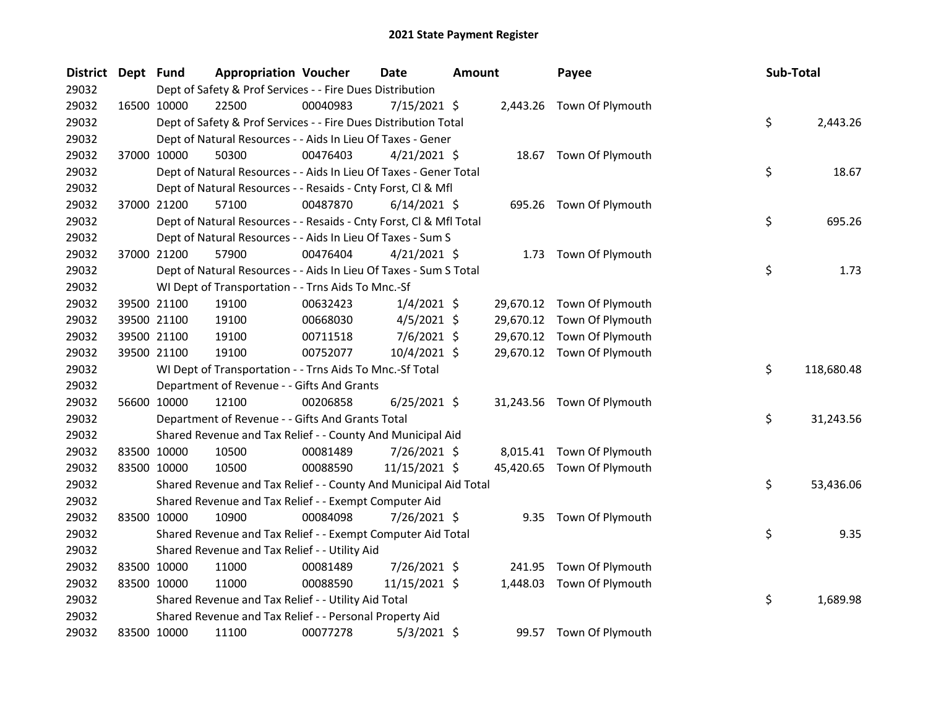| <b>District</b> | Dept Fund |             | <b>Appropriation Voucher</b>                                       |          | Date           | <b>Amount</b> |          | Payee                      | Sub-Total |            |
|-----------------|-----------|-------------|--------------------------------------------------------------------|----------|----------------|---------------|----------|----------------------------|-----------|------------|
| 29032           |           |             | Dept of Safety & Prof Services - - Fire Dues Distribution          |          |                |               |          |                            |           |            |
| 29032           |           | 16500 10000 | 22500                                                              | 00040983 | 7/15/2021 \$   |               |          | 2,443.26 Town Of Plymouth  |           |            |
| 29032           |           |             | Dept of Safety & Prof Services - - Fire Dues Distribution Total    |          |                |               |          |                            | \$        | 2,443.26   |
| 29032           |           |             | Dept of Natural Resources - - Aids In Lieu Of Taxes - Gener        |          |                |               |          |                            |           |            |
| 29032           |           | 37000 10000 | 50300                                                              | 00476403 | $4/21/2021$ \$ |               |          | 18.67 Town Of Plymouth     |           |            |
| 29032           |           |             | Dept of Natural Resources - - Aids In Lieu Of Taxes - Gener Total  |          |                |               |          |                            | \$        | 18.67      |
| 29032           |           |             | Dept of Natural Resources - - Resaids - Cnty Forst, Cl & Mfl       |          |                |               |          |                            |           |            |
| 29032           |           | 37000 21200 | 57100                                                              | 00487870 | $6/14/2021$ \$ |               |          | 695.26 Town Of Plymouth    |           |            |
| 29032           |           |             | Dept of Natural Resources - - Resaids - Cnty Forst, Cl & Mfl Total |          |                |               |          |                            | \$        | 695.26     |
| 29032           |           |             | Dept of Natural Resources - - Aids In Lieu Of Taxes - Sum S        |          |                |               |          |                            |           |            |
| 29032           |           | 37000 21200 | 57900                                                              | 00476404 | $4/21/2021$ \$ |               | 1.73     | Town Of Plymouth           |           |            |
| 29032           |           |             | Dept of Natural Resources - - Aids In Lieu Of Taxes - Sum S Total  |          |                |               |          |                            | \$        | 1.73       |
| 29032           |           |             | WI Dept of Transportation - - Trns Aids To Mnc.-Sf                 |          |                |               |          |                            |           |            |
| 29032           |           | 39500 21100 | 19100                                                              | 00632423 | $1/4/2021$ \$  |               |          | 29,670.12 Town Of Plymouth |           |            |
| 29032           |           | 39500 21100 | 19100                                                              | 00668030 | $4/5/2021$ \$  |               |          | 29,670.12 Town Of Plymouth |           |            |
| 29032           |           | 39500 21100 | 19100                                                              | 00711518 | $7/6/2021$ \$  |               |          | 29,670.12 Town Of Plymouth |           |            |
| 29032           |           | 39500 21100 | 19100                                                              | 00752077 | 10/4/2021 \$   |               |          | 29,670.12 Town Of Plymouth |           |            |
| 29032           |           |             | WI Dept of Transportation - - Trns Aids To Mnc.-Sf Total           |          |                |               |          |                            | \$.       | 118,680.48 |
| 29032           |           |             | Department of Revenue - - Gifts And Grants                         |          |                |               |          |                            |           |            |
| 29032           |           | 56600 10000 | 12100                                                              | 00206858 | $6/25/2021$ \$ |               |          | 31,243.56 Town Of Plymouth |           |            |
| 29032           |           |             | Department of Revenue - - Gifts And Grants Total                   |          |                |               |          |                            | \$        | 31,243.56  |
| 29032           |           |             | Shared Revenue and Tax Relief - - County And Municipal Aid         |          |                |               |          |                            |           |            |
| 29032           |           | 83500 10000 | 10500                                                              | 00081489 | 7/26/2021 \$   |               |          | 8,015.41 Town Of Plymouth  |           |            |
| 29032           |           | 83500 10000 | 10500                                                              | 00088590 | 11/15/2021 \$  |               |          | 45,420.65 Town Of Plymouth |           |            |
| 29032           |           |             | Shared Revenue and Tax Relief - - County And Municipal Aid Total   |          |                |               |          |                            | \$        | 53,436.06  |
| 29032           |           |             | Shared Revenue and Tax Relief - - Exempt Computer Aid              |          |                |               |          |                            |           |            |
| 29032           |           | 83500 10000 | 10900                                                              | 00084098 | $7/26/2021$ \$ |               |          | 9.35 Town Of Plymouth      |           |            |
| 29032           |           |             | Shared Revenue and Tax Relief - - Exempt Computer Aid Total        |          |                |               |          |                            | \$        | 9.35       |
| 29032           |           |             | Shared Revenue and Tax Relief - - Utility Aid                      |          |                |               |          |                            |           |            |
| 29032           |           | 83500 10000 | 11000                                                              | 00081489 | 7/26/2021 \$   |               | 241.95   | Town Of Plymouth           |           |            |
| 29032           |           | 83500 10000 | 11000                                                              | 00088590 | 11/15/2021 \$  |               | 1,448.03 | Town Of Plymouth           |           |            |
| 29032           |           |             | Shared Revenue and Tax Relief - - Utility Aid Total                |          |                |               |          |                            | \$        | 1,689.98   |
| 29032           |           |             | Shared Revenue and Tax Relief - - Personal Property Aid            |          |                |               |          |                            |           |            |
| 29032           |           | 83500 10000 | 11100                                                              | 00077278 | $5/3/2021$ \$  |               |          | 99.57 Town Of Plymouth     |           |            |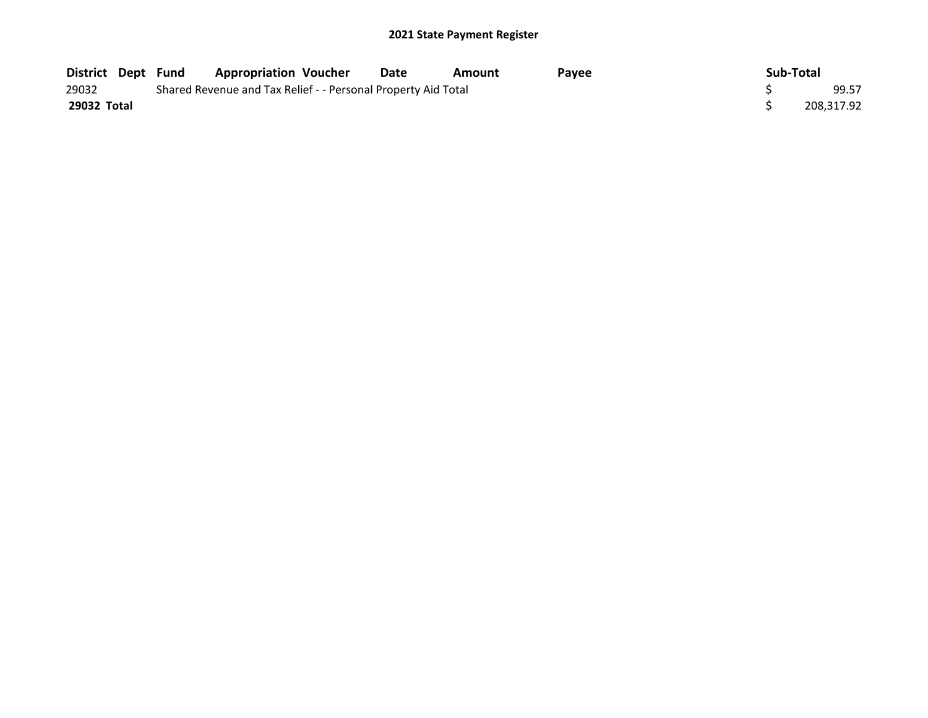| <b>District Dept Fund</b> |                                                               | <b>Appropriation Voucher</b> | Date | Amount | Pavee | Sub-Total  |
|---------------------------|---------------------------------------------------------------|------------------------------|------|--------|-------|------------|
| 29032                     | Shared Revenue and Tax Relief - - Personal Property Aid Total | 99.57                        |      |        |       |            |
| 29032 Total               |                                                               |                              |      |        |       | 208.317.92 |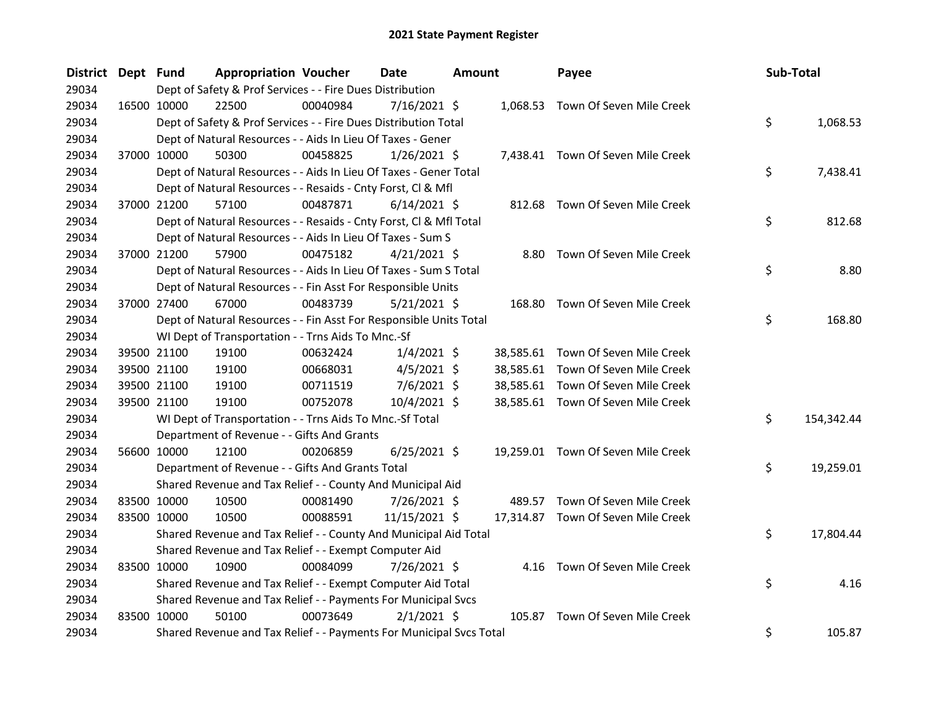| District Dept Fund |             | <b>Appropriation Voucher</b>                                        |          | <b>Date</b>    | <b>Amount</b> |        | Payee                              | Sub-Total        |
|--------------------|-------------|---------------------------------------------------------------------|----------|----------------|---------------|--------|------------------------------------|------------------|
| 29034              |             | Dept of Safety & Prof Services - - Fire Dues Distribution           |          |                |               |        |                                    |                  |
| 29034              | 16500 10000 | 22500                                                               | 00040984 | $7/16/2021$ \$ |               |        | 1,068.53 Town Of Seven Mile Creek  |                  |
| 29034              |             | Dept of Safety & Prof Services - - Fire Dues Distribution Total     |          |                |               |        |                                    | \$<br>1,068.53   |
| 29034              |             | Dept of Natural Resources - - Aids In Lieu Of Taxes - Gener         |          |                |               |        |                                    |                  |
| 29034              | 37000 10000 | 50300                                                               | 00458825 | $1/26/2021$ \$ |               |        | 7,438.41 Town Of Seven Mile Creek  |                  |
| 29034              |             | Dept of Natural Resources - - Aids In Lieu Of Taxes - Gener Total   |          |                |               |        |                                    | \$<br>7,438.41   |
| 29034              |             | Dept of Natural Resources - - Resaids - Cnty Forst, Cl & Mfl        |          |                |               |        |                                    |                  |
| 29034              | 37000 21200 | 57100                                                               | 00487871 | $6/14/2021$ \$ |               |        | 812.68 Town Of Seven Mile Creek    |                  |
| 29034              |             | Dept of Natural Resources - - Resaids - Cnty Forst, CI & Mfl Total  |          |                |               |        |                                    | \$<br>812.68     |
| 29034              |             | Dept of Natural Resources - - Aids In Lieu Of Taxes - Sum S         |          |                |               |        |                                    |                  |
| 29034              | 37000 21200 | 57900                                                               | 00475182 | $4/21/2021$ \$ |               |        | 8.80 Town Of Seven Mile Creek      |                  |
| 29034              |             | Dept of Natural Resources - - Aids In Lieu Of Taxes - Sum S Total   |          |                |               |        |                                    | \$<br>8.80       |
| 29034              |             | Dept of Natural Resources - - Fin Asst For Responsible Units        |          |                |               |        |                                    |                  |
| 29034              | 37000 27400 | 67000                                                               | 00483739 | $5/21/2021$ \$ |               |        | 168.80 Town Of Seven Mile Creek    |                  |
| 29034              |             | Dept of Natural Resources - - Fin Asst For Responsible Units Total  |          |                |               |        |                                    | \$<br>168.80     |
| 29034              |             | WI Dept of Transportation - - Trns Aids To Mnc.-Sf                  |          |                |               |        |                                    |                  |
| 29034              | 39500 21100 | 19100                                                               | 00632424 | $1/4/2021$ \$  |               |        | 38,585.61 Town Of Seven Mile Creek |                  |
| 29034              | 39500 21100 | 19100                                                               | 00668031 | $4/5/2021$ \$  |               |        | 38,585.61 Town Of Seven Mile Creek |                  |
| 29034              | 39500 21100 | 19100                                                               | 00711519 | $7/6/2021$ \$  |               |        | 38,585.61 Town Of Seven Mile Creek |                  |
| 29034              | 39500 21100 | 19100                                                               | 00752078 | 10/4/2021 \$   |               |        | 38,585.61 Town Of Seven Mile Creek |                  |
| 29034              |             | WI Dept of Transportation - - Trns Aids To Mnc.-Sf Total            |          |                |               |        |                                    | \$<br>154,342.44 |
| 29034              |             | Department of Revenue - - Gifts And Grants                          |          |                |               |        |                                    |                  |
| 29034              | 56600 10000 | 12100                                                               | 00206859 | $6/25/2021$ \$ |               |        | 19,259.01 Town Of Seven Mile Creek |                  |
| 29034              |             | Department of Revenue - - Gifts And Grants Total                    |          |                |               |        |                                    | \$<br>19,259.01  |
| 29034              |             | Shared Revenue and Tax Relief - - County And Municipal Aid          |          |                |               |        |                                    |                  |
| 29034              | 83500 10000 | 10500                                                               | 00081490 | 7/26/2021 \$   |               |        | 489.57 Town Of Seven Mile Creek    |                  |
| 29034              | 83500 10000 | 10500                                                               | 00088591 | 11/15/2021 \$  |               |        | 17,314.87 Town Of Seven Mile Creek |                  |
| 29034              |             | Shared Revenue and Tax Relief - - County And Municipal Aid Total    |          |                |               |        |                                    | \$<br>17,804.44  |
| 29034              |             | Shared Revenue and Tax Relief - - Exempt Computer Aid               |          |                |               |        |                                    |                  |
| 29034              | 83500 10000 | 10900                                                               | 00084099 | 7/26/2021 \$   |               |        | 4.16 Town Of Seven Mile Creek      |                  |
| 29034              |             | Shared Revenue and Tax Relief - - Exempt Computer Aid Total         |          |                |               |        |                                    | \$<br>4.16       |
| 29034              |             | Shared Revenue and Tax Relief - - Payments For Municipal Svcs       |          |                |               |        |                                    |                  |
| 29034              | 83500 10000 | 50100                                                               | 00073649 | $2/1/2021$ \$  |               | 105.87 | Town Of Seven Mile Creek           |                  |
| 29034              |             | Shared Revenue and Tax Relief - - Payments For Municipal Svcs Total |          |                |               |        |                                    | \$<br>105.87     |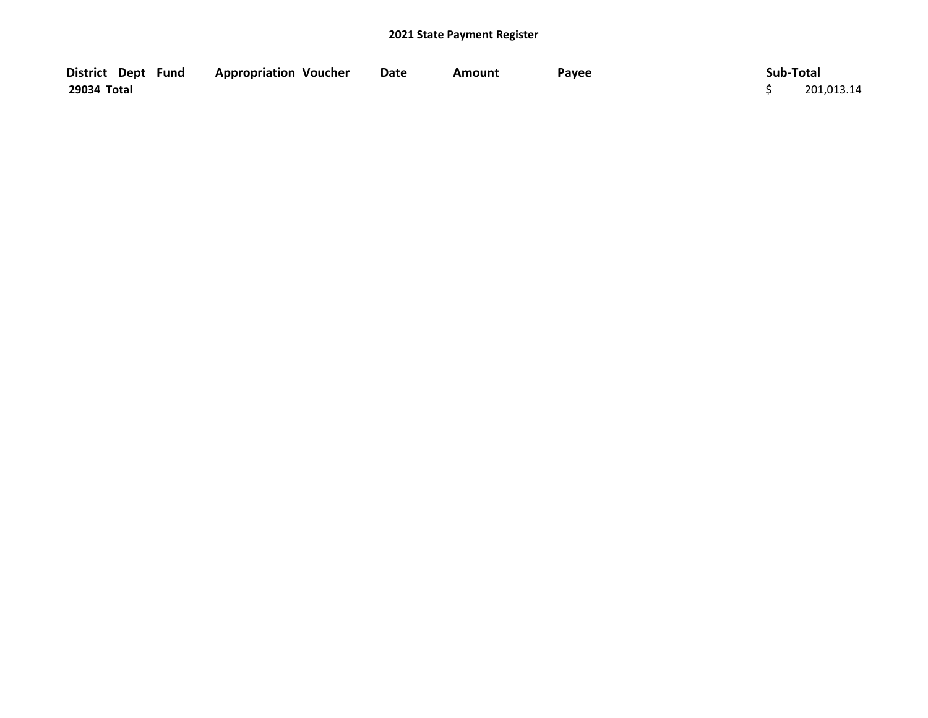| District Dept Fund | <b>Appropriation Voucher</b> | <b>Date</b> | Amount | Payee | Sub-Total  |
|--------------------|------------------------------|-------------|--------|-------|------------|
| 29034 Total        |                              |             |        |       | 201,013.14 |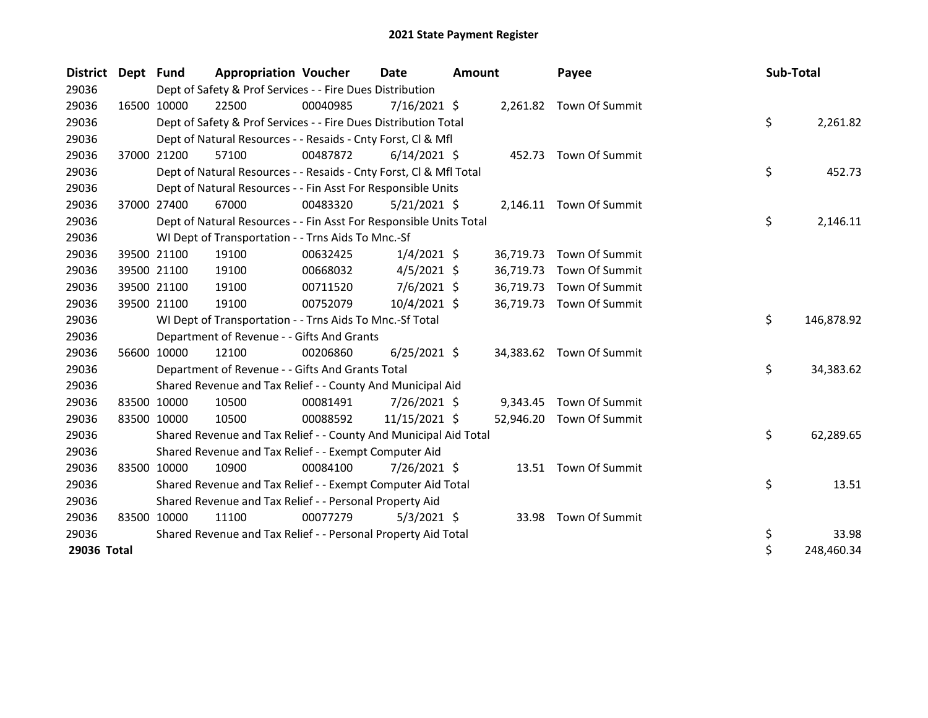| District Dept Fund |                                                           | <b>Appropriation Voucher</b>                                       |          | Date           | <b>Amount</b> |           | Payee                    | Sub-Total |            |
|--------------------|-----------------------------------------------------------|--------------------------------------------------------------------|----------|----------------|---------------|-----------|--------------------------|-----------|------------|
| 29036              | Dept of Safety & Prof Services - - Fire Dues Distribution |                                                                    |          |                |               |           |                          |           |            |
| 29036              | 16500 10000                                               | 22500                                                              | 00040985 | 7/16/2021 \$   |               |           | 2,261.82 Town Of Summit  |           |            |
| 29036              |                                                           | Dept of Safety & Prof Services - - Fire Dues Distribution Total    |          |                |               |           |                          | \$        | 2,261.82   |
| 29036              |                                                           | Dept of Natural Resources - - Resaids - Cnty Forst, CI & Mfl       |          |                |               |           |                          |           |            |
| 29036              | 37000 21200                                               | 57100                                                              | 00487872 | $6/14/2021$ \$ |               |           | 452.73 Town Of Summit    |           |            |
| 29036              |                                                           | Dept of Natural Resources - - Resaids - Cnty Forst, CI & Mfl Total |          |                |               |           |                          | \$        | 452.73     |
| 29036              |                                                           | Dept of Natural Resources - - Fin Asst For Responsible Units       |          |                |               |           |                          |           |            |
| 29036              | 37000 27400                                               | 67000                                                              | 00483320 | $5/21/2021$ \$ |               |           | 2,146.11 Town Of Summit  |           |            |
| 29036              |                                                           | Dept of Natural Resources - - Fin Asst For Responsible Units Total |          |                |               |           |                          | \$        | 2,146.11   |
| 29036              |                                                           | WI Dept of Transportation - - Trns Aids To Mnc.-Sf                 |          |                |               |           |                          |           |            |
| 29036              | 39500 21100                                               | 19100                                                              | 00632425 | $1/4/2021$ \$  |               | 36,719.73 | Town Of Summit           |           |            |
| 29036              | 39500 21100                                               | 19100                                                              | 00668032 | $4/5/2021$ \$  |               | 36,719.73 | Town Of Summit           |           |            |
| 29036              | 39500 21100                                               | 19100                                                              | 00711520 | $7/6/2021$ \$  |               | 36,719.73 | Town Of Summit           |           |            |
| 29036              | 39500 21100                                               | 19100                                                              | 00752079 | $10/4/2021$ \$ |               | 36,719.73 | Town Of Summit           |           |            |
| 29036              |                                                           | WI Dept of Transportation - - Trns Aids To Mnc.-Sf Total           |          |                |               |           |                          | \$        | 146,878.92 |
| 29036              |                                                           | Department of Revenue - - Gifts And Grants                         |          |                |               |           |                          |           |            |
| 29036              | 56600 10000                                               | 12100                                                              | 00206860 | $6/25/2021$ \$ |               |           | 34,383.62 Town Of Summit |           |            |
| 29036              |                                                           | Department of Revenue - - Gifts And Grants Total                   |          |                |               |           |                          | \$        | 34,383.62  |
| 29036              |                                                           | Shared Revenue and Tax Relief - - County And Municipal Aid         |          |                |               |           |                          |           |            |
| 29036              | 83500 10000                                               | 10500                                                              | 00081491 | $7/26/2021$ \$ |               | 9,343.45  | Town Of Summit           |           |            |
| 29036              | 83500 10000                                               | 10500                                                              | 00088592 | 11/15/2021 \$  |               | 52,946.20 | Town Of Summit           |           |            |
| 29036              |                                                           | Shared Revenue and Tax Relief - - County And Municipal Aid Total   |          |                |               |           |                          | \$        | 62,289.65  |
| 29036              |                                                           | Shared Revenue and Tax Relief - - Exempt Computer Aid              |          |                |               |           |                          |           |            |
| 29036              | 83500 10000                                               | 10900                                                              | 00084100 | 7/26/2021 \$   |               |           | 13.51 Town Of Summit     |           |            |
| 29036              |                                                           | Shared Revenue and Tax Relief - - Exempt Computer Aid Total        |          |                |               |           |                          | \$        | 13.51      |
| 29036              |                                                           | Shared Revenue and Tax Relief - - Personal Property Aid            |          |                |               |           |                          |           |            |
| 29036              | 83500 10000                                               | 11100                                                              | 00077279 | $5/3/2021$ \$  |               | 33.98     | Town Of Summit           |           |            |
| 29036              |                                                           | Shared Revenue and Tax Relief - - Personal Property Aid Total      |          |                |               |           |                          | \$        | 33.98      |
| 29036 Total        |                                                           |                                                                    |          |                |               |           |                          | \$        | 248,460.34 |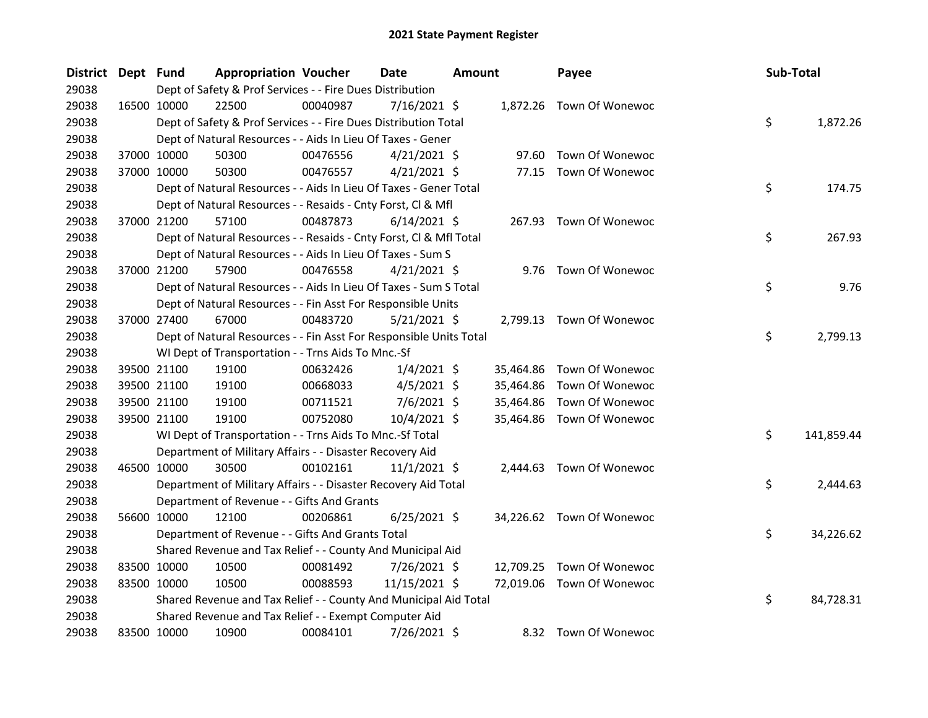| District Dept Fund |             | <b>Appropriation Voucher</b>                                       |          | <b>Date</b>    | <b>Amount</b> |           | Payee                     | Sub-Total |            |
|--------------------|-------------|--------------------------------------------------------------------|----------|----------------|---------------|-----------|---------------------------|-----------|------------|
| 29038              |             | Dept of Safety & Prof Services - - Fire Dues Distribution          |          |                |               |           |                           |           |            |
| 29038              | 16500 10000 | 22500                                                              | 00040987 | $7/16/2021$ \$ |               |           | 1,872.26 Town Of Wonewoc  |           |            |
| 29038              |             | Dept of Safety & Prof Services - - Fire Dues Distribution Total    |          |                |               |           |                           | \$        | 1,872.26   |
| 29038              |             | Dept of Natural Resources - - Aids In Lieu Of Taxes - Gener        |          |                |               |           |                           |           |            |
| 29038              | 37000 10000 | 50300                                                              | 00476556 | $4/21/2021$ \$ |               | 97.60     | Town Of Wonewoc           |           |            |
| 29038              | 37000 10000 | 50300                                                              | 00476557 | $4/21/2021$ \$ |               |           | 77.15 Town Of Wonewoc     |           |            |
| 29038              |             | Dept of Natural Resources - - Aids In Lieu Of Taxes - Gener Total  |          |                |               |           |                           | \$        | 174.75     |
| 29038              |             | Dept of Natural Resources - - Resaids - Cnty Forst, Cl & Mfl       |          |                |               |           |                           |           |            |
| 29038              | 37000 21200 | 57100                                                              | 00487873 | $6/14/2021$ \$ |               | 267.93    | Town Of Wonewoc           |           |            |
| 29038              |             | Dept of Natural Resources - - Resaids - Cnty Forst, Cl & Mfl Total |          |                |               |           |                           | \$        | 267.93     |
| 29038              |             | Dept of Natural Resources - - Aids In Lieu Of Taxes - Sum S        |          |                |               |           |                           |           |            |
| 29038              | 37000 21200 | 57900                                                              | 00476558 | $4/21/2021$ \$ |               |           | 9.76 Town Of Wonewoc      |           |            |
| 29038              |             | Dept of Natural Resources - - Aids In Lieu Of Taxes - Sum S Total  |          |                |               |           |                           | \$        | 9.76       |
| 29038              |             | Dept of Natural Resources - - Fin Asst For Responsible Units       |          |                |               |           |                           |           |            |
| 29038              | 37000 27400 | 67000                                                              | 00483720 | $5/21/2021$ \$ |               |           | 2,799.13 Town Of Wonewoc  |           |            |
| 29038              |             | Dept of Natural Resources - - Fin Asst For Responsible Units Total |          |                |               |           |                           | \$        | 2,799.13   |
| 29038              |             | WI Dept of Transportation - - Trns Aids To Mnc.-Sf                 |          |                |               |           |                           |           |            |
| 29038              | 39500 21100 | 19100                                                              | 00632426 | $1/4/2021$ \$  |               | 35,464.86 | Town Of Wonewoc           |           |            |
| 29038              | 39500 21100 | 19100                                                              | 00668033 | $4/5/2021$ \$  |               | 35,464.86 | Town Of Wonewoc           |           |            |
| 29038              | 39500 21100 | 19100                                                              | 00711521 | $7/6/2021$ \$  |               | 35,464.86 | Town Of Wonewoc           |           |            |
| 29038              | 39500 21100 | 19100                                                              | 00752080 | 10/4/2021 \$   |               |           | 35,464.86 Town Of Wonewoc |           |            |
| 29038              |             | WI Dept of Transportation - - Trns Aids To Mnc.-Sf Total           |          |                |               |           |                           | \$        | 141,859.44 |
| 29038              |             | Department of Military Affairs - - Disaster Recovery Aid           |          |                |               |           |                           |           |            |
| 29038              | 46500 10000 | 30500                                                              | 00102161 | $11/1/2021$ \$ |               | 2,444.63  | Town Of Wonewoc           |           |            |
| 29038              |             | Department of Military Affairs - - Disaster Recovery Aid Total     |          |                |               |           |                           | \$        | 2,444.63   |
| 29038              |             | Department of Revenue - - Gifts And Grants                         |          |                |               |           |                           |           |            |
| 29038              | 56600 10000 | 12100                                                              | 00206861 | $6/25/2021$ \$ |               |           | 34,226.62 Town Of Wonewoc |           |            |
| 29038              |             | Department of Revenue - - Gifts And Grants Total                   |          |                |               |           |                           | \$        | 34,226.62  |
| 29038              |             | Shared Revenue and Tax Relief - - County And Municipal Aid         |          |                |               |           |                           |           |            |
| 29038              | 83500 10000 | 10500                                                              | 00081492 | 7/26/2021 \$   |               |           | 12,709.25 Town Of Wonewoc |           |            |
| 29038              | 83500 10000 | 10500                                                              | 00088593 | 11/15/2021 \$  |               | 72,019.06 | Town Of Wonewoc           |           |            |
| 29038              |             | Shared Revenue and Tax Relief - - County And Municipal Aid Total   |          |                |               |           |                           | \$        | 84,728.31  |
| 29038              |             | Shared Revenue and Tax Relief - - Exempt Computer Aid              |          |                |               |           |                           |           |            |
| 29038              | 83500 10000 | 10900                                                              | 00084101 | 7/26/2021 \$   |               |           | 8.32 Town Of Wonewoc      |           |            |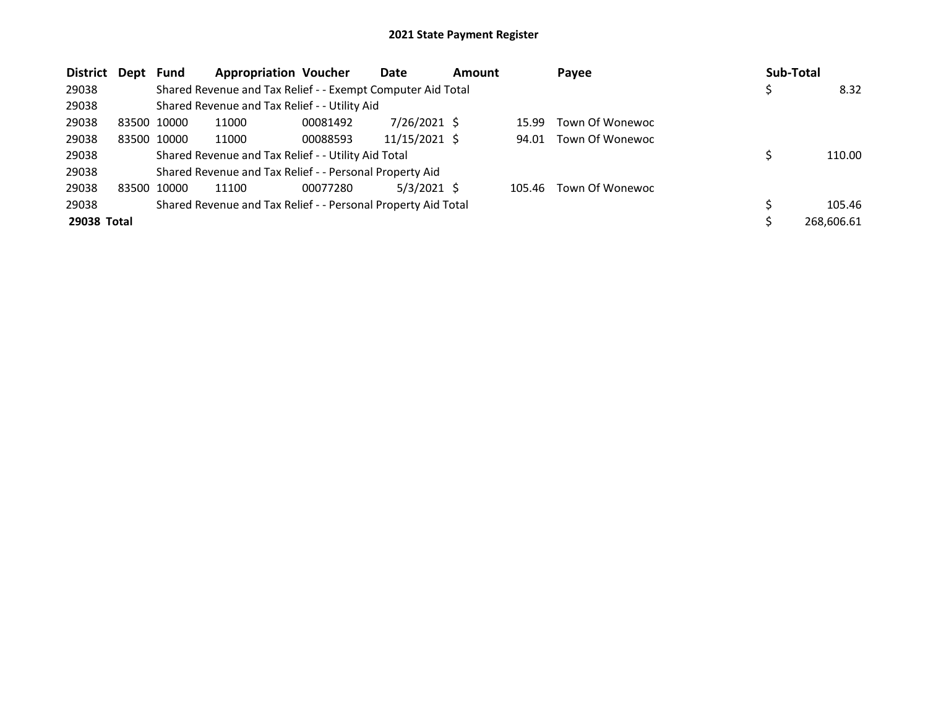| <b>District</b> | Dept        | Fund  | <b>Appropriation Voucher</b>                                  |          | Date          | <b>Amount</b> |        | Payee           | <b>Sub-Total</b> |
|-----------------|-------------|-------|---------------------------------------------------------------|----------|---------------|---------------|--------|-----------------|------------------|
| 29038           |             |       | Shared Revenue and Tax Relief - - Exempt Computer Aid Total   |          |               |               |        |                 | 8.32             |
| 29038           |             |       | Shared Revenue and Tax Relief - - Utility Aid                 |          |               |               |        |                 |                  |
| 29038           | 83500 10000 |       | 11000                                                         | 00081492 | 7/26/2021 \$  |               | 15.99  | Town Of Wonewoc |                  |
| 29038           | 83500 10000 |       | 11000                                                         | 00088593 | 11/15/2021 \$ |               | 94.01  | Town Of Wonewoc |                  |
| 29038           |             |       | Shared Revenue and Tax Relief - - Utility Aid Total           |          |               |               |        |                 | 110.00           |
| 29038           |             |       | Shared Revenue and Tax Relief - - Personal Property Aid       |          |               |               |        |                 |                  |
| 29038           | 83500       | 10000 | 11100                                                         | 00077280 | $5/3/2021$ \$ |               | 105.46 | Town Of Wonewoc |                  |
| 29038           |             |       | Shared Revenue and Tax Relief - - Personal Property Aid Total |          |               |               |        |                 | 105.46           |
| 29038 Total     |             |       |                                                               |          |               |               |        |                 | 268.606.61       |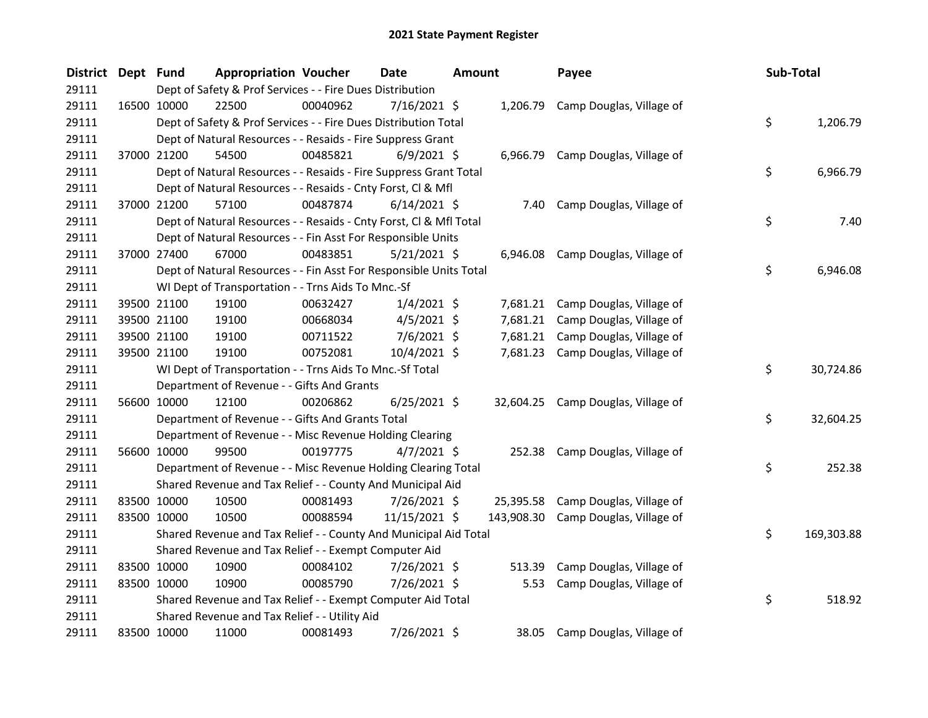| District Dept Fund |             | <b>Appropriation Voucher</b>                                       |          | Date           | <b>Amount</b> |            | Payee                              | Sub-Total |            |
|--------------------|-------------|--------------------------------------------------------------------|----------|----------------|---------------|------------|------------------------------------|-----------|------------|
| 29111              |             | Dept of Safety & Prof Services - - Fire Dues Distribution          |          |                |               |            |                                    |           |            |
| 29111              | 16500 10000 | 22500                                                              | 00040962 | 7/16/2021 \$   |               | 1,206.79   | Camp Douglas, Village of           |           |            |
| 29111              |             | Dept of Safety & Prof Services - - Fire Dues Distribution Total    |          |                |               |            |                                    | \$        | 1,206.79   |
| 29111              |             | Dept of Natural Resources - - Resaids - Fire Suppress Grant        |          |                |               |            |                                    |           |            |
| 29111              | 37000 21200 | 54500                                                              | 00485821 | $6/9/2021$ \$  |               |            | 6,966.79 Camp Douglas, Village of  |           |            |
| 29111              |             | Dept of Natural Resources - - Resaids - Fire Suppress Grant Total  |          |                |               |            |                                    | \$        | 6,966.79   |
| 29111              |             | Dept of Natural Resources - - Resaids - Cnty Forst, Cl & Mfl       |          |                |               |            |                                    |           |            |
| 29111              | 37000 21200 | 57100                                                              | 00487874 | $6/14/2021$ \$ |               | 7.40       | Camp Douglas, Village of           |           |            |
| 29111              |             | Dept of Natural Resources - - Resaids - Cnty Forst, CI & Mfl Total |          |                |               |            |                                    | \$        | 7.40       |
| 29111              |             | Dept of Natural Resources - - Fin Asst For Responsible Units       |          |                |               |            |                                    |           |            |
| 29111              | 37000 27400 | 67000                                                              | 00483851 | $5/21/2021$ \$ |               | 6,946.08   | Camp Douglas, Village of           |           |            |
| 29111              |             | Dept of Natural Resources - - Fin Asst For Responsible Units Total |          |                |               |            |                                    | \$        | 6,946.08   |
| 29111              |             | WI Dept of Transportation - - Trns Aids To Mnc.-Sf                 |          |                |               |            |                                    |           |            |
| 29111              | 39500 21100 | 19100                                                              | 00632427 | $1/4/2021$ \$  |               |            | 7,681.21 Camp Douglas, Village of  |           |            |
| 29111              | 39500 21100 | 19100                                                              | 00668034 | $4/5/2021$ \$  |               | 7,681.21   | Camp Douglas, Village of           |           |            |
| 29111              | 39500 21100 | 19100                                                              | 00711522 | 7/6/2021 \$    |               |            | 7,681.21 Camp Douglas, Village of  |           |            |
| 29111              | 39500 21100 | 19100                                                              | 00752081 | 10/4/2021 \$   |               |            | 7,681.23 Camp Douglas, Village of  |           |            |
| 29111              |             | WI Dept of Transportation - - Trns Aids To Mnc.-Sf Total           |          |                |               |            |                                    | \$        | 30,724.86  |
| 29111              |             | Department of Revenue - - Gifts And Grants                         |          |                |               |            |                                    |           |            |
| 29111              | 56600 10000 | 12100                                                              | 00206862 | $6/25/2021$ \$ |               |            | 32,604.25 Camp Douglas, Village of |           |            |
| 29111              |             | Department of Revenue - - Gifts And Grants Total                   |          |                |               |            |                                    | \$        | 32,604.25  |
| 29111              |             | Department of Revenue - - Misc Revenue Holding Clearing            |          |                |               |            |                                    |           |            |
| 29111              | 56600 10000 | 99500                                                              | 00197775 | $4/7/2021$ \$  |               | 252.38     | Camp Douglas, Village of           |           |            |
| 29111              |             | Department of Revenue - - Misc Revenue Holding Clearing Total      |          |                |               |            |                                    | \$        | 252.38     |
| 29111              |             | Shared Revenue and Tax Relief - - County And Municipal Aid         |          |                |               |            |                                    |           |            |
| 29111              | 83500 10000 | 10500                                                              | 00081493 | 7/26/2021 \$   |               | 25,395.58  | Camp Douglas, Village of           |           |            |
| 29111              | 83500 10000 | 10500                                                              | 00088594 | 11/15/2021 \$  |               | 143,908.30 | Camp Douglas, Village of           |           |            |
| 29111              |             | Shared Revenue and Tax Relief - - County And Municipal Aid Total   |          |                |               |            |                                    | \$        | 169,303.88 |
| 29111              |             | Shared Revenue and Tax Relief - - Exempt Computer Aid              |          |                |               |            |                                    |           |            |
| 29111              | 83500 10000 | 10900                                                              | 00084102 | 7/26/2021 \$   |               | 513.39     | Camp Douglas, Village of           |           |            |
| 29111              | 83500 10000 | 10900                                                              | 00085790 | 7/26/2021 \$   |               | 5.53       | Camp Douglas, Village of           |           |            |
| 29111              |             | Shared Revenue and Tax Relief - - Exempt Computer Aid Total        |          |                |               |            |                                    | \$        | 518.92     |
| 29111              |             | Shared Revenue and Tax Relief - - Utility Aid                      |          |                |               |            |                                    |           |            |
| 29111              | 83500 10000 | 11000                                                              | 00081493 | 7/26/2021 \$   |               | 38.05      | Camp Douglas, Village of           |           |            |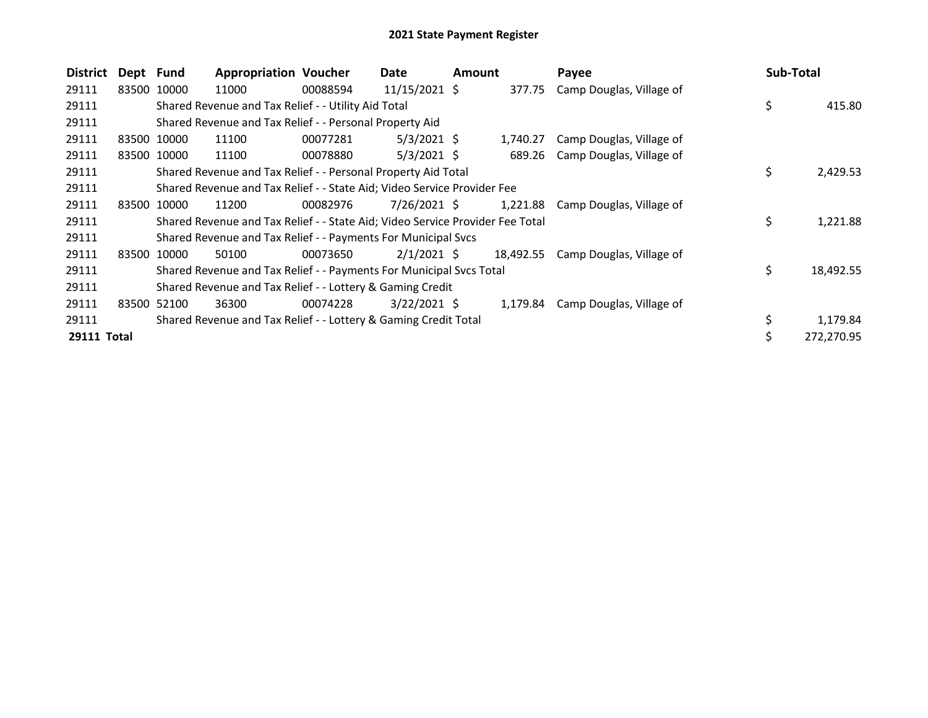| <b>District</b>    | Dept Fund |             | <b>Appropriation Voucher</b>                                                  |          | Date            | <b>Amount</b> |          | Payee                              | Sub-Total       |
|--------------------|-----------|-------------|-------------------------------------------------------------------------------|----------|-----------------|---------------|----------|------------------------------------|-----------------|
| 29111              |           | 83500 10000 | 11000                                                                         | 00088594 | $11/15/2021$ \$ |               | 377.75   | Camp Douglas, Village of           |                 |
| 29111              |           |             | Shared Revenue and Tax Relief - - Utility Aid Total                           |          |                 |               |          |                                    | \$<br>415.80    |
| 29111              |           |             | Shared Revenue and Tax Relief - - Personal Property Aid                       |          |                 |               |          |                                    |                 |
| 29111              |           | 83500 10000 | 11100                                                                         | 00077281 | $5/3/2021$ \$   |               | 1,740.27 | Camp Douglas, Village of           |                 |
| 29111              | 83500     | 10000       | 11100                                                                         | 00078880 | $5/3/2021$ \$   |               | 689.26   | Camp Douglas, Village of           |                 |
| 29111              |           |             | Shared Revenue and Tax Relief - - Personal Property Aid Total                 |          |                 |               |          |                                    | \$<br>2,429.53  |
| 29111              |           |             | Shared Revenue and Tax Relief - - State Aid; Video Service Provider Fee       |          |                 |               |          |                                    |                 |
| 29111              | 83500     | 10000       | 11200                                                                         | 00082976 | 7/26/2021 \$    |               | 1,221.88 | Camp Douglas, Village of           |                 |
| 29111              |           |             | Shared Revenue and Tax Relief - - State Aid; Video Service Provider Fee Total |          |                 |               |          |                                    | \$<br>1,221.88  |
| 29111              |           |             | Shared Revenue and Tax Relief - - Payments For Municipal Svcs                 |          |                 |               |          |                                    |                 |
| 29111              |           | 83500 10000 | 50100                                                                         | 00073650 | $2/1/2021$ \$   |               |          | 18,492.55 Camp Douglas, Village of |                 |
| 29111              |           |             | Shared Revenue and Tax Relief - - Payments For Municipal Svcs Total           |          |                 |               |          |                                    | \$<br>18,492.55 |
| 29111              |           |             | Shared Revenue and Tax Relief - - Lottery & Gaming Credit                     |          |                 |               |          |                                    |                 |
| 29111              | 83500     | 52100       | 36300                                                                         | 00074228 | $3/22/2021$ \$  |               | 1,179.84 | Camp Douglas, Village of           |                 |
| 29111              |           |             | Shared Revenue and Tax Relief - - Lottery & Gaming Credit Total               |          |                 |               |          |                                    | 1,179.84        |
| <b>29111 Total</b> |           |             |                                                                               |          |                 |               |          |                                    | 272,270.95      |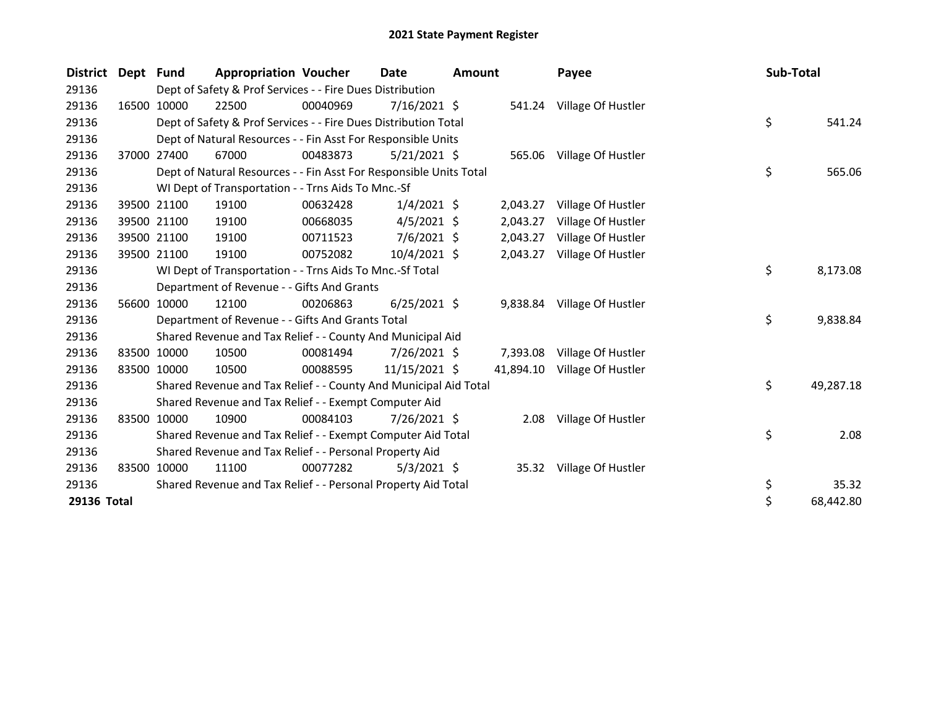| <b>District</b> | Dept  | Fund                                                    | <b>Appropriation Voucher</b>                                       |          | <b>Date</b>    | <b>Amount</b> |          | Payee                        | Sub-Total |           |
|-----------------|-------|---------------------------------------------------------|--------------------------------------------------------------------|----------|----------------|---------------|----------|------------------------------|-----------|-----------|
| 29136           |       |                                                         | Dept of Safety & Prof Services - - Fire Dues Distribution          |          |                |               |          |                              |           |           |
| 29136           |       | 16500 10000                                             | 22500                                                              | 00040969 | $7/16/2021$ \$ |               |          | 541.24 Village Of Hustler    |           |           |
| 29136           |       |                                                         | Dept of Safety & Prof Services - - Fire Dues Distribution Total    |          |                |               |          |                              | \$        | 541.24    |
| 29136           |       |                                                         | Dept of Natural Resources - - Fin Asst For Responsible Units       |          |                |               |          |                              |           |           |
| 29136           |       | 37000 27400                                             | 67000                                                              | 00483873 | $5/21/2021$ \$ |               |          | 565.06 Village Of Hustler    |           |           |
| 29136           |       |                                                         | Dept of Natural Resources - - Fin Asst For Responsible Units Total |          |                |               |          |                              | \$        | 565.06    |
| 29136           |       |                                                         | WI Dept of Transportation - - Trns Aids To Mnc.-Sf                 |          |                |               |          |                              |           |           |
| 29136           |       | 39500 21100                                             | 19100                                                              | 00632428 | $1/4/2021$ \$  |               | 2,043.27 | Village Of Hustler           |           |           |
| 29136           |       | 39500 21100                                             | 19100                                                              | 00668035 | $4/5/2021$ \$  |               | 2,043.27 | Village Of Hustler           |           |           |
| 29136           |       | 39500 21100                                             | 19100                                                              | 00711523 | $7/6/2021$ \$  |               | 2,043.27 | Village Of Hustler           |           |           |
| 29136           |       | 39500 21100                                             | 19100                                                              | 00752082 | 10/4/2021 \$   |               | 2,043.27 | Village Of Hustler           |           |           |
| 29136           |       |                                                         | WI Dept of Transportation - - Trns Aids To Mnc.-Sf Total           |          |                |               |          |                              | \$        | 8,173.08  |
| 29136           |       |                                                         | Department of Revenue - - Gifts And Grants                         |          |                |               |          |                              |           |           |
| 29136           |       | 56600 10000                                             | 12100                                                              | 00206863 | $6/25/2021$ \$ |               | 9,838.84 | Village Of Hustler           |           |           |
| 29136           |       |                                                         | Department of Revenue - - Gifts And Grants Total                   |          |                |               |          |                              | \$        | 9,838.84  |
| 29136           |       |                                                         | Shared Revenue and Tax Relief - - County And Municipal Aid         |          |                |               |          |                              |           |           |
| 29136           |       | 83500 10000                                             | 10500                                                              | 00081494 | $7/26/2021$ \$ |               | 7,393.08 | Village Of Hustler           |           |           |
| 29136           |       | 83500 10000                                             | 10500                                                              | 00088595 | 11/15/2021 \$  |               |          | 41,894.10 Village Of Hustler |           |           |
| 29136           |       |                                                         | Shared Revenue and Tax Relief - - County And Municipal Aid Total   |          |                |               |          |                              | \$        | 49,287.18 |
| 29136           |       |                                                         | Shared Revenue and Tax Relief - - Exempt Computer Aid              |          |                |               |          |                              |           |           |
| 29136           |       | 83500 10000                                             | 10900                                                              | 00084103 | $7/26/2021$ \$ |               | 2.08     | Village Of Hustler           |           |           |
| 29136           |       |                                                         | Shared Revenue and Tax Relief - - Exempt Computer Aid Total        |          |                |               |          |                              | \$        | 2.08      |
| 29136           |       | Shared Revenue and Tax Relief - - Personal Property Aid |                                                                    |          |                |               |          |                              |           |           |
| 29136           | 83500 | 10000                                                   | 11100                                                              | 00077282 | $5/3/2021$ \$  |               |          | 35.32 Village Of Hustler     |           |           |
| 29136           |       |                                                         | Shared Revenue and Tax Relief - - Personal Property Aid Total      |          |                |               |          |                              | \$        | 35.32     |
| 29136 Total     |       |                                                         |                                                                    |          |                |               |          |                              | \$        | 68,442.80 |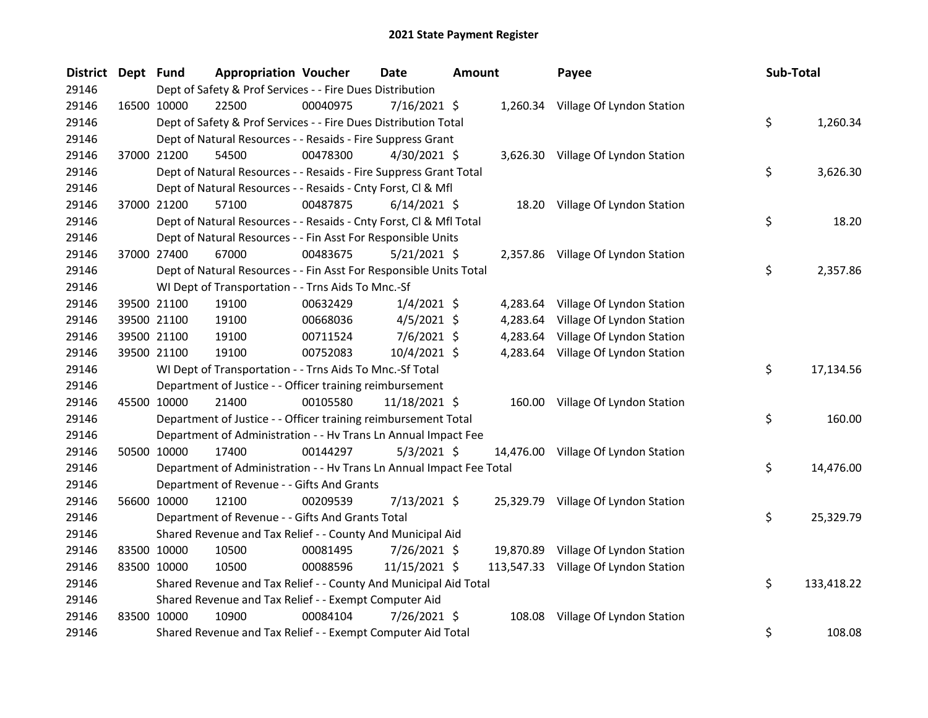| District Dept Fund |             | <b>Appropriation Voucher</b>                                         |          | <b>Date</b>    | <b>Amount</b> |           | Payee                                | Sub-Total |            |
|--------------------|-------------|----------------------------------------------------------------------|----------|----------------|---------------|-----------|--------------------------------------|-----------|------------|
| 29146              |             | Dept of Safety & Prof Services - - Fire Dues Distribution            |          |                |               |           |                                      |           |            |
| 29146              | 16500 10000 | 22500                                                                | 00040975 | 7/16/2021 \$   |               |           | 1,260.34 Village Of Lyndon Station   |           |            |
| 29146              |             | Dept of Safety & Prof Services - - Fire Dues Distribution Total      |          |                |               |           |                                      | \$        | 1,260.34   |
| 29146              |             | Dept of Natural Resources - - Resaids - Fire Suppress Grant          |          |                |               |           |                                      |           |            |
| 29146              | 37000 21200 | 54500                                                                | 00478300 | 4/30/2021 \$   |               |           | 3,626.30 Village Of Lyndon Station   |           |            |
| 29146              |             | Dept of Natural Resources - - Resaids - Fire Suppress Grant Total    |          |                |               |           |                                      | \$        | 3,626.30   |
| 29146              |             | Dept of Natural Resources - - Resaids - Cnty Forst, Cl & Mfl         |          |                |               |           |                                      |           |            |
| 29146              | 37000 21200 | 57100                                                                | 00487875 | $6/14/2021$ \$ |               |           | 18.20 Village Of Lyndon Station      |           |            |
| 29146              |             | Dept of Natural Resources - - Resaids - Cnty Forst, CI & Mfl Total   |          |                |               |           |                                      | \$        | 18.20      |
| 29146              |             | Dept of Natural Resources - - Fin Asst For Responsible Units         |          |                |               |           |                                      |           |            |
| 29146              | 37000 27400 | 67000                                                                | 00483675 | $5/21/2021$ \$ |               |           | 2,357.86 Village Of Lyndon Station   |           |            |
| 29146              |             | Dept of Natural Resources - - Fin Asst For Responsible Units Total   |          |                |               |           |                                      | \$        | 2,357.86   |
| 29146              |             | WI Dept of Transportation - - Trns Aids To Mnc.-Sf                   |          |                |               |           |                                      |           |            |
| 29146              | 39500 21100 | 19100                                                                | 00632429 | $1/4/2021$ \$  |               | 4,283.64  | Village Of Lyndon Station            |           |            |
| 29146              | 39500 21100 | 19100                                                                | 00668036 | $4/5/2021$ \$  |               | 4,283.64  | Village Of Lyndon Station            |           |            |
| 29146              | 39500 21100 | 19100                                                                | 00711524 | 7/6/2021 \$    |               | 4,283.64  | Village Of Lyndon Station            |           |            |
| 29146              | 39500 21100 | 19100                                                                | 00752083 | 10/4/2021 \$   |               |           | 4,283.64 Village Of Lyndon Station   |           |            |
| 29146              |             | WI Dept of Transportation - - Trns Aids To Mnc.-Sf Total             |          |                |               |           |                                      | \$        | 17,134.56  |
| 29146              |             | Department of Justice - - Officer training reimbursement             |          |                |               |           |                                      |           |            |
| 29146              | 45500 10000 | 21400                                                                | 00105580 | 11/18/2021 \$  |               |           | 160.00 Village Of Lyndon Station     |           |            |
| 29146              |             | Department of Justice - - Officer training reimbursement Total       |          |                |               |           |                                      | \$        | 160.00     |
| 29146              |             | Department of Administration - - Hv Trans Ln Annual Impact Fee       |          |                |               |           |                                      |           |            |
| 29146              | 50500 10000 | 17400                                                                | 00144297 | $5/3/2021$ \$  |               |           | 14,476.00 Village Of Lyndon Station  |           |            |
| 29146              |             | Department of Administration - - Hv Trans Ln Annual Impact Fee Total |          |                |               |           |                                      | \$        | 14,476.00  |
| 29146              |             | Department of Revenue - - Gifts And Grants                           |          |                |               |           |                                      |           |            |
| 29146              | 56600 10000 | 12100                                                                | 00209539 | 7/13/2021 \$   |               |           | 25,329.79 Village Of Lyndon Station  |           |            |
| 29146              |             | Department of Revenue - - Gifts And Grants Total                     |          |                |               |           |                                      | \$        | 25,329.79  |
| 29146              |             | Shared Revenue and Tax Relief - - County And Municipal Aid           |          |                |               |           |                                      |           |            |
| 29146              | 83500 10000 | 10500                                                                | 00081495 | 7/26/2021 \$   |               | 19,870.89 | Village Of Lyndon Station            |           |            |
| 29146              | 83500 10000 | 10500                                                                | 00088596 | 11/15/2021 \$  |               |           | 113,547.33 Village Of Lyndon Station |           |            |
| 29146              |             | Shared Revenue and Tax Relief - - County And Municipal Aid Total     |          |                |               |           |                                      | \$        | 133,418.22 |
| 29146              |             | Shared Revenue and Tax Relief - - Exempt Computer Aid                |          |                |               |           |                                      |           |            |
| 29146              | 83500 10000 | 10900                                                                | 00084104 | 7/26/2021 \$   |               | 108.08    | Village Of Lyndon Station            |           |            |
| 29146              |             | Shared Revenue and Tax Relief - - Exempt Computer Aid Total          |          |                |               |           |                                      | \$        | 108.08     |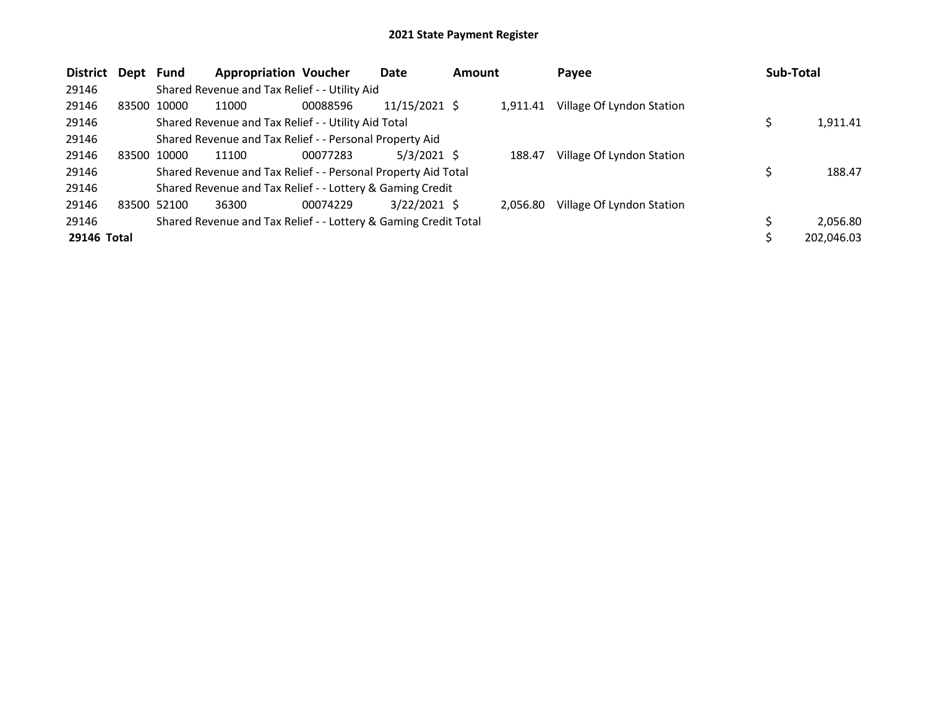| <b>District</b> | Dept Fund |             | <b>Appropriation Voucher</b>                                    |          | Date           | <b>Amount</b> |          | Payee                     | <b>Sub-Total</b> |
|-----------------|-----------|-------------|-----------------------------------------------------------------|----------|----------------|---------------|----------|---------------------------|------------------|
| 29146           |           |             | Shared Revenue and Tax Relief - - Utility Aid                   |          |                |               |          |                           |                  |
| 29146           |           | 83500 10000 | 11000                                                           | 00088596 | 11/15/2021 \$  |               | 1.911.41 | Village Of Lyndon Station |                  |
| 29146           |           |             | Shared Revenue and Tax Relief - - Utility Aid Total             |          |                |               |          |                           | 1,911.41         |
| 29146           |           |             | Shared Revenue and Tax Relief - - Personal Property Aid         |          |                |               |          |                           |                  |
| 29146           |           | 83500 10000 | 11100                                                           | 00077283 | $5/3/2021$ \$  |               | 188.47   | Village Of Lyndon Station |                  |
| 29146           |           |             | Shared Revenue and Tax Relief - - Personal Property Aid Total   |          |                |               |          |                           | 188.47           |
| 29146           |           |             | Shared Revenue and Tax Relief - - Lottery & Gaming Credit       |          |                |               |          |                           |                  |
| 29146           |           | 83500 52100 | 36300                                                           | 00074229 | $3/22/2021$ \$ |               | 2.056.80 | Village Of Lyndon Station |                  |
| 29146           |           |             | Shared Revenue and Tax Relief - - Lottery & Gaming Credit Total |          |                |               |          |                           | 2,056.80         |
| 29146 Total     |           |             |                                                                 |          |                |               |          |                           | 202,046.03       |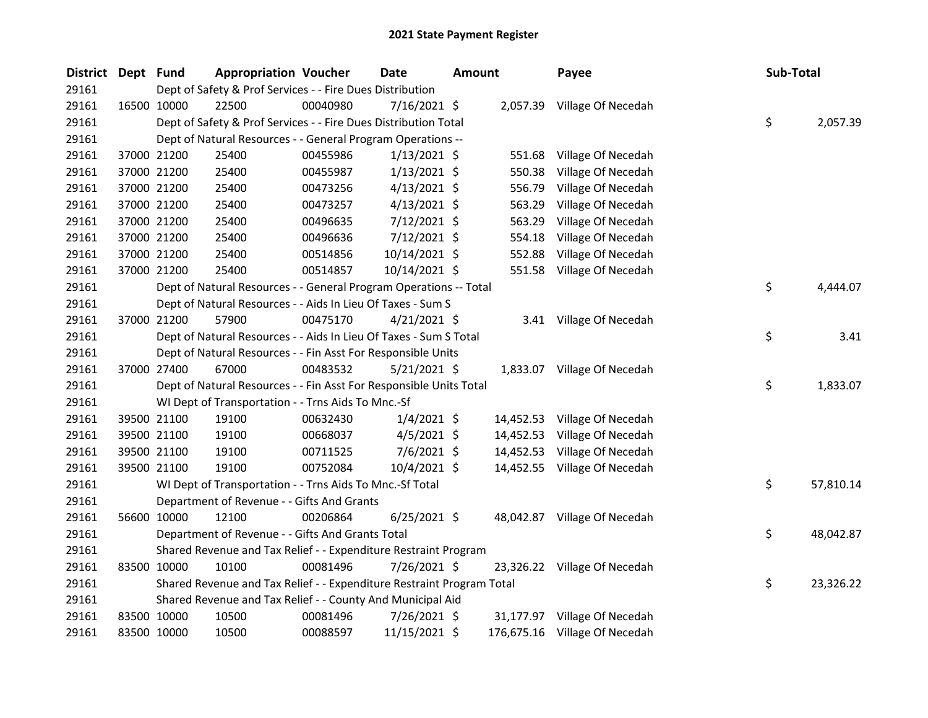| <b>District</b> | Dept Fund |             | <b>Appropriation Voucher</b>                                          |          | Date           | <b>Amount</b> |           | Payee                         | Sub-Total |           |
|-----------------|-----------|-------------|-----------------------------------------------------------------------|----------|----------------|---------------|-----------|-------------------------------|-----------|-----------|
| 29161           |           |             | Dept of Safety & Prof Services - - Fire Dues Distribution             |          |                |               |           |                               |           |           |
| 29161           |           | 16500 10000 | 22500                                                                 | 00040980 | 7/16/2021 \$   |               |           | 2,057.39 Village Of Necedah   |           |           |
| 29161           |           |             | Dept of Safety & Prof Services - - Fire Dues Distribution Total       |          |                |               |           |                               | \$        | 2,057.39  |
| 29161           |           |             | Dept of Natural Resources - - General Program Operations --           |          |                |               |           |                               |           |           |
| 29161           |           | 37000 21200 | 25400                                                                 | 00455986 | $1/13/2021$ \$ |               | 551.68    | Village Of Necedah            |           |           |
| 29161           |           | 37000 21200 | 25400                                                                 | 00455987 | $1/13/2021$ \$ |               | 550.38    | Village Of Necedah            |           |           |
| 29161           |           | 37000 21200 | 25400                                                                 | 00473256 | $4/13/2021$ \$ |               | 556.79    | Village Of Necedah            |           |           |
| 29161           |           | 37000 21200 | 25400                                                                 | 00473257 | $4/13/2021$ \$ |               | 563.29    | Village Of Necedah            |           |           |
| 29161           |           | 37000 21200 | 25400                                                                 | 00496635 | 7/12/2021 \$   |               | 563.29    | Village Of Necedah            |           |           |
| 29161           |           | 37000 21200 | 25400                                                                 | 00496636 | 7/12/2021 \$   |               | 554.18    | Village Of Necedah            |           |           |
| 29161           |           | 37000 21200 | 25400                                                                 | 00514856 | 10/14/2021 \$  |               | 552.88    | Village Of Necedah            |           |           |
| 29161           |           | 37000 21200 | 25400                                                                 | 00514857 | 10/14/2021 \$  |               | 551.58    | Village Of Necedah            |           |           |
| 29161           |           |             | Dept of Natural Resources - - General Program Operations -- Total     |          |                |               |           |                               | \$        | 4,444.07  |
| 29161           |           |             | Dept of Natural Resources - - Aids In Lieu Of Taxes - Sum S           |          |                |               |           |                               |           |           |
| 29161           |           | 37000 21200 | 57900                                                                 | 00475170 | $4/21/2021$ \$ |               |           | 3.41 Village Of Necedah       |           |           |
| 29161           |           |             | Dept of Natural Resources - - Aids In Lieu Of Taxes - Sum S Total     |          |                |               |           |                               | \$        | 3.41      |
| 29161           |           |             | Dept of Natural Resources - - Fin Asst For Responsible Units          |          |                |               |           |                               |           |           |
| 29161           |           | 37000 27400 | 67000                                                                 | 00483532 | $5/21/2021$ \$ |               |           | 1,833.07 Village Of Necedah   |           |           |
| 29161           |           |             | Dept of Natural Resources - - Fin Asst For Responsible Units Total    |          |                |               |           |                               | \$        | 1,833.07  |
| 29161           |           |             | WI Dept of Transportation - - Trns Aids To Mnc.-Sf                    |          |                |               |           |                               |           |           |
| 29161           |           | 39500 21100 | 19100                                                                 | 00632430 | $1/4/2021$ \$  |               | 14,452.53 | Village Of Necedah            |           |           |
| 29161           |           | 39500 21100 | 19100                                                                 | 00668037 | $4/5/2021$ \$  |               | 14,452.53 | Village Of Necedah            |           |           |
| 29161           |           | 39500 21100 | 19100                                                                 | 00711525 | $7/6/2021$ \$  |               | 14,452.53 | Village Of Necedah            |           |           |
| 29161           |           | 39500 21100 | 19100                                                                 | 00752084 | 10/4/2021 \$   |               |           | 14,452.55 Village Of Necedah  |           |           |
| 29161           |           |             | WI Dept of Transportation - - Trns Aids To Mnc.-Sf Total              |          |                |               |           |                               | \$        | 57,810.14 |
| 29161           |           |             | Department of Revenue - - Gifts And Grants                            |          |                |               |           |                               |           |           |
| 29161           |           | 56600 10000 | 12100                                                                 | 00206864 | $6/25/2021$ \$ |               |           | 48,042.87 Village Of Necedah  |           |           |
| 29161           |           |             | Department of Revenue - - Gifts And Grants Total                      |          |                |               |           |                               | \$        | 48,042.87 |
| 29161           |           |             | Shared Revenue and Tax Relief - - Expenditure Restraint Program       |          |                |               |           |                               |           |           |
| 29161           |           | 83500 10000 | 10100                                                                 | 00081496 | 7/26/2021 \$   |               |           | 23,326.22 Village Of Necedah  |           |           |
| 29161           |           |             | Shared Revenue and Tax Relief - - Expenditure Restraint Program Total |          |                |               |           |                               | \$        | 23,326.22 |
| 29161           |           |             | Shared Revenue and Tax Relief - - County And Municipal Aid            |          |                |               |           |                               |           |           |
| 29161           |           | 83500 10000 | 10500                                                                 | 00081496 | 7/26/2021 \$   |               |           | 31,177.97 Village Of Necedah  |           |           |
| 29161           |           | 83500 10000 | 10500                                                                 | 00088597 | 11/15/2021 \$  |               |           | 176,675.16 Village Of Necedah |           |           |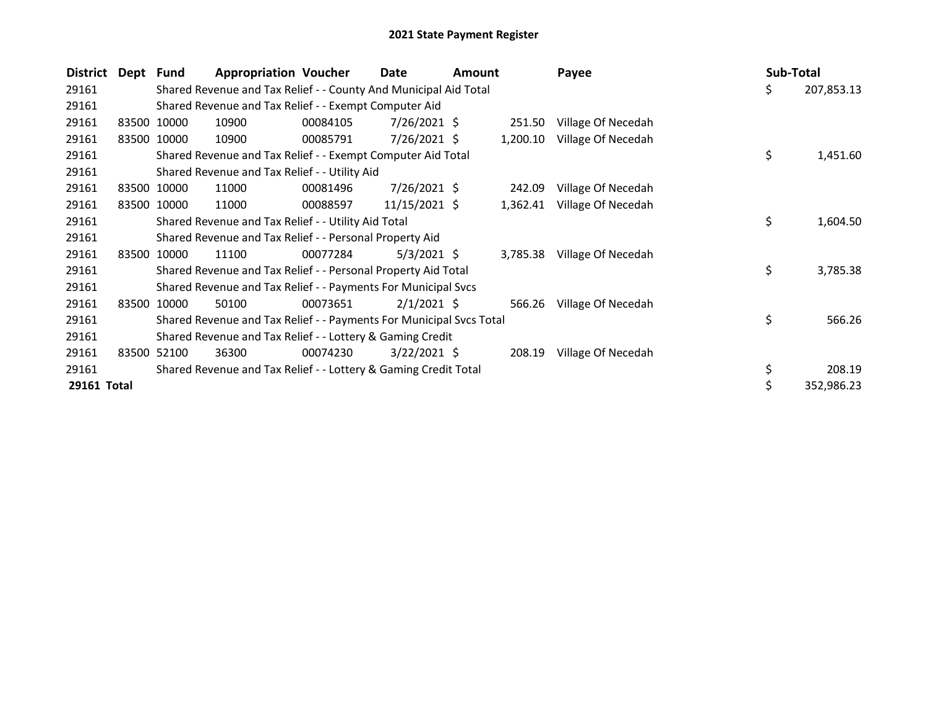| <b>District</b> | Dept Fund |             | <b>Appropriation Voucher</b>                                        |          | Date            | Amount |          | Payee              | <b>Sub-Total</b> |            |
|-----------------|-----------|-------------|---------------------------------------------------------------------|----------|-----------------|--------|----------|--------------------|------------------|------------|
| 29161           |           |             | Shared Revenue and Tax Relief - - County And Municipal Aid Total    |          |                 |        |          |                    | \$               | 207,853.13 |
| 29161           |           |             | Shared Revenue and Tax Relief - - Exempt Computer Aid               |          |                 |        |          |                    |                  |            |
| 29161           |           | 83500 10000 | 10900                                                               | 00084105 | $7/26/2021$ \$  |        | 251.50   | Village Of Necedah |                  |            |
| 29161           |           | 83500 10000 | 10900                                                               | 00085791 | $7/26/2021$ \$  |        | 1,200.10 | Village Of Necedah |                  |            |
| 29161           |           |             | Shared Revenue and Tax Relief - - Exempt Computer Aid Total         |          |                 |        |          |                    | \$               | 1,451.60   |
| 29161           |           |             | Shared Revenue and Tax Relief - - Utility Aid                       |          |                 |        |          |                    |                  |            |
| 29161           |           | 83500 10000 | 11000                                                               | 00081496 | $7/26/2021$ \$  |        | 242.09   | Village Of Necedah |                  |            |
| 29161           |           | 83500 10000 | 11000                                                               | 00088597 | $11/15/2021$ \$ |        | 1,362.41 | Village Of Necedah |                  |            |
| 29161           |           |             | Shared Revenue and Tax Relief - - Utility Aid Total                 |          |                 |        |          |                    | \$               | 1,604.50   |
| 29161           |           |             | Shared Revenue and Tax Relief - - Personal Property Aid             |          |                 |        |          |                    |                  |            |
| 29161           |           | 83500 10000 | 11100                                                               | 00077284 | $5/3/2021$ \$   |        | 3,785.38 | Village Of Necedah |                  |            |
| 29161           |           |             | Shared Revenue and Tax Relief - - Personal Property Aid Total       |          |                 |        |          |                    | \$               | 3,785.38   |
| 29161           |           |             | Shared Revenue and Tax Relief - - Payments For Municipal Svcs       |          |                 |        |          |                    |                  |            |
| 29161           | 83500     | 10000       | 50100                                                               | 00073651 | $2/1/2021$ \$   |        | 566.26   | Village Of Necedah |                  |            |
| 29161           |           |             | Shared Revenue and Tax Relief - - Payments For Municipal Svcs Total |          |                 |        |          |                    | \$               | 566.26     |
| 29161           |           |             | Shared Revenue and Tax Relief - - Lottery & Gaming Credit           |          |                 |        |          |                    |                  |            |
| 29161           | 83500     | 52100       | 36300                                                               | 00074230 | $3/22/2021$ \$  |        | 208.19   | Village Of Necedah |                  |            |
| 29161           |           |             | Shared Revenue and Tax Relief - - Lottery & Gaming Credit Total     |          |                 |        |          |                    | \$               | 208.19     |
| 29161 Total     |           |             |                                                                     |          |                 |        |          |                    | \$               | 352,986.23 |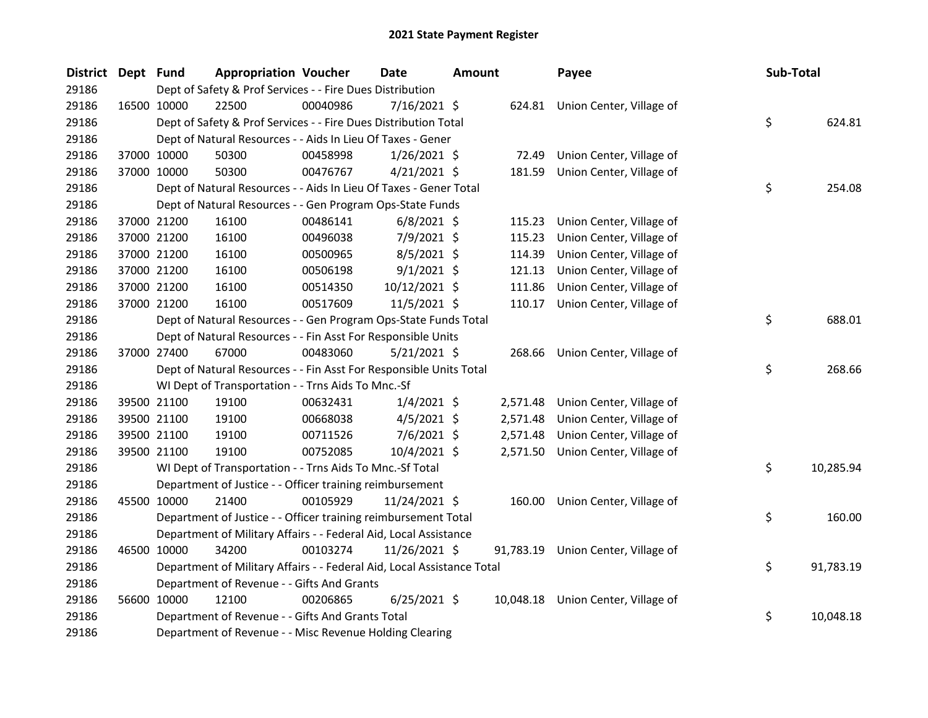| District Dept Fund |             |             | <b>Appropriation Voucher</b>                                           |          | <b>Date</b>    | <b>Amount</b> |          | Payee                              | Sub-Total |           |
|--------------------|-------------|-------------|------------------------------------------------------------------------|----------|----------------|---------------|----------|------------------------------------|-----------|-----------|
| 29186              |             |             | Dept of Safety & Prof Services - - Fire Dues Distribution              |          |                |               |          |                                    |           |           |
| 29186              | 16500 10000 |             | 22500                                                                  | 00040986 | $7/16/2021$ \$ |               |          | 624.81 Union Center, Village of    |           |           |
| 29186              |             |             | Dept of Safety & Prof Services - - Fire Dues Distribution Total        |          |                |               |          |                                    | \$        | 624.81    |
| 29186              |             |             | Dept of Natural Resources - - Aids In Lieu Of Taxes - Gener            |          |                |               |          |                                    |           |           |
| 29186              |             | 37000 10000 | 50300                                                                  | 00458998 | $1/26/2021$ \$ |               | 72.49    | Union Center, Village of           |           |           |
| 29186              |             | 37000 10000 | 50300                                                                  | 00476767 | $4/21/2021$ \$ |               | 181.59   | Union Center, Village of           |           |           |
| 29186              |             |             | Dept of Natural Resources - - Aids In Lieu Of Taxes - Gener Total      |          |                |               |          |                                    | \$        | 254.08    |
| 29186              |             |             | Dept of Natural Resources - - Gen Program Ops-State Funds              |          |                |               |          |                                    |           |           |
| 29186              | 37000 21200 |             | 16100                                                                  | 00486141 | $6/8/2021$ \$  |               | 115.23   | Union Center, Village of           |           |           |
| 29186              | 37000 21200 |             | 16100                                                                  | 00496038 | 7/9/2021 \$    |               | 115.23   | Union Center, Village of           |           |           |
| 29186              | 37000 21200 |             | 16100                                                                  | 00500965 | $8/5/2021$ \$  |               | 114.39   | Union Center, Village of           |           |           |
| 29186              | 37000 21200 |             | 16100                                                                  | 00506198 | $9/1/2021$ \$  |               | 121.13   | Union Center, Village of           |           |           |
| 29186              | 37000 21200 |             | 16100                                                                  | 00514350 | 10/12/2021 \$  |               | 111.86   | Union Center, Village of           |           |           |
| 29186              | 37000 21200 |             | 16100                                                                  | 00517609 | $11/5/2021$ \$ |               | 110.17   | Union Center, Village of           |           |           |
| 29186              |             |             | Dept of Natural Resources - - Gen Program Ops-State Funds Total        |          |                |               |          |                                    | \$        | 688.01    |
| 29186              |             |             | Dept of Natural Resources - - Fin Asst For Responsible Units           |          |                |               |          |                                    |           |           |
| 29186              | 37000 27400 |             | 67000                                                                  | 00483060 | $5/21/2021$ \$ |               |          | 268.66 Union Center, Village of    |           |           |
| 29186              |             |             | Dept of Natural Resources - - Fin Asst For Responsible Units Total     |          |                |               |          |                                    | \$        | 268.66    |
| 29186              |             |             | WI Dept of Transportation - - Trns Aids To Mnc.-Sf                     |          |                |               |          |                                    |           |           |
| 29186              |             | 39500 21100 | 19100                                                                  | 00632431 | $1/4/2021$ \$  |               | 2,571.48 | Union Center, Village of           |           |           |
| 29186              |             | 39500 21100 | 19100                                                                  | 00668038 | $4/5/2021$ \$  |               | 2,571.48 | Union Center, Village of           |           |           |
| 29186              | 39500 21100 |             | 19100                                                                  | 00711526 | $7/6/2021$ \$  |               | 2,571.48 | Union Center, Village of           |           |           |
| 29186              |             | 39500 21100 | 19100                                                                  | 00752085 | 10/4/2021 \$   |               | 2,571.50 | Union Center, Village of           |           |           |
| 29186              |             |             | WI Dept of Transportation - - Trns Aids To Mnc.-Sf Total               |          |                |               |          |                                    | \$        | 10,285.94 |
| 29186              |             |             | Department of Justice - - Officer training reimbursement               |          |                |               |          |                                    |           |           |
| 29186              | 45500 10000 |             | 21400                                                                  | 00105929 | 11/24/2021 \$  |               | 160.00   | Union Center, Village of           |           |           |
| 29186              |             |             | Department of Justice - - Officer training reimbursement Total         |          |                |               |          |                                    | \$        | 160.00    |
| 29186              |             |             | Department of Military Affairs - - Federal Aid, Local Assistance       |          |                |               |          |                                    |           |           |
| 29186              | 46500 10000 |             | 34200                                                                  | 00103274 | 11/26/2021 \$  |               |          | 91,783.19 Union Center, Village of |           |           |
| 29186              |             |             | Department of Military Affairs - - Federal Aid, Local Assistance Total |          |                |               |          |                                    | \$        | 91,783.19 |
| 29186              |             |             | Department of Revenue - - Gifts And Grants                             |          |                |               |          |                                    |           |           |
| 29186              | 56600 10000 |             | 12100                                                                  | 00206865 | $6/25/2021$ \$ |               |          | 10,048.18 Union Center, Village of |           |           |
| 29186              |             |             | Department of Revenue - - Gifts And Grants Total                       |          |                |               |          |                                    | \$        | 10,048.18 |
| 29186              |             |             | Department of Revenue - - Misc Revenue Holding Clearing                |          |                |               |          |                                    |           |           |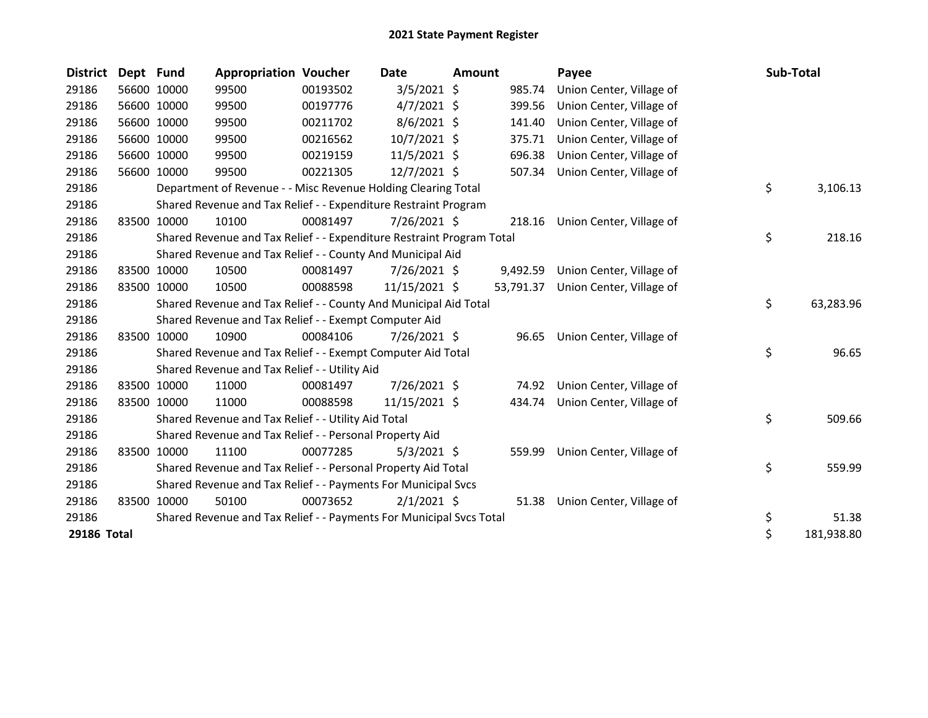| <b>District</b> | Dept Fund |             | <b>Appropriation Voucher</b>                                          |          | Date           | Amount |          | Payee                              | Sub-Total        |
|-----------------|-----------|-------------|-----------------------------------------------------------------------|----------|----------------|--------|----------|------------------------------------|------------------|
| 29186           |           | 56600 10000 | 99500                                                                 | 00193502 | $3/5/2021$ \$  |        | 985.74   | Union Center, Village of           |                  |
| 29186           |           | 56600 10000 | 99500                                                                 | 00197776 | $4/7/2021$ \$  |        | 399.56   | Union Center, Village of           |                  |
| 29186           |           | 56600 10000 | 99500                                                                 | 00211702 | $8/6/2021$ \$  |        | 141.40   | Union Center, Village of           |                  |
| 29186           |           | 56600 10000 | 99500                                                                 | 00216562 | 10/7/2021 \$   |        | 375.71   | Union Center, Village of           |                  |
| 29186           |           | 56600 10000 | 99500                                                                 | 00219159 | 11/5/2021 \$   |        | 696.38   | Union Center, Village of           |                  |
| 29186           |           | 56600 10000 | 99500                                                                 | 00221305 | 12/7/2021 \$   |        | 507.34   | Union Center, Village of           |                  |
| 29186           |           |             | Department of Revenue - - Misc Revenue Holding Clearing Total         |          |                |        |          |                                    | \$<br>3,106.13   |
| 29186           |           |             | Shared Revenue and Tax Relief - - Expenditure Restraint Program       |          |                |        |          |                                    |                  |
| 29186           |           | 83500 10000 | 10100                                                                 | 00081497 | 7/26/2021 \$   |        | 218.16   | Union Center, Village of           |                  |
| 29186           |           |             | Shared Revenue and Tax Relief - - Expenditure Restraint Program Total |          |                |        |          |                                    | \$<br>218.16     |
| 29186           |           |             | Shared Revenue and Tax Relief - - County And Municipal Aid            |          |                |        |          |                                    |                  |
| 29186           |           | 83500 10000 | 10500                                                                 | 00081497 | 7/26/2021 \$   |        | 9,492.59 | Union Center, Village of           |                  |
| 29186           |           | 83500 10000 | 10500                                                                 | 00088598 | 11/15/2021 \$  |        |          | 53,791.37 Union Center, Village of |                  |
| 29186           |           |             | Shared Revenue and Tax Relief - - County And Municipal Aid Total      |          |                |        |          |                                    | \$<br>63,283.96  |
| 29186           |           |             | Shared Revenue and Tax Relief - - Exempt Computer Aid                 |          |                |        |          |                                    |                  |
| 29186           | 83500     | 10000       | 10900                                                                 | 00084106 | $7/26/2021$ \$ |        | 96.65    | Union Center, Village of           |                  |
| 29186           |           |             | Shared Revenue and Tax Relief - - Exempt Computer Aid Total           |          |                |        |          |                                    | \$<br>96.65      |
| 29186           |           |             | Shared Revenue and Tax Relief - - Utility Aid                         |          |                |        |          |                                    |                  |
| 29186           |           | 83500 10000 | 11000                                                                 | 00081497 | 7/26/2021 \$   |        | 74.92    | Union Center, Village of           |                  |
| 29186           |           | 83500 10000 | 11000                                                                 | 00088598 | 11/15/2021 \$  |        | 434.74   | Union Center, Village of           |                  |
| 29186           |           |             | Shared Revenue and Tax Relief - - Utility Aid Total                   |          |                |        |          |                                    | \$<br>509.66     |
| 29186           |           |             | Shared Revenue and Tax Relief - - Personal Property Aid               |          |                |        |          |                                    |                  |
| 29186           | 83500     | 10000       | 11100                                                                 | 00077285 | $5/3/2021$ \$  |        | 559.99   | Union Center, Village of           |                  |
| 29186           |           |             | Shared Revenue and Tax Relief - - Personal Property Aid Total         |          |                |        |          |                                    | \$<br>559.99     |
| 29186           |           |             | Shared Revenue and Tax Relief - - Payments For Municipal Svcs         |          |                |        |          |                                    |                  |
| 29186           |           | 83500 10000 | 50100                                                                 | 00073652 | $2/1/2021$ \$  |        | 51.38    | Union Center, Village of           |                  |
| 29186           |           |             | Shared Revenue and Tax Relief - - Payments For Municipal Svcs Total   |          |                |        |          |                                    | \$<br>51.38      |
| 29186 Total     |           |             |                                                                       |          |                |        |          |                                    | \$<br>181,938.80 |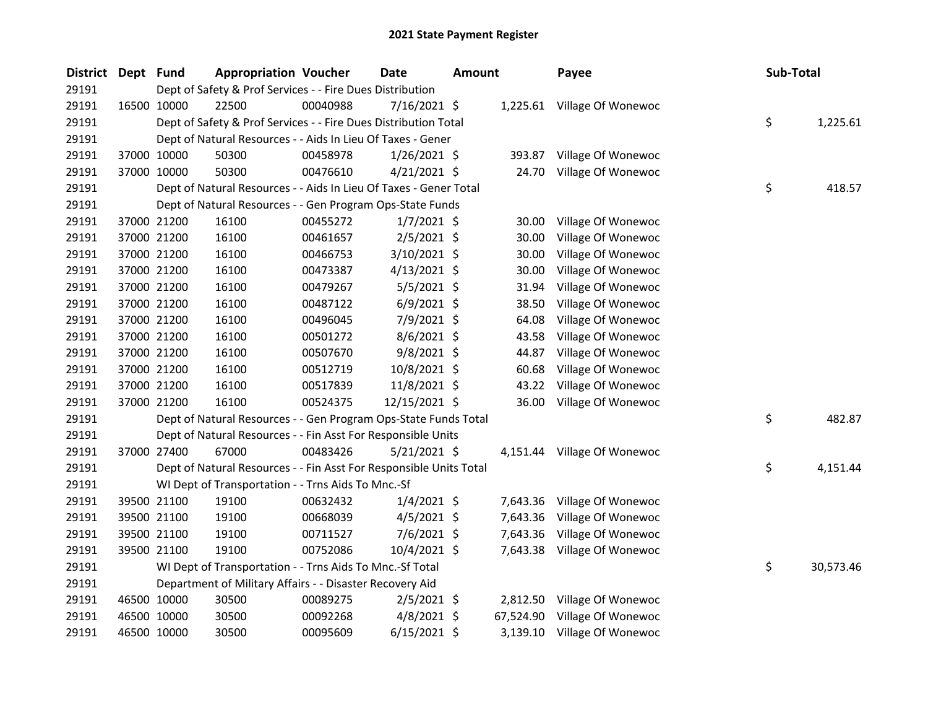| <b>District</b> | Dept Fund |             | <b>Appropriation Voucher</b>                                       |          | Date           | <b>Amount</b> |           | Payee                       | Sub-Total |           |
|-----------------|-----------|-------------|--------------------------------------------------------------------|----------|----------------|---------------|-----------|-----------------------------|-----------|-----------|
| 29191           |           |             | Dept of Safety & Prof Services - - Fire Dues Distribution          |          |                |               |           |                             |           |           |
| 29191           |           | 16500 10000 | 22500                                                              | 00040988 | 7/16/2021 \$   |               |           | 1,225.61 Village Of Wonewoc |           |           |
| 29191           |           |             | Dept of Safety & Prof Services - - Fire Dues Distribution Total    |          |                |               |           |                             | \$        | 1,225.61  |
| 29191           |           |             | Dept of Natural Resources - - Aids In Lieu Of Taxes - Gener        |          |                |               |           |                             |           |           |
| 29191           |           | 37000 10000 | 50300                                                              | 00458978 | $1/26/2021$ \$ |               | 393.87    | Village Of Wonewoc          |           |           |
| 29191           |           | 37000 10000 | 50300                                                              | 00476610 | $4/21/2021$ \$ |               | 24.70     | Village Of Wonewoc          |           |           |
| 29191           |           |             | Dept of Natural Resources - - Aids In Lieu Of Taxes - Gener Total  |          |                |               |           |                             | \$        | 418.57    |
| 29191           |           |             | Dept of Natural Resources - - Gen Program Ops-State Funds          |          |                |               |           |                             |           |           |
| 29191           |           | 37000 21200 | 16100                                                              | 00455272 | $1/7/2021$ \$  |               | 30.00     | Village Of Wonewoc          |           |           |
| 29191           |           | 37000 21200 | 16100                                                              | 00461657 | $2/5/2021$ \$  |               | 30.00     | Village Of Wonewoc          |           |           |
| 29191           |           | 37000 21200 | 16100                                                              | 00466753 | $3/10/2021$ \$ |               | 30.00     | Village Of Wonewoc          |           |           |
| 29191           |           | 37000 21200 | 16100                                                              | 00473387 | $4/13/2021$ \$ |               | 30.00     | Village Of Wonewoc          |           |           |
| 29191           |           | 37000 21200 | 16100                                                              | 00479267 | $5/5/2021$ \$  |               | 31.94     | Village Of Wonewoc          |           |           |
| 29191           |           | 37000 21200 | 16100                                                              | 00487122 | $6/9/2021$ \$  |               | 38.50     | Village Of Wonewoc          |           |           |
| 29191           |           | 37000 21200 | 16100                                                              | 00496045 | 7/9/2021 \$    |               | 64.08     | Village Of Wonewoc          |           |           |
| 29191           |           | 37000 21200 | 16100                                                              | 00501272 | $8/6/2021$ \$  |               | 43.58     | Village Of Wonewoc          |           |           |
| 29191           |           | 37000 21200 | 16100                                                              | 00507670 | 9/8/2021 \$    |               | 44.87     | Village Of Wonewoc          |           |           |
| 29191           |           | 37000 21200 | 16100                                                              | 00512719 | 10/8/2021 \$   |               | 60.68     | Village Of Wonewoc          |           |           |
| 29191           |           | 37000 21200 | 16100                                                              | 00517839 | 11/8/2021 \$   |               | 43.22     | Village Of Wonewoc          |           |           |
| 29191           |           | 37000 21200 | 16100                                                              | 00524375 | 12/15/2021 \$  |               | 36.00     | Village Of Wonewoc          |           |           |
| 29191           |           |             | Dept of Natural Resources - - Gen Program Ops-State Funds Total    |          |                |               |           |                             | \$        | 482.87    |
| 29191           |           |             | Dept of Natural Resources - - Fin Asst For Responsible Units       |          |                |               |           |                             |           |           |
| 29191           |           | 37000 27400 | 67000                                                              | 00483426 | $5/21/2021$ \$ |               |           | 4,151.44 Village Of Wonewoc |           |           |
| 29191           |           |             | Dept of Natural Resources - - Fin Asst For Responsible Units Total |          |                |               |           |                             | \$        | 4,151.44  |
| 29191           |           |             | WI Dept of Transportation - - Trns Aids To Mnc.-Sf                 |          |                |               |           |                             |           |           |
| 29191           |           | 39500 21100 | 19100                                                              | 00632432 | $1/4/2021$ \$  |               | 7,643.36  | Village Of Wonewoc          |           |           |
| 29191           |           | 39500 21100 | 19100                                                              | 00668039 | 4/5/2021 \$    |               | 7,643.36  | Village Of Wonewoc          |           |           |
| 29191           |           | 39500 21100 | 19100                                                              | 00711527 | $7/6/2021$ \$  |               | 7,643.36  | Village Of Wonewoc          |           |           |
| 29191           |           | 39500 21100 | 19100                                                              | 00752086 | 10/4/2021 \$   |               | 7,643.38  | Village Of Wonewoc          |           |           |
| 29191           |           |             | WI Dept of Transportation - - Trns Aids To Mnc.-Sf Total           |          |                |               |           |                             | \$        | 30,573.46 |
| 29191           |           |             | Department of Military Affairs - - Disaster Recovery Aid           |          |                |               |           |                             |           |           |
| 29191           |           | 46500 10000 | 30500                                                              | 00089275 | $2/5/2021$ \$  |               | 2,812.50  | Village Of Wonewoc          |           |           |
| 29191           |           | 46500 10000 | 30500                                                              | 00092268 | $4/8/2021$ \$  |               | 67,524.90 | Village Of Wonewoc          |           |           |
| 29191           |           | 46500 10000 | 30500                                                              | 00095609 | $6/15/2021$ \$ |               | 3,139.10  | Village Of Wonewoc          |           |           |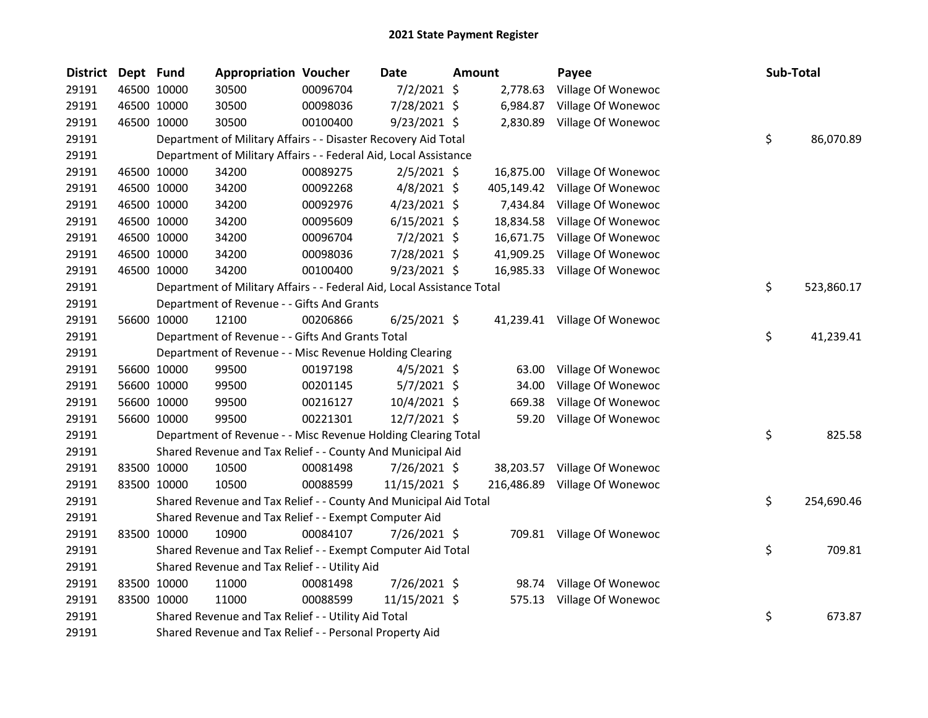| <b>District</b> | Dept Fund |             | <b>Appropriation Voucher</b>                                           |          | Date           | Amount |            | Payee                         | Sub-Total |            |
|-----------------|-----------|-------------|------------------------------------------------------------------------|----------|----------------|--------|------------|-------------------------------|-----------|------------|
| 29191           |           | 46500 10000 | 30500                                                                  | 00096704 | $7/2/2021$ \$  |        | 2,778.63   | Village Of Wonewoc            |           |            |
| 29191           |           | 46500 10000 | 30500                                                                  | 00098036 | 7/28/2021 \$   |        | 6,984.87   | Village Of Wonewoc            |           |            |
| 29191           |           | 46500 10000 | 30500                                                                  | 00100400 | 9/23/2021 \$   |        |            | 2,830.89 Village Of Wonewoc   |           |            |
| 29191           |           |             | Department of Military Affairs - - Disaster Recovery Aid Total         |          |                |        |            |                               | \$        | 86,070.89  |
| 29191           |           |             | Department of Military Affairs - - Federal Aid, Local Assistance       |          |                |        |            |                               |           |            |
| 29191           |           | 46500 10000 | 34200                                                                  | 00089275 | $2/5/2021$ \$  |        | 16,875.00  | Village Of Wonewoc            |           |            |
| 29191           |           | 46500 10000 | 34200                                                                  | 00092268 | $4/8/2021$ \$  |        | 405,149.42 | Village Of Wonewoc            |           |            |
| 29191           |           | 46500 10000 | 34200                                                                  | 00092976 | $4/23/2021$ \$ |        | 7,434.84   | Village Of Wonewoc            |           |            |
| 29191           |           | 46500 10000 | 34200                                                                  | 00095609 | $6/15/2021$ \$ |        | 18,834.58  | Village Of Wonewoc            |           |            |
| 29191           |           | 46500 10000 | 34200                                                                  | 00096704 | $7/2/2021$ \$  |        | 16,671.75  | Village Of Wonewoc            |           |            |
| 29191           |           | 46500 10000 | 34200                                                                  | 00098036 | 7/28/2021 \$   |        | 41,909.25  | Village Of Wonewoc            |           |            |
| 29191           |           | 46500 10000 | 34200                                                                  | 00100400 | $9/23/2021$ \$ |        | 16,985.33  | Village Of Wonewoc            |           |            |
| 29191           |           |             | Department of Military Affairs - - Federal Aid, Local Assistance Total |          |                |        |            |                               | \$        | 523,860.17 |
| 29191           |           |             | Department of Revenue - - Gifts And Grants                             |          |                |        |            |                               |           |            |
| 29191           |           | 56600 10000 | 12100                                                                  | 00206866 | $6/25/2021$ \$ |        |            | 41,239.41 Village Of Wonewoc  |           |            |
| 29191           |           |             | Department of Revenue - - Gifts And Grants Total                       |          |                |        |            |                               | \$        | 41,239.41  |
| 29191           |           |             | Department of Revenue - - Misc Revenue Holding Clearing                |          |                |        |            |                               |           |            |
| 29191           |           | 56600 10000 | 99500                                                                  | 00197198 | $4/5/2021$ \$  |        | 63.00      | Village Of Wonewoc            |           |            |
| 29191           |           | 56600 10000 | 99500                                                                  | 00201145 | $5/7/2021$ \$  |        | 34.00      | Village Of Wonewoc            |           |            |
| 29191           |           | 56600 10000 | 99500                                                                  | 00216127 | $10/4/2021$ \$ |        | 669.38     | Village Of Wonewoc            |           |            |
| 29191           |           | 56600 10000 | 99500                                                                  | 00221301 | 12/7/2021 \$   |        | 59.20      | Village Of Wonewoc            |           |            |
| 29191           |           |             | Department of Revenue - - Misc Revenue Holding Clearing Total          |          |                |        |            |                               | \$        | 825.58     |
| 29191           |           |             | Shared Revenue and Tax Relief - - County And Municipal Aid             |          |                |        |            |                               |           |            |
| 29191           |           | 83500 10000 | 10500                                                                  | 00081498 | 7/26/2021 \$   |        | 38,203.57  | Village Of Wonewoc            |           |            |
| 29191           |           | 83500 10000 | 10500                                                                  | 00088599 | 11/15/2021 \$  |        |            | 216,486.89 Village Of Wonewoc |           |            |
| 29191           |           |             | Shared Revenue and Tax Relief - - County And Municipal Aid Total       |          |                |        |            |                               | \$        | 254,690.46 |
| 29191           |           |             | Shared Revenue and Tax Relief - - Exempt Computer Aid                  |          |                |        |            |                               |           |            |
| 29191           |           | 83500 10000 | 10900                                                                  | 00084107 | 7/26/2021 \$   |        |            | 709.81 Village Of Wonewoc     |           |            |
| 29191           |           |             | Shared Revenue and Tax Relief - - Exempt Computer Aid Total            |          |                |        |            |                               | \$        | 709.81     |
| 29191           |           |             | Shared Revenue and Tax Relief - - Utility Aid                          |          |                |        |            |                               |           |            |
| 29191           |           | 83500 10000 | 11000                                                                  | 00081498 | 7/26/2021 \$   |        | 98.74      | Village Of Wonewoc            |           |            |
| 29191           |           | 83500 10000 | 11000                                                                  | 00088599 | 11/15/2021 \$  |        | 575.13     | Village Of Wonewoc            |           |            |
| 29191           |           |             | Shared Revenue and Tax Relief - - Utility Aid Total                    |          |                |        |            |                               | \$        | 673.87     |
| 29191           |           |             | Shared Revenue and Tax Relief - - Personal Property Aid                |          |                |        |            |                               |           |            |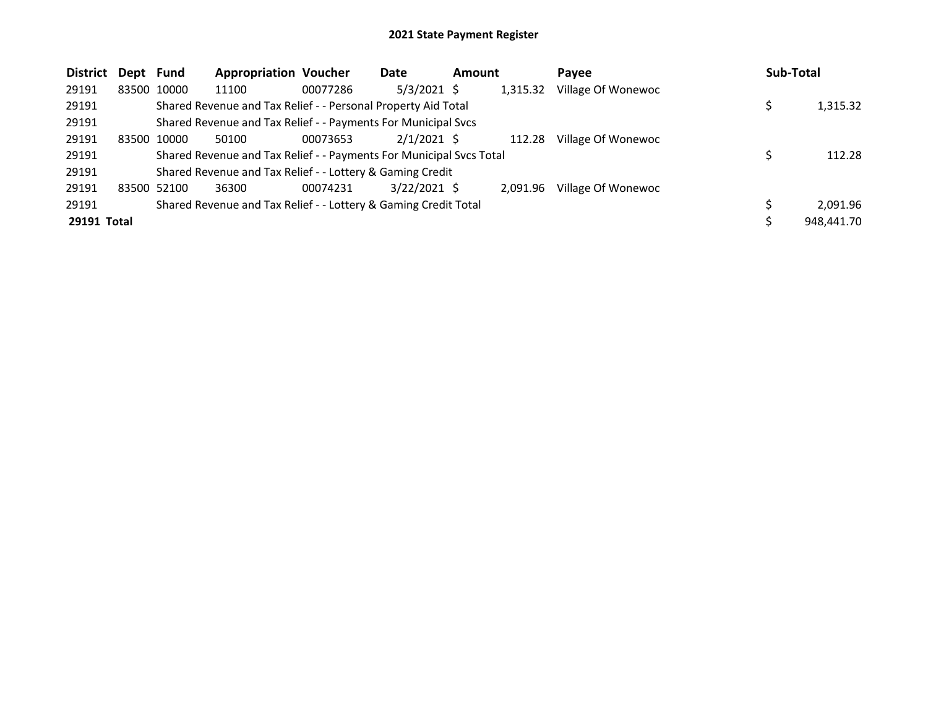| <b>District</b> | Dept Fund |             | <b>Appropriation Voucher</b>                                        |          | Date           | <b>Amount</b> |          | Pavee              | Sub-Total  |
|-----------------|-----------|-------------|---------------------------------------------------------------------|----------|----------------|---------------|----------|--------------------|------------|
| 29191           |           | 83500 10000 | 11100                                                               | 00077286 | $5/3/2021$ \$  |               | 1,315.32 | Village Of Wonewoc |            |
| 29191           |           |             | Shared Revenue and Tax Relief - - Personal Property Aid Total       |          |                |               |          |                    | 1,315.32   |
| 29191           |           |             | Shared Revenue and Tax Relief - - Payments For Municipal Svcs       |          |                |               |          |                    |            |
| 29191           |           | 83500 10000 | 50100                                                               | 00073653 | $2/1/2021$ \$  |               | 112.28   | Village Of Wonewoc |            |
| 29191           |           |             | Shared Revenue and Tax Relief - - Payments For Municipal Svcs Total |          |                |               |          |                    | 112.28     |
| 29191           |           |             | Shared Revenue and Tax Relief - - Lottery & Gaming Credit           |          |                |               |          |                    |            |
| 29191           |           | 83500 52100 | 36300                                                               | 00074231 | $3/22/2021$ \$ |               | 2.091.96 | Village Of Wonewoc |            |
| 29191           |           |             | Shared Revenue and Tax Relief - - Lottery & Gaming Credit Total     |          |                |               |          |                    | 2,091.96   |
| 29191 Total     |           |             |                                                                     |          |                |               |          |                    | 948,441.70 |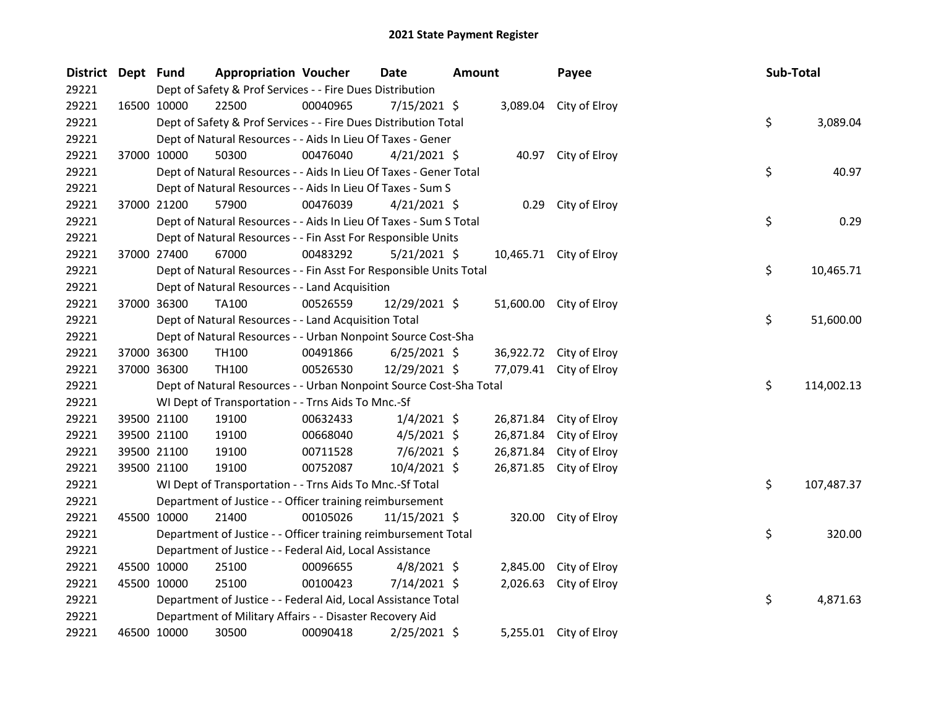| District Dept Fund |                                                                    | <b>Appropriation Voucher</b> | Date           | Amount |           | Payee                   | Sub-Total |            |
|--------------------|--------------------------------------------------------------------|------------------------------|----------------|--------|-----------|-------------------------|-----------|------------|
| 29221              | Dept of Safety & Prof Services - - Fire Dues Distribution          |                              |                |        |           |                         |           |            |
| 29221              | 22500<br>16500 10000                                               | 00040965                     | $7/15/2021$ \$ |        |           | 3,089.04 City of Elroy  |           |            |
| 29221              | Dept of Safety & Prof Services - - Fire Dues Distribution Total    |                              |                |        |           |                         | \$        | 3,089.04   |
| 29221              | Dept of Natural Resources - - Aids In Lieu Of Taxes - Gener        |                              |                |        |           |                         |           |            |
| 29221              | 37000 10000<br>50300                                               | 00476040                     | $4/21/2021$ \$ |        |           | 40.97 City of Elroy     |           |            |
| 29221              | Dept of Natural Resources - - Aids In Lieu Of Taxes - Gener Total  |                              |                |        |           |                         | \$        | 40.97      |
| 29221              | Dept of Natural Resources - - Aids In Lieu Of Taxes - Sum S        |                              |                |        |           |                         |           |            |
| 29221              | 57900<br>37000 21200                                               | 00476039                     | $4/21/2021$ \$ |        |           | 0.29 City of Elroy      |           |            |
| 29221              | Dept of Natural Resources - - Aids In Lieu Of Taxes - Sum S Total  |                              |                |        |           |                         | \$        | 0.29       |
| 29221              | Dept of Natural Resources - - Fin Asst For Responsible Units       |                              |                |        |           |                         |           |            |
| 29221              | 67000<br>37000 27400                                               | 00483292                     | 5/21/2021 \$   |        |           | 10,465.71 City of Elroy |           |            |
| 29221              | Dept of Natural Resources - - Fin Asst For Responsible Units Total |                              |                |        |           |                         | \$        | 10,465.71  |
| 29221              | Dept of Natural Resources - - Land Acquisition                     |                              |                |        |           |                         |           |            |
| 29221              | 37000 36300<br>TA100                                               | 00526559                     | 12/29/2021 \$  |        |           | 51,600.00 City of Elroy |           |            |
| 29221              | Dept of Natural Resources - - Land Acquisition Total               |                              |                |        |           |                         | \$        | 51,600.00  |
| 29221              | Dept of Natural Resources - - Urban Nonpoint Source Cost-Sha       |                              |                |        |           |                         |           |            |
| 29221              | 37000 36300<br>TH100                                               | 00491866                     | $6/25/2021$ \$ |        |           | 36,922.72 City of Elroy |           |            |
| 29221              | 37000 36300<br>TH100                                               | 00526530                     | 12/29/2021 \$  |        |           | 77,079.41 City of Elroy |           |            |
| 29221              | Dept of Natural Resources - - Urban Nonpoint Source Cost-Sha Total |                              |                |        |           |                         | \$        | 114,002.13 |
| 29221              | WI Dept of Transportation - - Trns Aids To Mnc.-Sf                 |                              |                |        |           |                         |           |            |
| 29221              | 19100<br>39500 21100                                               | 00632433                     | $1/4/2021$ \$  |        | 26,871.84 | City of Elroy           |           |            |
| 29221              | 39500 21100<br>19100                                               | 00668040                     | $4/5/2021$ \$  |        | 26,871.84 | City of Elroy           |           |            |
| 29221              | 39500 21100<br>19100                                               | 00711528                     | 7/6/2021 \$    |        | 26,871.84 | City of Elroy           |           |            |
| 29221              | 19100<br>39500 21100                                               | 00752087                     | $10/4/2021$ \$ |        |           | 26,871.85 City of Elroy |           |            |
| 29221              | WI Dept of Transportation - - Trns Aids To Mnc.-Sf Total           |                              |                |        |           |                         | \$        | 107,487.37 |
| 29221              | Department of Justice - - Officer training reimbursement           |                              |                |        |           |                         |           |            |
| 29221              | 45500 10000<br>21400                                               | 00105026                     | 11/15/2021 \$  |        |           | 320.00 City of Elroy    |           |            |
| 29221              | Department of Justice - - Officer training reimbursement Total     |                              |                |        |           |                         | \$        | 320.00     |
| 29221              | Department of Justice - - Federal Aid, Local Assistance            |                              |                |        |           |                         |           |            |
| 29221              | 45500 10000<br>25100                                               | 00096655                     | $4/8/2021$ \$  |        |           | 2,845.00 City of Elroy  |           |            |
| 29221              | 45500 10000<br>25100                                               | 00100423                     | $7/14/2021$ \$ |        | 2,026.63  | City of Elroy           |           |            |
| 29221              | Department of Justice - - Federal Aid, Local Assistance Total      |                              |                |        |           |                         | \$        | 4,871.63   |
| 29221              | Department of Military Affairs - - Disaster Recovery Aid           |                              |                |        |           |                         |           |            |
| 29221              | 46500 10000<br>30500                                               | 00090418                     | 2/25/2021 \$   |        |           | 5,255.01 City of Elroy  |           |            |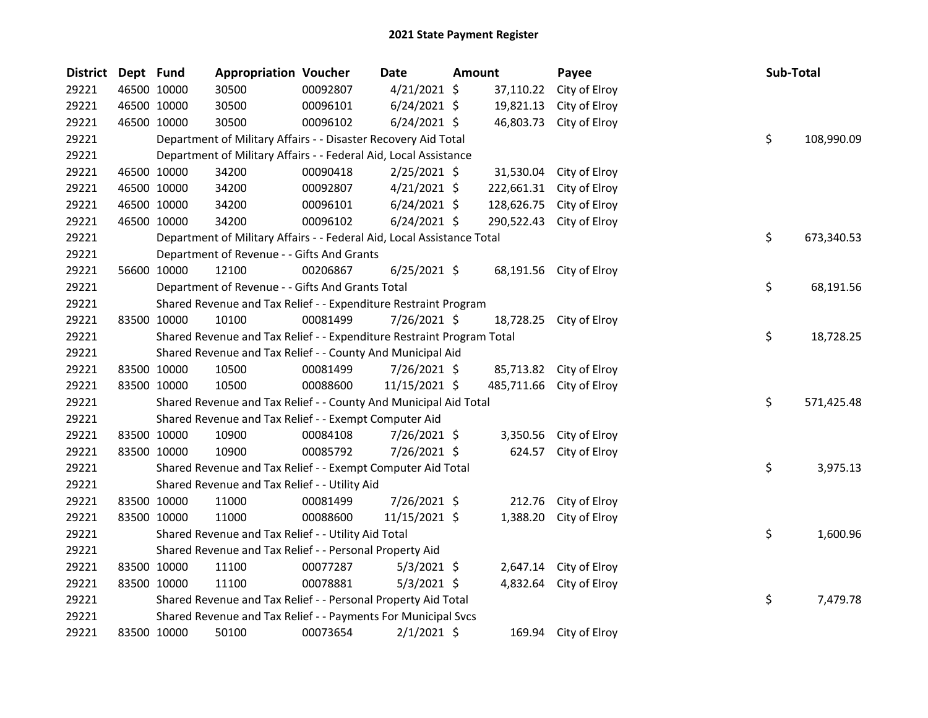| <b>District</b> | Dept Fund |             | <b>Appropriation Voucher</b>                                           |          | Date           | <b>Amount</b> |            | Payee                    | Sub-Total |            |
|-----------------|-----------|-------------|------------------------------------------------------------------------|----------|----------------|---------------|------------|--------------------------|-----------|------------|
| 29221           |           | 46500 10000 | 30500                                                                  | 00092807 | $4/21/2021$ \$ |               | 37,110.22  | City of Elroy            |           |            |
| 29221           |           | 46500 10000 | 30500                                                                  | 00096101 | $6/24/2021$ \$ |               | 19,821.13  | City of Elroy            |           |            |
| 29221           |           | 46500 10000 | 30500                                                                  | 00096102 | $6/24/2021$ \$ |               | 46,803.73  | City of Elroy            |           |            |
| 29221           |           |             | Department of Military Affairs - - Disaster Recovery Aid Total         |          |                |               |            |                          | \$        | 108,990.09 |
| 29221           |           |             | Department of Military Affairs - - Federal Aid, Local Assistance       |          |                |               |            |                          |           |            |
| 29221           |           | 46500 10000 | 34200                                                                  | 00090418 | $2/25/2021$ \$ |               | 31,530.04  | City of Elroy            |           |            |
| 29221           |           | 46500 10000 | 34200                                                                  | 00092807 | $4/21/2021$ \$ |               | 222,661.31 | City of Elroy            |           |            |
| 29221           |           | 46500 10000 | 34200                                                                  | 00096101 | $6/24/2021$ \$ |               | 128,626.75 | City of Elroy            |           |            |
| 29221           |           | 46500 10000 | 34200                                                                  | 00096102 | $6/24/2021$ \$ |               | 290,522.43 | City of Elroy            |           |            |
| 29221           |           |             | Department of Military Affairs - - Federal Aid, Local Assistance Total |          |                |               |            |                          | \$        | 673,340.53 |
| 29221           |           |             | Department of Revenue - - Gifts And Grants                             |          |                |               |            |                          |           |            |
| 29221           |           | 56600 10000 | 12100                                                                  | 00206867 | $6/25/2021$ \$ |               |            | 68,191.56 City of Elroy  |           |            |
| 29221           |           |             | Department of Revenue - - Gifts And Grants Total                       |          |                |               |            |                          | \$        | 68,191.56  |
| 29221           |           |             | Shared Revenue and Tax Relief - - Expenditure Restraint Program        |          |                |               |            |                          |           |            |
| 29221           |           | 83500 10000 | 10100                                                                  | 00081499 | $7/26/2021$ \$ |               | 18,728.25  | City of Elroy            |           |            |
| 29221           |           |             | Shared Revenue and Tax Relief - - Expenditure Restraint Program Total  |          |                |               |            |                          | \$        | 18,728.25  |
| 29221           |           |             | Shared Revenue and Tax Relief - - County And Municipal Aid             |          |                |               |            |                          |           |            |
| 29221           |           | 83500 10000 | 10500                                                                  | 00081499 | 7/26/2021 \$   |               |            | 85,713.82 City of Elroy  |           |            |
| 29221           |           | 83500 10000 | 10500                                                                  | 00088600 | 11/15/2021 \$  |               |            | 485,711.66 City of Elroy |           |            |
| 29221           |           |             | Shared Revenue and Tax Relief - - County And Municipal Aid Total       |          |                |               |            |                          | \$        | 571,425.48 |
| 29221           |           |             | Shared Revenue and Tax Relief - - Exempt Computer Aid                  |          |                |               |            |                          |           |            |
| 29221           |           | 83500 10000 | 10900                                                                  | 00084108 | 7/26/2021 \$   |               | 3,350.56   | City of Elroy            |           |            |
| 29221           |           | 83500 10000 | 10900                                                                  | 00085792 | 7/26/2021 \$   |               | 624.57     | City of Elroy            |           |            |
| 29221           |           |             | Shared Revenue and Tax Relief - - Exempt Computer Aid Total            |          |                |               |            |                          | \$        | 3,975.13   |
| 29221           |           |             | Shared Revenue and Tax Relief - - Utility Aid                          |          |                |               |            |                          |           |            |
| 29221           |           | 83500 10000 | 11000                                                                  | 00081499 | 7/26/2021 \$   |               | 212.76     | City of Elroy            |           |            |
| 29221           |           | 83500 10000 | 11000                                                                  | 00088600 | 11/15/2021 \$  |               | 1,388.20   | City of Elroy            |           |            |
| 29221           |           |             | Shared Revenue and Tax Relief - - Utility Aid Total                    |          |                |               |            |                          | \$        | 1,600.96   |
| 29221           |           |             | Shared Revenue and Tax Relief - - Personal Property Aid                |          |                |               |            |                          |           |            |
| 29221           |           | 83500 10000 | 11100                                                                  | 00077287 | $5/3/2021$ \$  |               | 2,647.14   | City of Elroy            |           |            |
| 29221           |           | 83500 10000 | 11100                                                                  | 00078881 | $5/3/2021$ \$  |               | 4,832.64   | City of Elroy            |           |            |
| 29221           |           |             | Shared Revenue and Tax Relief - - Personal Property Aid Total          |          |                |               |            |                          | \$        | 7,479.78   |
| 29221           |           |             | Shared Revenue and Tax Relief - - Payments For Municipal Svcs          |          |                |               |            |                          |           |            |
| 29221           |           | 83500 10000 | 50100                                                                  | 00073654 | $2/1/2021$ \$  |               |            | 169.94 City of Elroy     |           |            |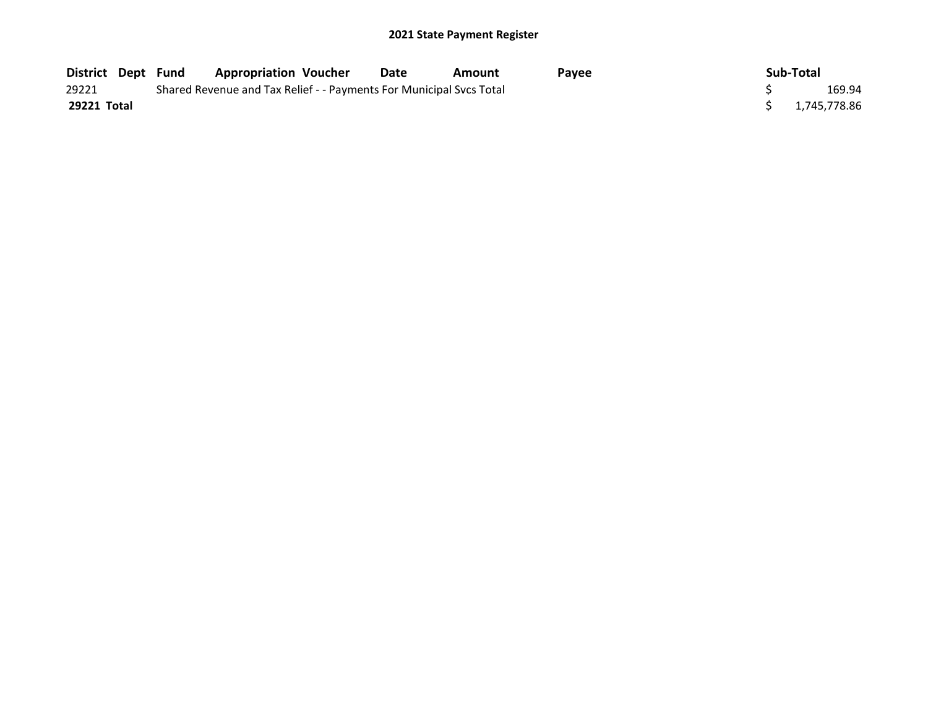| <b>District Dept Fund</b> | <b>Appropriation Voucher</b>                                        | Date | Amount | Pavee | Sub-Total      |
|---------------------------|---------------------------------------------------------------------|------|--------|-------|----------------|
| 29221                     | Shared Revenue and Tax Relief - - Payments For Municipal Svcs Total |      |        |       | 169.94         |
| 29221 Total               |                                                                     |      |        |       | \$1.745.778.86 |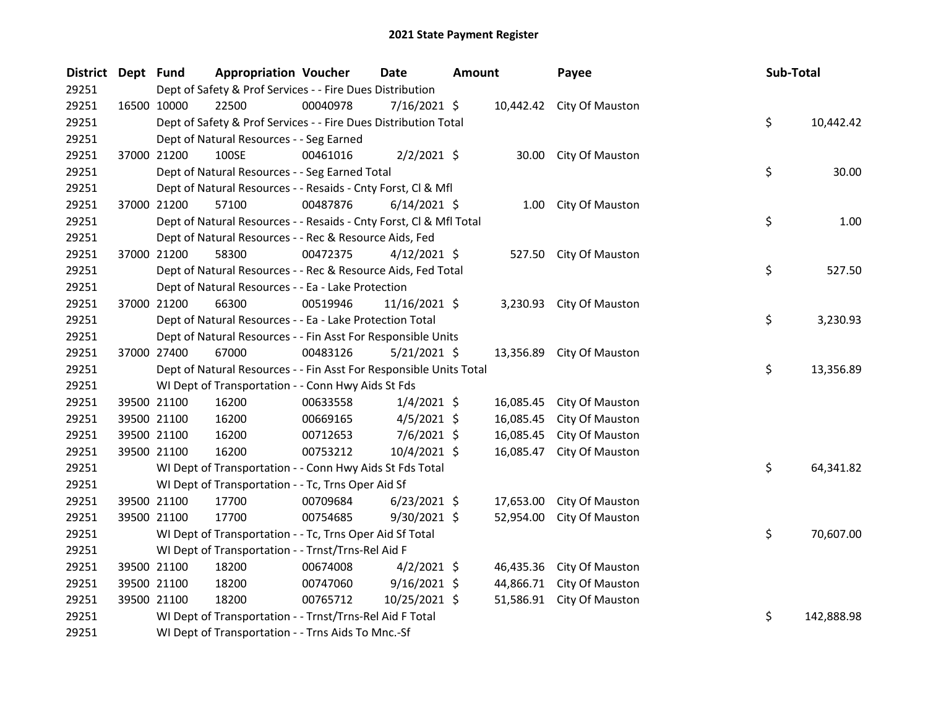| District Dept Fund |             | <b>Appropriation Voucher</b>                                       |          | <b>Date</b>    | <b>Amount</b> |           | Payee                     | Sub-Total |            |
|--------------------|-------------|--------------------------------------------------------------------|----------|----------------|---------------|-----------|---------------------------|-----------|------------|
| 29251              |             | Dept of Safety & Prof Services - - Fire Dues Distribution          |          |                |               |           |                           |           |            |
| 29251              | 16500 10000 | 22500                                                              | 00040978 | 7/16/2021 \$   |               |           | 10,442.42 City Of Mauston |           |            |
| 29251              |             | Dept of Safety & Prof Services - - Fire Dues Distribution Total    |          |                |               |           |                           | \$        | 10,442.42  |
| 29251              |             | Dept of Natural Resources - - Seg Earned                           |          |                |               |           |                           |           |            |
| 29251              | 37000 21200 | 100SE                                                              | 00461016 | $2/2/2021$ \$  |               | 30.00     | City Of Mauston           |           |            |
| 29251              |             | Dept of Natural Resources - - Seg Earned Total                     |          |                |               |           |                           | \$        | 30.00      |
| 29251              |             | Dept of Natural Resources - - Resaids - Cnty Forst, Cl & Mfl       |          |                |               |           |                           |           |            |
| 29251              | 37000 21200 | 57100                                                              | 00487876 | $6/14/2021$ \$ |               | 1.00      | City Of Mauston           |           |            |
| 29251              |             | Dept of Natural Resources - - Resaids - Cnty Forst, CI & Mfl Total |          |                |               |           |                           | \$        | 1.00       |
| 29251              |             | Dept of Natural Resources - - Rec & Resource Aids, Fed             |          |                |               |           |                           |           |            |
| 29251              | 37000 21200 | 58300                                                              | 00472375 | $4/12/2021$ \$ |               | 527.50    | City Of Mauston           |           |            |
| 29251              |             | Dept of Natural Resources - - Rec & Resource Aids, Fed Total       |          |                |               |           |                           | \$        | 527.50     |
| 29251              |             | Dept of Natural Resources - - Ea - Lake Protection                 |          |                |               |           |                           |           |            |
| 29251              | 37000 21200 | 66300                                                              | 00519946 | 11/16/2021 \$  |               |           | 3,230.93 City Of Mauston  |           |            |
| 29251              |             | Dept of Natural Resources - - Ea - Lake Protection Total           |          |                |               |           |                           | \$        | 3,230.93   |
| 29251              |             | Dept of Natural Resources - - Fin Asst For Responsible Units       |          |                |               |           |                           |           |            |
| 29251              | 37000 27400 | 67000                                                              | 00483126 | $5/21/2021$ \$ |               | 13,356.89 | City Of Mauston           |           |            |
| 29251              |             | Dept of Natural Resources - - Fin Asst For Responsible Units Total |          |                |               |           |                           | \$        | 13,356.89  |
| 29251              |             | WI Dept of Transportation - - Conn Hwy Aids St Fds                 |          |                |               |           |                           |           |            |
| 29251              | 39500 21100 | 16200                                                              | 00633558 | $1/4/2021$ \$  |               | 16,085.45 | City Of Mauston           |           |            |
| 29251              | 39500 21100 | 16200                                                              | 00669165 | $4/5/2021$ \$  |               | 16,085.45 | City Of Mauston           |           |            |
| 29251              | 39500 21100 | 16200                                                              | 00712653 | $7/6/2021$ \$  |               | 16,085.45 | City Of Mauston           |           |            |
| 29251              | 39500 21100 | 16200                                                              | 00753212 | 10/4/2021 \$   |               | 16,085.47 | City Of Mauston           |           |            |
| 29251              |             | WI Dept of Transportation - - Conn Hwy Aids St Fds Total           |          |                |               |           |                           | \$        | 64,341.82  |
| 29251              |             | WI Dept of Transportation - - Tc, Trns Oper Aid Sf                 |          |                |               |           |                           |           |            |
| 29251              | 39500 21100 | 17700                                                              | 00709684 | $6/23/2021$ \$ |               | 17,653.00 | City Of Mauston           |           |            |
| 29251              | 39500 21100 | 17700                                                              | 00754685 | $9/30/2021$ \$ |               | 52,954.00 | City Of Mauston           |           |            |
| 29251              |             | WI Dept of Transportation - - Tc, Trns Oper Aid Sf Total           |          |                |               |           |                           | \$        | 70,607.00  |
| 29251              |             | WI Dept of Transportation - - Trnst/Trns-Rel Aid F                 |          |                |               |           |                           |           |            |
| 29251              | 39500 21100 | 18200                                                              | 00674008 | $4/2/2021$ \$  |               | 46,435.36 | City Of Mauston           |           |            |
| 29251              | 39500 21100 | 18200                                                              | 00747060 | $9/16/2021$ \$ |               | 44,866.71 | City Of Mauston           |           |            |
| 29251              | 39500 21100 | 18200                                                              | 00765712 | 10/25/2021 \$  |               | 51,586.91 | City Of Mauston           |           |            |
| 29251              |             | WI Dept of Transportation - - Trnst/Trns-Rel Aid F Total           |          |                |               |           |                           | \$        | 142,888.98 |
| 29251              |             | WI Dept of Transportation - - Trns Aids To Mnc.-Sf                 |          |                |               |           |                           |           |            |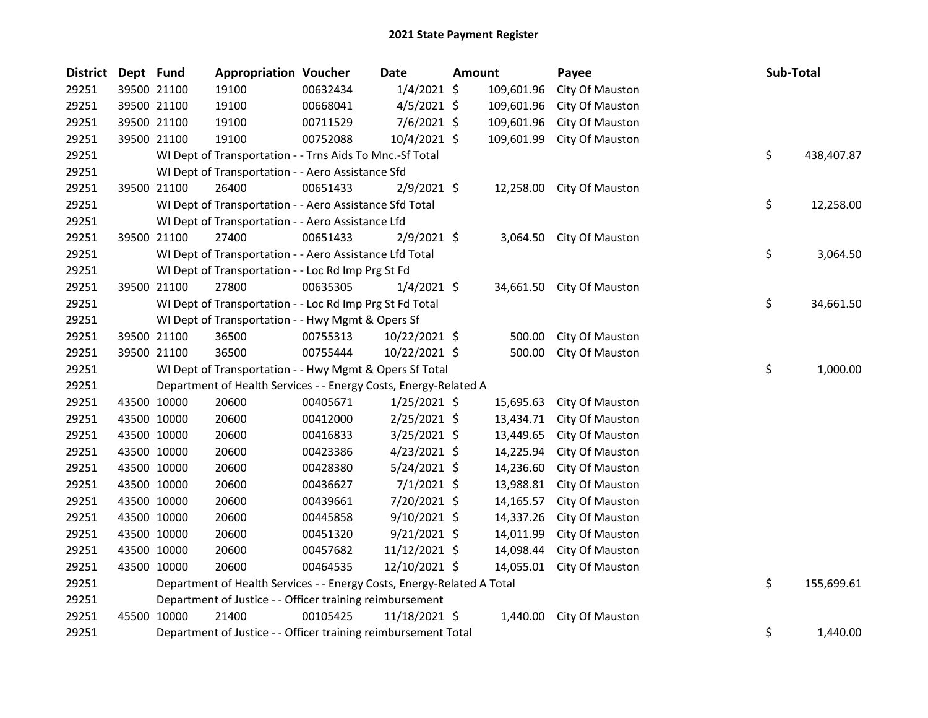| <b>District</b> | Dept Fund |             | <b>Appropriation Voucher</b>                                           |          | Date           | Amount |            | Payee                     | Sub-Total        |
|-----------------|-----------|-------------|------------------------------------------------------------------------|----------|----------------|--------|------------|---------------------------|------------------|
| 29251           |           | 39500 21100 | 19100                                                                  | 00632434 | $1/4/2021$ \$  |        | 109,601.96 | City Of Mauston           |                  |
| 29251           |           | 39500 21100 | 19100                                                                  | 00668041 | $4/5/2021$ \$  |        | 109,601.96 | City Of Mauston           |                  |
| 29251           |           | 39500 21100 | 19100                                                                  | 00711529 | 7/6/2021 \$    |        | 109,601.96 | City Of Mauston           |                  |
| 29251           |           | 39500 21100 | 19100                                                                  | 00752088 | 10/4/2021 \$   |        | 109,601.99 | City Of Mauston           |                  |
| 29251           |           |             | WI Dept of Transportation - - Trns Aids To Mnc.-Sf Total               |          |                |        |            |                           | \$<br>438,407.87 |
| 29251           |           |             | WI Dept of Transportation - - Aero Assistance Sfd                      |          |                |        |            |                           |                  |
| 29251           |           | 39500 21100 | 26400                                                                  | 00651433 | $2/9/2021$ \$  |        | 12,258.00  | City Of Mauston           |                  |
| 29251           |           |             | WI Dept of Transportation - - Aero Assistance Sfd Total                |          |                |        |            |                           | \$<br>12,258.00  |
| 29251           |           |             | WI Dept of Transportation - - Aero Assistance Lfd                      |          |                |        |            |                           |                  |
| 29251           |           | 39500 21100 | 27400                                                                  | 00651433 | 2/9/2021 \$    |        | 3,064.50   | City Of Mauston           |                  |
| 29251           |           |             | WI Dept of Transportation - - Aero Assistance Lfd Total                |          |                |        |            |                           | \$<br>3,064.50   |
| 29251           |           |             | WI Dept of Transportation - - Loc Rd Imp Prg St Fd                     |          |                |        |            |                           |                  |
| 29251           |           | 39500 21100 | 27800                                                                  | 00635305 | $1/4/2021$ \$  |        |            | 34,661.50 City Of Mauston |                  |
| 29251           |           |             | WI Dept of Transportation - - Loc Rd Imp Prg St Fd Total               |          |                |        |            |                           | \$<br>34,661.50  |
| 29251           |           |             | WI Dept of Transportation - - Hwy Mgmt & Opers Sf                      |          |                |        |            |                           |                  |
| 29251           |           | 39500 21100 | 36500                                                                  | 00755313 | 10/22/2021 \$  |        | 500.00     | City Of Mauston           |                  |
| 29251           |           | 39500 21100 | 36500                                                                  | 00755444 | 10/22/2021 \$  |        | 500.00     | City Of Mauston           |                  |
| 29251           |           |             | WI Dept of Transportation - - Hwy Mgmt & Opers Sf Total                |          |                |        |            |                           | \$<br>1,000.00   |
| 29251           |           |             | Department of Health Services - - Energy Costs, Energy-Related A       |          |                |        |            |                           |                  |
| 29251           |           | 43500 10000 | 20600                                                                  | 00405671 | 1/25/2021 \$   |        | 15,695.63  | City Of Mauston           |                  |
| 29251           |           | 43500 10000 | 20600                                                                  | 00412000 | 2/25/2021 \$   |        | 13,434.71  | City Of Mauston           |                  |
| 29251           |           | 43500 10000 | 20600                                                                  | 00416833 | 3/25/2021 \$   |        | 13,449.65  | City Of Mauston           |                  |
| 29251           |           | 43500 10000 | 20600                                                                  | 00423386 | $4/23/2021$ \$ |        | 14,225.94  | City Of Mauston           |                  |
| 29251           |           | 43500 10000 | 20600                                                                  | 00428380 | 5/24/2021 \$   |        | 14,236.60  | City Of Mauston           |                  |
| 29251           |           | 43500 10000 | 20600                                                                  | 00436627 | $7/1/2021$ \$  |        | 13,988.81  | City Of Mauston           |                  |
| 29251           |           | 43500 10000 | 20600                                                                  | 00439661 | 7/20/2021 \$   |        | 14,165.57  | City Of Mauston           |                  |
| 29251           |           | 43500 10000 | 20600                                                                  | 00445858 | $9/10/2021$ \$ |        | 14,337.26  | City Of Mauston           |                  |
| 29251           |           | 43500 10000 | 20600                                                                  | 00451320 | $9/21/2021$ \$ |        | 14,011.99  | City Of Mauston           |                  |
| 29251           |           | 43500 10000 | 20600                                                                  | 00457682 | 11/12/2021 \$  |        | 14,098.44  | City Of Mauston           |                  |
| 29251           |           | 43500 10000 | 20600                                                                  | 00464535 | 12/10/2021 \$  |        | 14,055.01  | City Of Mauston           |                  |
| 29251           |           |             | Department of Health Services - - Energy Costs, Energy-Related A Total |          |                |        |            |                           | \$<br>155,699.61 |
| 29251           |           |             | Department of Justice - - Officer training reimbursement               |          |                |        |            |                           |                  |
| 29251           |           | 45500 10000 | 21400                                                                  | 00105425 | 11/18/2021 \$  |        | 1,440.00   | City Of Mauston           |                  |
| 29251           |           |             | Department of Justice - - Officer training reimbursement Total         |          |                |        |            |                           | \$<br>1.440.00   |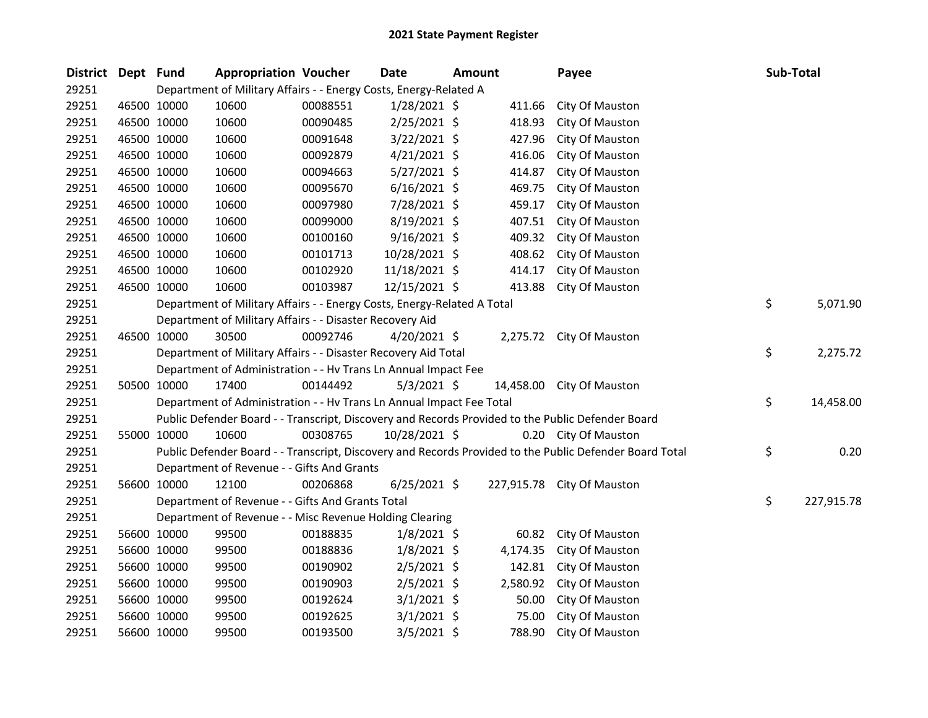| District Dept Fund |             |             | <b>Appropriation Voucher</b>                                            |          | Date           | <b>Amount</b> |          | Payee                                                                                                   | Sub-Total        |
|--------------------|-------------|-------------|-------------------------------------------------------------------------|----------|----------------|---------------|----------|---------------------------------------------------------------------------------------------------------|------------------|
| 29251              |             |             | Department of Military Affairs - - Energy Costs, Energy-Related A       |          |                |               |          |                                                                                                         |                  |
| 29251              |             | 46500 10000 | 10600                                                                   | 00088551 | 1/28/2021 \$   |               | 411.66   | City Of Mauston                                                                                         |                  |
| 29251              |             | 46500 10000 | 10600                                                                   | 00090485 | 2/25/2021 \$   |               | 418.93   | City Of Mauston                                                                                         |                  |
| 29251              |             | 46500 10000 | 10600                                                                   | 00091648 | $3/22/2021$ \$ |               | 427.96   | City Of Mauston                                                                                         |                  |
| 29251              | 46500 10000 |             | 10600                                                                   | 00092879 | 4/21/2021 \$   |               | 416.06   | City Of Mauston                                                                                         |                  |
| 29251              |             | 46500 10000 | 10600                                                                   | 00094663 | 5/27/2021 \$   |               | 414.87   | City Of Mauston                                                                                         |                  |
| 29251              |             | 46500 10000 | 10600                                                                   | 00095670 | $6/16/2021$ \$ |               | 469.75   | City Of Mauston                                                                                         |                  |
| 29251              |             | 46500 10000 | 10600                                                                   | 00097980 | 7/28/2021 \$   |               | 459.17   | City Of Mauston                                                                                         |                  |
| 29251              |             | 46500 10000 | 10600                                                                   | 00099000 | 8/19/2021 \$   |               | 407.51   | City Of Mauston                                                                                         |                  |
| 29251              |             | 46500 10000 | 10600                                                                   | 00100160 | $9/16/2021$ \$ |               | 409.32   | City Of Mauston                                                                                         |                  |
| 29251              |             | 46500 10000 | 10600                                                                   | 00101713 | 10/28/2021 \$  |               | 408.62   | City Of Mauston                                                                                         |                  |
| 29251              | 46500 10000 |             | 10600                                                                   | 00102920 | 11/18/2021 \$  |               | 414.17   | City Of Mauston                                                                                         |                  |
| 29251              |             | 46500 10000 | 10600                                                                   | 00103987 | 12/15/2021 \$  |               | 413.88   | City Of Mauston                                                                                         |                  |
| 29251              |             |             | Department of Military Affairs - - Energy Costs, Energy-Related A Total |          |                |               |          |                                                                                                         | \$<br>5,071.90   |
| 29251              |             |             | Department of Military Affairs - - Disaster Recovery Aid                |          |                |               |          |                                                                                                         |                  |
| 29251              |             | 46500 10000 | 30500                                                                   | 00092746 | $4/20/2021$ \$ |               |          | 2,275.72 City Of Mauston                                                                                |                  |
| 29251              |             |             | Department of Military Affairs - - Disaster Recovery Aid Total          |          |                |               |          |                                                                                                         | \$<br>2,275.72   |
| 29251              |             |             | Department of Administration - - Hv Trans Ln Annual Impact Fee          |          |                |               |          |                                                                                                         |                  |
| 29251              |             | 50500 10000 | 17400                                                                   | 00144492 | $5/3/2021$ \$  |               |          | 14,458.00 City Of Mauston                                                                               |                  |
| 29251              |             |             | Department of Administration - - Hv Trans Ln Annual Impact Fee Total    |          |                |               |          |                                                                                                         | \$<br>14,458.00  |
| 29251              |             |             |                                                                         |          |                |               |          | Public Defender Board - - Transcript, Discovery and Records Provided to the Public Defender Board       |                  |
| 29251              |             | 55000 10000 | 10600                                                                   | 00308765 | 10/28/2021 \$  |               |          | 0.20 City Of Mauston                                                                                    |                  |
| 29251              |             |             |                                                                         |          |                |               |          | Public Defender Board - - Transcript, Discovery and Records Provided to the Public Defender Board Total | \$<br>0.20       |
| 29251              |             |             | Department of Revenue - - Gifts And Grants                              |          |                |               |          |                                                                                                         |                  |
| 29251              |             | 56600 10000 | 12100                                                                   | 00206868 | $6/25/2021$ \$ |               |          | 227,915.78 City Of Mauston                                                                              |                  |
| 29251              |             |             | Department of Revenue - - Gifts And Grants Total                        |          |                |               |          |                                                                                                         | \$<br>227,915.78 |
| 29251              |             |             | Department of Revenue - - Misc Revenue Holding Clearing                 |          |                |               |          |                                                                                                         |                  |
| 29251              |             | 56600 10000 | 99500                                                                   | 00188835 | $1/8/2021$ \$  |               | 60.82    | City Of Mauston                                                                                         |                  |
| 29251              |             | 56600 10000 | 99500                                                                   | 00188836 | $1/8/2021$ \$  |               | 4,174.35 | City Of Mauston                                                                                         |                  |
| 29251              |             | 56600 10000 | 99500                                                                   | 00190902 | $2/5/2021$ \$  |               | 142.81   | City Of Mauston                                                                                         |                  |
| 29251              |             | 56600 10000 | 99500                                                                   | 00190903 | $2/5/2021$ \$  |               | 2,580.92 | City Of Mauston                                                                                         |                  |
| 29251              |             | 56600 10000 | 99500                                                                   | 00192624 | $3/1/2021$ \$  |               | 50.00    | City Of Mauston                                                                                         |                  |
| 29251              |             | 56600 10000 | 99500                                                                   | 00192625 | $3/1/2021$ \$  |               | 75.00    | City Of Mauston                                                                                         |                  |
| 29251              |             | 56600 10000 | 99500                                                                   | 00193500 | $3/5/2021$ \$  |               | 788.90   | City Of Mauston                                                                                         |                  |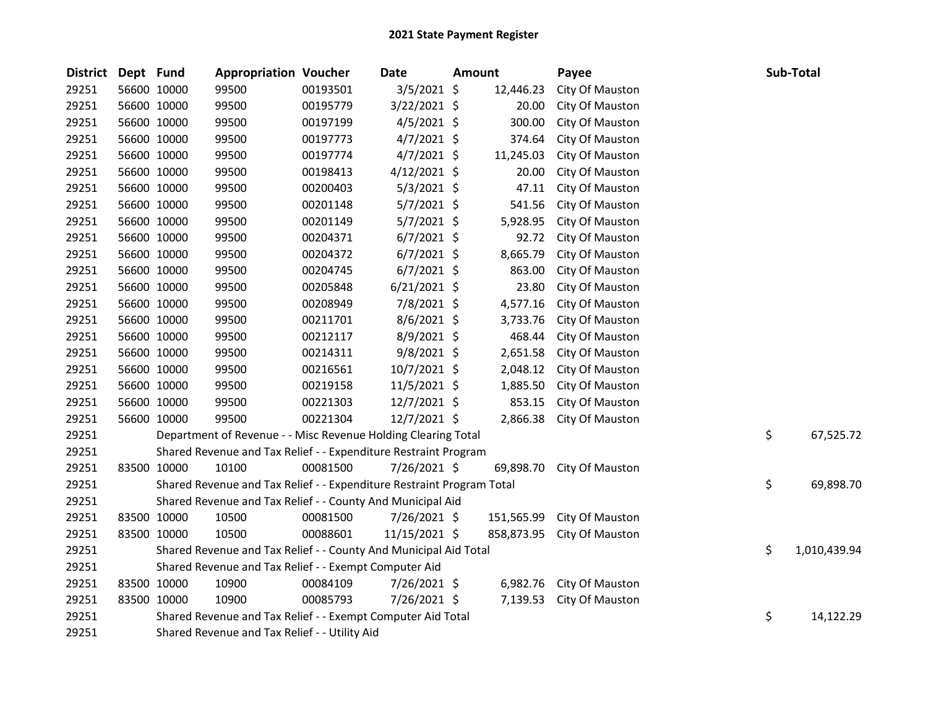| <b>District</b> | Dept Fund |             | <b>Appropriation Voucher</b>                                          |          | Date           | Amount |            | Payee           | Sub-Total          |
|-----------------|-----------|-------------|-----------------------------------------------------------------------|----------|----------------|--------|------------|-----------------|--------------------|
| 29251           |           | 56600 10000 | 99500                                                                 | 00193501 | 3/5/2021 \$    |        | 12,446.23  | City Of Mauston |                    |
| 29251           |           | 56600 10000 | 99500                                                                 | 00195779 | 3/22/2021 \$   |        | 20.00      | City Of Mauston |                    |
| 29251           |           | 56600 10000 | 99500                                                                 | 00197199 | $4/5/2021$ \$  |        | 300.00     | City Of Mauston |                    |
| 29251           |           | 56600 10000 | 99500                                                                 | 00197773 | $4/7/2021$ \$  |        | 374.64     | City Of Mauston |                    |
| 29251           |           | 56600 10000 | 99500                                                                 | 00197774 | $4/7/2021$ \$  |        | 11,245.03  | City Of Mauston |                    |
| 29251           |           | 56600 10000 | 99500                                                                 | 00198413 | 4/12/2021 \$   |        | 20.00      | City Of Mauston |                    |
| 29251           |           | 56600 10000 | 99500                                                                 | 00200403 | 5/3/2021 \$    |        | 47.11      | City Of Mauston |                    |
| 29251           |           | 56600 10000 | 99500                                                                 | 00201148 | 5/7/2021 \$    |        | 541.56     | City Of Mauston |                    |
| 29251           |           | 56600 10000 | 99500                                                                 | 00201149 | $5/7/2021$ \$  |        | 5,928.95   | City Of Mauston |                    |
| 29251           |           | 56600 10000 | 99500                                                                 | 00204371 | $6/7/2021$ \$  |        | 92.72      | City Of Mauston |                    |
| 29251           |           | 56600 10000 | 99500                                                                 | 00204372 | $6/7/2021$ \$  |        | 8,665.79   | City Of Mauston |                    |
| 29251           |           | 56600 10000 | 99500                                                                 | 00204745 | $6/7/2021$ \$  |        | 863.00     | City Of Mauston |                    |
| 29251           |           | 56600 10000 | 99500                                                                 | 00205848 | $6/21/2021$ \$ |        | 23.80      | City Of Mauston |                    |
| 29251           |           | 56600 10000 | 99500                                                                 | 00208949 | 7/8/2021 \$    |        | 4,577.16   | City Of Mauston |                    |
| 29251           |           | 56600 10000 | 99500                                                                 | 00211701 | 8/6/2021 \$    |        | 3,733.76   | City Of Mauston |                    |
| 29251           |           | 56600 10000 | 99500                                                                 | 00212117 | 8/9/2021 \$    |        | 468.44     | City Of Mauston |                    |
| 29251           |           | 56600 10000 | 99500                                                                 | 00214311 | $9/8/2021$ \$  |        | 2,651.58   | City Of Mauston |                    |
| 29251           |           | 56600 10000 | 99500                                                                 | 00216561 | 10/7/2021 \$   |        | 2,048.12   | City Of Mauston |                    |
| 29251           |           | 56600 10000 | 99500                                                                 | 00219158 | $11/5/2021$ \$ |        | 1,885.50   | City Of Mauston |                    |
| 29251           |           | 56600 10000 | 99500                                                                 | 00221303 | $12/7/2021$ \$ |        | 853.15     | City Of Mauston |                    |
| 29251           |           | 56600 10000 | 99500                                                                 | 00221304 | 12/7/2021 \$   |        | 2,866.38   | City Of Mauston |                    |
| 29251           |           |             | Department of Revenue - - Misc Revenue Holding Clearing Total         |          |                |        |            |                 | \$<br>67,525.72    |
| 29251           |           |             | Shared Revenue and Tax Relief - - Expenditure Restraint Program       |          |                |        |            |                 |                    |
| 29251           |           | 83500 10000 | 10100                                                                 | 00081500 | 7/26/2021 \$   |        | 69,898.70  | City Of Mauston |                    |
| 29251           |           |             | Shared Revenue and Tax Relief - - Expenditure Restraint Program Total |          |                |        |            |                 | \$<br>69,898.70    |
| 29251           |           |             | Shared Revenue and Tax Relief - - County And Municipal Aid            |          |                |        |            |                 |                    |
| 29251           |           | 83500 10000 | 10500                                                                 | 00081500 | 7/26/2021 \$   |        | 151,565.99 | City Of Mauston |                    |
| 29251           |           | 83500 10000 | 10500                                                                 | 00088601 | 11/15/2021 \$  |        | 858,873.95 | City Of Mauston |                    |
| 29251           |           |             | Shared Revenue and Tax Relief - - County And Municipal Aid Total      |          |                |        |            |                 | \$<br>1,010,439.94 |
| 29251           |           |             | Shared Revenue and Tax Relief - - Exempt Computer Aid                 |          |                |        |            |                 |                    |
| 29251           |           | 83500 10000 | 10900                                                                 | 00084109 | 7/26/2021 \$   |        | 6,982.76   | City Of Mauston |                    |
| 29251           |           | 83500 10000 | 10900                                                                 | 00085793 | 7/26/2021 \$   |        | 7,139.53   | City Of Mauston |                    |
| 29251           |           |             | Shared Revenue and Tax Relief - - Exempt Computer Aid Total           |          |                |        |            |                 | \$<br>14,122.29    |
| 29251           |           |             | Shared Revenue and Tax Relief - - Utility Aid                         |          |                |        |            |                 |                    |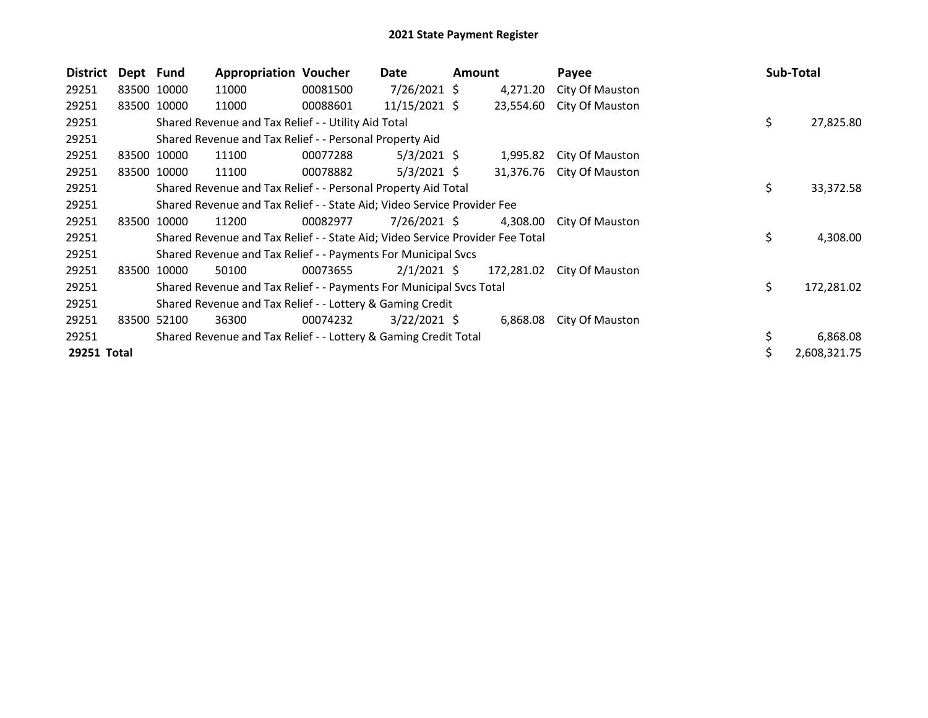| <b>District</b> | Dept Fund |             | <b>Appropriation Voucher</b>                                                  |          | Date            | Amount |            | Payee           |    | Sub-Total    |
|-----------------|-----------|-------------|-------------------------------------------------------------------------------|----------|-----------------|--------|------------|-----------------|----|--------------|
| 29251           |           | 83500 10000 | 11000                                                                         | 00081500 | 7/26/2021 \$    |        | 4,271.20   | City Of Mauston |    |              |
| 29251           |           | 83500 10000 | 11000                                                                         | 00088601 | $11/15/2021$ \$ |        | 23,554.60  | City Of Mauston |    |              |
| 29251           |           |             | Shared Revenue and Tax Relief - - Utility Aid Total                           |          |                 |        |            |                 | \$ | 27,825.80    |
| 29251           |           |             | Shared Revenue and Tax Relief - - Personal Property Aid                       |          |                 |        |            |                 |    |              |
| 29251           |           | 83500 10000 | 11100                                                                         | 00077288 | $5/3/2021$ \$   |        | 1,995.82   | City Of Mauston |    |              |
| 29251           |           | 83500 10000 | 11100                                                                         | 00078882 | $5/3/2021$ \$   |        | 31,376.76  | City Of Mauston |    |              |
| 29251           |           |             | Shared Revenue and Tax Relief - - Personal Property Aid Total                 |          |                 |        |            |                 | \$ | 33,372.58    |
| 29251           |           |             | Shared Revenue and Tax Relief - - State Aid; Video Service Provider Fee       |          |                 |        |            |                 |    |              |
| 29251           |           | 83500 10000 | 11200                                                                         | 00082977 | 7/26/2021 \$    |        | 4,308.00   | City Of Mauston |    |              |
| 29251           |           |             | Shared Revenue and Tax Relief - - State Aid; Video Service Provider Fee Total |          |                 |        |            |                 | \$ | 4,308.00     |
| 29251           |           |             | Shared Revenue and Tax Relief - - Payments For Municipal Svcs                 |          |                 |        |            |                 |    |              |
| 29251           | 83500     | 10000       | 50100                                                                         | 00073655 | $2/1/2021$ \$   |        | 172,281.02 | City Of Mauston |    |              |
| 29251           |           |             | Shared Revenue and Tax Relief - - Payments For Municipal Svcs Total           |          |                 |        |            |                 | \$ | 172,281.02   |
| 29251           |           |             | Shared Revenue and Tax Relief - - Lottery & Gaming Credit                     |          |                 |        |            |                 |    |              |
| 29251           |           | 83500 52100 | 36300                                                                         | 00074232 | $3/22/2021$ \$  |        | 6,868.08   | City Of Mauston |    |              |
| 29251           |           |             | Shared Revenue and Tax Relief - - Lottery & Gaming Credit Total               |          |                 |        |            |                 |    | 6,868.08     |
| 29251 Total     |           |             |                                                                               |          |                 |        |            |                 | S  | 2,608,321.75 |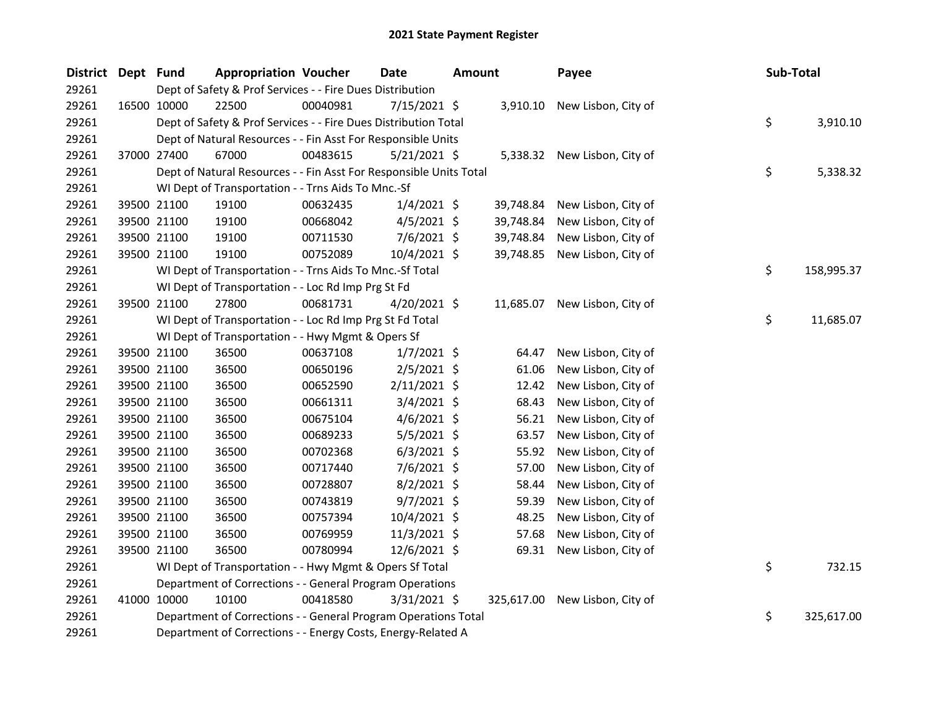| <b>District</b> | Dept Fund |             | <b>Appropriation Voucher</b>                                       |          | <b>Date</b>    | Amount |           | Payee                          | Sub-Total |            |
|-----------------|-----------|-------------|--------------------------------------------------------------------|----------|----------------|--------|-----------|--------------------------------|-----------|------------|
| 29261           |           |             | Dept of Safety & Prof Services - - Fire Dues Distribution          |          |                |        |           |                                |           |            |
| 29261           |           | 16500 10000 | 22500                                                              | 00040981 | 7/15/2021 \$   |        | 3,910.10  | New Lisbon, City of            |           |            |
| 29261           |           |             | Dept of Safety & Prof Services - - Fire Dues Distribution Total    |          |                |        |           |                                | \$        | 3,910.10   |
| 29261           |           |             | Dept of Natural Resources - - Fin Asst For Responsible Units       |          |                |        |           |                                |           |            |
| 29261           |           | 37000 27400 | 67000                                                              | 00483615 | $5/21/2021$ \$ |        |           | 5,338.32 New Lisbon, City of   |           |            |
| 29261           |           |             | Dept of Natural Resources - - Fin Asst For Responsible Units Total |          |                |        |           |                                | \$        | 5,338.32   |
| 29261           |           |             | WI Dept of Transportation - - Trns Aids To Mnc.-Sf                 |          |                |        |           |                                |           |            |
| 29261           |           | 39500 21100 | 19100                                                              | 00632435 | $1/4/2021$ \$  |        | 39,748.84 | New Lisbon, City of            |           |            |
| 29261           |           | 39500 21100 | 19100                                                              | 00668042 | $4/5/2021$ \$  |        | 39,748.84 | New Lisbon, City of            |           |            |
| 29261           |           | 39500 21100 | 19100                                                              | 00711530 | 7/6/2021 \$    |        | 39,748.84 | New Lisbon, City of            |           |            |
| 29261           |           | 39500 21100 | 19100                                                              | 00752089 | 10/4/2021 \$   |        | 39,748.85 | New Lisbon, City of            |           |            |
| 29261           |           |             | WI Dept of Transportation - - Trns Aids To Mnc.-Sf Total           |          |                |        |           |                                | \$        | 158,995.37 |
| 29261           |           |             | WI Dept of Transportation - - Loc Rd Imp Prg St Fd                 |          |                |        |           |                                |           |            |
| 29261           |           | 39500 21100 | 27800                                                              | 00681731 | 4/20/2021 \$   |        |           | 11,685.07 New Lisbon, City of  |           |            |
| 29261           |           |             | WI Dept of Transportation - - Loc Rd Imp Prg St Fd Total           |          |                |        |           |                                | \$        | 11,685.07  |
| 29261           |           |             | WI Dept of Transportation - - Hwy Mgmt & Opers Sf                  |          |                |        |           |                                |           |            |
| 29261           |           | 39500 21100 | 36500                                                              | 00637108 | $1/7/2021$ \$  |        | 64.47     | New Lisbon, City of            |           |            |
| 29261           |           | 39500 21100 | 36500                                                              | 00650196 | $2/5/2021$ \$  |        | 61.06     | New Lisbon, City of            |           |            |
| 29261           |           | 39500 21100 | 36500                                                              | 00652590 | $2/11/2021$ \$ |        | 12.42     | New Lisbon, City of            |           |            |
| 29261           |           | 39500 21100 | 36500                                                              | 00661311 | $3/4/2021$ \$  |        | 68.43     | New Lisbon, City of            |           |            |
| 29261           |           | 39500 21100 | 36500                                                              | 00675104 | $4/6/2021$ \$  |        | 56.21     | New Lisbon, City of            |           |            |
| 29261           |           | 39500 21100 | 36500                                                              | 00689233 | $5/5/2021$ \$  |        | 63.57     | New Lisbon, City of            |           |            |
| 29261           |           | 39500 21100 | 36500                                                              | 00702368 | $6/3/2021$ \$  |        | 55.92     | New Lisbon, City of            |           |            |
| 29261           |           | 39500 21100 | 36500                                                              | 00717440 | 7/6/2021 \$    |        | 57.00     | New Lisbon, City of            |           |            |
| 29261           |           | 39500 21100 | 36500                                                              | 00728807 | 8/2/2021 \$    |        | 58.44     | New Lisbon, City of            |           |            |
| 29261           |           | 39500 21100 | 36500                                                              | 00743819 | $9/7/2021$ \$  |        | 59.39     | New Lisbon, City of            |           |            |
| 29261           |           | 39500 21100 | 36500                                                              | 00757394 | 10/4/2021 \$   |        | 48.25     | New Lisbon, City of            |           |            |
| 29261           |           | 39500 21100 | 36500                                                              | 00769959 | 11/3/2021 \$   |        | 57.68     | New Lisbon, City of            |           |            |
| 29261           |           | 39500 21100 | 36500                                                              | 00780994 | 12/6/2021 \$   |        | 69.31     | New Lisbon, City of            |           |            |
| 29261           |           |             | WI Dept of Transportation - - Hwy Mgmt & Opers Sf Total            |          |                |        |           |                                | \$        | 732.15     |
| 29261           |           |             | Department of Corrections - - General Program Operations           |          |                |        |           |                                |           |            |
| 29261           |           | 41000 10000 | 10100                                                              | 00418580 | 3/31/2021 \$   |        |           | 325,617.00 New Lisbon, City of |           |            |
| 29261           |           |             | Department of Corrections - - General Program Operations Total     |          |                |        |           |                                | \$        | 325,617.00 |
| 29261           |           |             | Department of Corrections - - Energy Costs, Energy-Related A       |          |                |        |           |                                |           |            |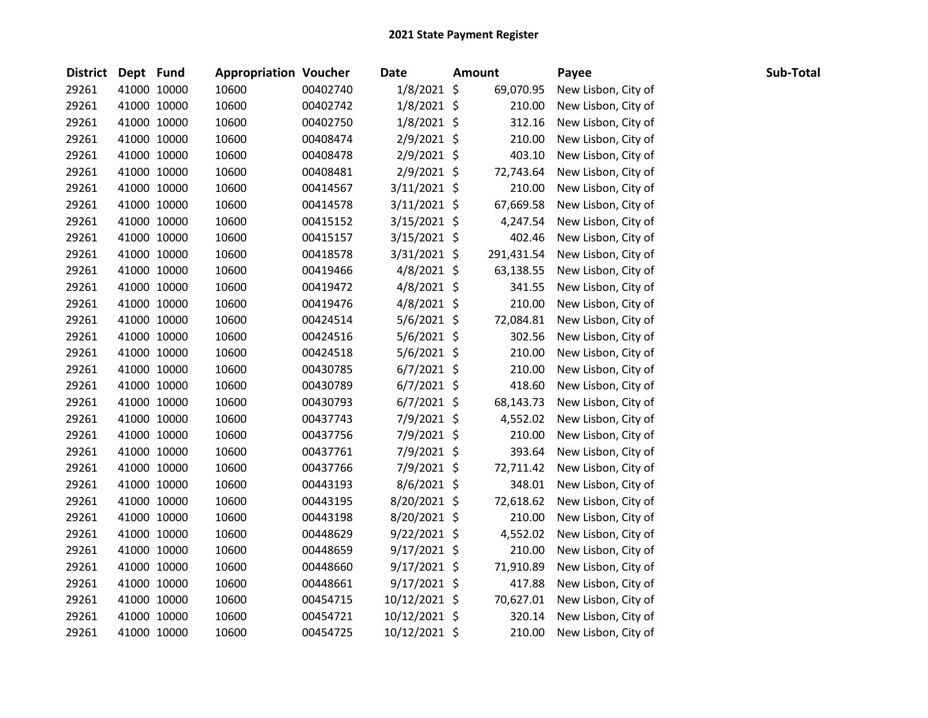| District Dept Fund |             | <b>Appropriation Voucher</b> |          | <b>Date</b>    | <b>Amount</b> | Payee               | Sub-Total |
|--------------------|-------------|------------------------------|----------|----------------|---------------|---------------------|-----------|
| 29261              | 41000 10000 | 10600                        | 00402740 | 1/8/2021 \$    | 69,070.95     | New Lisbon, City of |           |
| 29261              | 41000 10000 | 10600                        | 00402742 | $1/8/2021$ \$  | 210.00        | New Lisbon, City of |           |
| 29261              | 41000 10000 | 10600                        | 00402750 | $1/8/2021$ \$  | 312.16        | New Lisbon, City of |           |
| 29261              | 41000 10000 | 10600                        | 00408474 | $2/9/2021$ \$  | 210.00        | New Lisbon, City of |           |
| 29261              | 41000 10000 | 10600                        | 00408478 | $2/9/2021$ \$  | 403.10        | New Lisbon, City of |           |
| 29261              | 41000 10000 | 10600                        | 00408481 | $2/9/2021$ \$  | 72,743.64     | New Lisbon, City of |           |
| 29261              | 41000 10000 | 10600                        | 00414567 | $3/11/2021$ \$ | 210.00        | New Lisbon, City of |           |
| 29261              | 41000 10000 | 10600                        | 00414578 | $3/11/2021$ \$ | 67,669.58     | New Lisbon, City of |           |
| 29261              | 41000 10000 | 10600                        | 00415152 | $3/15/2021$ \$ | 4,247.54      | New Lisbon, City of |           |
| 29261              | 41000 10000 | 10600                        | 00415157 | $3/15/2021$ \$ | 402.46        | New Lisbon, City of |           |
| 29261              | 41000 10000 | 10600                        | 00418578 | $3/31/2021$ \$ | 291,431.54    | New Lisbon, City of |           |
| 29261              | 41000 10000 | 10600                        | 00419466 | $4/8/2021$ \$  | 63,138.55     | New Lisbon, City of |           |
| 29261              | 41000 10000 | 10600                        | 00419472 | $4/8/2021$ \$  | 341.55        | New Lisbon, City of |           |
| 29261              | 41000 10000 | 10600                        | 00419476 | $4/8/2021$ \$  | 210.00        | New Lisbon, City of |           |
| 29261              | 41000 10000 | 10600                        | 00424514 | $5/6/2021$ \$  | 72,084.81     | New Lisbon, City of |           |
| 29261              | 41000 10000 | 10600                        | 00424516 | $5/6/2021$ \$  | 302.56        | New Lisbon, City of |           |
| 29261              | 41000 10000 | 10600                        | 00424518 | $5/6/2021$ \$  | 210.00        | New Lisbon, City of |           |
| 29261              | 41000 10000 | 10600                        | 00430785 | $6/7/2021$ \$  | 210.00        | New Lisbon, City of |           |
| 29261              | 41000 10000 | 10600                        | 00430789 | $6/7/2021$ \$  | 418.60        | New Lisbon, City of |           |
| 29261              | 41000 10000 | 10600                        | 00430793 | $6/7/2021$ \$  | 68,143.73     | New Lisbon, City of |           |
| 29261              | 41000 10000 | 10600                        | 00437743 | $7/9/2021$ \$  | 4,552.02      | New Lisbon, City of |           |
| 29261              | 41000 10000 | 10600                        | 00437756 | 7/9/2021 \$    | 210.00        | New Lisbon, City of |           |
| 29261              | 41000 10000 | 10600                        | 00437761 | 7/9/2021 \$    | 393.64        | New Lisbon, City of |           |
| 29261              | 41000 10000 | 10600                        | 00437766 | 7/9/2021 \$    | 72,711.42     | New Lisbon, City of |           |
| 29261              | 41000 10000 | 10600                        | 00443193 | $8/6/2021$ \$  | 348.01        | New Lisbon, City of |           |
| 29261              | 41000 10000 | 10600                        | 00443195 | 8/20/2021 \$   | 72,618.62     | New Lisbon, City of |           |
| 29261              | 41000 10000 | 10600                        | 00443198 | 8/20/2021 \$   | 210.00        | New Lisbon, City of |           |
| 29261              | 41000 10000 | 10600                        | 00448629 | $9/22/2021$ \$ | 4,552.02      | New Lisbon, City of |           |
| 29261              | 41000 10000 | 10600                        | 00448659 | $9/17/2021$ \$ | 210.00        | New Lisbon, City of |           |
| 29261              | 41000 10000 | 10600                        | 00448660 | $9/17/2021$ \$ | 71,910.89     | New Lisbon, City of |           |
| 29261              | 41000 10000 | 10600                        | 00448661 | $9/17/2021$ \$ | 417.88        | New Lisbon, City of |           |
| 29261              | 41000 10000 | 10600                        | 00454715 | 10/12/2021 \$  | 70,627.01     | New Lisbon, City of |           |
| 29261              | 41000 10000 | 10600                        | 00454721 | 10/12/2021 \$  | 320.14        | New Lisbon, City of |           |
| 29261              | 41000 10000 | 10600                        | 00454725 | 10/12/2021 \$  | 210.00        | New Lisbon, City of |           |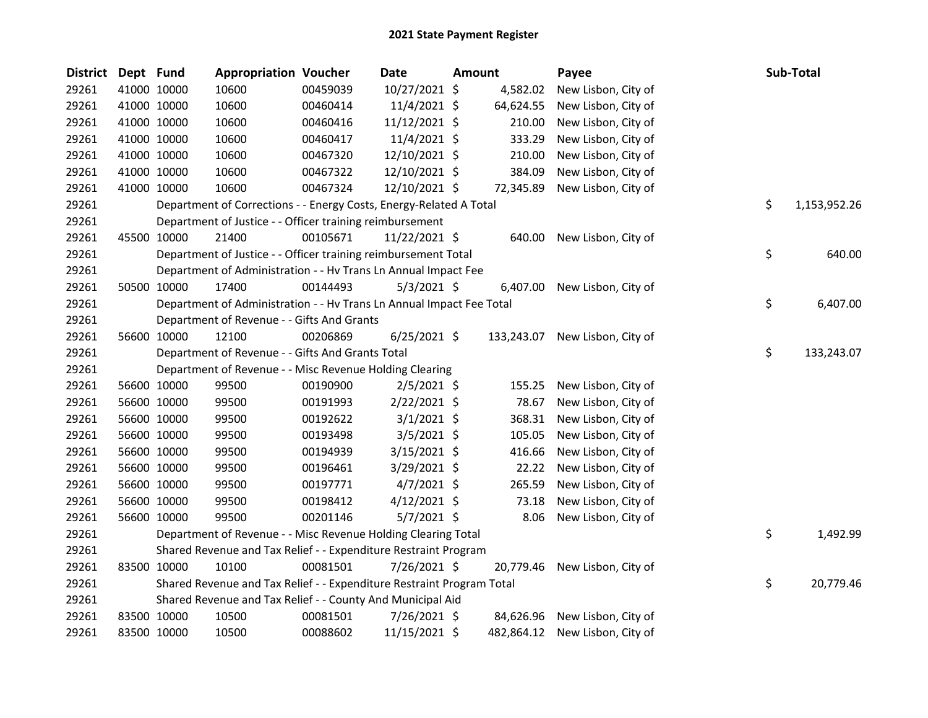| <b>District</b> | Dept Fund |                                                                                | <b>Appropriation Voucher</b> |              | <b>Date</b>    | <b>Amount</b> |           | Payee                          |           | Sub-Total  |  |
|-----------------|-----------|--------------------------------------------------------------------------------|------------------------------|--------------|----------------|---------------|-----------|--------------------------------|-----------|------------|--|
| 29261           |           | 41000 10000                                                                    | 10600                        | 00459039     | 10/27/2021 \$  |               | 4,582.02  | New Lisbon, City of            |           |            |  |
| 29261           |           | 41000 10000                                                                    | 10600                        | 00460414     | 11/4/2021 \$   |               | 64,624.55 | New Lisbon, City of            |           |            |  |
| 29261           |           | 41000 10000                                                                    | 10600                        | 00460416     | 11/12/2021 \$  |               | 210.00    | New Lisbon, City of            |           |            |  |
| 29261           |           | 41000 10000                                                                    | 10600                        | 00460417     | 11/4/2021 \$   |               | 333.29    | New Lisbon, City of            |           |            |  |
| 29261           |           | 41000 10000                                                                    | 10600                        | 00467320     | 12/10/2021 \$  |               | 210.00    | New Lisbon, City of            |           |            |  |
| 29261           |           | 41000 10000                                                                    | 10600                        | 00467322     | 12/10/2021 \$  |               | 384.09    | New Lisbon, City of            |           |            |  |
| 29261           |           | 41000 10000                                                                    | 10600                        | 00467324     | 12/10/2021 \$  |               | 72,345.89 | New Lisbon, City of            |           |            |  |
| 29261           |           | Department of Corrections - - Energy Costs, Energy-Related A Total             | \$                           | 1,153,952.26 |                |               |           |                                |           |            |  |
| 29261           |           | Department of Justice - - Officer training reimbursement                       |                              |              |                |               |           |                                |           |            |  |
| 29261           |           | 45500 10000                                                                    | 21400                        | 00105671     | 11/22/2021 \$  |               | 640.00    | New Lisbon, City of            |           |            |  |
| 29261           |           | \$<br>Department of Justice - - Officer training reimbursement Total<br>640.00 |                              |              |                |               |           |                                |           |            |  |
| 29261           |           | Department of Administration - - Hv Trans Ln Annual Impact Fee                 |                              |              |                |               |           |                                |           |            |  |
| 29261           |           | 50500 10000                                                                    | 17400                        | 00144493     | $5/3/2021$ \$  |               | 6,407.00  | New Lisbon, City of            |           |            |  |
| 29261           |           | Department of Administration - - Hv Trans Ln Annual Impact Fee Total           |                              |              |                |               |           |                                |           | 6,407.00   |  |
| 29261           |           | Department of Revenue - - Gifts And Grants                                     |                              |              |                |               |           |                                |           |            |  |
| 29261           |           | 56600 10000                                                                    | 12100                        | 00206869     | $6/25/2021$ \$ |               |           | 133,243.07 New Lisbon, City of |           |            |  |
| 29261           |           | Department of Revenue - - Gifts And Grants Total                               |                              |              |                |               |           |                                |           | 133,243.07 |  |
| 29261           |           | Department of Revenue - - Misc Revenue Holding Clearing                        |                              |              |                |               |           |                                |           |            |  |
| 29261           |           | 56600 10000                                                                    | 99500                        | 00190900     | $2/5/2021$ \$  |               | 155.25    | New Lisbon, City of            |           |            |  |
| 29261           |           | 56600 10000                                                                    | 99500                        | 00191993     | $2/22/2021$ \$ |               | 78.67     | New Lisbon, City of            |           |            |  |
| 29261           |           | 56600 10000                                                                    | 99500                        | 00192622     | $3/1/2021$ \$  |               | 368.31    | New Lisbon, City of            |           |            |  |
| 29261           |           | 56600 10000                                                                    | 99500                        | 00193498     | $3/5/2021$ \$  |               | 105.05    | New Lisbon, City of            |           |            |  |
| 29261           |           | 56600 10000                                                                    | 99500                        | 00194939     | $3/15/2021$ \$ |               | 416.66    | New Lisbon, City of            |           |            |  |
| 29261           |           | 56600 10000                                                                    | 99500                        | 00196461     | $3/29/2021$ \$ |               | 22.22     | New Lisbon, City of            |           |            |  |
| 29261           |           | 56600 10000                                                                    | 99500                        | 00197771     | $4/7/2021$ \$  |               | 265.59    | New Lisbon, City of            |           |            |  |
| 29261           |           | 56600 10000                                                                    | 99500                        | 00198412     | $4/12/2021$ \$ |               | 73.18     | New Lisbon, City of            |           |            |  |
| 29261           |           | 56600 10000                                                                    | 99500                        | 00201146     | $5/7/2021$ \$  |               | 8.06      | New Lisbon, City of            |           |            |  |
| 29261           |           | Department of Revenue - - Misc Revenue Holding Clearing Total                  |                              |              |                |               |           |                                |           | 1,492.99   |  |
| 29261           |           | Shared Revenue and Tax Relief - - Expenditure Restraint Program                |                              |              |                |               |           |                                |           |            |  |
| 29261           |           | 83500 10000                                                                    | 10100                        | 00081501     | 7/26/2021 \$   |               | 20,779.46 | New Lisbon, City of            |           |            |  |
| 29261           |           | \$<br>Shared Revenue and Tax Relief - - Expenditure Restraint Program Total    |                              |              |                |               |           |                                | 20,779.46 |            |  |
| 29261           |           | Shared Revenue and Tax Relief - - County And Municipal Aid                     |                              |              |                |               |           |                                |           |            |  |
| 29261           |           | 83500 10000                                                                    | 10500                        | 00081501     | 7/26/2021 \$   |               | 84,626.96 | New Lisbon, City of            |           |            |  |
| 29261           |           | 83500 10000                                                                    | 10500                        | 00088602     | 11/15/2021 \$  |               |           | 482,864.12 New Lisbon, City of |           |            |  |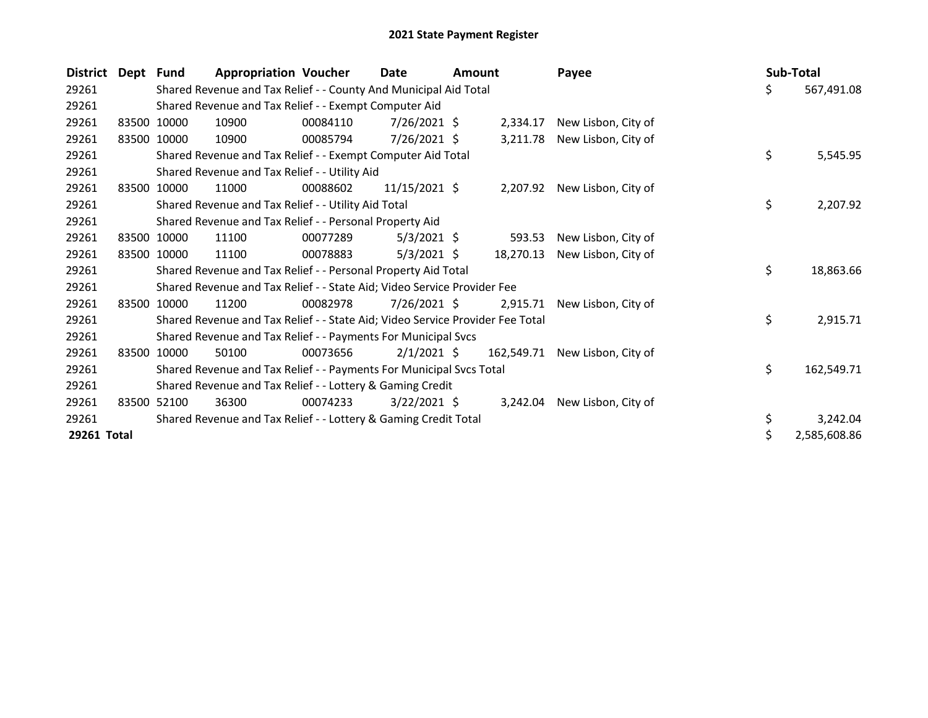| <b>District</b> | Dept Fund |                                                                               | <b>Appropriation Voucher</b>                                    |          | Date           | <b>Amount</b> |            | Payee               |    | Sub-Total |              |
|-----------------|-----------|-------------------------------------------------------------------------------|-----------------------------------------------------------------|----------|----------------|---------------|------------|---------------------|----|-----------|--------------|
| 29261           |           | Shared Revenue and Tax Relief - - County And Municipal Aid Total              |                                                                 |          |                |               |            |                     |    | \$        | 567,491.08   |
| 29261           |           | Shared Revenue and Tax Relief - - Exempt Computer Aid                         |                                                                 |          |                |               |            |                     |    |           |              |
| 29261           | 83500     | 10000                                                                         | 10900                                                           | 00084110 | $7/26/2021$ \$ |               | 2,334.17   | New Lisbon, City of |    |           |              |
| 29261           | 83500     | 10000                                                                         | 10900                                                           | 00085794 | 7/26/2021 \$   |               | 3,211.78   | New Lisbon, City of |    |           |              |
| 29261           |           |                                                                               | Shared Revenue and Tax Relief - - Exempt Computer Aid Total     |          |                |               |            |                     |    | \$        | 5,545.95     |
| 29261           |           |                                                                               | Shared Revenue and Tax Relief - - Utility Aid                   |          |                |               |            |                     |    |           |              |
| 29261           | 83500     | 10000                                                                         | 11000                                                           | 00088602 | 11/15/2021 \$  |               | 2,207.92   | New Lisbon, City of |    |           |              |
| 29261           |           |                                                                               | Shared Revenue and Tax Relief - - Utility Aid Total             |          |                |               |            |                     |    | \$        | 2,207.92     |
| 29261           |           | Shared Revenue and Tax Relief - - Personal Property Aid                       |                                                                 |          |                |               |            |                     |    |           |              |
| 29261           |           | 83500 10000                                                                   | 11100                                                           | 00077289 | $5/3/2021$ \$  |               | 593.53     | New Lisbon, City of |    |           |              |
| 29261           | 83500     | 10000                                                                         | 11100                                                           | 00078883 | $5/3/2021$ \$  |               | 18,270.13  | New Lisbon, City of |    |           |              |
| 29261           |           |                                                                               | Shared Revenue and Tax Relief - - Personal Property Aid Total   |          |                |               |            |                     |    | \$        | 18,863.66    |
| 29261           |           | Shared Revenue and Tax Relief - - State Aid; Video Service Provider Fee       |                                                                 |          |                |               |            |                     |    |           |              |
| 29261           | 83500     | 10000                                                                         | 11200                                                           | 00082978 | $7/26/2021$ \$ |               | 2,915.71   | New Lisbon, City of |    |           |              |
| 29261           |           | Shared Revenue and Tax Relief - - State Aid; Video Service Provider Fee Total |                                                                 |          |                |               |            |                     | \$ | 2,915.71  |              |
| 29261           |           | Shared Revenue and Tax Relief - - Payments For Municipal Svcs                 |                                                                 |          |                |               |            |                     |    |           |              |
| 29261           | 83500     | 10000                                                                         | 50100                                                           | 00073656 | $2/1/2021$ \$  |               | 162,549.71 | New Lisbon, City of |    |           |              |
| 29261           |           | Shared Revenue and Tax Relief - - Payments For Municipal Svcs Total           |                                                                 |          |                |               |            |                     |    | \$        | 162,549.71   |
| 29261           |           | Shared Revenue and Tax Relief - - Lottery & Gaming Credit                     |                                                                 |          |                |               |            |                     |    |           |              |
| 29261           | 83500     | 52100                                                                         | 36300                                                           | 00074233 | $3/22/2021$ \$ |               | 3,242.04   | New Lisbon, City of |    |           |              |
| 29261           |           |                                                                               | Shared Revenue and Tax Relief - - Lottery & Gaming Credit Total |          |                |               |            |                     |    | \$        | 3,242.04     |
| 29261 Total     |           |                                                                               |                                                                 |          |                |               |            |                     |    | \$        | 2,585,608.86 |